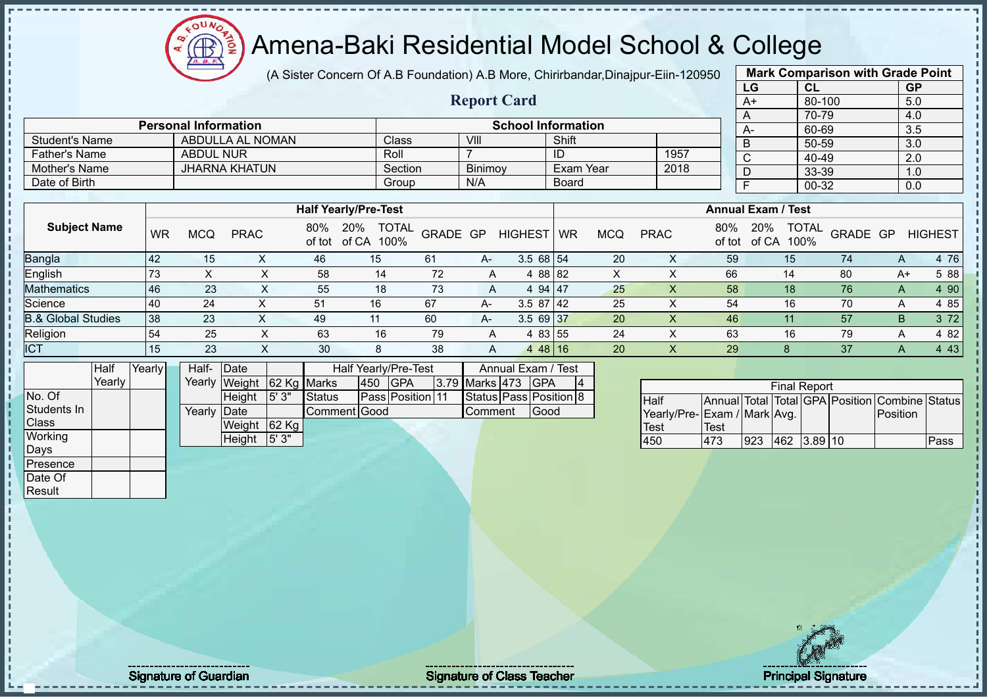### Amena-Baki Residential Model School & College

(A Sister Concern Of A.B Foundation) A.B More, Chirirbandar,Dinajpur-Eiin-120950 **Mark Comparison with Grade Point**

**Report Card**

| ບອວບ |                           | <b>Mark Companson with Graug Follit</b> |               |
|------|---------------------------|-----------------------------------------|---------------|
|      | LG                        | <b>CL</b>                               | <b>GP</b>     |
|      | A+                        | 80-100                                  | 5.0           |
|      | Α                         | 70-79                                   | 4.0           |
|      | А-                        | 60-69                                   | 3.5           |
|      | B                         | 50-59                                   | 3.0           |
|      | $\overline{\text{c}}$     | 40-49                                   | 2.0           |
|      | D                         | 33-39                                   | 1.0           |
|      | $\overline{F}$            | 00-32                                   | 0.0           |
|      |                           |                                         |               |
|      | <b>Annual Exam / Test</b> |                                         |               |
| 80%  | 20%                       | TOTAL<br>-----<br>$\sim$ $\sim$         | 1.1.01.02.028 |

|                      | <b>Personal Information</b> |         |                | <b>School Information</b> |      | $A-$ |  |
|----------------------|-----------------------------|---------|----------------|---------------------------|------|------|--|
| Student's Name       | ABDULLA AL NOMAN            | Class   | VII            | Shift                     |      |      |  |
| <b>Father's Name</b> | <b>ABDUL NUR</b>            | Roll    |                | ID                        | 1957 |      |  |
| Mother's Name        | <b>JHARNA KHATUN</b>        | Section | <b>Binimov</b> | Exam Year                 | 2018 |      |  |
| Date of Birth        |                             | Group   | N/A            | <b>Board</b>              |      |      |  |

|                               |           |            |             |     | <b>Half Yearly/Pre-Test</b>              |          |      |                         | <b>Annual Exam / Test</b> |     |             |               |                               |          |      |                |
|-------------------------------|-----------|------------|-------------|-----|------------------------------------------|----------|------|-------------------------|---------------------------|-----|-------------|---------------|-------------------------------|----------|------|----------------|
| <b>Subject Name</b>           | <b>WR</b> | <b>MCQ</b> | <b>PRAC</b> | 80% | <b>TOTAL</b><br>20%<br>of tot of CA 100% | GRADE GP |      | <b>HIGHEST</b>          | <b>WR</b>                 | MCQ | <b>PRAC</b> | 80%<br>of tot | TOTAL<br>20%<br>100%<br>of CA | GRADE GP |      | <b>HIGHEST</b> |
| <b>Bangla</b>                 | 42        | 15         |             | 46  | 15                                       | -61      | A-   | $3.568$ 54              |                           | 20  | ∧           | 59            | 15                            | 74       | A    | 4 76           |
| English                       | 73        |            |             | 58  | 14                                       | 72       |      | 4 88 82                 |                           | х   |             | 66            | 14                            | 80       | $A+$ | 5 88           |
| <b>Mathematics</b>            | 46        | 23         | $\sim$      | 55  | 18                                       | 73       | A    | 4 94 47                 |                           | 25  |             | 58            | 18                            | 76       | A    | 4 90           |
| Science                       | 40        | 24         |             | 51  | 16                                       | 67       | A-   | 3.587142                |                           | 25  |             | 54            | 16                            | 70       | A    | 4 85           |
| <b>B.&amp; Global Studies</b> | 38        | 23         |             | 49  | 11                                       | 60       | $A-$ | $3.569$ 37              |                           | 20  |             | 46            |                               | 57       | B    | 3 7 2          |
| Religion                      | 54        | 25         |             | 63  | 16                                       | 79       |      | 4 83 55                 |                           | 24  |             | 63            | 16                            | 79       | A    | 4 8 2          |
| <b>ICT</b>                    | 15        | 23         |             | 30  | 8                                        | 38       |      | 48 16<br>$\overline{4}$ |                           | 20  |             | 29            |                               | 37       |      | 4 4 3          |

|              | Half   | Yearly∐ | Half-  | Date                      |       |              |     | Half Yearly/Pre-Test    |                | Annual Exam / Test     |    |
|--------------|--------|---------|--------|---------------------------|-------|--------------|-----|-------------------------|----------------|------------------------|----|
|              | Yearlv |         |        | Yearly Weight 62 Kg Marks |       |              | 450 | <b>IGPA</b>             | 3.79 Marks 473 | <b>IGPA</b>            | I4 |
| No. Of       |        |         |        | Height                    | 5' 3" | Status       |     | <b>Pass Position 11</b> |                | Status Pass Position 8 |    |
| Students In  |        |         | Yearlv | <b>IDate</b>              |       | Comment Good |     |                         | Comment        | Good                   |    |
| <b>Class</b> |        |         |        | Weight                    | 62 Kg |              |     |                         |                |                        |    |
| Working      |        |         |        | Height                    | 5'3"  |              |     |                         |                |                        |    |
| Days         |        |         |        |                           |       |              |     |                         |                |                        |    |
| IPresence    |        |         |        |                           |       |              |     |                         |                |                        |    |

|                             |      |     | <b>Final Report</b> |  |                                                |      |
|-----------------------------|------|-----|---------------------|--|------------------------------------------------|------|
| <b>Half</b>                 |      |     |                     |  | Annual Total Total GPA Position Combine Status |      |
| Yearly/Pre-Exam / Mark Avg. |      |     |                     |  | <b>IPosition</b>                               |      |
| Test                        | Test |     |                     |  |                                                |      |
| 450                         | 473  | 923 | 462 3.89 10         |  |                                                | Pass |

Date Of Result

Signature of Guardian Signature of Class Teacher Principal Signature of Class Teacher Principal Signature of Class Teacher Principal Signature of Class Teacher Principal Signature of Class Teacher Principal Signature of Cl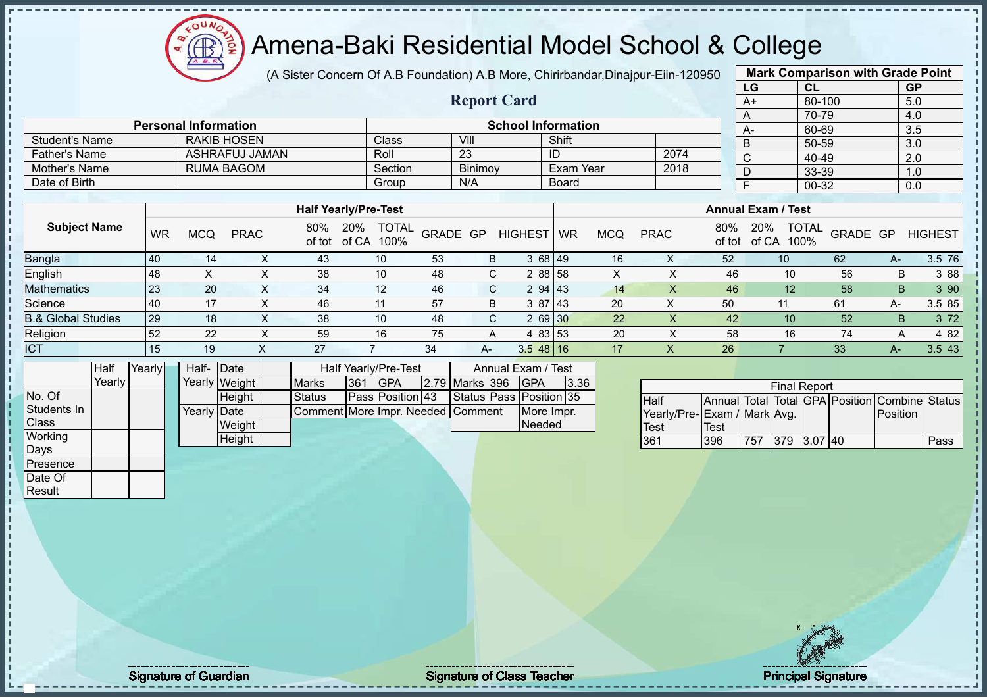### Amena-Baki Residential Model School & College

(A Sister Concern Of A.B Foundation) A.B More, Chirirbandar,Dinajpur-Eiin-120950

**Report Card**

|      | <b>Mark Comparison with Grade Point</b> |           |
|------|-----------------------------------------|-----------|
| LG   | <b>CL</b>                               | <b>GP</b> |
| $A+$ | 80-100                                  | 5.0       |
| A    | 70-79                                   | 4.0       |
| А-   | 60-69                                   | 3.5       |
| B    | 50-59                                   | 3.0       |
| C    | 40-49                                   | 2.0       |
| D    | 33-39                                   | 1.0       |
| F    | 00-32                                   | 0.0       |
|      |                                         |           |

| <b>Student's Name</b> |           |            | <b>RAKIB HOSEN</b> |         | Class                       | VIII             |         |            | Shift        |            |             |        |                           | 50-59 |                     | 3.0            |
|-----------------------|-----------|------------|--------------------|---------|-----------------------------|------------------|---------|------------|--------------|------------|-------------|--------|---------------------------|-------|---------------------|----------------|
| <b>Father's Name</b>  |           |            | ASHRAFUJ JAMAN     |         | Roll                        | 23               |         | ID         |              |            | 2074        | $\sim$ |                           | 40-49 |                     | 2.0            |
| Mother's Name         |           |            | <b>RUMA BAGOM</b>  |         | Section                     |                  | Binimoy |            | Exam Year    |            | 2018        |        |                           | 33-39 |                     | 1.0            |
| Date of Birth         |           |            |                    |         | Group                       | N/A              |         |            | <b>Board</b> |            |             |        |                           | 00-32 |                     | 0.0            |
|                       |           |            |                    |         |                             |                  |         |            |              |            |             |        |                           |       |                     |                |
|                       |           |            |                    |         | <b>Half Yearly/Pre-Test</b> |                  |         |            |              |            |             |        | <b>Annual Exam / Test</b> |       |                     |                |
| <b>Subject Name</b>   |           |            |                    | 80% 20% |                             |                  |         |            |              |            |             |        | 20%                       |       |                     |                |
|                       | <b>WR</b> | <b>MCQ</b> | <b>PRAC</b>        |         | of tot of CA 100%           | J TOTAL GRADE GP |         | HIGHEST WR |              | <b>MCQ</b> | <b>PRAC</b> | 80%    | of tot of CA 100%         |       | JUIN TOTAL GRADE GP | <b>HIGHEST</b> |

| punyiu                        | ט די | $\mathbf{r}$ | $\lambda$ | ᠇୰ | $\sim$                        | ັບບ              | ◡    | 0.00170            | IV. | $\lambda$ | ັບເ      | $\overline{\phantom{0}}$ | ັບ∠ | 0.010       |
|-------------------------------|------|--------------|-----------|----|-------------------------------|------------------|------|--------------------|-----|-----------|----------|--------------------------|-----|-------------|
| English                       | 148  |              |           | 38 | 10                            | 48               |      | 2 88 58            |     |           | 46       | 10                       | 56  | 88 8        |
| <b>Mathematics</b>            | 123  | 20           |           | 34 | $\overline{A}$ $\overline{C}$ | 46               |      | 2 94 143           | 14  |           | 46       | 10                       | 58  | 390         |
| Science                       | 140  |              |           | 46 |                               | $-$<br>51        |      | -87<br>143         | 20  |           | 50<br>vv |                          |     | 85 l<br>3.5 |
| <b>3.&amp; Global Studies</b> | 129  | 18           |           | 38 | 10                            | 48               |      | 2 69 30            | 22  |           | 42       | 10                       | 52  | 72          |
| Religion                      | 152  | nn<br>22     |           | 59 | 16                            | <b>75</b><br>, J |      | 83 53              | 20  |           | 58       | 16                       |     | 482         |
| <b>ICT</b>                    | ا -  | 19           |           | ົ  |                               | 34               | $A-$ | $3.5\,$<br>48   16 |     |           | 26       |                          | 33  | 43          |

|                | <b>Half</b> | Yearly | Half- Date  |               |                                   |     | Half Yearly/Pre-Test    |                | Annual Exam / Test      |      |
|----------------|-------------|--------|-------------|---------------|-----------------------------------|-----|-------------------------|----------------|-------------------------|------|
|                | Yearly      |        |             | Yearly Weight | <b>Marks</b>                      | 361 | <b>IGPA</b>             | 2.79 Marks 396 | <b>IGPA</b>             | 3.36 |
| No. Of         |             |        |             | Height        | <b>Status</b>                     |     | <b>Pass Position 43</b> |                | Status Pass Position 35 |      |
| Students In    |             |        | Yearly Date |               | Comment More Impr. Needed Comment |     |                         |                | More Impr.              |      |
| <b>Class</b>   |             |        |             | Weight        |                                   |     |                         |                | Needed                  |      |
| <b>Working</b> |             |        |             | Height        |                                   |     |                         |                |                         |      |
| Days           |             |        |             |               |                                   |     |                         |                |                         |      |
| Presence       |             |        |             |               |                                   |     |                         |                |                         |      |

**Personal Information School Information** 

|                             |      |     | <b>Final Report</b> |  |                                                |      |
|-----------------------------|------|-----|---------------------|--|------------------------------------------------|------|
| <b>I</b> Half               |      |     |                     |  | Annual Total Total GPA Position Combine Status |      |
| Yearly/Pre-Exam / Mark Avg. |      |     |                     |  | <b>IPosition</b>                               |      |
| Test                        | Test |     |                     |  |                                                |      |
| 361                         | 396  | 757 | 379 3.07 40         |  |                                                | Pass |



Date Of **Result** 

**Signature of Guardian Community Community Community Signature of Class Teacher Community Community Principal Signature 2016**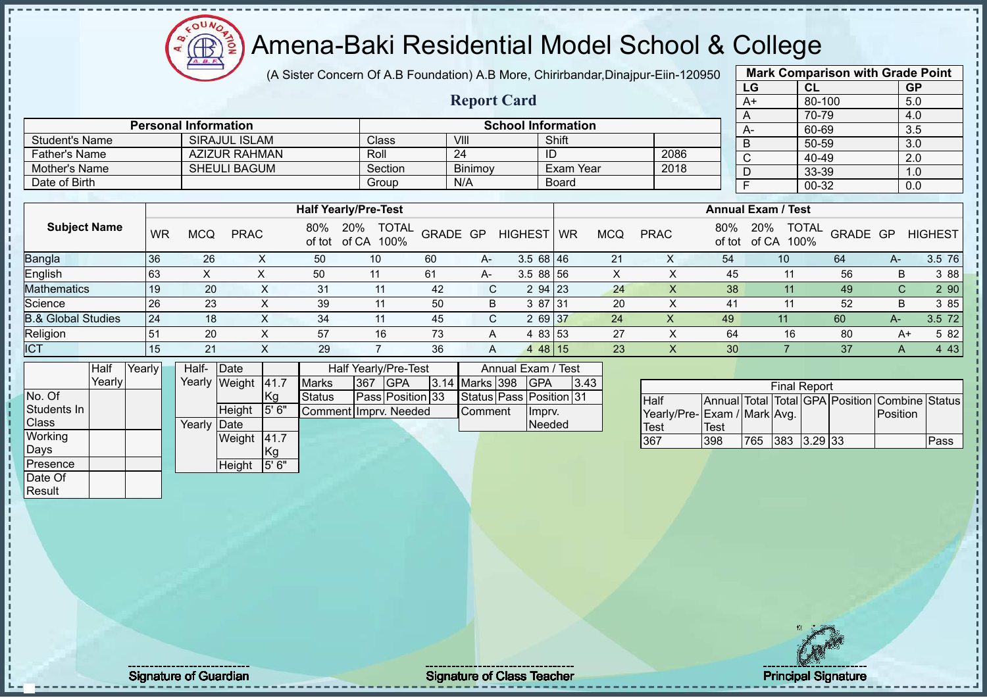### Amena-Baki Residential Model School & College

(A Sister Concern Of A.B Foundation) A.B More, Chirirbandar,Dinajpur-Eiin-120950

**Report Card**

|                       | <b>Mark Comparison with Grade Point</b> |           |  |  |  |  |  |  |
|-----------------------|-----------------------------------------|-----------|--|--|--|--|--|--|
| LG                    | <b>CL</b>                               | <b>GP</b> |  |  |  |  |  |  |
| $A+$                  | 80-100                                  | 5.0       |  |  |  |  |  |  |
| A                     | 70-79                                   | 4.0       |  |  |  |  |  |  |
| A-                    | 60-69                                   | 3.5       |  |  |  |  |  |  |
| B                     | 50-59                                   | 3.0       |  |  |  |  |  |  |
| $\overline{\text{c}}$ | 40-49                                   | 2.0       |  |  |  |  |  |  |
| D                     | 33-39                                   | 1.0       |  |  |  |  |  |  |
| $00 - 32$<br>F<br>0.0 |                                         |           |  |  |  |  |  |  |
|                       |                                         |           |  |  |  |  |  |  |

| Date of Birth                 |           |            |             |               | Group                                |          | N/A |                | Board     |            |             |               |                           | 00-32                |          |      | 0.0            |
|-------------------------------|-----------|------------|-------------|---------------|--------------------------------------|----------|-----|----------------|-----------|------------|-------------|---------------|---------------------------|----------------------|----------|------|----------------|
|                               |           |            |             |               |                                      |          |     |                |           |            |             |               |                           |                      |          |      |                |
|                               |           |            |             |               | <b>Half Yearly/Pre-Test</b>          |          |     |                |           |            |             |               | <b>Annual Exam / Test</b> |                      |          |      |                |
| <b>Subject Name</b>           | <b>WR</b> | <b>MCQ</b> | <b>PRAC</b> | 80%<br>of tot | 20%<br><b>TOTAL</b><br>of CA<br>100% | GRADE GP |     | <b>HIGHEST</b> | <b>WR</b> | <b>MCQ</b> | <b>PRAC</b> | 80%<br>of tot | 20%<br>of CA              | <b>TOTAL</b><br>100% | GRADE GP |      | <b>HIGHEST</b> |
| <b>Bangla</b>                 | 36        | 26         | $\lambda$   | 50            | 10                                   | 60       | A-  | $3.568$   46   |           | 21         | X           | 54            | 10 <sup>°</sup>           |                      | 64       | A-   | 3.5 76         |
| <b>English</b>                | 63        | X          |             | 50            |                                      | 61       | A-  | $3.588$ 56     |           | X          |             | 45            |                           |                      | 56       | B    | 3 88           |
| Mathematics                   | 19        | 20         | ⋏           | 31            | 11                                   | 42       | C.  | $294$ 23       |           | 24         |             | 38            |                           |                      | 49       | C.   | 290            |
| Science                       | 26        | 23         |             | 39            | 11                                   | 50       | B   | 3 87 31        |           | 20         |             | 41            |                           |                      | 52       | B    | 3 85           |
| <b>B.&amp; Global Studies</b> | 24        | 18         |             | 34            | 11                                   | 45       | C.  | 2 69 37        |           | 24         | X           | 49            | 11                        |                      | 60       | $A-$ | 3.5 72         |
| Religion                      | 51        | 20         |             | 57            | 16                                   | 73       | A   | 4 83 53        |           | 27         |             | 64            |                           | 16                   | 80       | A+   | 5 82           |
| <b>ICT</b>                    | 15        | 21         |             | 29            |                                      | 36       | A   | $448$ 15       |           | 23         |             | 30            |                           |                      | 37       |      | 4 4 3          |

|              | Half   | Yearly | Half-  | Date          |       |                       |     | Half Yearly/Pre-Test |                | Annual Exam / Test      |      |
|--------------|--------|--------|--------|---------------|-------|-----------------------|-----|----------------------|----------------|-------------------------|------|
|              | Yearlv |        | Yearly | Weight        | 41.7  | <b>Marks</b>          | 367 | <b>IGPA</b>          | 3.14 Marks 398 | <b>IGPA</b>             | 3.43 |
| No. Of       |        |        |        |               | Kg    | <b>Status</b>         |     | Pass Position 33     |                | Status Pass Position 31 |      |
| Students In  |        |        |        | <b>Height</b> | 5' 6" | Comment Imprv. Needed |     |                      | Comment        | Impry.                  |      |
| <b>Class</b> |        |        | Yearly | Date          |       |                       |     |                      |                | <b>Needed</b>           |      |
| Working      |        |        |        | Weight        | 41.7  |                       |     |                      |                |                         |      |
| Days         |        |        |        |               | ,Kg   |                       |     |                      |                |                         |      |
| Presence     |        |        |        | Height        | 5' 6" |                       |     |                      |                |                         |      |
| Date Of      |        |        |        |               |       |                       |     |                      |                |                         |      |

**Personal Information**<br>
SChool Information<br>
SIRAJUL ISLAM<br>
Class  $\begin{array}{|c|c|c|c|c|c|}\n\hline\n\end{array}$ 

Father's Name AZIZUR RAHMAN Roll 24 ID 2086 Mother's Name SHEULI BAGUM Section Binimoy Exam Year 2018

Student's Name SIRAJUL ISLAM Class VIII Shift<br>
Father's Name AZIZUR RAHMAN Roll 24 ID

|                              |      |     | <b>Final Report</b> |           |                                                |      |
|------------------------------|------|-----|---------------------|-----------|------------------------------------------------|------|
| Half                         |      |     |                     |           | Annual Total Total GPA Position Combine Status |      |
| Yearly/Pre- Exam / Mark Avg. |      |     |                     |           | <b>IPosition</b>                               |      |
| <b>Test</b>                  | Test |     |                     |           |                                                |      |
| 367                          | 398  | 765 | 383                 | $3.29$ 33 |                                                | Pass |

**Result** 

 $\mathbf{I}$ 

Signature of Guardian Signature Signature of Class Teacher Number 2008 2012 2013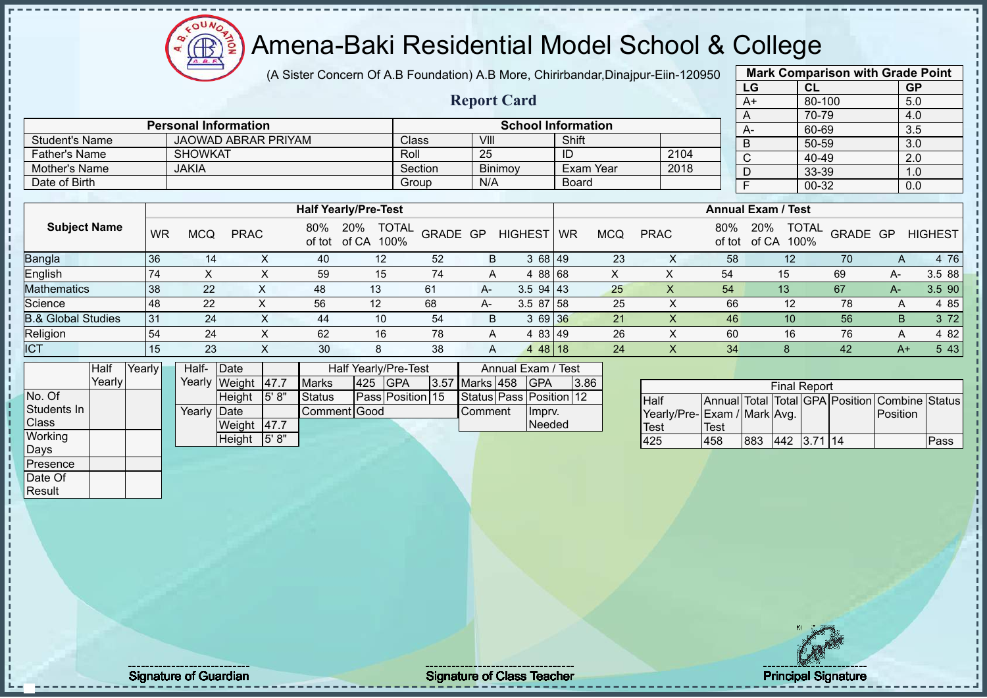(A Sister Concern Of A.B Foundation) A.B More, Chirirbandar,Dinajpur-Eiin-120950

 $12\mu\text{V}$ 

 $\bigoplus$ 

|                               |        |           |                             |                            |      |                             |                      |                      |          |                 |                         |             |                           |            |                             |                           | LG             |    | CL                   |          | <b>GP</b> |                                                |
|-------------------------------|--------|-----------|-----------------------------|----------------------------|------|-----------------------------|----------------------|----------------------|----------|-----------------|-------------------------|-------------|---------------------------|------------|-----------------------------|---------------------------|----------------|----|----------------------|----------|-----------|------------------------------------------------|
|                               |        |           |                             |                            |      |                             |                      |                      |          |                 | <b>Report Card</b>      |             |                           |            |                             |                           | A+             |    | 80-100               |          | 5.0       |                                                |
|                               |        |           |                             |                            |      |                             |                      |                      |          |                 |                         |             |                           |            |                             |                           | Α              |    | 70-79                |          | 4.0       |                                                |
|                               |        |           | <b>Personal Information</b> |                            |      |                             |                      |                      |          |                 |                         |             | <b>School Information</b> |            |                             |                           | A-             |    | 60-69                |          | 3.5       |                                                |
| <b>Student's Name</b>         |        |           |                             | <b>JAOWAD ABRAR PRIYAM</b> |      |                             |                      | Class                |          | VIII            |                         |             | Shift                     |            |                             |                           | B              |    | $50 - 59$            |          | 3.0       |                                                |
| <b>Father's Name</b>          |        |           | <b>SHOWKAT</b>              |                            |      |                             |                      | Roll                 |          | $\overline{25}$ |                         |             | ID                        |            | 2104                        |                           | C              |    | 40-49                |          | 2.0       |                                                |
| <b>Mother's Name</b>          |        |           | <b>JAKIA</b>                |                            |      |                             |                      |                      | Section  |                 | Binimoy                 |             | <b>Exam Year</b>          |            | 2018                        |                           | D              |    | 33-39                |          | 1.0       |                                                |
| Date of Birth                 |        |           |                             |                            |      |                             |                      |                      | Group    | N/A             |                         |             | <b>Board</b>              |            |                             |                           | $\overline{F}$ |    | $00 - 32$            |          | 0.0       |                                                |
|                               |        |           |                             |                            |      |                             |                      |                      |          |                 |                         |             |                           |            |                             |                           |                |    |                      |          |           |                                                |
|                               |        |           |                             |                            |      | <b>Half Yearly/Pre-Test</b> |                      |                      |          |                 |                         |             |                           |            |                             | <b>Annual Exam / Test</b> |                |    |                      |          |           |                                                |
| <b>Subject Name</b>           |        | <b>WR</b> | <b>MCQ</b>                  | <b>PRAC</b>                |      | 80%<br>of tot               | 20%<br>of CA         | <b>TOTAL</b><br>100% | GRADE GP |                 | <b>HIGHEST</b>          |             | <b>WR</b>                 | <b>MCQ</b> | <b>PRAC</b>                 | 80%<br>of tot             | 20%<br>of CA   |    | <b>TOTAL</b><br>100% | GRADE GP |           | <b>HIGHEST</b>                                 |
| <b>Bangla</b>                 |        | 36        |                             | 14                         | X    | 40                          |                      | 12                   | 52       | B               |                         | 3 68 49     |                           | 23         | X                           | 58                        |                | 12 |                      | 70       | A         | 4 76                                           |
| English                       |        | 74        | X                           |                            | X    | 59                          |                      | 15                   | 74       | A               |                         | 4 88 68     |                           | X          | X                           | 54                        |                | 15 |                      | 69       | $A -$     | 3.5 88                                         |
| Mathematics                   |        | 38        | 22                          |                            | X    | 48                          | 13                   |                      | 61       | A-              |                         | $3.5$ 94 43 |                           | 25         | X                           | 54                        |                | 13 |                      | 67       | $A -$     | 3.5 90                                         |
| Science                       |        | 48        | 22                          |                            | X    | 56                          | 12                   |                      | 68       | А-              |                         | 3.5 87 58   |                           | 25         | $\boldsymbol{\mathsf{X}}$   | 66                        |                | 12 |                      | 78       | Α         | 4 8 5                                          |
| <b>B.&amp; Global Studies</b> |        | 31        | 24                          |                            | X    | 44                          |                      | 10                   | 54       | B               |                         | 3 69 36     |                           | 21         | $\pmb{\times}$              | 46                        |                | 10 |                      | 56       | B         | 3 7 2                                          |
| Religion                      |        | 54        | 24                          |                            | X    | 62                          |                      | 16                   | 78       | A               |                         | 4 83 49     |                           | 26         | X                           | 60                        |                | 16 |                      | 76       | A         | 4 8 2                                          |
| <b>ICT</b>                    |        | 15        | 23                          |                            | X    | 30                          |                      | 8                    | 38       | A               |                         | 4 48 18     |                           | 24         | X                           | 34                        |                | 8  |                      | 42       | $A+$      | 5 4 3                                          |
|                               | Half   | Yearly    | Half-                       | Date                       |      |                             | Half Yearly/Pre-Test |                      |          |                 | Annual Exam / Test      |             |                           |            |                             |                           |                |    |                      |          |           |                                                |
|                               | Yearly |           | Yearly                      | Weight                     | 47.7 | <b>Marks</b>                | 425                  | <b>GPA</b>           | 3.57     | Marks 458       |                         | <b>GPA</b>  | 3.86                      |            |                             |                           |                |    | <b>Final Report</b>  |          |           |                                                |
| No. Of                        |        |           |                             | Height                     | 5'8" | Status                      |                      | Pass Position 15     |          |                 | Status Pass Position 12 |             |                           |            | <b>Half</b>                 |                           |                |    |                      |          |           | Annual Total Total GPA Position Combine Status |
| Students In                   |        |           | Yearly                      | Date                       |      |                             | Comment Good         |                      |          | Comment         |                         | Imprv.      |                           |            | Yearly/Pre-Exam / Mark Avg. |                           |                |    |                      |          | Position  |                                                |
| Class                         |        |           |                             | Weight                     | 47.7 |                             |                      |                      |          |                 |                         | Needed      |                           |            | Test                        | <b>Test</b>               |                |    |                      |          |           |                                                |
| Working                       |        |           |                             | Height                     | 5'8" |                             |                      |                      |          |                 |                         |             |                           |            | 425                         | 458                       | 883            |    | 442 3.71 14          |          |           | Pass                                           |
| Days                          |        |           |                             |                            |      |                             |                      |                      |          |                 |                         |             |                           |            |                             |                           |                |    |                      |          |           |                                                |
| Presence                      |        |           |                             |                            |      |                             |                      |                      |          |                 |                         |             |                           |            |                             |                           |                |    |                      |          |           |                                                |
| Date Of                       |        |           |                             |                            |      |                             |                      |                      |          |                 |                         |             |                           |            |                             |                           |                |    |                      |          |           |                                                |
| Result                        |        |           |                             |                            |      |                             |                      |                      |          |                 |                         |             |                           |            |                             |                           |                |    |                      |          |           |                                                |

**Mark Comparison with Grade Point**

Signature of Guardian Albert Controller Class Teacher Albert Class Teacher Principal Signature of Class Teacher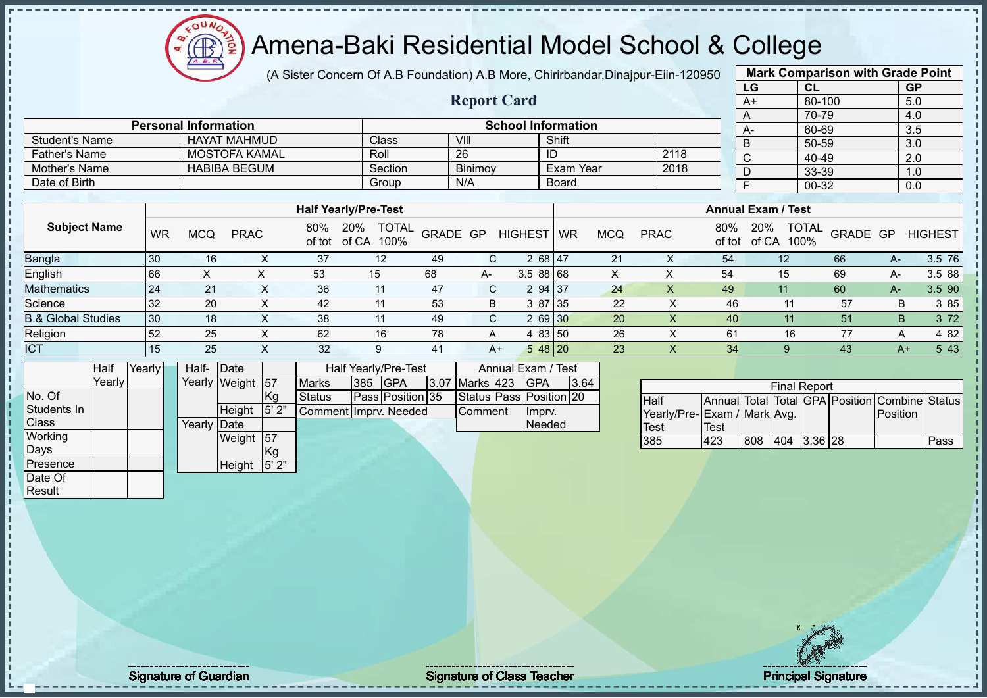### Amena-Baki Residential Model School & College

(A Sister Concern Of A.B Foundation) A.B More, Chirirbandar,Dinajpur-Eiin-120950

**Report Card**

|      | <b>Mark Comparison with Grade Point</b> |           |  |  |  |  |  |  |  |  |  |
|------|-----------------------------------------|-----------|--|--|--|--|--|--|--|--|--|
| LG   | CL                                      | <b>GP</b> |  |  |  |  |  |  |  |  |  |
| $A+$ | 80-100                                  | 5.0       |  |  |  |  |  |  |  |  |  |
| A    | 70-79<br>4.0                            |           |  |  |  |  |  |  |  |  |  |
| A-   | 60-69                                   | 3.5       |  |  |  |  |  |  |  |  |  |
| B    | $50 - 59$                               | 3.0       |  |  |  |  |  |  |  |  |  |
| C    | 40-49                                   | 2.0       |  |  |  |  |  |  |  |  |  |
| D    | 33-39                                   | 1.0       |  |  |  |  |  |  |  |  |  |
| F    | 00-32                                   | 0.0       |  |  |  |  |  |  |  |  |  |
|      |                                         |           |  |  |  |  |  |  |  |  |  |

|                               |           |            |             |     | <b>Half Yearly/Pre-Test</b>              |          |              |                |           |            |             |     | <b>Annual Exam / Test</b>   |                          |    |                |
|-------------------------------|-----------|------------|-------------|-----|------------------------------------------|----------|--------------|----------------|-----------|------------|-------------|-----|-----------------------------|--------------------------|----|----------------|
| <b>Subject Name</b>           | <b>WR</b> | <b>MCQ</b> | <b>PRAC</b> | 80% | <b>TOTAL</b><br>20%<br>of tot of CA 100% | GRADE GP |              | <b>HIGHEST</b> | <b>WR</b> | <b>MCQ</b> | <b>PRAC</b> | 80% | 20%<br>of tot of CA<br>100% | <b>TOTAL</b><br>GRADE GP |    | <b>HIGHEST</b> |
| <b>Bangla</b>                 | 30        | 16         | ᄉ           | 37  | 12                                       | -49      | C.           | 2 68 47        |           | 21         |             | 54  | 12                          | 66                       | A- | 3.5 76         |
| English                       | 66        |            |             | 53  | 15                                       | 68       | $A-$         | 3.58868        |           |            |             | 54  | 15                          | 69                       | А- | 3.5 88         |
| <b>Mathematics</b>            | 24        | 21         |             | 36  | 11                                       | 47       | C.           | 2 94 37        |           | 24         |             | 49  | 11                          | 60                       | A- | 3.5 90         |
| Science                       | 32        | 20         |             | 42  | 11                                       | -53      | <sub>B</sub> | 3 87 35        |           | 22         |             | 46  |                             | 57                       | B. | 3 85           |
| <b>B.&amp; Global Studies</b> | 30        | 18         |             | 38  | 11                                       | 49       | C.           | 2 69 30        |           | 20         |             | 40  |                             | 51                       | B. | 3 7 2          |
| Religion                      | 52        | 25         |             | 62  | 16                                       | 78       | A            | 4 83 50        |           | 26         |             | 61  | 16                          | 77                       | A  | 4 8 2          |
| <b>ICT</b>                    | 15        | 25         |             | 32  |                                          | 41       | A+           | 548 20         |           | 23         |             | -34 |                             | 43                       |    | 5 4 3<br>$A+$  |

|              | Half    | Yearly | Half-       | <b>IDate</b>     |       |                       |     | Half Yearly/Pre-Test |                | Annual Exam / Test      |      |
|--------------|---------|--------|-------------|------------------|-------|-----------------------|-----|----------------------|----------------|-------------------------|------|
|              | Yearlvl |        |             | Yearly Weight 57 |       | <b>Marks</b>          | 385 | <b>IGPA</b>          | 3.07 Marks 423 | <b>GPA</b>              | 3.64 |
| No. Of       |         |        |             |                  | Kg    | Status                |     | Pass Position 35     |                | Status Pass Position 20 |      |
| Students In  |         |        |             | Height           | 5' 2" | Comment Imprv. Needed |     |                      | <b>Comment</b> | Imprv.                  |      |
| <b>Class</b> |         |        | Yearly Date |                  |       |                       |     |                      |                | <b>Needed</b>           |      |
| Working      |         |        |             | Weight           | 157   |                       |     |                      |                |                         |      |
| Days         |         |        |             |                  | Kg    |                       |     |                      |                |                         |      |
| Presence     |         |        |             | Height           | 5'2"  |                       |     |                      |                |                         |      |
| Date Of      |         |        |             |                  |       |                       |     |                      |                |                         |      |

**Personal Information**<br> **Personal Information**<br> **PERSONAL INCRESE INSTANCE IN STATE IN STATE IN STATE IN STATE IN STATE IN STATE IN STATE IN STATE IN STATE IN STATE IN STATE IN STATE IN STATE IN STATE IN STATE IN STATE IN** 

Father's Name MOSTOFA KAMAL Roll 26 ID 2118

Student's Name HAYAT MAHMUD Class Vlll Shift

Mother's Name HABIBA BEGUM Section Binimoy Exam Year 2018 Date of Birth Board Group N/A Board

|                             |      |     | <b>Final Report</b> |           |                                                |      |
|-----------------------------|------|-----|---------------------|-----------|------------------------------------------------|------|
| <b>Half</b>                 |      |     |                     |           | Annual Total Total GPA Position Combine Status |      |
| Yearly/Pre-Exam / Mark Avg. |      |     |                     |           | <b>IPosition</b>                               |      |
| <b>Test</b>                 | Test |     |                     |           |                                                |      |
| 385                         | 423  | 808 | 404                 | $3.36$ 28 |                                                | Pass |

Result

 $\mathbf{I}$ - II

Signature of Guardian Signature Signature of Class Teacher Principal Signature 5. Teacher Principal Signature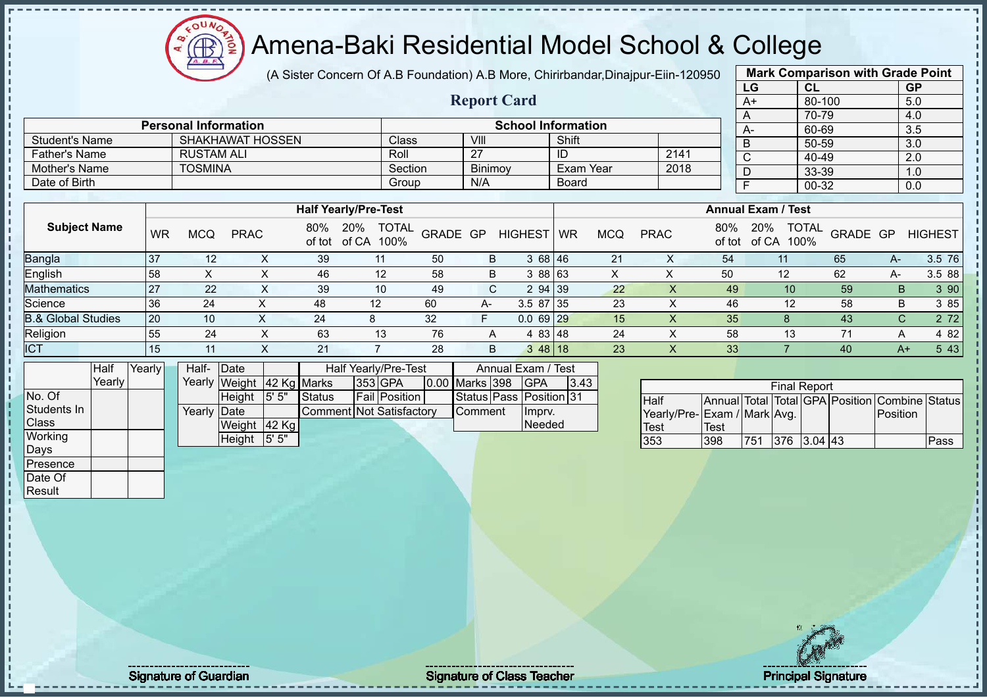(A Sister Concern Of A.B Foundation) A.B More, Chirirbandar,Dinajpur-Eiin-120950

 $12\mu\text{V}$ 

**CB** 

|                               |                     |           |                   |                             |                                    |                      |               |                |                 |                           |                  |            |                             |             | LG                        | CL                                |          |              | <b>GP</b>                                      |
|-------------------------------|---------------------|-----------|-------------------|-----------------------------|------------------------------------|----------------------|---------------|----------------|-----------------|---------------------------|------------------|------------|-----------------------------|-------------|---------------------------|-----------------------------------|----------|--------------|------------------------------------------------|
|                               |                     |           |                   |                             |                                    |                      |               |                |                 | <b>Report Card</b>        |                  |            |                             |             | $A+$                      | 80-100                            |          |              | 5.0                                            |
|                               |                     |           |                   |                             |                                    |                      |               |                |                 |                           |                  |            |                             |             | A                         | 70-79                             |          |              | 4.0                                            |
|                               |                     |           |                   | <b>Personal Information</b> |                                    |                      |               |                |                 | <b>School Information</b> |                  |            |                             |             | A-                        | 60-69                             |          |              | 3.5                                            |
| <b>Student's Name</b>         |                     |           |                   | <b>SHAKHAWAT HOSSEN</b>     |                                    |                      | Class         |                | VIII            |                           | Shift            |            |                             |             | B                         | 50-59                             |          |              | 3.0                                            |
| <b>Father's Name</b>          |                     |           | <b>RUSTAM ALI</b> |                             |                                    |                      | Roll          |                | $\overline{27}$ |                           | ID               |            | 2141                        |             | $\overline{C}$            | 40-49                             |          |              | 2.0                                            |
| Mother's Name                 |                     |           | <b>TOSMINA</b>    |                             |                                    |                      | Section       |                | Binimoy         |                           | <b>Exam Year</b> |            | 2018                        |             | D                         | 33-39                             |          |              | 1.0                                            |
| Date of Birth                 |                     |           |                   |                             |                                    |                      | Group         |                | N/A             |                           | <b>Board</b>     |            |                             |             | $\overline{F}$            | $00 - 32$                         |          |              | 0.0                                            |
|                               |                     |           |                   |                             |                                    |                      |               |                |                 |                           |                  |            |                             |             | <b>Annual Exam / Test</b> |                                   |          |              |                                                |
|                               |                     |           |                   |                             | <b>Half Yearly/Pre-Test</b>        |                      |               |                |                 |                           |                  |            |                             |             |                           |                                   |          |              |                                                |
|                               | <b>Subject Name</b> | <b>WR</b> | <b>MCQ</b>        | <b>PRAC</b>                 | 80% 20% TOTAL<br>of tot of CA 100% |                      |               | GRADE GP       |                 | <b>HIGHEST</b>            | <b>WR</b>        | <b>MCQ</b> | <b>PRAC</b>                 | 80%         | 20%                       | <b>TOTAL</b><br>of tot of CA 100% | GRADE GP |              | <b>HIGHEST</b>                                 |
| Bangla                        |                     | 37        | 12                | X                           | 39                                 | 11                   |               | 50             | B               | 36846                     |                  | 21         | X                           | 54          |                           | 11                                | 65       | $A-$         | $3.5$ 76                                       |
| English                       |                     | 58        | $\pmb{\times}$    | X                           | 46                                 | 12                   |               | 58             | B               | 3 88 63                   |                  | X          | $\mathsf X$                 | 50          |                           | 12                                | 62       | A-           | 3.5 88                                         |
| Mathematics                   |                     | 27        | 22                | $\mathsf{X}$                | 39                                 | 10                   |               | 49             | $\mathsf{C}$    | 2 94 39                   |                  | 22         | $\overline{\mathsf{X}}$     | 49          |                           | 10                                | 59       | B.           | 3 90                                           |
| Science                       |                     | 36        | 24                | X                           | 48                                 | 12                   |               | 60             | A-              | 3.5 87                    | 35               | 23         | $\mathsf X$                 | 46          |                           | 12                                | 58       | B            | 3 85                                           |
| <b>B.&amp; Global Studies</b> |                     | 20        | 10                | X                           | 24                                 | 8                    |               | 32             | F.              | $0.069$ 29                |                  | 15         | $\mathsf X$                 | 35          |                           | 8                                 | 43       | $\mathsf{C}$ | 2 7 2                                          |
| Religion                      |                     | 55        | 24                | $\pmb{\times}$              | 63                                 | 13                   |               | 76             | A               | 4 83 48                   |                  | 24         | $\pmb{\times}$              | 58          |                           | 13                                | 71       | A            | 4 8 2                                          |
| <b>ICT</b>                    |                     | 15        | 11                | $\mathsf{X}$                | 21                                 | $\overline{7}$       |               | 28             | B               | 3 48 18                   |                  | 23         | $\boldsymbol{\mathsf{X}}$   | 33          |                           | $\overline{7}$                    | 40       | $A+$         | 5 4 3                                          |
|                               | Half                | Yearly    | Half-             | Date                        |                                    | Half Yearly/Pre-Test |               |                |                 | Annual Exam / Test        |                  |            |                             |             |                           |                                   |          |              |                                                |
|                               | Yearly              |           |                   | Yearly Weight 42 Kg Marks   |                                    | 353 GPA              |               | 0.00 Marks 398 |                 | <b>GPA</b>                | 3.43             |            |                             |             |                           | <b>Final Report</b>               |          |              |                                                |
| No. Of                        |                     |           |                   | 5' 5"<br>Height             | <b>Status</b>                      |                      | Fail Position |                | Status Pass     |                           | Position 31      |            | Half                        |             |                           |                                   |          |              | Annual Total Total GPA Position Combine Status |
| Students In                   |                     |           | Yearly Date       |                             | <b>Comment Not Satisfactory</b>    |                      |               |                | Comment         | Imprv.                    |                  |            | Yearly/Pre-Exam / Mark Avg. |             |                           |                                   |          | Position     |                                                |
| Class                         |                     |           |                   | Weight 42 Kg                |                                    |                      |               |                |                 | Needed                    |                  |            | Test                        | <b>Test</b> |                           |                                   |          |              |                                                |
| Working                       |                     |           |                   | 5' 5"<br>Height             |                                    |                      |               |                |                 |                           |                  |            | 353                         | 398         |                           | 751 376 3.04 43                   |          |              | Pass                                           |
| Days                          |                     |           |                   |                             |                                    |                      |               |                |                 |                           |                  |            |                             |             |                           |                                   |          |              |                                                |
| Presence                      |                     |           |                   |                             |                                    |                      |               |                |                 |                           |                  |            |                             |             |                           |                                   |          |              |                                                |
| Date Of                       |                     |           |                   |                             |                                    |                      |               |                |                 |                           |                  |            |                             |             |                           |                                   |          |              |                                                |
| Result                        |                     |           |                   |                             |                                    |                      |               |                |                 |                           |                  |            |                             |             |                           |                                   |          |              |                                                |
|                               |                     |           |                   |                             |                                    |                      |               |                |                 |                           |                  |            |                             |             |                           |                                   |          |              |                                                |
|                               |                     |           |                   |                             |                                    |                      |               |                |                 |                           |                  |            |                             |             |                           |                                   |          |              |                                                |
|                               |                     |           |                   |                             |                                    |                      |               |                |                 |                           |                  |            |                             |             |                           |                                   |          |              |                                                |

**Mark Comparison with Grade Point**

J. л ш  $\mathbf{I}$ 

Signature of Guardian Signature of Class Teacher Principal Signature of Class Teacher Principal Signature 6/5<br>
Signature of Class Teacher Principal Signature 6/51 and the state of Class Teacher Principal Signature of Class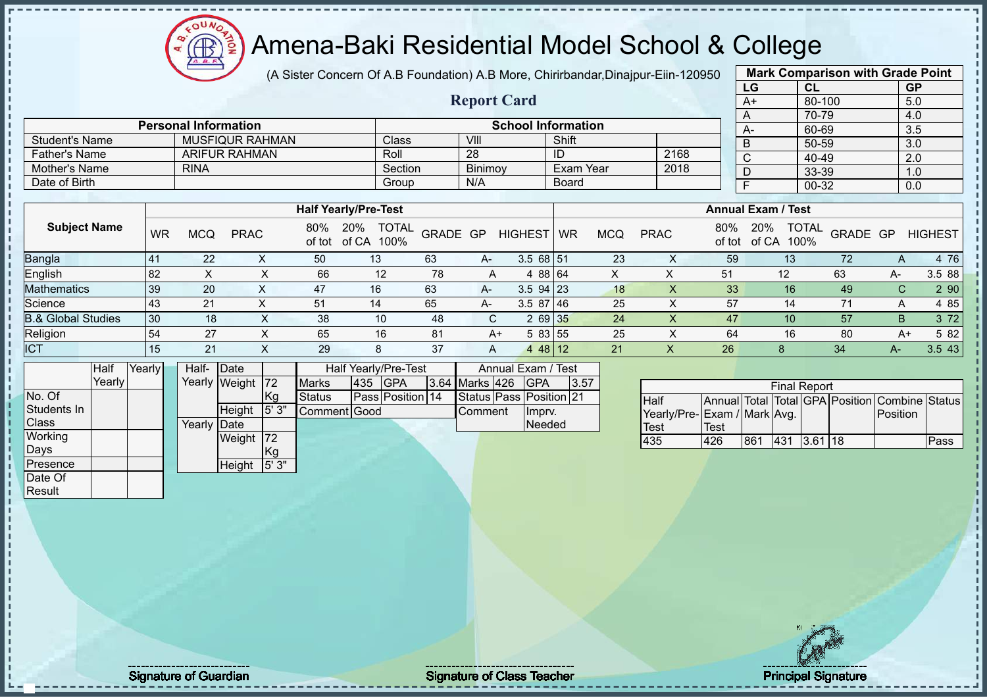### Amena-Baki Residential Model School & College

(A Sister Concern Of A.B Foundation) A.B More, Chirirbandar,Dinajpur-Eiin-120950

**Report Card**

|                 | <b>Mark Comparison with Grade Point</b> |           |
|-----------------|-----------------------------------------|-----------|
| LG              | CL                                      | <b>GP</b> |
| $\overline{A+}$ | 80-100                                  | 5.0       |
| A               | 70-79                                   | 4.0       |
| A-              | 60-69                                   | 3.5       |
| B               | 50-59                                   | 3.0       |
| $\overline{C}$  | 40-49                                   | 2.0       |
| D               | 33-39                                   | 1.0       |
| F               | 00-32                                   | 0.0       |
|                 |                                         |           |

|                       | <b>Personal Information</b> |                             |         | <b>School Information</b> |      | $A-$                      | 60-69 |
|-----------------------|-----------------------------|-----------------------------|---------|---------------------------|------|---------------------------|-------|
| <b>Student's Name</b> | <b>MUSFIQUR RAHMAN</b>      | Class <sup>1</sup>          | -VIII   | Shift                     |      |                           | 50-59 |
| Father's Name         | <b>ARIFUR RAHMAN</b>        | Roll                        | 28      | -ID                       | 2168 |                           | 40-49 |
| Mother's Name         | <b>RINA</b>                 | Section                     | Binimov | Exam Year                 | 2018 |                           | 33-39 |
| Date of Birth         |                             | Group                       | N/A     | <b>Board</b>              |      |                           | 00-32 |
|                       |                             |                             |         |                           |      |                           |       |
|                       |                             | <b>Half Yearly/Pre-Test</b> |         |                           |      | <b>Annual Exam / Test</b> |       |

|                               |              |            |             |     | ונסוו וכםוופורוכ-וכאנ                       |          |      |                |           |     |             |               | AIIIIUAI LAAIII / IGJL |                          |    |                |
|-------------------------------|--------------|------------|-------------|-----|---------------------------------------------|----------|------|----------------|-----------|-----|-------------|---------------|------------------------|--------------------------|----|----------------|
| <b>Subject Name</b>           | <b>WR</b>    | <b>MCQ</b> | <b>PRAC</b> | 80% | 20%<br><b>TOTAL</b><br>of tot of CA<br>100% | GRADE GP |      | <b>HIGHEST</b> | <b>WR</b> | MCQ | <b>PRAC</b> | 80%<br>of tot | 20%<br>of CA<br>100%   | <b>TOTAL</b><br>GRADE GP |    | <b>HIGHEST</b> |
| <b>Bangla</b>                 | $4^{\prime}$ | 22         |             | 50  | 13                                          | 63       | A-   | $3.568$ 51     |           | 23  |             | 59            | 13                     | 72                       |    | 4 7 6          |
| English                       | 82           |            |             | 66  | 12                                          | 78       | A    | 4 88 64        |           |     |             | 51            | 12                     | 63                       | А- | 3.5 88         |
| <b>Mathematics</b>            | 39           | 20         |             | 47  | 16                                          | 63       | A-   | $3.5$ 94 23    |           | 18  |             | 33            | 16                     | 49                       | C. | 2 90           |
| Science                       | 43           | 21         |             | 51  | 14                                          | 65       | $A-$ | $3.587$   46   |           | 25  |             | 57            | 14                     |                          | A  | 4 85           |
| <b>B.&amp; Global Studies</b> | 30           | 18         |             | 38  | 10                                          | 48       |      | 2 69 35        |           | 24  |             | 47            | 10 <sup>°</sup>        | 57                       | B. | 3 72           |
| Religion                      | 54           | 27         |             | 65  | 16                                          | 81       | A+   | 5 83 55        |           | 25  |             | 64            | 16                     | 80                       | A+ | 5 82           |
| <b>ICT</b>                    | 15           | 21         |             | 29  | 8                                           | 37       | A    | $\overline{4}$ | 48   12   | 21  |             | 26            |                        | 34                       | А- | 3.5 43         |

|              | Half    | Yearly | Half-        | Date          |      |               |     | Half Yearly/Pre-Test |                | Annual Exam / Test      |      |
|--------------|---------|--------|--------------|---------------|------|---------------|-----|----------------------|----------------|-------------------------|------|
|              | YearlvT |        |              | Yearly Weight | 72   | <b>Marks</b>  | 435 | <b>IGPA</b>          | 3.64 Marks 426 | <b>GPA</b>              | 3.57 |
| No. Of       |         |        |              |               | Kg   | <b>Status</b> |     | Pass Position 14     |                | Status Pass Position 21 |      |
| Students In  |         |        |              | Height        | 5'3" | Comment Good  |     |                      | <b>Comment</b> | Imprv.                  |      |
| <b>Class</b> |         |        | Yearly IDate |               |      |               |     |                      |                | <b>Needed</b>           |      |
| Working      |         |        |              | Weight        | 172  |               |     |                      |                |                         |      |
| Days         |         |        |              |               | Kg   |               |     |                      |                |                         |      |
| Presence     |         |        |              | Height        | 5'3" |               |     |                      |                |                         |      |
| Date Of      |         |        |              |               |      |               |     |                      |                |                         |      |

|                             |      |     | <b>Final Report</b> |         |                                                |      |
|-----------------------------|------|-----|---------------------|---------|------------------------------------------------|------|
| <b>Half</b>                 |      |     |                     |         | Annual Total Total GPA Position Combine Status |      |
| Yearly/Pre-Exam / Mark Avg. |      |     |                     |         | <b>IPosition</b>                               |      |
| <b>Test</b>                 | Test |     |                     |         |                                                |      |
| 435                         | 426  | 861 | 431                 | 3.61118 |                                                | Pass |

Result

Signature of Guardian Signature of Class T Teacher Principal Signature 7/51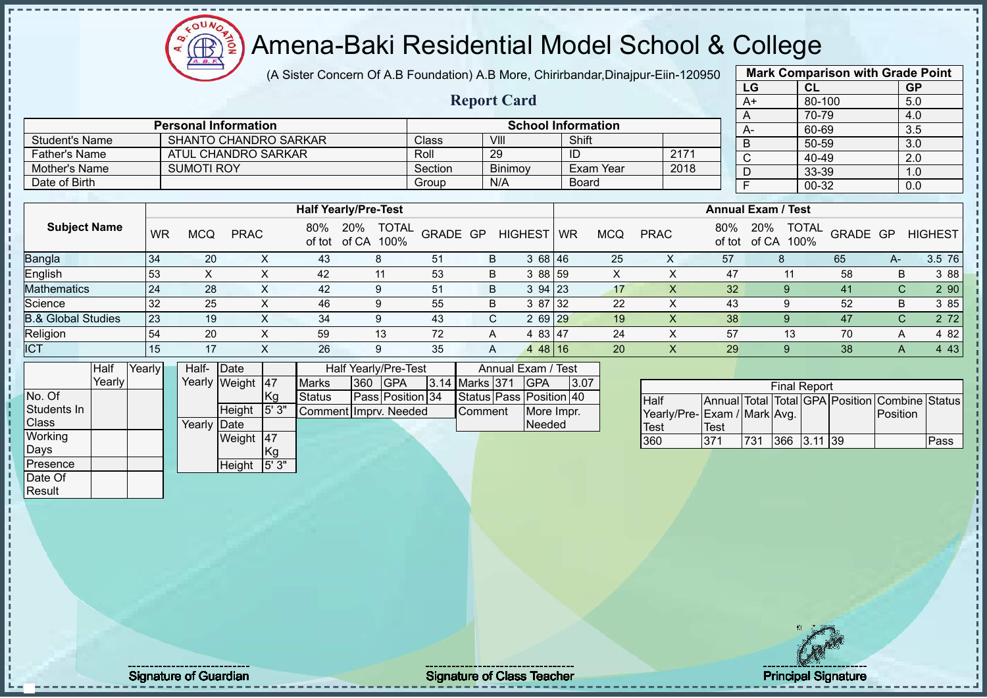(A Sister Concern Of A.B Foundation) A.B More, Chirirbandar,Dinajpur-Eiin-120950

 $12\mu\text{V}$ 

**CB** 

|                               |        |           |                              |                  |      |                             |              |                      |         |                         |                    |                |                           |                  |                           |                             | LG                        |    | CL                   |          | <b>GP</b>                                      |                |
|-------------------------------|--------|-----------|------------------------------|------------------|------|-----------------------------|--------------|----------------------|---------|-------------------------|--------------------|----------------|---------------------------|------------------|---------------------------|-----------------------------|---------------------------|----|----------------------|----------|------------------------------------------------|----------------|
|                               |        |           |                              |                  |      |                             |              |                      |         | <b>Report Card</b>      |                    |                |                           |                  |                           |                             | $A+$                      |    | 80-100               |          | 5.0                                            |                |
|                               |        |           |                              |                  |      |                             |              |                      |         |                         |                    |                |                           |                  |                           |                             | A                         |    | 70-79                |          | 4.0                                            |                |
|                               |        |           | <b>Personal Information</b>  |                  |      |                             |              |                      |         |                         |                    |                | <b>School Information</b> |                  |                           |                             | A-                        |    | 60-69                |          | 3.5                                            |                |
| <b>Student's Name</b>         |        |           | <b>SHANTO CHANDRO SARKAR</b> |                  |      |                             |              |                      | Class   |                         | VIII               |                | Shift                     |                  |                           |                             | $\overline{B}$            |    | $50 - 59$            |          | $\overline{3.0}$                               |                |
| <b>Father's Name</b>          |        |           | <b>ATUL CHANDRO SARKAR</b>   |                  |      |                             |              |                      | Roll    |                         | 29                 |                | $\overline{1}$            |                  | 2171                      |                             | $\overline{C}$            |    | 40-49                |          | 2.0                                            |                |
| Mother's Name                 |        |           | <b>SUMOTI ROY</b>            |                  |      |                             |              |                      | Section |                         | Binimoy            |                |                           | <b>Exam Year</b> | 2018                      |                             | D                         |    | 33-39                |          | 1.0                                            |                |
| Date of Birth                 |        |           |                              |                  |      |                             |              |                      | Group   |                         | N/A                |                | <b>Board</b>              |                  |                           |                             | F                         |    | 00-32                |          | 0.0                                            |                |
|                               |        |           |                              |                  |      |                             |              |                      |         |                         |                    |                |                           |                  |                           |                             |                           |    |                      |          |                                                |                |
|                               |        |           |                              |                  |      | <b>Half Yearly/Pre-Test</b> |              |                      |         |                         |                    |                |                           |                  |                           |                             | <b>Annual Exam / Test</b> |    |                      |          |                                                |                |
| <b>Subject Name</b>           |        | <b>WR</b> | <b>MCQ</b>                   | <b>PRAC</b>      |      | 80%<br>of tot               | 20%<br>of CA | <b>TOTAL</b><br>100% |         | GRADE GP                |                    | <b>HIGHEST</b> | <b>WR</b>                 | <b>MCQ</b>       | <b>PRAC</b>               | 80%<br>of tot               | 20%<br>of CA              |    | <b>TOTAL</b><br>100% | GRADE GP |                                                | <b>HIGHEST</b> |
| <b>Bangla</b>                 |        | 34        | 20                           |                  | X    | 43                          | 8            |                      | 51      |                         | B                  | 3 68 46        |                           | 25               | X                         | 57                          |                           | 8  |                      | 65       | A-                                             | 3.5 76         |
| English                       |        | 53        | X                            |                  | X    | 42                          |              | 11                   | 53      |                         | B                  | 3 8 8          | 59                        | X                | X                         |                             | 47                        | 11 |                      | 58       | B                                              | 3 88           |
| <b>Mathematics</b>            |        | 24        | 28                           |                  | X    | 42                          | 9            |                      | 51      |                         | B                  | 3 94           | 23                        | 17               | $\times$                  |                             | 32                        | 9  |                      | 41       | C                                              | 2 90           |
| Science                       |        | 32        | 25                           |                  | X    | 46                          | 9            |                      | 55      |                         | B                  | 3 87           | 32                        | 22               | $\sf X$                   |                             | 43                        | 9  |                      | 52       | B                                              | 3 85           |
| <b>B.&amp; Global Studies</b> |        | 23        | 19                           |                  | X    | 34                          | 9            |                      | 43      |                         | C.                 | 2 69           | 29                        | 19               | X                         |                             | 38                        | 9  |                      | 47       | $\mathsf{C}$                                   | 2 7 2          |
| Religion                      |        | 54        | 20                           |                  | X    | 59                          |              | 13                   | 72      | Α                       |                    | 4 83 47        |                           | 24               | X                         |                             | 57                        | 13 |                      | 70       | Α                                              | 4 8 2          |
| <b>ICT</b>                    |        | 15        | 17                           |                  | X    | 26                          | 9            |                      | 35      |                         | A                  | 448 16         |                           | 20               | $\boldsymbol{\mathsf{X}}$ |                             | 29                        | 9  |                      | 38       | A                                              | 4 4 3          |
|                               | Half   | Yearly    | Half- Date                   |                  |      |                             |              | Half Yearly/Pre-Test |         |                         | Annual Exam / Test |                |                           |                  |                           |                             |                           |    |                      |          |                                                |                |
|                               | Yearly |           |                              | Yearly Weight 47 |      | <b>Marks</b>                | 360          | <b>GPA</b>           | 3.14    | Marks 371               |                    | <b>GPA</b>     | 3.07                      |                  |                           |                             |                           |    | <b>Final Report</b>  |          |                                                |                |
| No. Of                        |        |           |                              |                  | Kg   | Status                      |              | Pass Position 34     |         | Status Pass Position 40 |                    |                |                           |                  | Half                      |                             |                           |    |                      |          | Annual Total Total GPA Position Combine Status |                |
| Students In                   |        |           |                              | Height           | 5'3" | Comment Imprv. Needed       |              |                      |         | Comment                 |                    | More Impr.     |                           |                  |                           | Yearly/Pre-Exam / Mark Avg. |                           |    |                      |          | Position                                       |                |
| Class                         |        |           | Yearly Date                  |                  |      |                             |              |                      |         |                         |                    | Needed         |                           |                  | <b>Test</b>               | <b>Test</b>                 |                           |    |                      |          |                                                |                |
| Working                       |        |           |                              | Weight 47        |      |                             |              |                      |         |                         |                    |                |                           |                  | 360                       | 371                         | 731                       |    | 366 3.11 39          |          |                                                | Pass           |
| Days                          |        |           |                              |                  | Kg   |                             |              |                      |         |                         |                    |                |                           |                  |                           |                             |                           |    |                      |          |                                                |                |
| Presence                      |        |           |                              | Height           | 5'3" |                             |              |                      |         |                         |                    |                |                           |                  |                           |                             |                           |    |                      |          |                                                |                |
| Date Of                       |        |           |                              |                  |      |                             |              |                      |         |                         |                    |                |                           |                  |                           |                             |                           |    |                      |          |                                                |                |
| Result                        |        |           |                              |                  |      |                             |              |                      |         |                         |                    |                |                           |                  |                           |                             |                           |    |                      |          |                                                |                |

**Mark Comparison with Grade Point**

л

Signature of Guardian Signature of Class Teacher Principal Signature of Class Teacher Principal Signature 8/5<br>Signature 8/51 and Signature 8/51 and Signature 8/51 and Signature 8/51 and Signature 8/51 and Signature 8/51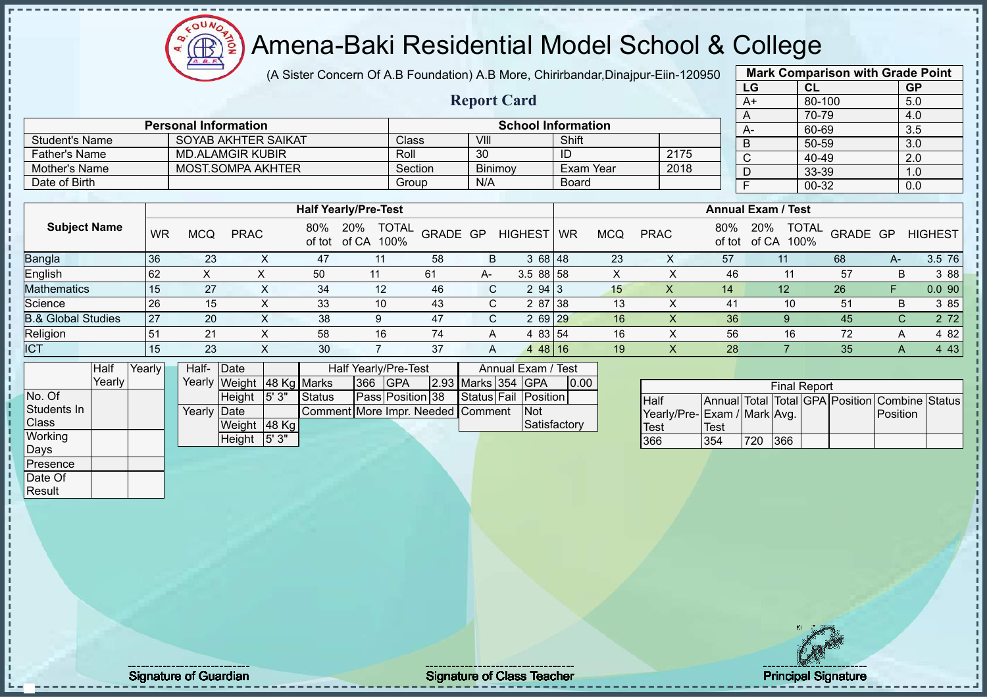(A Sister Concern Of A.B Foundation) A.B More, Chirirbandar,Dinajpur-Eiin-120950

 $12\mu\text{V}$ 

Æ

|                               |                     |           |                             |                           |                 |                             |                |                      |          |                    |                           |              |                  |                           |                             |               | LG                        | <b>CL</b>                       |          |              | <b>GP</b>        |
|-------------------------------|---------------------|-----------|-----------------------------|---------------------------|-----------------|-----------------------------|----------------|----------------------|----------|--------------------|---------------------------|--------------|------------------|---------------------------|-----------------------------|---------------|---------------------------|---------------------------------|----------|--------------|------------------|
|                               |                     |           |                             |                           |                 |                             |                |                      |          | <b>Report Card</b> |                           |              |                  |                           |                             |               | $A+$                      | 80-100                          |          |              | 5.0              |
|                               |                     |           |                             |                           |                 |                             |                |                      |          |                    |                           |              |                  |                           |                             |               | A                         | 70-79                           |          |              | 4.0              |
|                               |                     |           | <b>Personal Information</b> |                           |                 |                             |                |                      |          |                    | <b>School Information</b> |              |                  |                           |                             |               | $A-$                      | 60-69                           |          |              | 3.5              |
| <b>Student's Name</b>         |                     |           |                             | SOYAB AKHTER SAIKAT       |                 |                             |                | Class                |          | VIII               |                           | Shift        |                  |                           |                             |               | $\overline{B}$            | 50-59                           |          |              | $\overline{3.0}$ |
| <b>Father's Name</b>          |                     |           |                             | <b>MD.ALAMGIR KUBIR</b>   |                 |                             |                | Roll                 |          | 30                 |                           | ID           |                  |                           | 2175                        |               | $\overline{C}$            | 40-49                           |          |              | 2.0              |
| Mother's Name                 |                     |           |                             | <b>MOST.SOMPA AKHTER</b>  |                 |                             |                | Section              |          | Binimoy            |                           |              | <b>Exam Year</b> |                           | 2018                        |               | $\overline{D}$            | 33-39                           |          |              | 1.0              |
| Date of Birth                 |                     |           |                             |                           |                 |                             |                | Group                |          | N/A                |                           | <b>Board</b> |                  |                           |                             |               | $\overline{F}$            | $00 - 32$                       |          |              | 0.0              |
|                               |                     |           |                             |                           |                 | <b>Half Yearly/Pre-Test</b> |                |                      |          |                    |                           |              |                  |                           |                             |               | <b>Annual Exam / Test</b> |                                 |          |              |                  |
|                               |                     |           |                             |                           |                 |                             |                |                      |          |                    |                           |              |                  |                           |                             |               |                           |                                 |          |              |                  |
|                               | <b>Subject Name</b> | <b>WR</b> | <b>MCQ</b>                  | <b>PRAC</b>               |                 | 80%<br>of tot of CA 100%    | 20%            | <b>TOTAL</b>         | GRADE GP |                    | <b>HIGHEST</b>            | <b>WR</b>    | <b>MCQ</b>       | <b>PRAC</b>               |                             | 80%<br>of tot | 20%                       | <b>TOTAL</b><br>of CA 100%      | GRADE GP |              | <b>HIGHEST</b>   |
| Bangla                        |                     | 36        | 23                          |                           | X               | 47                          | 11             |                      | 58       | B                  | 3 68 48                   |              | 23               | X                         |                             | 57            |                           | 11                              | 68       | $A-$         | 3.5 76           |
| English                       |                     | 62        | $\times$                    | X                         |                 | 50                          | 11             |                      | 61       | A-                 | 3.5 88 58                 |              | X                | X                         |                             | 46            |                           | 11                              | 57       | B            | 3 8 8            |
| <b>Mathematics</b>            |                     | 15        | 27                          |                           | $\mathsf X$     | 34                          | 12             |                      | 46       | $\mathsf{C}$       | 2 94 3                    |              | 15               | X                         |                             | 14            |                           | 12                              | 26       | F.           | 0.090            |
| Science                       |                     | 26        | 15                          |                           | X               | 33                          | 10             |                      | 43       | C                  | 2 87 38                   |              | 13               | $\times$                  |                             | 41            |                           | 10                              | 51       | B            | 3 85             |
| <b>B.&amp; Global Studies</b> |                     | 27        | 20                          |                           | X               | 38                          | 9              |                      | 47       | $\mathsf{C}$       | 2 69 29                   |              | 16               | $\times$                  |                             | 36            |                           | 9                               | 45       | $\mathsf{C}$ | 2 7 2            |
| Religion                      |                     | 51        | 21                          |                           | $\mathsf{X}$    | 58                          | 16             |                      | 74       | A                  | 4 83 54                   |              | 16               | $\sf X$                   |                             | 56            |                           | 16                              | 72       | A            | 4 8 2            |
| <b>ICT</b>                    |                     | 15        | 23                          |                           | X               | 30                          | $\overline{7}$ |                      | 37       | A                  | 44816                     |              | 19               | $\boldsymbol{\mathsf{X}}$ |                             | 28            |                           | $\overline{7}$                  | 35       | $\mathsf{A}$ | 4 4 3            |
|                               | Half                | Yearly    | Half-                       | Date                      |                 |                             |                | Half Yearly/Pre-Test |          |                    | Annual Exam / Test        |              |                  |                           |                             |               |                           |                                 |          |              |                  |
|                               | Yearly              |           |                             | Yearly Weight 48 Kg Marks |                 |                             | 366            | <b>GPA</b>           |          |                    | 2.93 Marks 354 GPA        | 0.00         |                  |                           |                             |               |                           | <b>Final Report</b>             |          |              |                  |
| No. Of                        |                     |           |                             | Height                    | 5'3"            | <b>Status</b>               |                | Pass Position 38     |          | Status Fail        | Position                  |              |                  | Half                      |                             |               |                           | Annual Total Total GPA Position |          |              | Combine Status   |
| Students In                   |                     |           | Yearly Date                 |                           |                 | Comment More Impr. Needed   |                |                      |          | Comment            | Not                       |              |                  |                           | Yearly/Pre-Exam / Mark Avg. |               |                           |                                 |          | Position     |                  |
| Class                         |                     |           |                             | Weight 48 Kg              |                 |                             |                |                      |          |                    |                           | Satisfactory |                  | <b>Test</b>               | <b>Test</b>                 |               |                           |                                 |          |              |                  |
| Working                       |                     |           |                             | Height                    | $\sqrt{5}$ ' 3" |                             |                |                      |          |                    |                           |              |                  | 366                       | 354                         |               | 720                       | 366                             |          |              |                  |
| Days                          |                     |           |                             |                           |                 |                             |                |                      |          |                    |                           |              |                  |                           |                             |               |                           |                                 |          |              |                  |
| Presence                      |                     |           |                             |                           |                 |                             |                |                      |          |                    |                           |              |                  |                           |                             |               |                           |                                 |          |              |                  |
| Date Of                       |                     |           |                             |                           |                 |                             |                |                      |          |                    |                           |              |                  |                           |                             |               |                           |                                 |          |              |                  |
| Result                        |                     |           |                             |                           |                 |                             |                |                      |          |                    |                           |              |                  |                           |                             |               |                           |                                 |          |              |                  |
|                               |                     |           |                             |                           |                 |                             |                |                      |          |                    |                           |              |                  |                           |                             |               |                           |                                 |          |              |                  |
|                               |                     |           |                             |                           |                 |                             |                |                      |          |                    |                           |              |                  |                           |                             |               |                           |                                 |          |              |                  |
|                               |                     |           |                             |                           |                 |                             |                |                      |          |                    |                           |              |                  |                           |                             |               |                           |                                 |          |              |                  |

**Mark Comparison with Grade Point**

Signature of Guardian Signature of Class Teacher Principal Signature of Class Teacher Principal Signature 9/5<br>
Signature 9/51 and the Signature of Class Teacher Principal Signature 9/51 and the Principal Signature 1971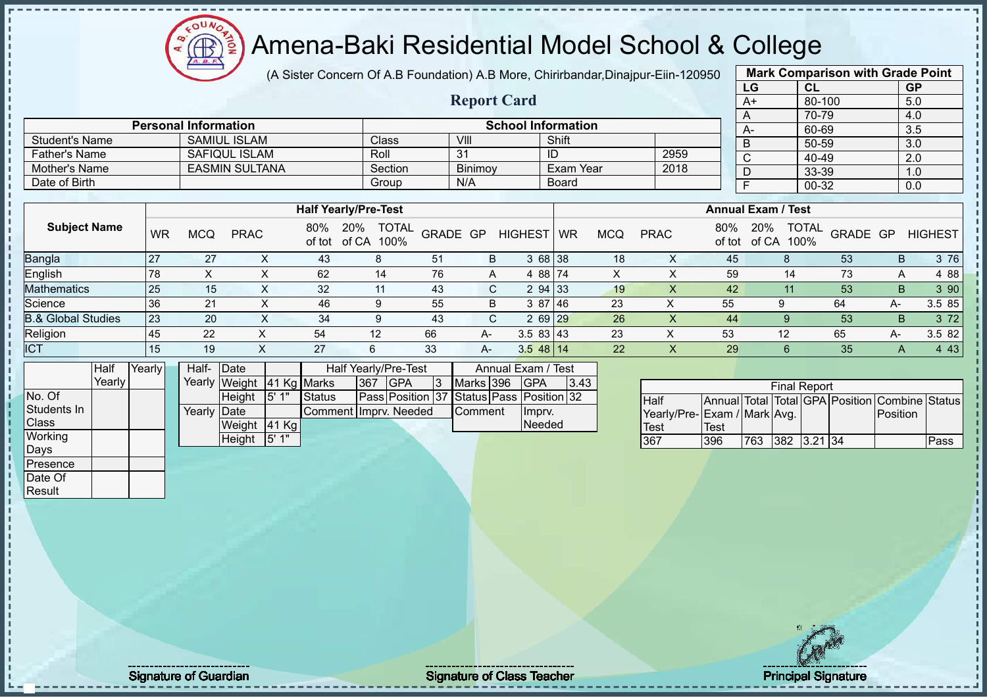### Amena-Baki Residential Model School & College

(A Sister Concern Of A.B Foundation) A.B More, Chirirbandar,Dinajpur-Eiin-120950

**Report Card**

|                 | <b>Mark Comparison with Grade Point</b> |           |
|-----------------|-----------------------------------------|-----------|
| LG              | <b>CL</b>                               | <b>GP</b> |
| $\overline{A+}$ | 80-100                                  | 5.0       |
| A               | 70-79                                   | 4.0       |
| $A-$            | 60-69                                   | 3.5       |
| B               | 50-59                                   | 3.0       |
| C               | 40-49                                   | 2.0       |
| D               | 33-39                                   | 1.0       |
| F               | 00-32                                   | 0.0       |
|                 |                                         |           |

| Date of Birth<br>Group<br>Board<br>N/A<br>00-32<br>0.0<br><b>Annual Exam / Test</b><br><b>Half Yearly/Pre-Test</b><br><b>Subject Name</b><br><b>TOTAL</b><br><b>TOTAL</b><br>80%<br>80%<br>20%<br>20%<br>GRADE GP<br>GRADE GP<br><b>HIGHEST</b><br><b>PRAC</b><br><b>PRAC</b><br><b>WR</b><br>MCQ<br><b>MCQ</b><br>WR<br>of tot of CA 100%<br>of CA<br>100%<br>of tot<br>Bangla<br>3 68 38<br>27<br>53<br>27<br>43<br>51<br>45<br>18<br>X<br>B<br>X<br>8<br>B.<br>English<br>4 88 74<br>62<br>59<br>73<br>78<br>76<br>X<br>14<br>14<br>A<br><b>Mathematics</b><br>25<br>294 33<br>53<br>32<br>42<br>43<br>19<br>C.<br>B.<br>15<br>11<br>X<br>Science<br>3 87 46<br>55<br>36<br>46<br>23<br>21<br>55<br>64<br>B.<br>9<br>9<br>A-<br><b>B.&amp; Global Studies</b><br>$269$ 29<br>26<br>23<br>53<br>20<br>43<br>34<br>44<br>C.<br>9<br>B.<br>Religion<br>$3.583$ 43<br>22<br>45<br>23<br>54<br>12<br>66<br>53<br>12<br>65<br>A-<br>A-<br>ᄉ<br>ICT<br>$3.548$ 14<br>22<br>27<br>33<br>29<br>35<br>15<br>19<br>6<br>A-<br>A |                                                                                                                 |                   |  |                                                                                                                                                          |  |        |                          |  |  |  |  |                |
|-------------------------------------------------------------------------------------------------------------------------------------------------------------------------------------------------------------------------------------------------------------------------------------------------------------------------------------------------------------------------------------------------------------------------------------------------------------------------------------------------------------------------------------------------------------------------------------------------------------------------------------------------------------------------------------------------------------------------------------------------------------------------------------------------------------------------------------------------------------------------------------------------------------------------------------------------------------------------------------------------------------------------|-----------------------------------------------------------------------------------------------------------------|-------------------|--|----------------------------------------------------------------------------------------------------------------------------------------------------------|--|--------|--------------------------|--|--|--|--|----------------|
|                                                                                                                                                                                                                                                                                                                                                                                                                                                                                                                                                                                                                                                                                                                                                                                                                                                                                                                                                                                                                         |                                                                                                                 |                   |  |                                                                                                                                                          |  |        |                          |  |  |  |  | <b>HIGHEST</b> |
|                                                                                                                                                                                                                                                                                                                                                                                                                                                                                                                                                                                                                                                                                                                                                                                                                                                                                                                                                                                                                         |                                                                                                                 |                   |  |                                                                                                                                                          |  |        |                          |  |  |  |  | 3 76           |
|                                                                                                                                                                                                                                                                                                                                                                                                                                                                                                                                                                                                                                                                                                                                                                                                                                                                                                                                                                                                                         |                                                                                                                 |                   |  |                                                                                                                                                          |  |        |                          |  |  |  |  | 4 8 8          |
|                                                                                                                                                                                                                                                                                                                                                                                                                                                                                                                                                                                                                                                                                                                                                                                                                                                                                                                                                                                                                         |                                                                                                                 |                   |  |                                                                                                                                                          |  |        |                          |  |  |  |  | 390            |
|                                                                                                                                                                                                                                                                                                                                                                                                                                                                                                                                                                                                                                                                                                                                                                                                                                                                                                                                                                                                                         |                                                                                                                 |                   |  |                                                                                                                                                          |  |        |                          |  |  |  |  | 3.5 85         |
|                                                                                                                                                                                                                                                                                                                                                                                                                                                                                                                                                                                                                                                                                                                                                                                                                                                                                                                                                                                                                         |                                                                                                                 |                   |  |                                                                                                                                                          |  |        |                          |  |  |  |  | 372            |
|                                                                                                                                                                                                                                                                                                                                                                                                                                                                                                                                                                                                                                                                                                                                                                                                                                                                                                                                                                                                                         |                                                                                                                 |                   |  |                                                                                                                                                          |  |        |                          |  |  |  |  | 3.5 82         |
|                                                                                                                                                                                                                                                                                                                                                                                                                                                                                                                                                                                                                                                                                                                                                                                                                                                                                                                                                                                                                         |                                                                                                                 |                   |  |                                                                                                                                                          |  |        |                          |  |  |  |  | 4 4 3          |
| .                                                                                                                                                                                                                                                                                                                                                                                                                                                                                                                                                                                                                                                                                                                                                                                                                                                                                                                                                                                                                       | and the state of the state of the state of the state of the state of the state of the state of the state of the | $\cdots$ $\cdots$ |  | $\mathbf{1}$ $\mathbf{1}$ $\mathbf{1}$ $\mathbf{1}$ $\mathbf{1}$ $\mathbf{1}$ $\mathbf{1}$ $\mathbf{1}$ $\mathbf{1}$ $\mathbf{1}$ $\mathbf{1}$<br>$\sim$ |  | $\sim$ | $\overline{\phantom{a}}$ |  |  |  |  |                |

|             | Half   | Yearly | Half-        | <b>IDate</b>  |             |                        |      | Half Yearly/Pre-Test                     |                  | Annual Exam / Test |      |
|-------------|--------|--------|--------------|---------------|-------------|------------------------|------|------------------------------------------|------------------|--------------------|------|
|             | Yearlv |        |              | Yearly Weight | 41 Kg Marks |                        | 1367 | <b>IGPA</b>                              | Marks 396        | <b>IGPA</b>        | 3.43 |
| No. Of      |        |        |              | <b>Height</b> | 15'1''      | <b>Status</b>          |      | Pass Position 37 Status Pass Position 32 |                  |                    |      |
| Students In |        |        | Yearly IDate |               |             | Comment IImpry, Needed |      |                                          | <b>I</b> Comment | Impry.             |      |
| Class       |        |        |              | Weight        | $ 41$ Kg    |                        |      |                                          |                  | Needed             |      |
| Working     |        |        |              | <b>Height</b> | 5'1"        |                        |      |                                          |                  |                    |      |
| Days        |        |        |              |               |             |                        |      |                                          |                  |                    |      |

Student's Name SAMIUL ISLAM Class VIII Shift<br>
Father's Name SAFIQUL ISLAM Roll 31 ID

**Personal Information**<br>
SAMIUL ISLAM Class VIII VIII Shift

Father's Name SAFIQUL ISLAM Roll 31 ID 2959 Mother's Name EASMIN SULTANA SECtion Binimoy Exam Year 2018

|                             |      |     | <b>Final Report</b> |  |                                                |      |
|-----------------------------|------|-----|---------------------|--|------------------------------------------------|------|
| <b>Half</b>                 |      |     |                     |  | Annual Total Total GPA Position Combine Status |      |
| Yearly/Pre-Exam / Mark Avg. |      |     |                     |  | <b>IPosition</b>                               |      |
| <b>Test</b>                 | Test |     |                     |  |                                                |      |
| 367                         | 396  | 763 | 382 3.21 34         |  |                                                | Pass |

Presence Date Of **Result** 

 $\mathbf{I}$  $\blacksquare$  $\mathbf{I}$  $\mathbf{I}$  $\mathbf{I}$ 

Signature of Guardian Signature of Class Teacher Principal Signature of Class Teacher Principal Signature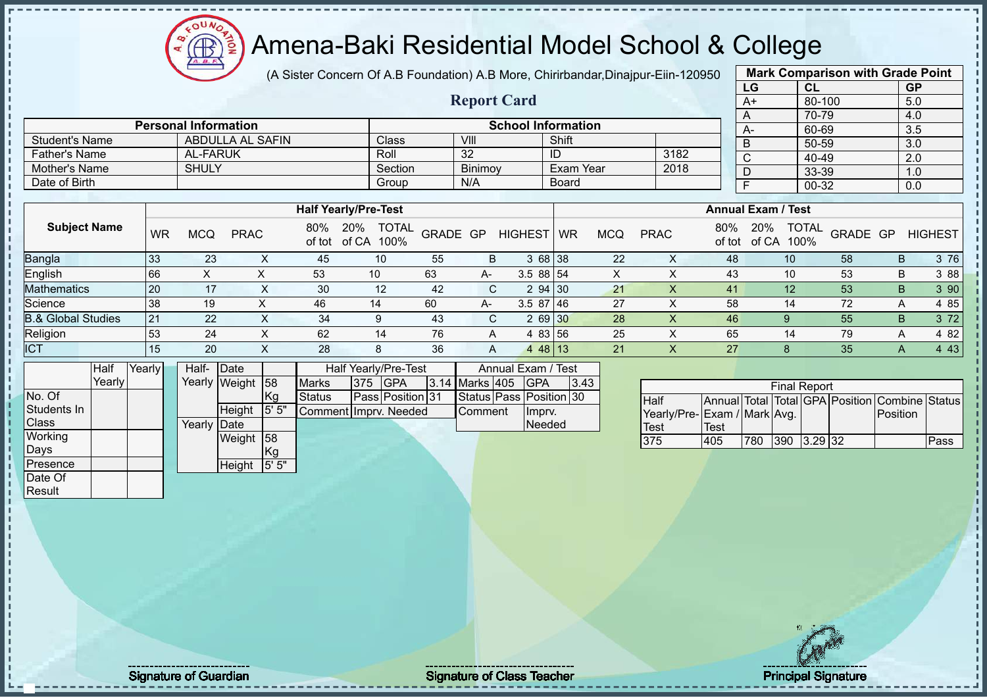# Amena-Baki Residential Model School & College

(A Sister Concern Of A.B Foundation) A.B More, Chirirbandar,Dinajpur-Eiin-120950

**Report Card**

|      | <b>Mark Comparison with Grade Point</b> |                  |
|------|-----------------------------------------|------------------|
| LG   | CL                                      | <b>GP</b>        |
| $A+$ | 80-100                                  | 5.0              |
| A    | 70-79                                   | 4.0              |
| А-   | 60-69                                   | $\overline{3.5}$ |
| B    | 50-59                                   | 3.0              |
| C    | 40-49                                   | 2.0              |
| D    | 33-39                                   | 1.0              |
| F    | 00-32                                   | 0.0              |
|      |                                         |                  |

|                       | <b>Personal Information</b> |         |                | <b>School Information</b> |      | $A-$ |  |
|-----------------------|-----------------------------|---------|----------------|---------------------------|------|------|--|
| <b>Student's Name</b> | ABDULLA AL SAFIN            | Class   | VIII           | Shift                     |      |      |  |
| Father's Name         | AL-FARUK                    | Roll    | 32             |                           | 3182 |      |  |
| Mother's Name         | <b>SHULY</b>                | Section | <b>Binimov</b> | Exam Year                 | 2018 |      |  |
| Date of Birth         |                             | Group   | N/A            | Board                     |      |      |  |

|                               |           |     |             |     | <b>Half Yearly/Pre-Test</b>              |          |      |                |           |            |             |     | <b>Annual Exam / Test</b>   |                          |   |                |
|-------------------------------|-----------|-----|-------------|-----|------------------------------------------|----------|------|----------------|-----------|------------|-------------|-----|-----------------------------|--------------------------|---|----------------|
| <b>Subject Name</b>           | <b>WR</b> | MCQ | <b>PRAC</b> | 80% | <b>TOTAL</b><br>20%<br>of tot of CA 100% | GRADE GP |      | <b>HIGHEST</b> | <b>WR</b> | <b>MCQ</b> | <b>PRAC</b> | 80% | 20%<br>100%<br>of tot of CA | <b>TOTAL</b><br>GRADE GP |   | <b>HIGHEST</b> |
| Bangla                        | 33        | 23  |             | 45  | 10                                       | 55       | B    | 3 68 38        |           | 22         |             | 48  |                             | 58                       |   | 3 76<br>B.     |
| English                       | 66        |     |             | 53  | 10                                       | 63       | $A-$ | $3.588$ 54     |           |            |             | 43  | 10                          | 53                       |   | 3 88<br>B      |
| <b>Mathematics</b>            | 20        | 17  |             | 30  | 12                                       | -42      | C.   | 2 94 30        |           | 21         |             | 41  | 12                          | 53                       |   | 3 90<br>B      |
| Science                       | 38        | 19  |             | 46  | 14                                       | 60       | A-   | $3.587$   46   |           | 27         |             | 58  | 14                          | 72                       |   | 4 85           |
| <b>B.&amp; Global Studies</b> | 21        | 22  | $\sim$      | 34  | 9                                        | 43       | C.   | 2 69 30        |           | 28         |             | 46  | 9                           | 55                       |   | 3 7 2<br>B.    |
| Religion                      | 53        | 24  | ㅅ           | 62  | 14                                       | 76       | A    | 4 83 56        |           | 25         |             | 65  | 14                          | 79                       | A | 4 82           |
| <b>ICT</b>                    | 15        | 20  |             | 28  | 8                                        | 36       | A    | 4 48 13        |           | 21         |             | 27  | 8                           | 35                       |   | 4 4 3          |

|              | Half   | Yearly | Half-       | Date          |       |                        |     | <b>Half Yearly/Pre-Test</b> |                | Annual Exam / Test      |      |
|--------------|--------|--------|-------------|---------------|-------|------------------------|-----|-----------------------------|----------------|-------------------------|------|
|              | Yearly |        |             | Yearly Weight | 58    | <b>Marks</b>           | 375 | <b>IGPA</b>                 | 3.14 Marks 405 | <b>GPA</b>              | 3.43 |
| No. Of       |        |        |             |               | Kg    | <b>Status</b>          |     | Pass Position 31            |                | Status Pass Position 30 |      |
| Students In  |        |        |             | Height        | 5' 5" | Comment IImprv. Needed |     |                             | Comment        | Impry.                  |      |
| <b>Class</b> |        |        | Yearly Date |               |       |                        |     |                             |                | <b>Needed</b>           |      |
| Working      |        |        |             | Weight        | 58    |                        |     |                             |                |                         |      |
| Days         |        |        |             |               | Kg    |                        |     |                             |                |                         |      |
| Presence     |        |        |             | Height        | 5' 5" |                        |     |                             |                |                         |      |
| Date Of      |        |        |             |               |       |                        |     |                             |                |                         |      |

|                              |      |     | <b>Final Report</b> |  |                                                |      |
|------------------------------|------|-----|---------------------|--|------------------------------------------------|------|
| <b>I</b> Half                |      |     |                     |  | Annual Total Total GPA Position Combine Status |      |
| Yearly/Pre- Exam / Mark Avg. |      |     |                     |  | <b>IPosition</b>                               |      |
| <b>Test</b>                  | Test |     |                     |  |                                                |      |
| 375                          | 405  | 780 | 390 3.29 32         |  |                                                | Pass |

Result

Signature of Guardian Signature of Class Teacher Principal Signature of Class Teacher Principal Signature 11/5<br>Signature 11/511/512 and Signature 11/511/512 and Signature 11/511/512 and Signature 11/51/512 and Signature 1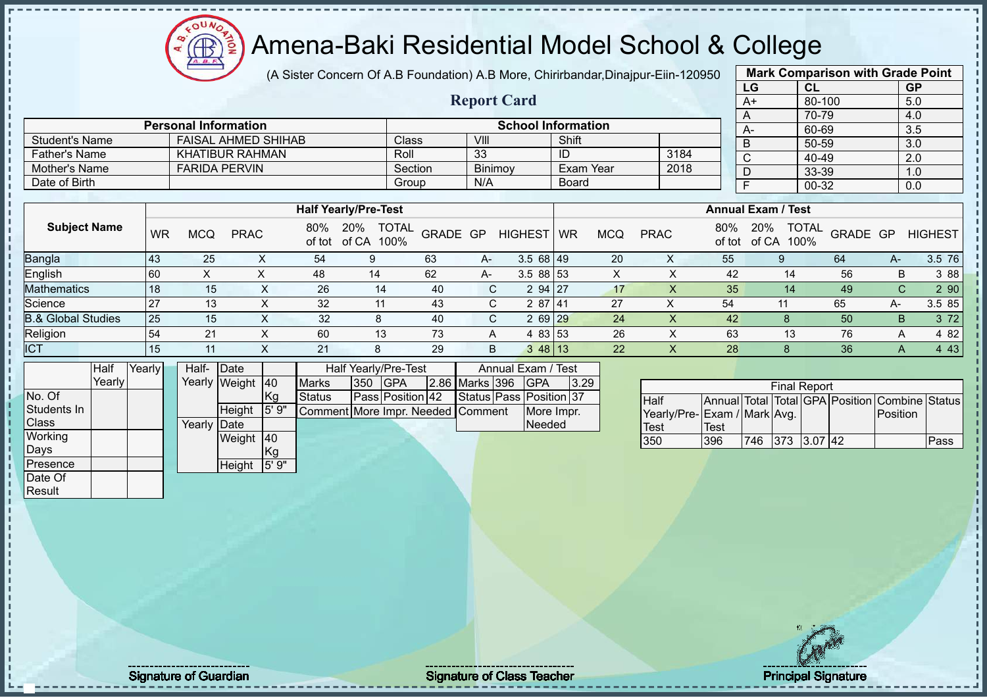(A Sister Concern Of A.B Foundation) A.B More, Chirirbandar,Dinajpur-Eiin-120950

 $12\mu\text{V}$ 

|                               |        |           |                             |                            |                |               |                                      |          |                    |                           |                  |            |                             |                                 | LG             |            | CL                  |          |              | <b>GP</b>      |
|-------------------------------|--------|-----------|-----------------------------|----------------------------|----------------|---------------|--------------------------------------|----------|--------------------|---------------------------|------------------|------------|-----------------------------|---------------------------------|----------------|------------|---------------------|----------|--------------|----------------|
|                               |        |           |                             |                            |                |               |                                      |          | <b>Report Card</b> |                           |                  |            |                             |                                 | $A+$           |            | 80-100              |          |              | 5.0            |
|                               |        |           | <b>Personal Information</b> |                            |                |               |                                      |          |                    | <b>School Information</b> |                  |            |                             |                                 | A              |            | 70-79               |          |              | 4.0            |
| <b>Student's Name</b>         |        |           |                             | <b>FAISAL AHMED SHIHAB</b> |                |               |                                      | Class    | VIII               |                           | Shift            |            |                             |                                 | A-             |            | 60-69               |          |              | 3.5            |
| <b>Father's Name</b>          |        |           |                             | <b>KHATIBUR RAHMAN</b>     |                |               | Roll                                 |          | 33                 |                           | ID               |            | 3184                        |                                 | B              |            | 50-59               |          |              | 3.0            |
|                               |        |           |                             |                            |                |               |                                      |          |                    |                           |                  |            |                             |                                 | $\mathbf C$    |            | 40-49               |          |              | 2.0            |
| Mother's Name                 |        |           |                             | <b>FARIDA PERVIN</b>       |                |               |                                      | Section  | Binimoy            |                           | <b>Exam Year</b> |            | 2018                        |                                 | D              |            | 33-39               |          |              | 1.0            |
| Date of Birth                 |        |           |                             |                            |                |               |                                      | Group    | N/A                |                           | <b>Board</b>     |            |                             |                                 | $\overline{F}$ |            | $00 - 32$           |          |              | 0.0            |
|                               |        |           |                             |                            |                |               | <b>Half Yearly/Pre-Test</b>          |          |                    |                           |                  |            |                             | <b>Annual Exam / Test</b>       |                |            |                     |          |              |                |
|                               |        |           |                             |                            |                |               |                                      |          |                    |                           |                  |            |                             |                                 |                |            |                     |          |              |                |
| <b>Subject Name</b>           |        | <b>WR</b> | <b>MCQ</b>                  | <b>PRAC</b>                |                | 80%<br>of tot | 20%<br><b>TOTAL</b><br>of CA<br>100% | GRADE GP |                    | <b>HIGHEST</b>            | <b>WR</b>        | <b>MCQ</b> | <b>PRAC</b>                 | 80%<br>of tot                   | 20%            | of CA 100% | <b>TOTAL</b>        | GRADE GP |              | <b>HIGHEST</b> |
| Bangla                        |        | 43        | 25                          |                            | X              | 54            | 9                                    | 63       | A-                 | 3.5 68 49                 |                  | 20         | X                           | 55                              |                | 9          |                     | 64       | $A-$         | 3.5 76         |
| English                       |        | 60        | X                           |                            | $\pmb{\times}$ | 48            | 14                                   | 62       | A-                 | 3.5 88 53                 |                  | X          | X                           | 42                              |                | 14         |                     | 56       | B            | 3 88           |
| Mathematics                   |        | 18        | 15                          |                            | X              | 26            | 14                                   | 40       | C                  | 2 94                      | 27               | 17         | X                           | 35                              |                | 14         |                     | 49       | $\mathsf{C}$ | 2 90           |
| Science                       |        | 27        | 13                          |                            | X              | 32            | 11                                   | 43       | C                  | 287 41                    |                  | 27         | X                           | 54                              |                | 11         |                     | 65       | A-           | 3.5 85         |
| <b>B.&amp; Global Studies</b> |        | 25        | 15                          |                            | X              | 32            | 8                                    | 40       | $\mathsf{C}$       | 2 69                      | 29               | 24         | $\sf X$                     | 42                              |                | 8          |                     | 50       | B            | 3 7 2          |
| Religion                      |        | 54        | 21                          |                            | $\sf X$        | 60            | 13                                   | 73       | A                  | 4 83 53                   |                  | 26         | X                           | 63                              |                | 13         |                     | 76       | A            | 4 8 2          |
| <b>ICT</b>                    |        | 15        | 11                          |                            | X              | 21            | 8                                    | 29       | B                  | 348 13                    |                  | 22         | X                           | 28                              |                | 8          |                     | 36       | A            | 4 4 3          |
|                               | Half   | Yearly    | Half-                       | Date                       |                |               | Half Yearly/Pre-Test                 |          |                    | Annual Exam / Test        |                  |            |                             |                                 |                |            |                     |          |              |                |
|                               | Yearly |           | Yearly                      | Weight                     | 40             | <b>Marks</b>  | GPA<br>350                           |          | 2.86 Marks 396     | <b>GPA</b>                | 3.29             |            |                             |                                 |                |            | <b>Final Report</b> |          |              |                |
| No. Of                        |        |           |                             |                            | <b>Kg</b>      | <b>Status</b> | Pass Position 42                     |          |                    | Status Pass Position 37   |                  |            | <b>Half</b>                 | Annual Total Total GPA Position |                |            |                     |          |              | Combine Status |
| Students In                   |        |           |                             | Height                     | 5'9''          |               | Comment More Impr. Needed Comment    |          |                    |                           | More Impr.       |            | Yearly/Pre-Exam / Mark Avg. |                                 |                |            |                     |          | Position     |                |
| Class                         |        |           | Yearly                      | Date                       |                |               |                                      |          |                    | Needed                    |                  |            | <b>Test</b>                 | <b>Test</b>                     |                |            |                     |          |              |                |
| Working                       |        |           |                             | Weight 40                  |                |               |                                      |          |                    |                           |                  |            | 350                         | 396                             | 746            |            | 373 3.07 42         |          |              | Pass           |
| Days                          |        |           |                             |                            | Kg             |               |                                      |          |                    |                           |                  |            |                             |                                 |                |            |                     |          |              |                |
| Presence                      |        |           |                             | Height                     | 5' 9"          |               |                                      |          |                    |                           |                  |            |                             |                                 |                |            |                     |          |              |                |
| Date Of                       |        |           |                             |                            |                |               |                                      |          |                    |                           |                  |            |                             |                                 |                |            |                     |          |              |                |
| Result                        |        |           |                             |                            |                |               |                                      |          |                    |                           |                  |            |                             |                                 |                |            |                     |          |              |                |
|                               |        |           |                             |                            |                |               |                                      |          |                    |                           |                  |            |                             |                                 |                |            |                     |          |              |                |

**Mark Comparison with Grade Point**

Signature of Guardian Signature of Class T Teacher Principal Signature 12/51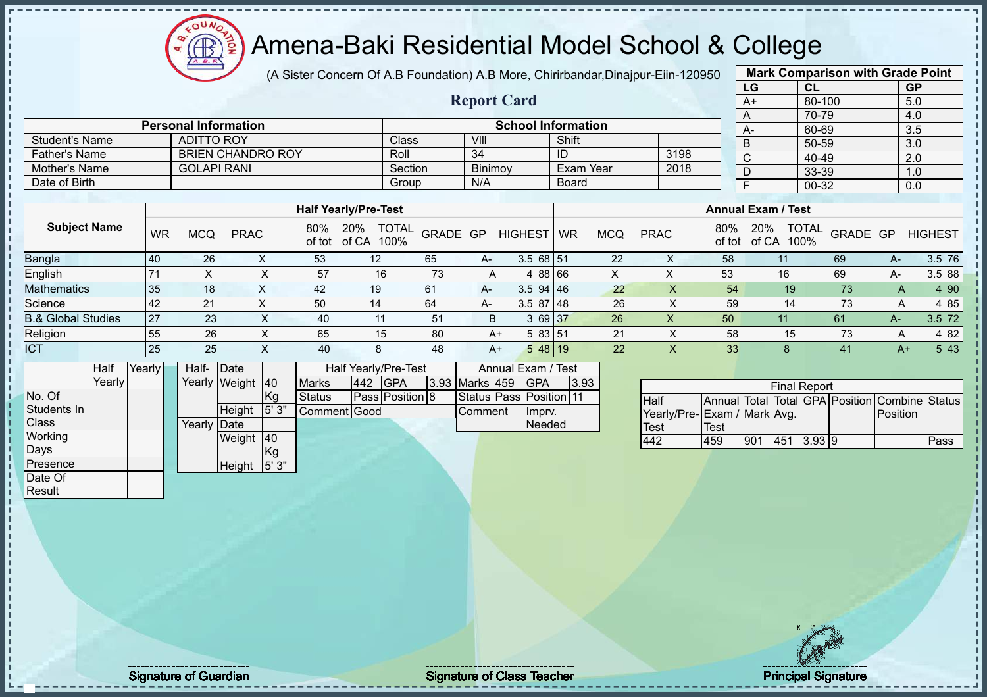(A Sister Concern Of A.B Foundation) A.B More, Chirirbandar,Dinajpur-Eiin-120950

 $12\mu\text{V}$ 

 $\bigoplus$ 

|                               |        |           |                   |                             |                     |                             |              |                      |          |                    |                           |                |                  |                           |                             | LG             |     | CL                   |                                                | <b>GP</b>        |                |
|-------------------------------|--------|-----------|-------------------|-----------------------------|---------------------|-----------------------------|--------------|----------------------|----------|--------------------|---------------------------|----------------|------------------|---------------------------|-----------------------------|----------------|-----|----------------------|------------------------------------------------|------------------|----------------|
|                               |        |           |                   |                             |                     |                             |              |                      |          | <b>Report Card</b> |                           |                |                  |                           |                             | A+             |     | 80-100               |                                                | 5.0              |                |
|                               |        |           |                   |                             |                     |                             |              |                      |          |                    |                           |                |                  |                           |                             | Α              |     | 70-79                |                                                | 4.0              |                |
|                               |        |           |                   | <b>Personal Information</b> |                     |                             |              |                      |          |                    | <b>School Information</b> |                |                  |                           |                             | $A -$          |     | 60-69                |                                                | 3.5              |                |
| <b>Student's Name</b>         |        |           | <b>ADITTO ROY</b> |                             |                     |                             |              | Class                |          | VIII               |                           | Shift          |                  |                           |                             | B              |     | $50 - 59$            |                                                | $\overline{3.0}$ |                |
| <b>Father's Name</b>          |        |           |                   | <b>BRIEN CHANDRO ROY</b>    |                     |                             |              | Roll                 |          | 34                 |                           | $\overline{D}$ |                  | 3198                      |                             | C              |     | 40-49                |                                                | 2.0              |                |
| <b>Mother's Name</b>          |        |           |                   | <b>GOLAPI RANI</b>          |                     |                             |              | Section              |          | Binimoy            |                           |                | <b>Exam Year</b> | 2018                      |                             | D              |     | 33-39                |                                                | 1.0              |                |
| Date of Birth                 |        |           |                   |                             |                     |                             |              | Group                |          | N/A                |                           | <b>Board</b>   |                  |                           |                             | $\overline{F}$ |     | $00 - 32$            |                                                | 0.0              |                |
|                               |        |           |                   |                             |                     |                             |              |                      |          |                    |                           |                |                  |                           |                             |                |     |                      |                                                |                  |                |
|                               |        |           |                   |                             |                     | <b>Half Yearly/Pre-Test</b> |              |                      |          |                    |                           |                |                  |                           | <b>Annual Exam / Test</b>   |                |     |                      |                                                |                  |                |
| <b>Subject Name</b>           |        | <b>WR</b> | <b>MCQ</b>        | <b>PRAC</b>                 |                     | 80%<br>of tot               | 20%<br>of CA | <b>TOTAL</b><br>100% | GRADE GP |                    | <b>HIGHEST</b>            | <b>WR</b>      | <b>MCQ</b>       | <b>PRAC</b>               | 80%<br>of tot               | 20%<br>of CA   |     | <b>TOTAL</b><br>100% | GRADE GP                                       |                  | <b>HIGHEST</b> |
| Bangla                        |        | 40        | 26                |                             | X                   | 53                          |              | 12                   | 65       | A-                 | $3.568$ 51                |                | 22               | X                         | 58                          |                | 11  |                      | 69                                             | $A-$             | 3.5 76         |
| English                       |        | 71        | X                 |                             | X                   | 57                          |              | 16                   | 73       | A                  | 4 88 66                   |                | X                | X                         | 53                          |                | 16  |                      | 69                                             | $A-$             | 3.5 88         |
| Mathematics                   |        | 35        | 18                |                             | X                   | 42                          |              | 19                   | 61       | А-                 | $3.5$ 94 46               |                | 22               | $\times$                  | 54                          |                | 19  |                      | 73                                             | A                | 4 90           |
| Science                       |        | 42        | 21                |                             | X                   | 50                          |              | 14                   | 64       | А-                 | $3.587$ 48                |                | 26               | X                         | 59                          |                | 14  |                      | 73                                             | A                | 4 8 5          |
| <b>B.&amp; Global Studies</b> |        | 27        | 23                |                             | X                   | 40                          |              | 11                   | 51       | B                  | 3 69 37                   |                | 26               | $\boldsymbol{\mathsf{X}}$ | 50                          |                | 11  |                      | 61                                             | $A -$            | 3.5 72         |
| Religion                      |        | 55        | 26                |                             | X                   | 65                          |              | 15                   | 80       | $A+$               | 5 83 51                   |                | 21               | X                         | 58                          |                | 15  |                      | 73                                             | Α                | 4 8 2          |
| <b>ICT</b>                    |        | 25        | 25                |                             | X                   | 40                          |              | 8                    | 48       | $A+$               | $548$ 19                  |                | 22               | X                         | 33                          |                | 8   |                      | 41                                             | $A+$             | 5 4 3          |
|                               | Half   | Yearly    | Half-             | Date                        |                     |                             |              | Half Yearly/Pre-Test |          |                    | Annual Exam / Test        |                |                  |                           |                             |                |     |                      |                                                |                  |                |
|                               | Yearly |           | Yearly            | Weight                      | 40                  | <b>Marks</b>                | 442          | <b>GPA</b>           |          | 3.93 Marks 459     | <b>GPA</b>                |                | 3.93             |                           |                             |                |     | <b>Final Report</b>  |                                                |                  |                |
| No. Of                        |        |           |                   |                             | Kg                  | <b>Status</b>               |              | Pass Position 8      |          |                    | Status Pass Position 11   |                |                  | Half                      |                             |                |     |                      | Annual Total Total GPA Position Combine Status |                  |                |
| Students In                   |        |           |                   | Height                      | $\overline{5}$ ' 3" | Comment Good                |              |                      |          | Comment            | Imprv.                    |                |                  |                           | Yearly/Pre-Exam / Mark Avg. |                |     |                      |                                                | Position         |                |
| Class                         |        |           | Yearly            | Date                        |                     |                             |              |                      |          |                    | Needed                    |                |                  | Test                      | <b>Test</b>                 |                |     |                      |                                                |                  |                |
| Working                       |        |           |                   | Weight 40                   |                     |                             |              |                      |          |                    |                           |                |                  | 442                       | 459                         | 901            | 451 | 3.93 9               |                                                |                  | Pass           |
| Days                          |        |           |                   |                             | Kg                  |                             |              |                      |          |                    |                           |                |                  |                           |                             |                |     |                      |                                                |                  |                |
| Presence                      |        |           |                   | Height                      | 5'3"                |                             |              |                      |          |                    |                           |                |                  |                           |                             |                |     |                      |                                                |                  |                |
| Date Of                       |        |           |                   |                             |                     |                             |              |                      |          |                    |                           |                |                  |                           |                             |                |     |                      |                                                |                  |                |
| Result                        |        |           |                   |                             |                     |                             |              |                      |          |                    |                           |                |                  |                           |                             |                |     |                      |                                                |                  |                |

**Mark Comparison with Grade Point**

Signature of Guardian Signature of Class T Teacher Principal Signature 13/51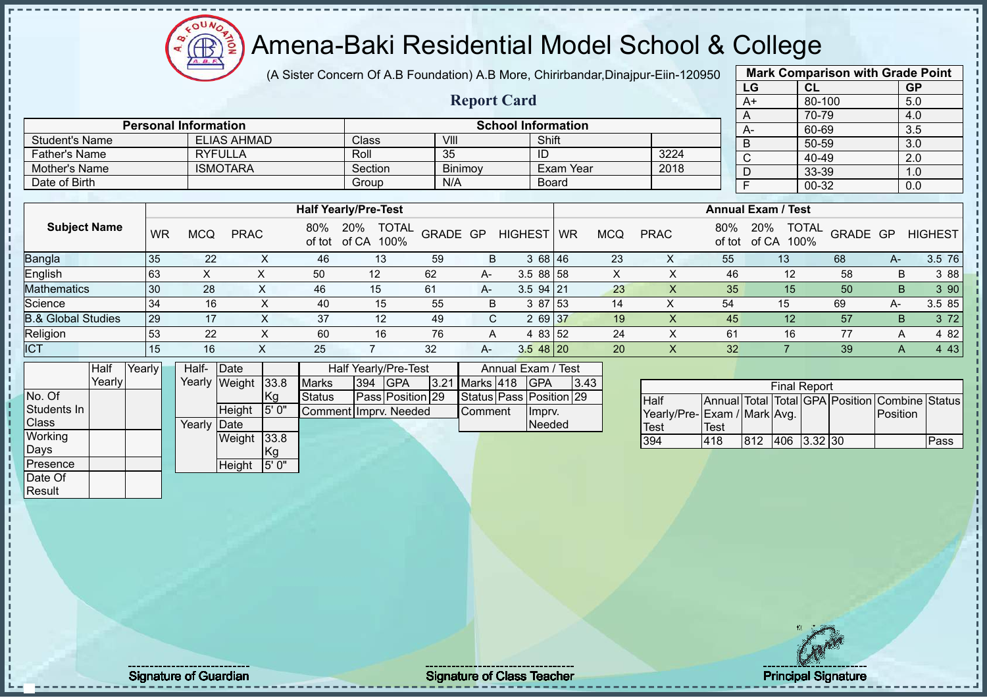

(A Sister Concern Of A.B Foundation) A.B More, Chirirbandar,Dinajpur-Eiin-120950

**Report Card**

|      | <b>Mark Comparison with Grade Point</b> |           |
|------|-----------------------------------------|-----------|
| LG   | <b>CL</b>                               | <b>GP</b> |
| $A+$ | 80-100                                  | 5.0       |
| A    | 70-79                                   | 4.0       |
| A-   | 60-69                                   | 3.5       |
| B    | 50-59                                   | 3.0       |
| C    | 40-49                                   | 2.0       |
| D    | 33-39                                   | 1.0       |
| F    | $00 - 32$                               | 0.0       |
|      |                                         |           |

|                             |                 |         |         |                           |      |    | 70-79 |  |
|-----------------------------|-----------------|---------|---------|---------------------------|------|----|-------|--|
| <b>Personal Information</b> |                 |         |         | <b>School Information</b> |      | А- | 60-69 |  |
| <b>Student's Name</b>       | ELIAS AHMAD     | Class   | VIII    | Shift                     |      |    | 50-59 |  |
| Father's Name               | <b>RYFULLA</b>  | Roll    | 35      | ΙU                        | 3224 |    | 40-49 |  |
| Mother's Name               | <b>ISMOTARA</b> | Section | Binimoy | Exam Year                 | 2018 |    | 33-39 |  |
| Date of Birth               |                 | Group   | N/A     | <b>Board</b>              |      |    | 00-32 |  |

|                               |    |     |             |     | <b>Half Yearly/Pre-Test</b>              |          |      |                |           |            |             |     | <b>Annual Exam / Test</b>                   |          |    |                |
|-------------------------------|----|-----|-------------|-----|------------------------------------------|----------|------|----------------|-----------|------------|-------------|-----|---------------------------------------------|----------|----|----------------|
| <b>Subject Name</b>           | WR | MCQ | <b>PRAC</b> | 80% | <b>TOTAL</b><br>20%<br>of tot of CA 100% | GRADE GP |      | <b>HIGHEST</b> | <b>WR</b> | <b>MCQ</b> | <b>PRAC</b> | 80% | <b>TOTAL</b><br>20%<br>100%<br>of tot of CA | GRADE GP |    | <b>HIGHEST</b> |
| <b>Bangla</b>                 | 35 | 22  |             | 46  | 13                                       | -59      | B    | 3 68 46        |           | 23         | X           | 55  | 13                                          | 68       | А- | 3.5 76         |
| English                       | 63 | ⌒   |             | 50  | 12                                       | 62       | $A-$ | $3.588$ 58     |           |            |             | 46  | $12 \overline{ }$                           | 58       | B  | 3 88           |
| <b>Mathematics</b>            | 30 | 28  |             | 46  | 15                                       | 61       | A-   | $3.5$ 94 21    |           | 23         |             | 35  | 15                                          | 50       | B  | 3 90           |
| Science                       | 34 | 16  |             | 40  | 15                                       | 55       | B.   | 3 87 53        |           | 14         | ∧           | 54  | 15                                          | 69       | А- | 3.5 85         |
| <b>B.&amp; Global Studies</b> | 29 | 17  | $\sim$      | 37  | 12                                       | 49       | C.   | 2 69 37        |           | 19         |             | 45  | 12                                          | 57       | B. | 3 7 2          |
| Religion                      | 53 | 22  | ㅅ           | 60  | 16                                       | 76       | A    | 4 83 52        |           | 24         |             | 61  | 16                                          | 77       | A  | 4 82           |
| <b>ICT</b>                    | 15 | 16  |             | 25  |                                          | 32       | $A-$ | $3.548$ 20     |           | 20         |             | 32  |                                             | 39       |    | 4 4 3          |

|              | Half   | Yearly | Half-  | Date          |               |                       |     | Half Yearly/Pre-Test |                | Annual Exam / Test      |      |
|--------------|--------|--------|--------|---------------|---------------|-----------------------|-----|----------------------|----------------|-------------------------|------|
|              | Yearly |        |        | Yearly Weight | 33.8          | <b>Marks</b>          | 394 | IGPA                 | 3.21 Marks 418 | <b>IGPA</b>             | 3.43 |
| No. Of       |        |        |        |               | Kg            | Status                |     | Pass Position 29     |                | Status Pass Position 29 |      |
| Students In  |        |        |        | <b>Height</b> | 5' 0"         | Comment Imprv. Needed |     |                      | Comment        | Imprv.                  |      |
| <b>Class</b> |        |        | Yearly | <b>IDate</b>  |               |                       |     |                      |                | Needed                  |      |
| Working      |        |        |        | Weight        | 33.8          |                       |     |                      |                |                         |      |
| Days         |        |        |        |               | <sub>Kg</sub> |                       |     |                      |                |                         |      |
| Presence     |        |        |        | Height        | 5'0"          |                       |     |                      |                |                         |      |
| Date Of      |        |        |        |               |               |                       |     |                      |                |                         |      |

|                             |      |     | <b>Final Report</b> |  |                                                |      |
|-----------------------------|------|-----|---------------------|--|------------------------------------------------|------|
| <b>Half</b>                 |      |     |                     |  | Annual Total Total GPA Position Combine Status |      |
| Yearly/Pre-Exam / Mark Avg. |      |     |                     |  | <b>IPosition</b>                               |      |
| <b>Test</b>                 | Test |     |                     |  |                                                |      |
| 394                         | 418  | 812 | 406 3.32 30         |  |                                                | Pass |

**Result** 

Signature of Guardian Signature of Class Teacher Principal Signature of Class Teacher Principal Signature 14/5<br>Signature 14/511/512 and Signature 14/511/512 and Signature 14/51/512 and Signature 14/51/512 and Signature 14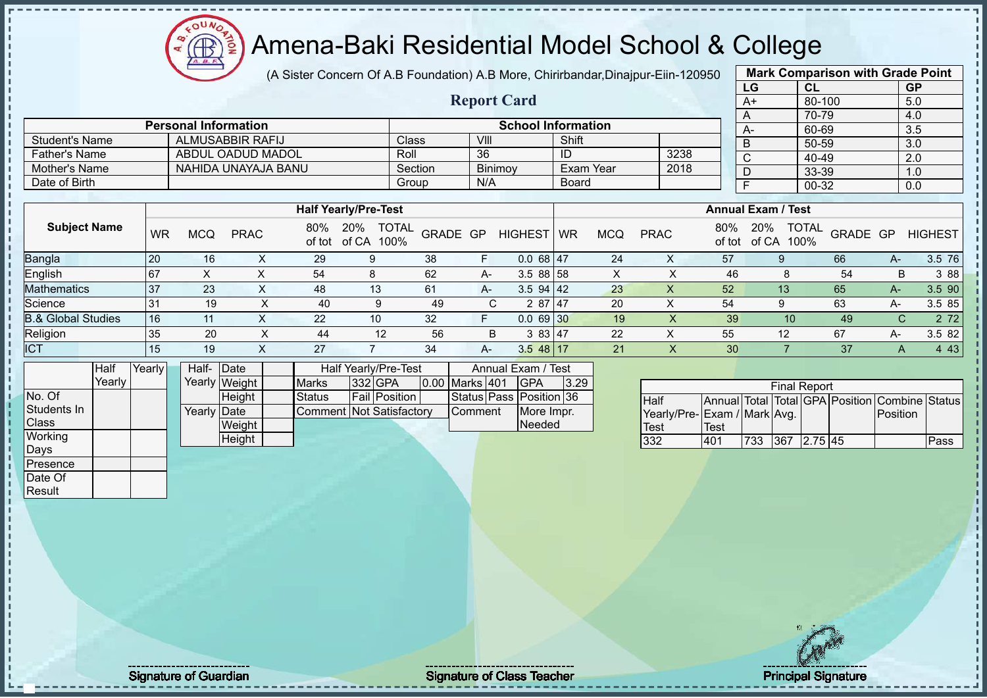(A Sister Concern Of A.B Foundation) A.B More, Chirirbandar,Dinajpur-Eiin-120950

 $12\mu\text{V}$ 

 $\bigoplus$ 

|                               |        |           |                             |                         |               |                                 |                      |                    |                           |              |                  |                             |               | LG                        | CL                  |          | <b>GP</b>                                      |                |
|-------------------------------|--------|-----------|-----------------------------|-------------------------|---------------|---------------------------------|----------------------|--------------------|---------------------------|--------------|------------------|-----------------------------|---------------|---------------------------|---------------------|----------|------------------------------------------------|----------------|
|                               |        |           |                             |                         |               |                                 |                      | <b>Report Card</b> |                           |              |                  |                             |               | $A+$                      | 80-100              |          | 5.0                                            |                |
|                               |        |           | <b>Personal Information</b> |                         |               |                                 |                      |                    | <b>School Information</b> |              |                  |                             |               | A                         | 70-79               |          | 4.0                                            |                |
|                               |        |           |                             |                         |               |                                 |                      |                    |                           |              |                  |                             |               | A-                        | 60-69               |          | 3.5                                            |                |
| <b>Student's Name</b>         |        |           |                             | <b>ALMUSABBIR RAFIJ</b> |               |                                 | Class                | VIII               |                           | Shift        |                  |                             |               | $\overline{B}$            | 50-59               |          | $\overline{3.0}$                               |                |
| <b>Father's Name</b>          |        |           |                             | ABDUL OADUD MADOL       |               |                                 | Roll                 | 36                 |                           | ID           |                  | 3238                        |               | $\overline{C}$            | 40-49               |          | 2.0                                            |                |
| Mother's Name                 |        |           |                             | NAHIDA UNAYAJA BANU     |               |                                 | Section              |                    | Binimoy                   |              | <b>Exam Year</b> | 2018                        |               | D                         | 33-39               |          | 1.0                                            |                |
| Date of Birth                 |        |           |                             |                         |               |                                 | Group                | N/A                |                           | <b>Board</b> |                  |                             |               | E                         | 00-32               |          | 0.0                                            |                |
|                               |        |           |                             |                         |               |                                 |                      |                    |                           |              |                  |                             |               |                           |                     |          |                                                |                |
|                               |        |           |                             |                         |               | <b>Half Yearly/Pre-Test</b>     |                      |                    |                           |              |                  |                             |               | <b>Annual Exam / Test</b> |                     |          |                                                |                |
| <b>Subject Name</b>           |        | <b>WR</b> | <b>MCQ</b>                  | <b>PRAC</b>             | 80%<br>of tot | 20%<br>of CA                    | <b>TOTAL</b><br>100% | GRADE GP           | <b>HIGHEST</b>            | <b>WR</b>    | <b>MCQ</b>       | <b>PRAC</b>                 | 80%<br>of tot | 20%<br>of CA 100%         | <b>TOTAL</b>        | GRADE GP |                                                | <b>HIGHEST</b> |
| Bangla                        |        | 20        | 16                          | X                       | 29            | 9                               | 38                   | F.                 | $0.068$ 47                |              | 24               | X                           | 57            | 9                         |                     | 66       | $A-$                                           | 3.5 76         |
| English                       |        | 67        | X                           | X                       | 54            | 8                               | 62                   | $A -$              | 3.5 88 58                 |              | X                | X                           | 46            |                           | 8                   | 54       | B                                              | 3 8 8          |
| Mathematics                   |        | 37        | 23                          | X                       | 48            | 13                              | 61                   | A-                 | $3.5$ 94 42               |              | 23               | X                           | 52            | 13                        |                     | 65       | A-                                             | 3.5 90         |
| Science                       |        | 31        | 19                          | $\pmb{\times}$          | 40            | 9                               | 49                   | C                  | 2 87 47                   |              | 20               | $\mathsf X$                 | 54            | 9                         |                     | 63       | $A-$                                           | 3.5 85         |
| <b>B.&amp; Global Studies</b> |        | 16        | 11                          | X                       | 22            | 10                              | 32                   | F                  | 0.06930                   |              | 19               | $\sf X$                     | 39            |                           | 10                  | 49       | $\mathsf{C}$                                   | 2 7 2          |
| Religion                      |        | 35        | 20                          | $\pmb{\times}$          | 44            | 12                              | 56                   | B                  | 3 83 47                   |              | 22               | $\boldsymbol{\mathsf{X}}$   | 55            | 12                        |                     | 67       | A-                                             | 3.5 82         |
| <b>ICT</b>                    |        | 15        | 19                          | X                       | 27            | $\overline{7}$                  | 34                   | A-                 | $3.548$ 17                |              | 21               | $\boldsymbol{\mathsf{X}}$   | 30            | $\overline{7}$            |                     | 37       | A                                              | 4 4 3          |
|                               | Half   | Yearly    | Half-Date                   |                         |               | Half Yearly/Pre-Test            |                      |                    | Annual Exam / Test        |              |                  |                             |               |                           |                     |          |                                                |                |
|                               | Yearly |           |                             | Yearly Weight           | <b>Marks</b>  | 332 GPA                         |                      | 0.00 Marks 401     | <b>GPA</b>                | 3.29         |                  |                             |               |                           | <b>Final Report</b> |          |                                                |                |
| No. Of                        |        |           |                             | Height                  | <b>Status</b> | Fail Position                   |                      |                    | Status Pass Position 36   |              |                  | Half                        |               |                           |                     |          | Annual Total Total GPA Position Combine Status |                |
| Students In                   |        |           | Yearly Date                 |                         |               | <b>Comment Not Satisfactory</b> |                      | Comment            | More Impr.                |              |                  | Yearly/Pre-Exam / Mark Avg. |               |                           |                     |          | Position                                       |                |
| Class                         |        |           |                             | Weight                  |               |                                 |                      |                    | Needed                    |              |                  | <b>Test</b>                 | <b>Test</b>   |                           |                     |          |                                                |                |
| Working                       |        |           |                             | Height                  |               |                                 |                      |                    |                           |              |                  | 332                         | 401           | 733                       | 367 2.75 45         |          |                                                | Pass           |
| Days                          |        |           |                             |                         |               |                                 |                      |                    |                           |              |                  |                             |               |                           |                     |          |                                                |                |
| Presence                      |        |           |                             |                         |               |                                 |                      |                    |                           |              |                  |                             |               |                           |                     |          |                                                |                |
| Date Of                       |        |           |                             |                         |               |                                 |                      |                    |                           |              |                  |                             |               |                           |                     |          |                                                |                |
| Result                        |        |           |                             |                         |               |                                 |                      |                    |                           |              |                  |                             |               |                           |                     |          |                                                |                |
|                               |        |           |                             |                         |               |                                 |                      |                    |                           |              |                  |                             |               |                           |                     |          |                                                |                |

**Mark Comparison with Grade Point**

Signature of Guardian Signature of Class T Teacher Principal Signature 15/51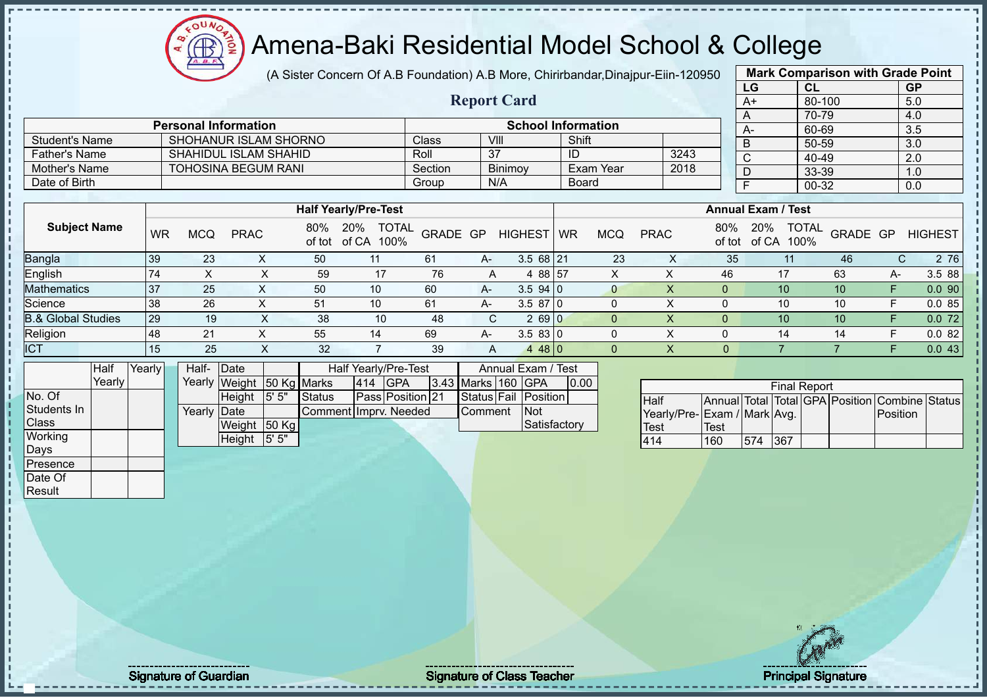(A Sister Concern Of A.B Foundation) A.B More, Chirirbandar,Dinajpur-Eiin-120950

 $12\mu\text{V}$ 

**CB** 

|                               |        |           |             |                              |                           |                                          |                  |                    |                           |              |                  |                             |                | LG                        | CL                  |                | <b>GP</b>                                      |                |
|-------------------------------|--------|-----------|-------------|------------------------------|---------------------------|------------------------------------------|------------------|--------------------|---------------------------|--------------|------------------|-----------------------------|----------------|---------------------------|---------------------|----------------|------------------------------------------------|----------------|
|                               |        |           |             |                              |                           |                                          |                  | <b>Report Card</b> |                           |              |                  |                             |                | $A+$                      | 80-100              |                | 5.0                                            |                |
|                               |        |           |             |                              |                           |                                          |                  |                    |                           |              |                  |                             |                | A                         | 70-79               |                | 4.0                                            |                |
|                               |        |           |             | <b>Personal Information</b>  |                           |                                          |                  |                    | <b>School Information</b> |              |                  |                             |                | $A-$                      | 60-69               |                | 3.5                                            |                |
| <b>Student's Name</b>         |        |           |             |                              | SHOHANUR ISLAM SHORNO     |                                          | Class            | VIII               |                           | Shift        |                  |                             |                | B                         | 50-59               |                | 3.0                                            |                |
| <b>Father's Name</b>          |        |           |             | <b>SHAHIDUL ISLAM SHAHID</b> |                           |                                          | Roll             | $\overline{37}$    |                           | ID           |                  | 3243                        |                | $\overline{\text{c}}$     | 40-49               |                | $\overline{2.0}$                               |                |
| Mother's Name                 |        |           |             | <b>TOHOSINA BEGUM RANI</b>   |                           |                                          | Section          |                    | Binimoy                   |              | <b>Exam Year</b> | 2018                        |                | $\overline{D}$            | $33 - 39$           |                | 1.0                                            |                |
| Date of Birth                 |        |           |             |                              |                           |                                          | Group            | N/A                |                           | <b>Board</b> |                  |                             |                | F                         | 00-32               |                | 0.0                                            |                |
|                               |        |           |             |                              |                           |                                          |                  |                    |                           |              |                  |                             |                |                           |                     |                |                                                |                |
|                               |        |           |             |                              |                           | <b>Half Yearly/Pre-Test</b>              |                  |                    |                           |              |                  |                             |                | <b>Annual Exam / Test</b> |                     |                |                                                |                |
| <b>Subject Name</b>           |        | <b>WR</b> | <b>MCQ</b>  | <b>PRAC</b>                  | 80%                       | 20%<br><b>TOTAL</b><br>of tot of CA 100% | GRADE GP         |                    | <b>HIGHEST</b>            | <b>WR</b>    | <b>MCQ</b>       | <b>PRAC</b>                 | 80%<br>of tot  | 20%                       | TOTAL<br>of CA 100% | GRADE GP       |                                                | <b>HIGHEST</b> |
| Bangla                        |        | 39        | 23          | X                            | 50                        | 11                                       | 61               | A-                 | $3.568$ 21                |              | 23               | $\boldsymbol{\mathsf{X}}$   | 35             |                           | 11                  | 46             | $\mathsf{C}$                                   | 2 76           |
| English                       |        | 74        | X           | X                            | 59                        | 17                                       | 76               | A                  | 4 88 57                   |              | X                | X                           | 46             |                           | 17                  | 63             | A-                                             | 3.5 88         |
| <b>Mathematics</b>            |        | 37        | 25          | X                            | 50                        | 10                                       | 60               | A-                 | 3.594 0                   |              | $\overline{0}$   | $\pmb{\times}$              | $\overline{0}$ |                           | 10                  | 10             | F                                              | 0.090          |
| Science                       |        | 38        | 26          | X                            | 51                        | 10                                       | 61               | A-                 | 3.5870                    |              | $\mathbf 0$      | $\pmb{\times}$              | $\Omega$       |                           | 10                  | 10             | F                                              | 0.085          |
| <b>B.&amp; Global Studies</b> |        | 29        | 19          | $\pmb{\times}$               | 38                        | 10                                       | 48               | C                  | 2690                      |              | $\overline{0}$   | $\pmb{\times}$              | $\overline{0}$ |                           | 10                  | 10             | F                                              | 0.072          |
| Religion                      |        | 48        | 21          | X                            | 55                        | 14                                       | 69               | A-                 | 3.5830                    |              | 0                | $\times$                    | $\Omega$       |                           | 14                  | 14             | F                                              | 0.082          |
| <b>ICT</b>                    |        | 15        | 25          | $\boldsymbol{\mathsf{X}}$    | 32                        | $\overline{7}$                           | 39               | Α                  | 4480                      |              | $\overline{0}$   | $\mathsf X$                 | $\overline{0}$ |                           | $\overline{7}$      | $\overline{7}$ | F                                              | 0.043          |
|                               | Half   | Yearly    | Half- Date  |                              |                           | Half Yearly/Pre-Test                     |                  |                    | Annual Exam / Test        |              |                  |                             |                |                           |                     |                |                                                |                |
|                               | Yearly |           |             |                              | Yearly Weight 50 Kg Marks | 414 GPA                                  |                  |                    | 3.43 Marks 160 GPA        | 0.00         |                  |                             |                |                           | <b>Final Report</b> |                |                                                |                |
| No. Of                        |        |           |             | Height                       | 5' 5"<br><b>Status</b>    |                                          | Pass Position 21 | Status Fail        | Position                  |              |                  | Half                        |                |                           |                     |                | Annual Total Total GPA Position Combine Status |                |
| Students In                   |        |           | Yearly Date |                              |                           | Comment Imprv. Needed                    |                  | Comment            | <b>Not</b>                |              |                  | Yearly/Pre-Exam / Mark Avg. |                |                           |                     |                | Position                                       |                |
| Class                         |        |           |             | Weight 50 Kg                 |                           |                                          |                  |                    | Satisfactory              |              |                  | Test                        | <b>Test</b>    |                           |                     |                |                                                |                |
| Working                       |        |           |             | Height                       | 5' 5"                     |                                          |                  |                    |                           |              |                  | 414                         | 160            | 574                       | 367                 |                |                                                |                |
| <b>Days</b>                   |        |           |             |                              |                           |                                          |                  |                    |                           |              |                  |                             |                |                           |                     |                |                                                |                |
| Presence                      |        |           |             |                              |                           |                                          |                  |                    |                           |              |                  |                             |                |                           |                     |                |                                                |                |
| Date Of                       |        |           |             |                              |                           |                                          |                  |                    |                           |              |                  |                             |                |                           |                     |                |                                                |                |
| Result                        |        |           |             |                              |                           |                                          |                  |                    |                           |              |                  |                             |                |                           |                     |                |                                                |                |
|                               |        |           |             |                              |                           |                                          |                  |                    |                           |              |                  |                             |                |                           |                     |                |                                                |                |
|                               |        |           |             |                              |                           |                                          |                  |                    |                           |              |                  |                             |                |                           |                     |                |                                                |                |

**Mark Comparison with Grade Point**

Signature of Guardian Signature of Class Teacher Principal Signature of Class Teacher Principal Signature 16/5<br>
Signature of Class Teacher Principal Signature 16/511/511/511/511/511/511/511/51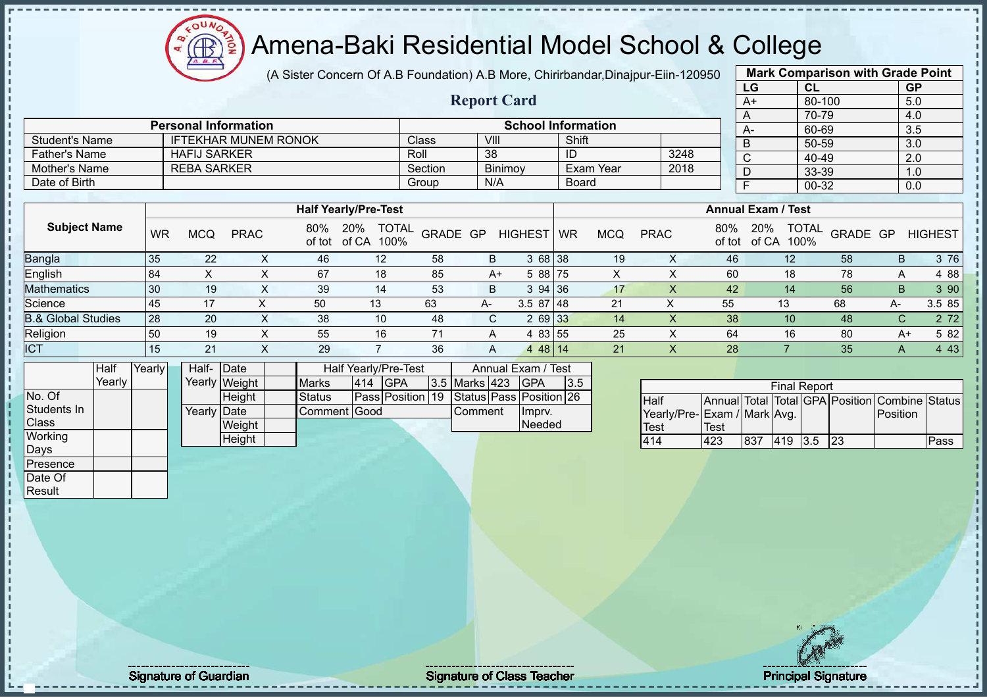(A Sister Concern Of A.B Foundation) A.B More, Chirirbandar,Dinajpur-Eiin-120950

 $12\mu\text{V}$ 

**CB** 

|                               |           |                             |                |                             |                                             |         |                    |                           |              |            |                              |               | LG                        | CL                  |                                                | <b>GP</b>        |                |
|-------------------------------|-----------|-----------------------------|----------------|-----------------------------|---------------------------------------------|---------|--------------------|---------------------------|--------------|------------|------------------------------|---------------|---------------------------|---------------------|------------------------------------------------|------------------|----------------|
|                               |           |                             |                |                             |                                             |         | <b>Report Card</b> |                           |              |            |                              |               | $A+$                      | 80-100              |                                                | 5.0              |                |
|                               |           |                             |                |                             |                                             |         |                    |                           |              |            |                              |               | A                         | 70-79               |                                                | 4.0              |                |
|                               |           | <b>Personal Information</b> |                |                             |                                             |         |                    | <b>School Information</b> |              |            |                              |               | A-                        | 60-69               |                                                | 3.5              |                |
| <b>Student's Name</b>         |           |                             |                | <b>IFTEKHAR MUNEM RONOK</b> |                                             | Class   | VIII               |                           | Shift        |            |                              |               | $\overline{B}$            | 50-59               |                                                | $\overline{3.0}$ |                |
| <b>Father's Name</b>          |           | <b>HAFIJ SARKER</b>         |                |                             |                                             | Roll    | $\overline{38}$    |                           | ID           |            | 3248                         |               | C                         | 40-49               |                                                | 2.0              |                |
| <b>Mother's Name</b>          |           | <b>REBA SARKER</b>          |                |                             |                                             | Section |                    | Binimoy                   |              | Exam Year  | 2018                         |               | D                         | 33-39               |                                                | 1.0              |                |
| Date of Birth                 |           |                             |                |                             |                                             | Group   | N/A                |                           | <b>Board</b> |            |                              |               | F                         | $00 - 32$           |                                                | 0.0              |                |
|                               |           |                             |                |                             |                                             |         |                    |                           |              |            |                              |               |                           |                     |                                                |                  |                |
|                               |           |                             |                |                             | <b>Half Yearly/Pre-Test</b>                 |         |                    |                           |              |            |                              |               | <b>Annual Exam / Test</b> |                     |                                                |                  |                |
| <b>Subject Name</b>           | <b>WR</b> | <b>MCQ</b>                  | <b>PRAC</b>    | 80%                         | 20%<br><b>TOTAL</b><br>of tot of CA<br>100% |         | GRADE GP           | <b>HIGHEST</b>            | <b>WR</b>    | <b>MCQ</b> | <b>PRAC</b>                  | 80%<br>of tot | 20%<br>of CA 100%         | <b>TOTAL</b>        | GRADE GP                                       |                  | <b>HIGHEST</b> |
| <b>Bangla</b>                 | 35        | 22                          | X              | 46                          | 12                                          | 58      | B                  | 3 68 38                   |              | 19         | X                            | 46            |                           | 12                  | 58                                             | B                | 3 76           |
| English                       | 84        | $\pmb{\times}$              | X              | 67                          | 18                                          | 85      | $A+$               | 5 88 75                   |              | X          | X                            | 60            |                           | 18                  | 78                                             | A                | 4 8 8          |
| <b>Mathematics</b>            | 30        | 19                          | X              | 39                          | 14                                          | 53      | B                  | 3 94                      | 36           | 17         | $\sf X$                      | 42            |                           | 14                  | 56                                             | B.               | 3 90           |
| Science                       | 45        | 17                          | X              | 50                          | 13                                          | 63      | A-                 | $3.587$ 48                |              | 21         | $\pmb{\times}$               | 55            | 13                        |                     | 68                                             | A-               | 3.5 85         |
| <b>B.&amp; Global Studies</b> | 28        | 20                          | X              | 38                          | 10                                          | 48      | C                  | 2 69 33                   |              | 14         | $\mathsf{X}$                 | 38            |                           | 10                  | 48                                             | C                | 2 7 2          |
| Religion                      | 50        | 19                          | $\pmb{\times}$ | 55                          | 16                                          | 71      | A                  | 4 83 55                   |              | 25         | $\boldsymbol{\mathsf{X}}$    | 64            |                           | 16                  | 80                                             | $A+$             | 5 82           |
| <b>ICT</b>                    | 15        | 21                          | X              | 29                          | $\overline{7}$                              | 36      | A                  | 4 48 14                   |              | 21         | X                            | 28            |                           | 7                   | 35                                             | A                | 4 4 3          |
| Half                          | Yearly    | Half- Date                  |                |                             | Half Yearly/Pre-Test                        |         |                    | Annual Exam / Test        |              |            |                              |               |                           |                     |                                                |                  |                |
| Yearly                        |           |                             | Yearly Weight  | <b>Marks</b>                | 414 GPA                                     |         | 3.5 Marks 423      | <b>GPA</b>                | 3.5          |            |                              |               |                           | <b>Final Report</b> |                                                |                  |                |
| No. Of                        |           |                             | Height         | <b>Status</b>               | Pass Position 19                            |         |                    | Status Pass Position 26   |              |            | Half                         |               |                           |                     | Annual Total Total GPA Position Combine Status |                  |                |
| Students In                   |           | Yearly Date                 |                |                             | Comment Good                                |         | Comment            | Imprv.                    |              |            | Yearly/Pre- Exam / Mark Avg. |               |                           |                     |                                                | Position         |                |
| Class                         |           |                             | Weight         |                             |                                             |         |                    | Needed                    |              |            | <b>Test</b>                  | Test          |                           |                     |                                                |                  |                |
| Working                       |           |                             | Height         |                             |                                             |         |                    |                           |              |            | 414                          | 423           | 837                       | 419 3.5             | 23                                             |                  | Pass           |
| Days                          |           |                             |                |                             |                                             |         |                    |                           |              |            |                              |               |                           |                     |                                                |                  |                |
| Presence                      |           |                             |                |                             |                                             |         |                    |                           |              |            |                              |               |                           |                     |                                                |                  |                |
| Date Of                       |           |                             |                |                             |                                             |         |                    |                           |              |            |                              |               |                           |                     |                                                |                  |                |
| Result                        |           |                             |                |                             |                                             |         |                    |                           |              |            |                              |               |                           |                     |                                                |                  |                |
|                               |           |                             |                |                             |                                             |         |                    |                           |              |            |                              |               |                           |                     |                                                |                  |                |

**Mark Comparison with Grade Point**

Signature of Guardian Signature of Class Teacher Principal Signature of Class Teacher Principal Signature 17/5<br>Signature 17/511/512 and Signature 17/51/512 and Signature 17/51/512 and Signature 17/51/512 and Signature 17/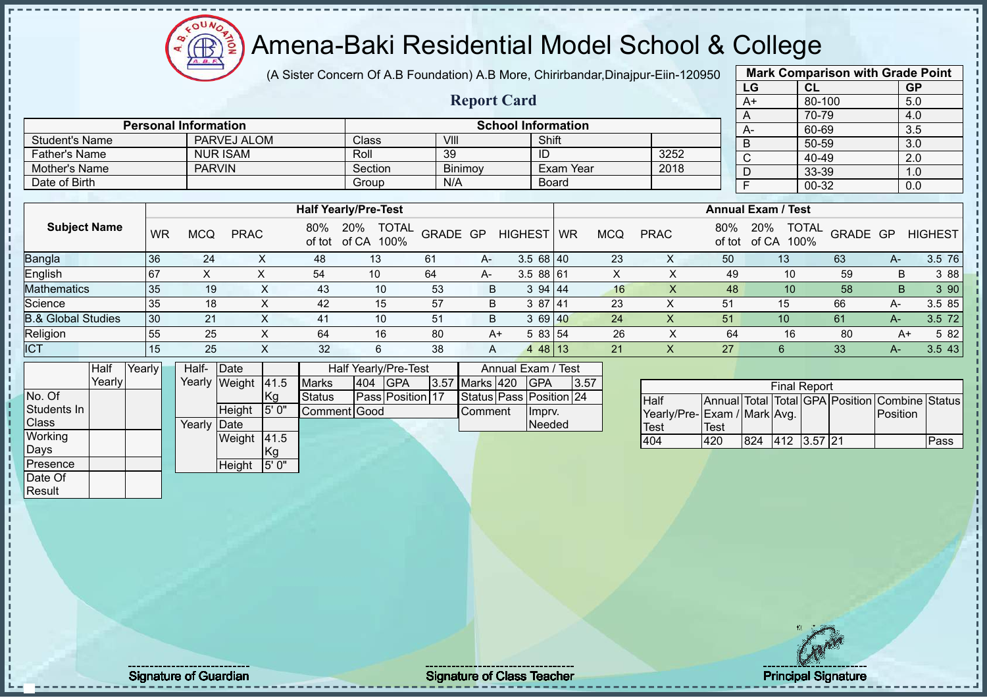

(A Sister Concern Of A.B Foundation) A.B More, Chirirbandar,Dinajpur-Eiin-120950

**Report Card**

|      | <b>Mark Comparison with Grade Point</b> |           |
|------|-----------------------------------------|-----------|
| LG   | CL                                      | <b>GP</b> |
| $A+$ | 80-100                                  | 5.0       |
| A    | 70-79                                   | 4.0       |
| A-   | 60-69                                   | 3.5       |
| B    | 50-59                                   | 3.0       |
| C    | 40-49                                   | 2.0       |
| D    | 33-39                                   | 1.0       |
| F    | 00-32                                   | 0.0       |
|      |                                         |           |

|                             |                 |         |         |                           |      |      | 70-79 |  |
|-----------------------------|-----------------|---------|---------|---------------------------|------|------|-------|--|
| <b>Personal Information</b> |                 |         |         | <b>School Information</b> |      | $A-$ | 60-69 |  |
| <b>Student's Name</b>       | PARVEJ ALOM     | Class   | VIII    | Shift                     |      |      | 50-59 |  |
| Father's Name               | <b>NUR ISAM</b> | Roll    | 39      | ID                        | 3252 |      | 40-49 |  |
| Mother's Name               | <b>PARVIN</b>   | Section | Binimoy | Exam Year                 | 2018 |      | 33-39 |  |
| Date of Birth               |                 | Group   | N/A     | Board                     |      |      | 00-32 |  |

|                               |     |            |             |     | <b>Half Yearly/Pre-Test</b>                 |          |    |                |           |            |             |               | <b>Annual Exam / Test</b>            |          |      |                |
|-------------------------------|-----|------------|-------------|-----|---------------------------------------------|----------|----|----------------|-----------|------------|-------------|---------------|--------------------------------------|----------|------|----------------|
| <b>Subject Name</b>           | WR  | <b>MCQ</b> | <b>PRAC</b> | 80% | <b>TOTAL</b><br>20%<br>of tot of CA<br>100% | GRADE GP |    | <b>HIGHEST</b> | <b>WR</b> | <b>MCQ</b> | <b>PRAC</b> | 80%<br>of tot | <b>TOTAL</b><br>20%<br>100%<br>of CA | GRADE GP |      | <b>HIGHEST</b> |
| <b>Bangla</b>                 | 36  | 24         |             | 48  | 13                                          | 61       | A- | $3.568$   40   |           | 23         | ∧           | 50            | 13                                   | 63       | $A-$ | 3.5 76         |
| English                       | 167 |            |             | 54  | 10                                          | 64       | A- | $3.588$ 61     |           |            |             | 49            | 10                                   | 59       | B    | 3 88           |
| <b>Mathematics</b>            | 35  | 19         |             | 43  | 10                                          | 53       | B  | 394144         |           | 16         |             | 48            | 10                                   | 58       | B    | 3 90           |
| Science                       | 35  | 18         |             | 42  | 15                                          | 57       | B  | 3 87 41        |           | 23         | ∧           | 51            | 15                                   | 66       | A-   | 3.5 85         |
| <b>B.&amp; Global Studies</b> | 30  | 21         | X           | 41  | 10                                          | 51       | B. | 369140         |           | 24         | х           | 51            | 10                                   | 61       | A-   | 3.5 72         |
| Religion                      | 55  | 25         |             | 64  | 16                                          | 80       | A+ | 5 83 54        |           | 26         |             | 64            | 16                                   | 80       | A+   | 5 82           |
| <b>ICT</b>                    | 15  | 25         |             | 32  | 6                                           | 38       | A  | 4 48 13        |           | 21         |             | 27            | 6                                    | 33       |      | 3.543          |

|                | Half    | Yearly | Half-  | Date          |       |               |     | Half Yearly/Pre-Test |                | Annual Exam / Test      |      |
|----------------|---------|--------|--------|---------------|-------|---------------|-----|----------------------|----------------|-------------------------|------|
|                | Yearlvl |        | Yearly | Weight        | 41.5  | <b>Marks</b>  | 404 | <b>IGPA</b>          | 3.57 Marks 420 | <b>IGPA</b>             | 3.57 |
| No. Of         |         |        |        |               | Kg    | <b>Status</b> |     | Pass Position 17     |                | Status Pass Position 24 |      |
| Students In    |         |        |        | <b>Height</b> | 5' 0" | Comment Good  |     |                      | Comment        | Imprv.                  |      |
| <b>Class</b>   |         |        | Yearly | <b>IDate</b>  |       |               |     |                      |                | Needed                  |      |
| <b>Working</b> |         |        |        | Weight        | 41.5  |               |     |                      |                |                         |      |
| Days           |         |        |        |               | Kg    |               |     |                      |                |                         |      |
| Presence       |         |        |        | Height        | 5' 0" |               |     |                      |                |                         |      |
| Date Of        |         |        |        |               |       |               |     |                      |                |                         |      |

|                             |      |     | <b>Final Report</b> |  |                                                |      |
|-----------------------------|------|-----|---------------------|--|------------------------------------------------|------|
| <b>Half</b>                 |      |     |                     |  | Annual Total Total GPA Position Combine Status |      |
| Yearly/Pre-Exam / Mark Avg. |      |     |                     |  | <b>IPosition</b>                               |      |
| <b>Test</b>                 | Test |     |                     |  |                                                |      |
| LN4                         | 420  | 824 | 412 3.57 21         |  |                                                | Pass |

Result

Signature of Guardian Signature of Class Teacher Principal Signature of Class Teacher Principal Signature 18/5<br>Signature 18/511/512 and Signature 18/511/512 and Signature 18/511/512 and Signature 18/51/512 and Signature 1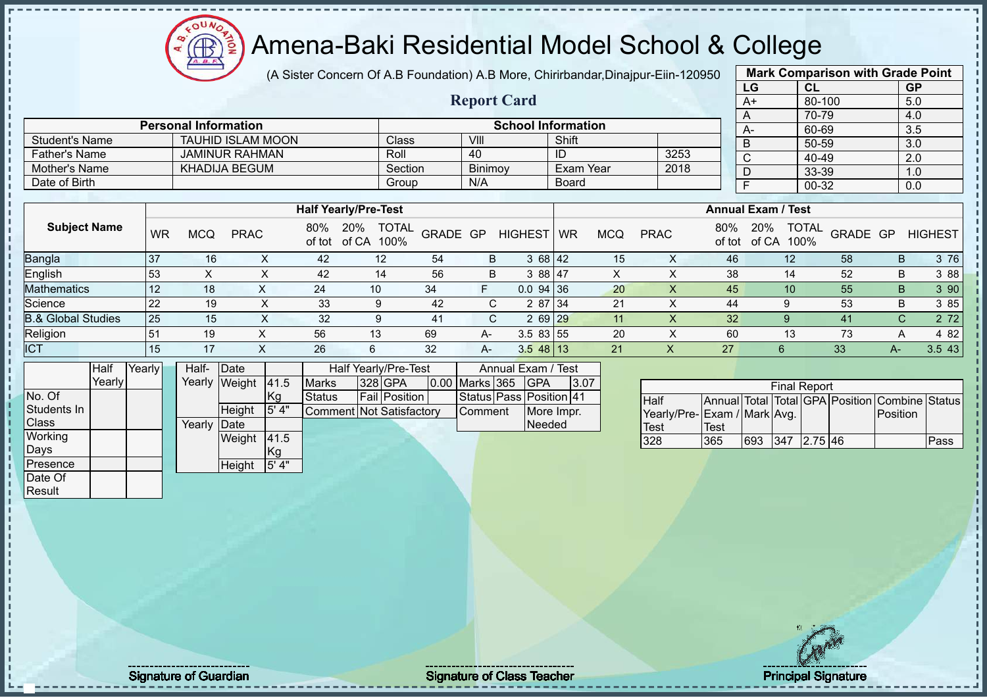(A Sister Concern Of A.B Foundation) A.B More, Chirirbandar, Dinajpur-Eiin-1

**Report Card**

| 20950          |                           | <b>Mark Comparison with Grade Point</b> |                  |
|----------------|---------------------------|-----------------------------------------|------------------|
|                | LG                        | <b>CL</b>                               | <b>GP</b>        |
|                | A+                        | 80-100                                  | 5.0              |
|                | A                         | 70-79                                   | 4.0              |
|                | А-                        | 60-69                                   | $\overline{3.5}$ |
|                | B                         | 50-59                                   | 3.0              |
| 3              | C                         | 40-49                                   | 2.0              |
| $\overline{8}$ | D                         | 33-39                                   | 1.0              |
|                | F                         | $00 - 32$                               | 0.0              |
|                |                           |                                         |                  |
|                | <b>Annual Exam / Test</b> |                                         |                  |

|                      | <b>Personal Information</b> |              |                | <b>School Information</b> |      | $A-$ |
|----------------------|-----------------------------|--------------|----------------|---------------------------|------|------|
| Student's Name       | <b>TAUHID ISLAM MOON</b>    | <b>Class</b> | VIII           | Shift                     |      |      |
| <b>Father's Name</b> | <b>JAMINUR RAHMAN</b>       | Roll         | 40             | ID                        | 3253 |      |
| Mother's Name        | KHADIJA BEGUM               | Section      | <b>Binimov</b> | Exam Year                 | 2018 |      |
| Date of Birth        |                             | Group        | N/A            | <b>Board</b>              |      |      |

|                               |           |     |             |     | <b>Half Yearly/Pre-Test</b>              |          |      |                |    |            |             |               | <b>Annual Exam / Test</b> |                      |          |                |
|-------------------------------|-----------|-----|-------------|-----|------------------------------------------|----------|------|----------------|----|------------|-------------|---------------|---------------------------|----------------------|----------|----------------|
| <b>Subject Name</b>           | <b>WR</b> | MCQ | <b>PRAC</b> | 80% | 20%<br><b>TOTAL</b><br>of tot of CA 100% | GRADE GP |      | <b>HIGHEST</b> | WR | <b>MCQ</b> | <b>PRAC</b> | 80%<br>of tot | 20%<br>of CA              | <b>TOTAL</b><br>100% | GRADE GP | <b>HIGHEST</b> |
| <b>Bangla</b>                 | -37       | 16  | ⌒           | 42  | 12                                       | 54       | B    | 3 68 42        |    | 15         |             | 46            | 12 <sup>°</sup>           | 58                   |          | 3 76<br>B      |
| English                       | 53        |     |             | 42  | 14                                       | 56       | B    | 3 88 47        |    | X          |             | 38            | 14                        | 52                   |          | 3 8 8<br>B     |
| <b>Mathematics</b>            | -12       | 18  |             | 24  | 10                                       | 34       |      | $0.0$ 94 36    |    | 20         |             | 45            | 10                        | 55                   |          | 3 90<br>B      |
| Science                       | -22       | 19  | X           | 33  | 9                                        | 42       | ⌒    | 2 87 34        |    | 21         | v           | 44            |                           | 53                   |          | 3 85<br>B      |
| <b>B.&amp; Global Studies</b> | 25        | 15  | X           | 32  | 9                                        | 41       | C.   | $269$ $29$     |    | 11         |             | 32            |                           | 41                   |          | 2 7 2<br>C.    |
| Religion                      | 51        | 19  |             | 56  | 13                                       | 69       | A-   | $3.583$ 55     |    | 20         |             | 60            | 13                        | 73                   |          | 4 8 2<br>A     |
| <b>ICT</b>                    | 15        | 17  |             | 26  | 6                                        | 32       | $A-$ | $3.548$ 13     |    | 21         | Х           | 27            | 6                         | 33                   | А-       | 3.543          |

|              | Half   | Yearly | Half-  | Date          |       |                          | Half Yearly/Pre-Test |                | Annual Exam / Test      |      |  |
|--------------|--------|--------|--------|---------------|-------|--------------------------|----------------------|----------------|-------------------------|------|--|
|              | Yearly |        |        | Yearly Weight | 41.5  | <b>Marks</b>             | 328 GPA              | 0.00 Marks 365 | <b>IGPA</b>             | 3.07 |  |
| No. Of       |        |        |        |               | Kg    | <b>Status</b>            | <b>Fail Position</b> |                | Status Pass Position 41 |      |  |
| Students In  |        |        |        | Height        | 5' 4" | Comment Not Satisfactory |                      | <b>Comment</b> | More Impr.              |      |  |
| <b>Class</b> |        |        | Yearly | <b>IDate</b>  |       |                          |                      |                | Needed                  |      |  |
| Working      |        |        |        | Weight        | 41.5  |                          |                      |                |                         |      |  |
| Days         |        |        |        |               | Кg    |                          |                      |                |                         |      |  |
| Presence     |        |        |        | Height        | 5' 4" |                          |                      |                |                         |      |  |
| Date Of      |        |        |        |               |       |                          |                      |                |                         |      |  |
| Result       |        |        |        |               |       |                          |                      |                |                         |      |  |

 $12\mu\text{V}$ 

|                             |      |     | <b>Final Report</b> |  |                                                |      |
|-----------------------------|------|-----|---------------------|--|------------------------------------------------|------|
| <b>Half</b>                 |      |     |                     |  | Annual Total Total GPA Position Combine Status |      |
| Yearly/Pre-Exam / Mark Avg. |      |     |                     |  | <b>IPosition</b>                               |      |
| <b>Test</b>                 | Test |     |                     |  |                                                |      |
| 328                         | 365  | 693 | 347 2.75 46         |  |                                                | Pass |

Signature of Guardian Signature of Class T Teacher Principal Signature 19/51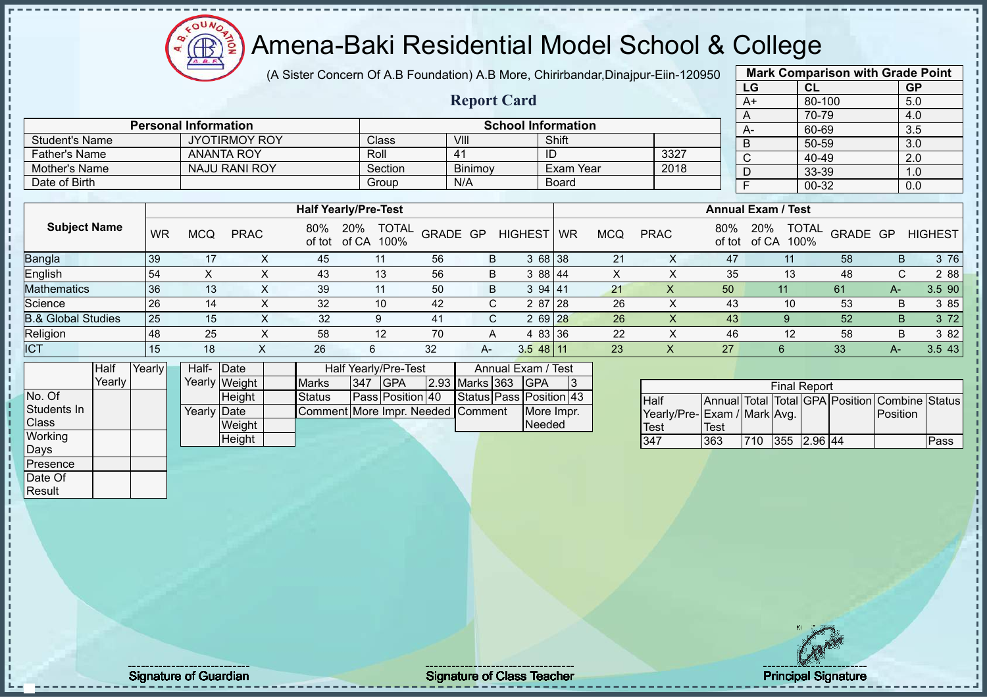# Amena-Baki Residential Model School & College

(A Sister Concern Of A.B Foundation) A.B More, Chirirbandar,Dinajpur-Eiin-120950

**Report Card**

| <b>Mark Comparison with Grade Point</b><br>LG<br><b>GP</b><br>CL<br>$A+$<br>80-100<br>5.0<br>70-79<br>4.0<br>A<br>3.5<br>60-69<br>A-<br>3.0<br>50-59<br>B<br>40-49<br>C<br>2.0<br>D |       |     |  |  |  |  |  |  |  |
|-------------------------------------------------------------------------------------------------------------------------------------------------------------------------------------|-------|-----|--|--|--|--|--|--|--|
|                                                                                                                                                                                     |       |     |  |  |  |  |  |  |  |
|                                                                                                                                                                                     |       |     |  |  |  |  |  |  |  |
|                                                                                                                                                                                     |       |     |  |  |  |  |  |  |  |
|                                                                                                                                                                                     |       |     |  |  |  |  |  |  |  |
|                                                                                                                                                                                     |       |     |  |  |  |  |  |  |  |
|                                                                                                                                                                                     |       |     |  |  |  |  |  |  |  |
|                                                                                                                                                                                     | 33-39 | 1.0 |  |  |  |  |  |  |  |
| F                                                                                                                                                                                   | 00-32 | 0.0 |  |  |  |  |  |  |  |
|                                                                                                                                                                                     |       |     |  |  |  |  |  |  |  |

|                      |                             |                    |                |                           |      |       | 70-79 |
|----------------------|-----------------------------|--------------------|----------------|---------------------------|------|-------|-------|
|                      | <b>Personal Information</b> |                    |                | <b>School Information</b> |      | $A^2$ | 60-69 |
| Student's Name       | <b>JYOTIRMOY ROY</b>        | Class <sup>1</sup> | VII.           | Shift                     |      | B     | 50-59 |
| <b>Father's Name</b> | <b>ANANTA ROY</b>           | Roll               |                | ID                        | 3327 | ∼     | 40-49 |
| Mother's Name        | <b>NAJU RANI ROY</b>        | Section            | <b>Binimov</b> | ∖Exam Year                | 2018 |       | 33-39 |
| Date of Birth        |                             | Group              | N/A            | Board                     |      |       | 00-32 |
|                      |                             |                    |                |                           |      |       |       |

|                               |     |     |             |     | <b>Half Yearly/Pre-Test</b> |              |          |      |                |           |            |             |     |                     | <b>Annual Exam / Test</b> |          |             |                |
|-------------------------------|-----|-----|-------------|-----|-----------------------------|--------------|----------|------|----------------|-----------|------------|-------------|-----|---------------------|---------------------------|----------|-------------|----------------|
| <b>Subject Name</b>           | WR  | MCQ | <b>PRAC</b> | 80% | 20%<br>of tot of CA 100%    | <b>TOTAL</b> | GRADE GP |      | <b>HIGHEST</b> | <b>WR</b> | <b>MCQ</b> | <b>PRAC</b> | 80% | 20%<br>of tot of CA | <b>TOTAL</b><br>100%      | GRADE GP |             | <b>HIGHEST</b> |
| Bangla                        | 39  | 17  |             | 45  | 11                          |              | 56       | B    | 3 68 38        |           | 21         |             | 47  |                     |                           | 58       | B.          | 3 76           |
| English                       | -54 |     |             | 43  | 13                          |              | 56       | B    | 3 88 44        |           |            |             | 35  |                     | 13                        | 48       | $\sim$<br>U | 2 8 8          |
| <b>Mathematics</b>            | 36  | 13  |             | 39  | 11                          |              | 50       | B    | 394141         |           | 21         | ∧           | 50  |                     |                           | 61       | $A-$        | 3.5 90         |
| Science                       | 26  | 14  | $\sim$      | 32  | 10                          |              | 42       |      | 2 87 28        |           | 26         |             | 43  |                     |                           | 53       | B           | 3 85           |
| <b>B.&amp; Global Studies</b> | 25  | 15  |             | 32  |                             |              | 41       | C.   | 2 69 28        |           | 26         |             | 43  |                     | 9                         | 52       | B.          | 3 7 2          |
| Religion                      | 48  | 25  |             | 58  | 12                          |              | 70       | A    | 4 83 36        |           | 22         |             | 46  |                     | 12                        | 58       | B           | 3 82           |
| <b>ICT</b>                    | 15  | 18  | Λ           | 26  |                             |              | 32       | $A-$ | $3.548$ 11     |           | 23         | ∧           | 27  |                     |                           | 33       | A-          | 3.543          |

|              | Half   | Yearly | Half- Date           |               |                                   |     | Half Yearly/Pre-Test |                | Annual Exam / Test      |   |  |
|--------------|--------|--------|----------------------|---------------|-----------------------------------|-----|----------------------|----------------|-------------------------|---|--|
|              | Yearlv |        |                      | Yearly Weight | <b>Marks</b>                      | 347 | <b>IGPA</b>          | 2.93 Marks 363 | <b>IGPA</b>             | 3 |  |
| No. Of       |        |        |                      | <b>Height</b> | <b>Status</b>                     |     | Pass Position 40     |                | Status Pass Position 43 |   |  |
| Students In  |        |        | Yearlv <b>I</b> Date |               | Comment More Impr. Needed Comment |     |                      |                | More Impr.              |   |  |
| <b>Class</b> |        |        |                      | Weight        |                                   |     |                      |                | Needed                  |   |  |
| Working      |        |        |                      | Height        |                                   |     |                      |                |                         |   |  |
| Days         |        |        |                      |               |                                   |     |                      |                |                         |   |  |
| IPresence    |        |        |                      |               |                                   |     |                      |                |                         |   |  |

| <b>Final Report</b>         |      |     |             |  |  |                                                |      |  |  |  |  |  |  |  |
|-----------------------------|------|-----|-------------|--|--|------------------------------------------------|------|--|--|--|--|--|--|--|
| <b>Half</b>                 |      |     |             |  |  | Annual Total Total GPA Position Combine Status |      |  |  |  |  |  |  |  |
| Yearly/Pre-Exam / Mark Avg. |      |     |             |  |  | <b>IPosition</b>                               |      |  |  |  |  |  |  |  |
| <b>Test</b>                 | Test |     |             |  |  |                                                |      |  |  |  |  |  |  |  |
| 347                         | 363  | 710 | 355 2.96 44 |  |  |                                                | Pass |  |  |  |  |  |  |  |

Date Of Result

Signature of Guardian Signature of Class Teacher Principal Signature of Class Teacher Principal Signature 2015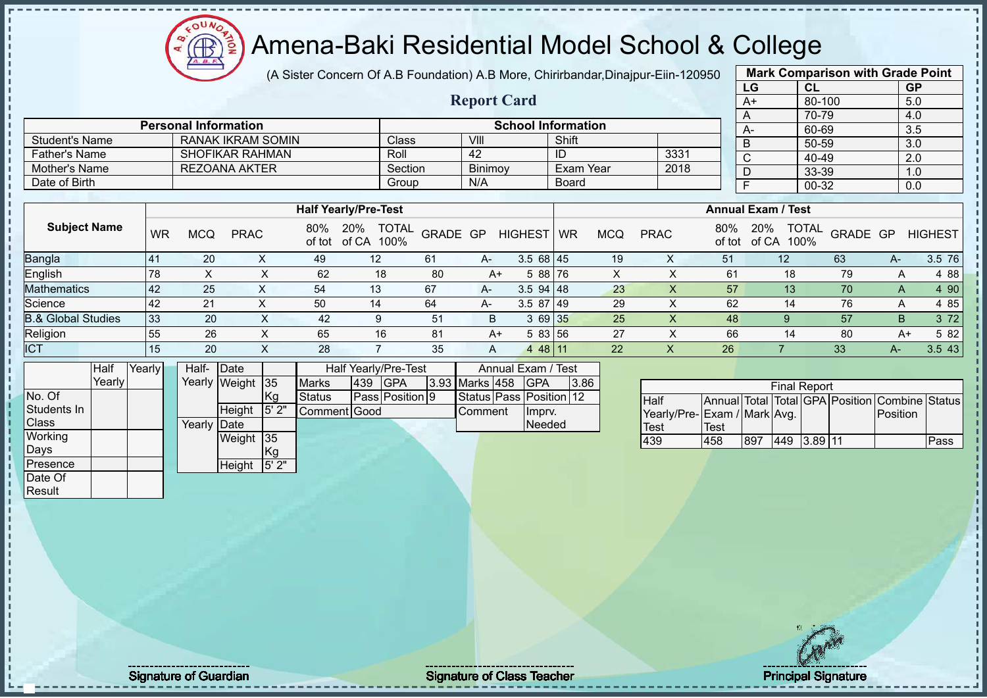(A Sister Concern Of A.B Foundation) A.B More, Chirirbandar,Dinajpur-Eiin-120950

**Report Card**

|      | <b>Mark Comparison with Grade Point</b> |           |
|------|-----------------------------------------|-----------|
| LG   | <b>CL</b>                               | <b>GP</b> |
| $A+$ | $80 - 100$                              | 5.0       |
| A    | 70-79                                   | 4.0       |
| А-   | 60-69                                   | 3.5       |
| B    | 50-59                                   | 3.0       |
| C    | 40-49                                   | 2.0       |
| D    | 33-39                                   | 1.0       |
|      | 00-32                                   | 0.0       |
|      |                                         |           |

|                               |           |            |                      |               |                                      |          |       |                |             |            |             |               | ◡                         | <u>oo oo </u>        |          |    | v.v            |
|-------------------------------|-----------|------------|----------------------|---------------|--------------------------------------|----------|-------|----------------|-------------|------------|-------------|---------------|---------------------------|----------------------|----------|----|----------------|
| Father's Name                 |           |            | SHOFIKAR RAHMAN      |               | Roll                                 |          | 42    |                |             |            | 3331        |               | $\sim$                    | 40-49                |          |    | 2.0            |
| Mother's Name                 |           |            | <b>REZOANA AKTER</b> |               | Section                              |          |       | Binimoy        |             | Exam Year  | 2018        |               |                           | 33-39                |          |    | 1.0            |
| Date of Birth                 |           |            |                      |               | Group                                |          | N/A   |                | Board       |            |             |               |                           | 00-32                |          |    | 0.0            |
|                               |           |            |                      |               |                                      |          |       |                |             |            |             |               |                           |                      |          |    |                |
|                               |           |            |                      |               | <b>Half Yearly/Pre-Test</b>          |          |       |                |             |            |             |               | <b>Annual Exam / Test</b> |                      |          |    |                |
| <b>Subject Name</b>           | <b>WR</b> | <b>MCQ</b> | <b>PRAC</b>          | 80%<br>of tot | <b>TOTAL</b><br>20%<br>of CA<br>100% | GRADE GP |       | <b>HIGHEST</b> | <b>I</b> WR | <b>MCQ</b> | <b>PRAC</b> | 80%<br>of tot | <b>20%</b><br>of CA       | <b>TOTAL</b><br>100% | GRADE GP |    | <b>HIGHEST</b> |
| <b>Bangla</b>                 | 41        | 20         | $\sim$               | 49            | 12                                   | 61       | $A -$ | 3.568145       |             | 19         | X           | 51            | 12                        |                      | 63       | A- | 3.5 76         |
| English                       | 78        | X          | ᄉ                    | 62            | 18                                   | 80       | $A+$  | 5 88 76        |             | X          | X           | 61            |                           | 18                   | 79       | A  | 4 8 8          |
| Mathematics                   | 42        | 25         | $\sim$               | 54            | 13                                   | 67       | A-    | 3.594148       |             | 23         | X           | 57            |                           | 13                   | 70       | A  | 4 90           |
| Science                       | 42        | 21         | $\lambda$            | 50            | 14                                   | 64       | A-    | $3.587$ 49     |             | 29         | X           | 62            |                           | 14                   | 76       | A  | 4 8 5          |
| <b>B.&amp; Global Studies</b> | 33        | 20         | X.                   | 42            | 9                                    | 51       | B     | 3 69 35        |             | 25         | X           | 48            |                           |                      | 57       | B  | 3 7 2          |
| Religion                      | 55        | 26         |                      | 65            | 16                                   | 81       | A+    | 5 83 56        |             | 27         |             | 66            | 14                        |                      | 80       | A+ | 5 82           |

ICT 15 20 X 28 7 35 A 4 48 11 22 X 26 7 33 A- 3.5 43

|                 | Half   | Yearly | Half-  | Date          |       |               |     | <b>Half Yearly/Pre-Test</b> | Annual Exam / Test |           |  |                         |      |
|-----------------|--------|--------|--------|---------------|-------|---------------|-----|-----------------------------|--------------------|-----------|--|-------------------------|------|
|                 | Yearly |        |        | Yearly Weight | 35    | <b>Marks</b>  | 439 | <b>GPA</b>                  | 3.93               | Marks 458 |  | <b>IGPA</b>             | 3.86 |
| No. Of          |        |        |        |               | Kg    | <b>Status</b> |     | Pass Position 9             |                    |           |  | Status Pass Position 12 |      |
| Students In     |        |        |        | Height        | 15'2" | Comment Good  |     |                             |                    | Comment   |  | Impry.                  |      |
| Class           |        |        | Yearlv | <b>IDate</b>  |       |               |     |                             |                    |           |  | Needed                  |      |
| Working         |        |        |        | Weight        | 35    |               |     |                             |                    |           |  |                         |      |
| Days            |        |        |        |               | Kg    |               |     |                             |                    |           |  |                         |      |
| Presence        |        |        |        | Height        | 5'2"  |               |     |                             |                    |           |  |                         |      |
| Date Of         |        |        |        |               |       |               |     |                             |                    |           |  |                         |      |
| <b>I</b> Result |        |        |        |               |       |               |     |                             |                    |           |  |                         |      |

 $12\mu\text{V}$ 

**Personal Information**<br> **RANAK IKRAM SOMIN**<br> **Class**<br> **School Information**<br> **School Information**<br> **Shift** 

| <b>Final Report</b>          |       |     |     |           |  |                                                |      |  |  |  |  |  |  |  |
|------------------------------|-------|-----|-----|-----------|--|------------------------------------------------|------|--|--|--|--|--|--|--|
| <b>I</b> Half                |       |     |     |           |  | Annual Total Total GPA Position Combine Status |      |  |  |  |  |  |  |  |
| Yearly/Pre- Exam / Mark Avg. |       |     |     |           |  | <b>IPosition</b>                               |      |  |  |  |  |  |  |  |
| <b>Test</b>                  | 'Test |     |     |           |  |                                                |      |  |  |  |  |  |  |  |
| 439                          | 458   | 897 | 449 | $3.89$ 11 |  |                                                | Pass |  |  |  |  |  |  |  |

Student's Name RANAK IKRAM SOMIN

Æ

Signature of Guardian Signature Signature of Class Teacher Principal Signature 21/51/51 Principal Signature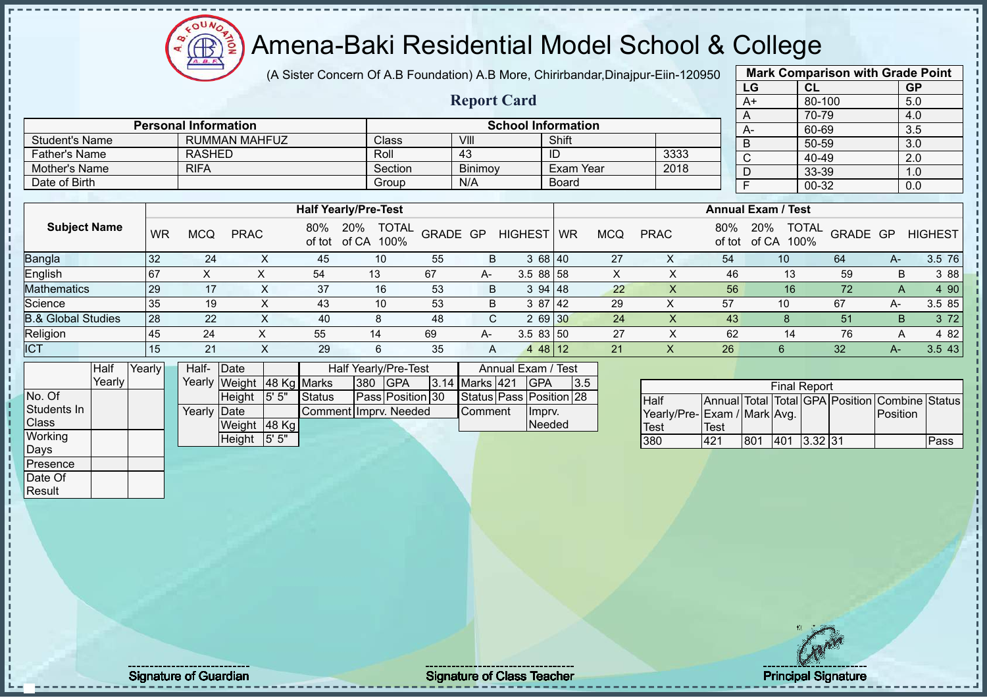### Amena-Baki Residential Model School & College

(A Sister Concern Of A.B Foundation) A.B More, Chirirbandar,Dinajpur-Eiin-120950

**Report Card**

|                         | <b>Mark Comparison with Grade Point</b> |           |
|-------------------------|-----------------------------------------|-----------|
| LG                      | <b>CL</b>                               | <b>GP</b> |
| $A+$                    | 80-100                                  | 5.0       |
| A                       | 70-79                                   | 4.0       |
| A-                      | 60-69                                   | 3.5       |
| B                       | $50 - 59$                               | 3.0       |
| $\overline{\mathsf{C}}$ | $40 - 49$                               | 2.0       |
| D                       | 33-39                                   | 1.0       |
| F                       | 00-32                                   | 0.0       |
|                         |                                         |           |

| Mother's Name                 |           | <b>RIFA</b> |             |               | Section                     |          | Binimoy |                | Exam Year                 |            | 2018        |               |                      | 33-39                    |      | 1.0            |
|-------------------------------|-----------|-------------|-------------|---------------|-----------------------------|----------|---------|----------------|---------------------------|------------|-------------|---------------|----------------------|--------------------------|------|----------------|
| Date of Birth                 |           |             |             |               | Group                       |          | N/A     |                | Board                     |            |             |               |                      | 00-32                    |      | 0.0            |
|                               |           |             |             |               |                             |          |         |                |                           |            |             |               |                      |                          |      |                |
|                               |           |             |             |               | <b>Half Yearly/Pre-Test</b> |          |         |                | <b>Annual Exam / Test</b> |            |             |               |                      |                          |      |                |
| <b>Subject Name</b>           | <b>WR</b> | <b>MCQ</b>  | <b>PRAC</b> | 80%<br>of tot | TOTAL<br>20%<br>of CA 100%  | GRADE GP |         | <b>HIGHEST</b> | <b>WR</b>                 | <b>MCQ</b> | <b>PRAC</b> | 80%<br>of tot | 20%<br>of CA<br>100% | <b>TOTAL</b><br>GRADE GP |      | <b>HIGHEST</b> |
| Bangla                        | 32        | 24          | x           | 45            | 10                          | 55       | B       |                | 3 68 40                   | 27         | X           | 54            | 10 <sup>°</sup>      | 64                       | $A-$ | 3.5 76         |
| English                       | 167       | X           |             | 54            | 13                          | 67       | A-      | 3.588158       |                           | X          | х           | 46            | 13                   | 59                       | B    | 3 88           |
| <b>Mathematics</b>            | 29        | 17          | X.          | 37            | 16                          | 53       | B       |                | 394 48                    | 22         | X           | 56            | 16                   | 72                       | A    | 4 90           |
| Science                       | 35        | 19          | X           | 43            | 10                          | 53       | B       |                | 3 87 42                   | 29         | X           | 57            | 10                   | 67                       | A-   | 3.5 85         |
| <b>B.&amp; Global Studies</b> | 28        | 22          | X           | 40            | 8                           | 48       | C       |                | 2 69 30                   | 24         | X.          | 43            | 8                    | 51                       | B.   | 3 7 2          |
| Religion                      | 45        | 24          |             | 55            | 14                          | 69       | A-      | 3.583150       |                           | 27         |             | 62            | 14                   | 76                       | A    | 4 8 2          |
| <b>ICT</b>                    | 15        | 21          | X           | 29            | 6                           | 35       | A       |                | 4 48 12                   | 21         | х           | 26            | 6                    | 32                       | A-   | 3.543          |

|              | Half     | Yearly | Half-                | Date                      |          |                       |     | Half Yearly/Pre-Test |  | Annual Exam / Test |                         |     |
|--------------|----------|--------|----------------------|---------------------------|----------|-----------------------|-----|----------------------|--|--------------------|-------------------------|-----|
|              | Yearlv l |        |                      | Yearly Weight 48 Kg Marks |          |                       | 380 | <b>IGPA</b>          |  | 3.14 Marks 421     | <b>IGPA</b>             | 3.5 |
| No. Of       |          |        |                      | <b>Height</b>             | 15'5''   | <b>Status</b>         |     | Pass Position 30     |  |                    | Status Pass Position 28 |     |
| Students In  |          |        | Yearlv <b>I</b> Date |                           |          | Comment Imprv. Needed |     |                      |  | <b>Comment</b>     | Ilmpry.                 |     |
| <b>Class</b> |          |        |                      | Weight                    | $ 48$ Kg |                       |     |                      |  |                    | Needed                  |     |
| Working      |          |        |                      | Height                    | 5' 5"    |                       |     |                      |  |                    |                         |     |
| Days         |          |        |                      |                           |          |                       |     |                      |  |                    |                         |     |
| Presence     |          |        |                      |                           |          |                       |     |                      |  |                    |                         |     |

Student's Name RUMMAN MAHFUZ Class VIII Shift<br>Father's Name RASHED ROII 43 ID

**Personal Information School Information** 

Father's Name RASHED ROLL 43 ID 3333

| <b>Final Report</b>         |      |     |     |           |  |                                                |      |  |  |  |  |  |  |
|-----------------------------|------|-----|-----|-----------|--|------------------------------------------------|------|--|--|--|--|--|--|
| <b>I</b> Half               |      |     |     |           |  | Annual Total Total GPA Position Combine Status |      |  |  |  |  |  |  |
| Yearly/Pre-Exam / Mark Avg. |      |     |     |           |  | <b>IPosition</b>                               |      |  |  |  |  |  |  |
| Test                        | Test |     |     |           |  |                                                |      |  |  |  |  |  |  |
| 380                         | 421  | 801 | 401 | $3.32$ 31 |  |                                                | Pass |  |  |  |  |  |  |

Date Of **Result** 

 $\blacksquare$ 

Signature of Guardian Signature Signature of Class Teacher New York Constitution of Class Teacher Principal Signature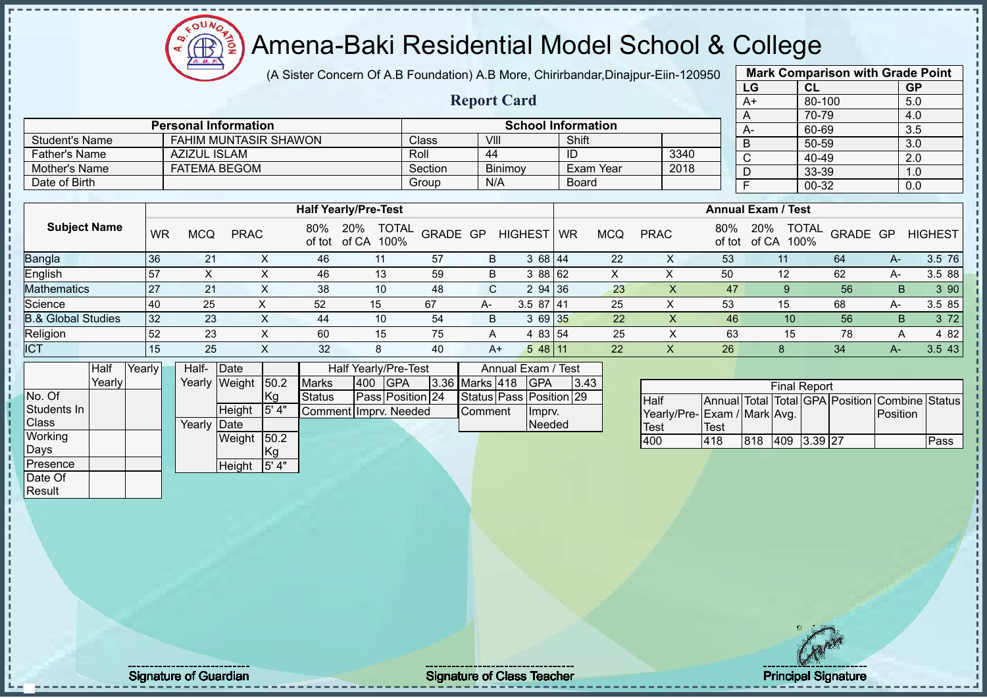(A Sister Concern Of A.B Foundation) A.B More, Chirirbandar,Dinajpur-Eiin-120950

**Report Card**

| <b>Mark Comparison with Grade Point</b> |           |           |  |  |  |  |  |  |  |  |  |  |
|-----------------------------------------|-----------|-----------|--|--|--|--|--|--|--|--|--|--|
| LG                                      | <b>CL</b> | <b>GP</b> |  |  |  |  |  |  |  |  |  |  |
| $A+$                                    | 80-100    | 5.0       |  |  |  |  |  |  |  |  |  |  |
| A                                       | 70-79     | 4.0       |  |  |  |  |  |  |  |  |  |  |
| A-                                      | 60-69     | 3.5       |  |  |  |  |  |  |  |  |  |  |
| $rac{B}{C}$                             | 50-59     | 3.0       |  |  |  |  |  |  |  |  |  |  |
|                                         | 40-49     | 2.0       |  |  |  |  |  |  |  |  |  |  |
| D                                       | 33-39     | 1.0       |  |  |  |  |  |  |  |  |  |  |
| F                                       | $00 - 32$ | 0.0       |  |  |  |  |  |  |  |  |  |  |
|                                         |           |           |  |  |  |  |  |  |  |  |  |  |

|                      | <b>Personal Information</b>  |         |                | <b>School Information</b> |      |
|----------------------|------------------------------|---------|----------------|---------------------------|------|
| Student's Name       | <b>FAHIM MUNTASIR SHAWON</b> | Class   | VIII           | Shift                     |      |
| <b>Father's Name</b> | AZIZUL ISLAM                 | Roll    | 44             | ID                        | 3340 |
| Mother's Name        | FATEMA BEGOM                 | Section | <b>Binimov</b> | Exam Year                 | 2018 |
| Date of Birth        |                              | Group   | N/A            | Board                     |      |

|                               |           | <b>Half Yearly/Pre-Test</b> |             |               |                                      |          |    |                |           | <b>Annual Exam / Test</b> |             |               |              |                                  |    |                |  |
|-------------------------------|-----------|-----------------------------|-------------|---------------|--------------------------------------|----------|----|----------------|-----------|---------------------------|-------------|---------------|--------------|----------------------------------|----|----------------|--|
| <b>Subject Name</b>           | <b>WR</b> | <b>MCQ</b>                  | <b>PRAC</b> | 80%<br>of tot | <b>TOTAL</b><br>20%<br>of CA<br>100% | GRADE GP |    | <b>HIGHEST</b> | <b>WR</b> | <b>MCQ</b>                | <b>PRAC</b> | 80%<br>of tot | 20%<br>of CA | <b>TOTAL</b><br>GRADE GP<br>100% |    | <b>HIGHEST</b> |  |
| <b>Bangla</b>                 | 36        | 21                          |             | 46            | 11                                   | 57       | B  | 368 44         |           | 22                        | ∧           | 53            |              | 64                               | A- | 3.5 76         |  |
| English                       | 57        |                             |             | 46            | 13                                   | 59       | B  | 3 88 62        |           |                           | ⌒           | 50            | 12           | 62                               | A- | 3.5 88         |  |
| <b>Mathematics</b>            | 27        | 21                          |             | 38            | 10                                   | 48       | C. | 294 36         |           | 23                        |             | 47            |              | 56                               | B  | 3 90           |  |
| Science                       | 40        | 25                          |             | 52            | 15                                   | 67       | A- | $3.587$   41   |           | 25                        | v<br>́      | 53            | 15           | 68                               | A- | 3.5 85         |  |
| <b>B.&amp; Global Studies</b> | 32        | 23                          |             | 44            | 10                                   | 54       | B  | 3 69 35        |           | 22                        |             | 46            | 10           | 56                               | B. | 3 72           |  |
| Religion                      | 52        | 23                          |             | 60            | 15                                   | 75       | A  | 4 83 54        |           | 25                        |             | 63            | 15           | 78                               | A  | 4 8 2          |  |
| <b>ICT</b>                    | 15        | 25                          |             | 32            | 8                                    | 40       | A+ | 548 11         |           | 22                        | х           | 26            |              | 34                               |    | 3.543          |  |

|              | Half    | Yearly | Half-  | Date         |                 |                       |     | <b>Half Yearly/Pre-Test</b> | Annual Exam / Test |                |  |                         |      |
|--------------|---------|--------|--------|--------------|-----------------|-----------------------|-----|-----------------------------|--------------------|----------------|--|-------------------------|------|
|              | Yearlvl |        | Yearly | Weight       | 50.2            | <b>Marks</b>          | 400 | <b>GPA</b>                  |                    | 3.36 Marks 418 |  | <b>IGPA</b>             | 3.43 |
| No. Of       |         |        |        |              | Kg              | <b>Status</b>         |     | Pass Position 24            |                    |                |  | Status Pass Position 29 |      |
| Students In  |         |        |        | Height       | 5'4"            | Comment Imprv. Needed |     |                             |                    | Comment        |  | Impry.                  |      |
| <b>Class</b> |         |        | Yearly | <b>IDate</b> |                 |                       |     |                             |                    |                |  | <b>Needed</b>           |      |
| Working      |         |        |        | Weight       | 50.2            |                       |     |                             |                    |                |  |                         |      |
| Days         |         |        |        |              | <sub>I</sub> Kg |                       |     |                             |                    |                |  |                         |      |
| Presence     |         |        |        | Height       | 5' 4"           |                       |     |                             |                    |                |  |                         |      |
| Date Of      |         |        |        |              |                 |                       |     |                             |                    |                |  |                         |      |

 $12\mu\text{V}$ 

**AR** 

| <b>Final Report</b><br>Annual Total Total GPA Position Combine Status |             |     |     |         |  |          |      |  |  |  |  |  |
|-----------------------------------------------------------------------|-------------|-----|-----|---------|--|----------|------|--|--|--|--|--|
| <b>I</b> Half                                                         |             |     |     |         |  |          |      |  |  |  |  |  |
| Yearly/Pre-Exam / Mark Avg.                                           |             |     |     |         |  | Position |      |  |  |  |  |  |
| Test                                                                  | <b>Test</b> |     |     |         |  |          |      |  |  |  |  |  |
| 400                                                                   | 418         | 818 | 409 | 3.39 27 |  |          | Pass |  |  |  |  |  |

Result

Signature of Guardian Signature of Class Teacher Principal Signature of Class Teacher Principal Signature 23/5<br>
23/51 Signature 23/51 Signature 23/51 Signature 23/51 Signature 23/51 Signature 23/51 Signature 23/51 Signatur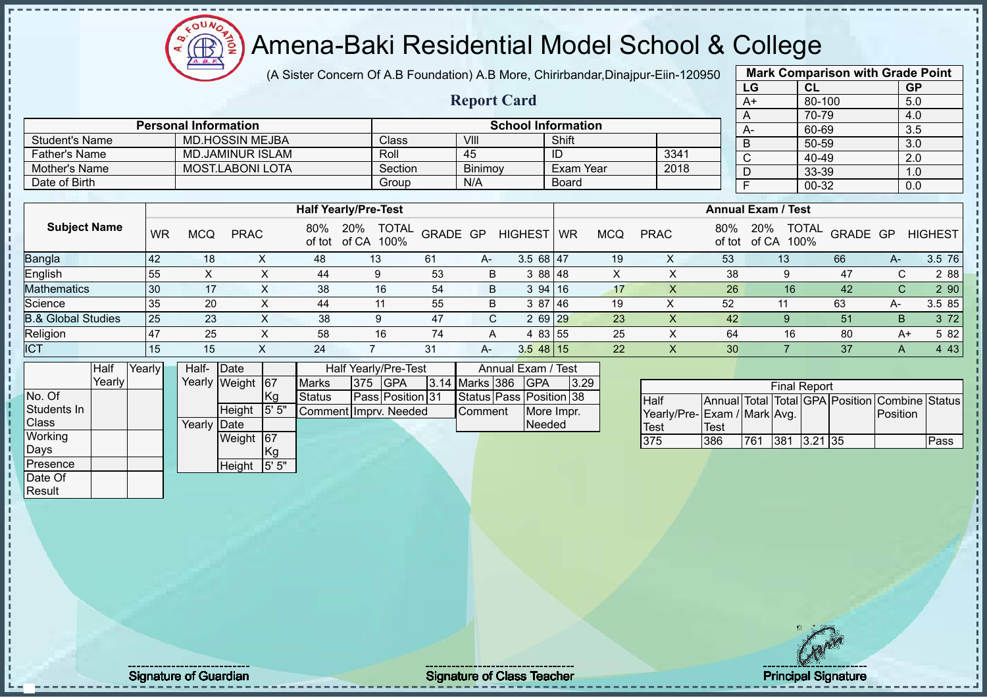

(A Sister Concern Of A.B Foundation) A.B More, Chirirbandar,Dinajpur-Eiin-120950

**Report Card**

| <b>Mark Comparison with Grade Point</b> |        |           |  |  |  |  |  |  |  |
|-----------------------------------------|--------|-----------|--|--|--|--|--|--|--|
| LG                                      | CL     | <b>GP</b> |  |  |  |  |  |  |  |
| $A+$                                    | 80-100 | 5.0       |  |  |  |  |  |  |  |
| A                                       | 70-79  | 4.0       |  |  |  |  |  |  |  |
| A-                                      | 60-69  | 3.5       |  |  |  |  |  |  |  |
| B                                       | 50-59  | 3.0       |  |  |  |  |  |  |  |
| $\mathsf{C}$                            | 40-49  | 2.0       |  |  |  |  |  |  |  |
| D                                       | 33-39  | 1.0       |  |  |  |  |  |  |  |
| F<br>00-32<br>0.0                       |        |           |  |  |  |  |  |  |  |
|                                         |        |           |  |  |  |  |  |  |  |

| Date of Birth                 |     |            |             |     |                             | Group        | N/A      |                | Board |            |             |               |                           | 00-32                |          |        | 0.0            |
|-------------------------------|-----|------------|-------------|-----|-----------------------------|--------------|----------|----------------|-------|------------|-------------|---------------|---------------------------|----------------------|----------|--------|----------------|
|                               |     |            |             |     |                             |              |          |                |       |            |             |               |                           |                      |          |        |                |
|                               |     |            |             |     | <b>Half Yearly/Pre-Test</b> |              |          |                |       |            |             |               | <b>Annual Exam / Test</b> |                      |          |        |                |
| <b>Subject Name</b>           | WR  | <b>MCQ</b> | <b>PRAC</b> | 80% | 20%<br>of tot of CA 100%    | <b>TOTAL</b> | GRADE GP | HIGHEST WR     |       | <b>MCQ</b> | <b>PRAC</b> | 80%<br>of tot | 20%<br>of CA              | <b>TOTAL</b><br>100% | GRADE GP |        | <b>HIGHEST</b> |
| Bangla                        | 42  | 18         |             | 48  | 13                          | -61          | A-       | 3.568147       |       | 19         | $\lambda$   | 53            |                           | 13                   | 66       | А-     | 3.5 76         |
| English                       | 55  |            | ∧           | 44  | 9                           | 53           |          | 3 88 48<br>B   |       | X          |             | 38            |                           | 9                    | 47       | ⌒<br>U | 2 8 8          |
| <b>Mathematics</b>            | 30  | 17         | ㅅ           | 38  | 16                          | 54           |          | 394 16<br>B    |       | 17         |             | 26            |                           | 16                   | 42       | С      | 2 90           |
| Science                       | 35  | 20         | ㅅ           | 44  | 11                          | 55           |          | 3 87 46<br>B   |       | 19         | ⋏           | 52            |                           | 11                   | 63       | A-     | 3.5 85         |
| <b>B.&amp; Global Studies</b> | 25  | 23         | X           | 38  | 9                           | 47           |          | $269$ 29<br>C. |       | 23         | X           | 42            |                           | 9                    | 51       | B.     | 3 7 2          |
| Religion                      | 147 | 25         | х           | 58  | 16                          | 74           |          | 4 83 55<br>A   |       | 25         | x           | 64            |                           | 16                   | 80       | $A+$   | 5 82           |
| <b>ICT</b>                    | 15  | 15         |             | 24  |                             | 31           | A-       | $3.548$ 15     |       | 22         |             | 30            |                           |                      | 37       | A      | 4 4 3          |

|              | Half   | Yearly | Half-  | Date             |       |                       |     | Half Yearly/Pre-Test | Annual Exam / Test |  |                         |      |
|--------------|--------|--------|--------|------------------|-------|-----------------------|-----|----------------------|--------------------|--|-------------------------|------|
|              | Yearly |        |        | Yearly Weight 67 |       | <b>Marks</b>          | 375 | <b>IGPA</b>          | 3.14 Marks 386     |  | <b>IGPA</b>             | 3.29 |
| No. Of       |        |        |        |                  | Kg.   | Status                |     | Pass Position 31     |                    |  | Status Pass Position 38 |      |
| Students In  |        |        |        | Height           | 5' 5" | Comment Imprv. Needed |     |                      | Comment            |  | More Impr.              |      |
| <b>Class</b> |        |        | Yearly | <b>IDate</b>     |       |                       |     |                      |                    |  | Needed                  |      |
| Working      |        |        |        | Weight           | 167   |                       |     |                      |                    |  |                         |      |
| Days         |        |        |        |                  | Kg    |                       |     |                      |                    |  |                         |      |
| Presence     |        |        |        | Height           | 5'5'' |                       |     |                      |                    |  |                         |      |
| Date Of      |        |        |        |                  |       |                       |     |                      |                    |  |                         |      |
| Result       |        |        |        |                  |       |                       |     |                      |                    |  |                         |      |

Student's Name MD.HOSSIN MEJBA Class VIII Shift<br>Father's Name MD.JAMINUR ISLAM Roll 45 ID

**Personal Information School Information** 

Father's Name MD.JAMINUR ISLAM Roll 45 ID 3341 Mother's Name MOST.LABONI LOTA Section Binimoy Exam Year 2018

|                             |      |     | <b>Final Report</b> |  |                                                |      |
|-----------------------------|------|-----|---------------------|--|------------------------------------------------|------|
| <b>Half</b>                 |      |     |                     |  | Annual Total Total GPA Position Combine Status |      |
| Yearly/Pre-Exam / Mark Avg. |      |     |                     |  | Position                                       |      |
| <b>Test</b>                 | Test |     |                     |  |                                                |      |
| 375                         | 386  | 761 | 381 3.21 35         |  |                                                | Pass |

Signature of Guardian Signature Signature of Class Teacher Number 2016 2017 2017 2018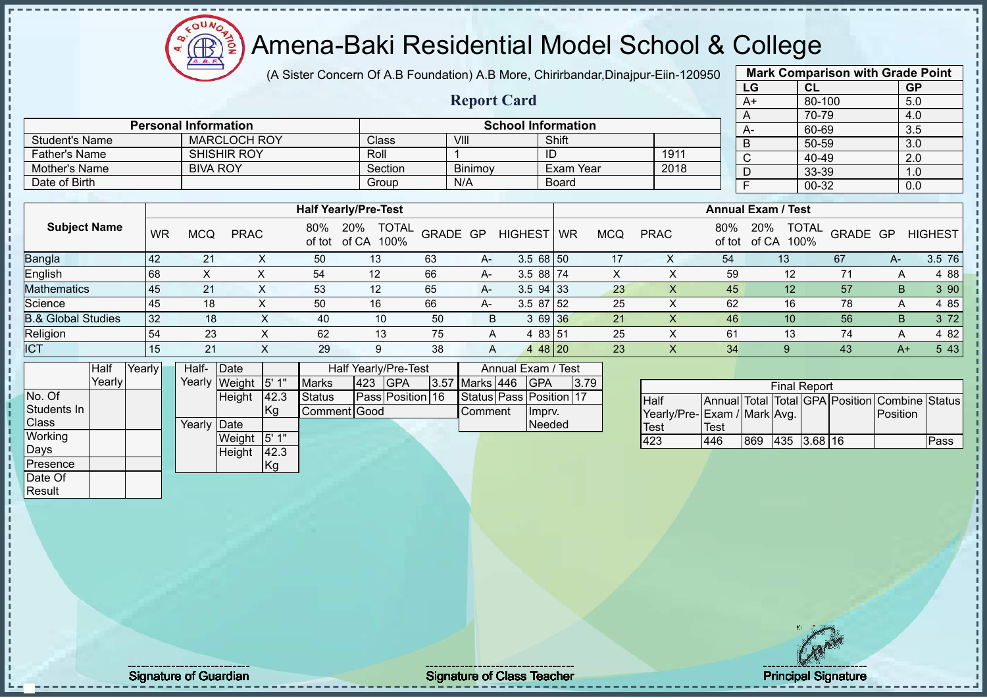### Amena-Baki Residential Model School & College

(A Sister Concern Of A.B Foundation) A.B More, Chirirbandar,Dinajpur-Eiin-120950

**Report Card**

| <b>Mark Comparison with Grade Point</b> |           |           |  |  |  |  |  |  |
|-----------------------------------------|-----------|-----------|--|--|--|--|--|--|
| LG                                      | <b>CL</b> | <b>GP</b> |  |  |  |  |  |  |
| $A+$                                    | 80-100    | 5.0       |  |  |  |  |  |  |
| A                                       | 70-79     | 4.0       |  |  |  |  |  |  |
| A-                                      | 60-69     | 3.5       |  |  |  |  |  |  |
| B                                       | 50-59     | 3.0       |  |  |  |  |  |  |
| $\overline{\text{c}}$                   | 40-49     | 2.0       |  |  |  |  |  |  |
| D                                       | 33-39     | 1.0       |  |  |  |  |  |  |
| F                                       | 0.0       |           |  |  |  |  |  |  |
|                                         |           |           |  |  |  |  |  |  |

| Date of Birth                 |           |            |             |               | Group                                |          | N/A  |                | <b>Board</b>              |     |             |               |              | 00-32                |          |      | 0.0            |  |
|-------------------------------|-----------|------------|-------------|---------------|--------------------------------------|----------|------|----------------|---------------------------|-----|-------------|---------------|--------------|----------------------|----------|------|----------------|--|
|                               |           |            |             |               |                                      |          |      |                |                           |     |             |               |              |                      |          |      |                |  |
|                               |           |            |             |               | <b>Half Yearly/Pre-Test</b>          |          |      |                | <b>Annual Exam / Test</b> |     |             |               |              |                      |          |      |                |  |
| <b>Subject Name</b>           | <b>WR</b> | <b>MCQ</b> | <b>PRAC</b> | 80%<br>of tot | <b>TOTAL</b><br>20%<br>of CA<br>100% | GRADE GP |      | <b>HIGHEST</b> | <b>WR</b>                 | MCQ | <b>PRAC</b> | 80%<br>of tot | 20%<br>of CA | <b>TOTAL</b><br>100% | GRADE GP |      | <b>HIGHEST</b> |  |
| <b>Bangla</b>                 | 42        | 21         |             | 50            | 13                                   | 63       | $A-$ | $3.568$ 50     |                           | 17  |             | 54            | 13           |                      | 67       | A-   | 3.5 76         |  |
| English                       | 68        | X          |             | 54            | 12                                   | 66       | A-   | $3.588$ 74     |                           | X.  |             | 59            |              | 12                   |          | A    | 4 8 8          |  |
| <b>Mathematics</b>            | 45        | 21         |             | 53            | 12                                   | 65       | A-   | $3.5$ 94 33    |                           | 23  |             | 45            |              | 12 <sup>°</sup>      | 57       | B.   | 3 90           |  |
| Science                       | 45        | 18         |             | 50            | 16                                   | 66       | A-   | $3.587$ 52     |                           | 25  |             | 62            |              | 16                   | 78       | A    | 4 8 5          |  |
| <b>B.&amp; Global Studies</b> | 32        | 18         |             | 40            | 10                                   | 50       | B    | 3 69 36        |                           | 21  |             | 46            |              | 10                   | 56       | B.   | 3 72           |  |
| Religion                      | 54        | 23         |             | 62            | 13                                   | 75       | A    | 4 83 51        |                           | 25  |             | 61            |              | 13                   | 74       | A    | 4 8 2          |  |
| <b>ICT</b>                    | 15        | 21         |             | 29            | 9                                    | 38       | A    | 4 48 20        |                           | 23  |             | 34            |              |                      | 43       | $A+$ | 5 4 3          |  |

|              | Half    | Yearly | Half-  | Date   |      |               |     | <b>Half Yearly/Pre-Test</b> | Annual Exam / Test |  |                               |      |  |
|--------------|---------|--------|--------|--------|------|---------------|-----|-----------------------------|--------------------|--|-------------------------------|------|--|
|              | Yearlvl |        | Yearly | Weight | 5'1" | <b>Marks</b>  | 423 | <b>IGPA</b>                 | 3.57 Marks 446     |  | IGPA                          | 3.79 |  |
| No. Of       |         |        |        | Height | 42.3 | <b>Status</b> |     | Pass Position 16            |                    |  | Status   Pass   Position   17 |      |  |
| Students In  |         |        |        |        | Kg   | Comment Good  |     |                             | Comment            |  | Impry.                        |      |  |
| <b>Class</b> |         |        | Yearlv | Date   |      |               |     |                             |                    |  | <b>Needed</b>                 |      |  |
| Working      |         |        |        | Weight | 5'1" |               |     |                             |                    |  |                               |      |  |
| Days         |         |        |        | Height | 42.3 |               |     |                             |                    |  |                               |      |  |
| Presence     |         |        |        |        | Kg   |               |     |                             |                    |  |                               |      |  |
| Date Of      |         |        |        |        |      |               |     |                             |                    |  |                               |      |  |

**Personal Information**<br>
MARCLOCH ROY Class VIII Shift Shift

Father's Name SHISHIR ROY Roll 1 ID 1911<br>
Mother's Name BIVA ROY Section Binimov Exam Year 2018

Student's Name MARCLOCH ROY Class VIII VIII Shift

Mother's Name BIVA ROY Section Binimoy Exam Year

| <b>Final Report</b><br>Annual Total Total GPA Position Combine Status |       |     |             |  |  |          |      |  |  |  |  |  |
|-----------------------------------------------------------------------|-------|-----|-------------|--|--|----------|------|--|--|--|--|--|
| <b>Half</b>                                                           |       |     |             |  |  |          |      |  |  |  |  |  |
| Yearly/Pre-Exam / Mark Avg.                                           |       |     |             |  |  | Position |      |  |  |  |  |  |
| Test                                                                  | 'Test |     |             |  |  |          |      |  |  |  |  |  |
| 423                                                                   | 446   | 869 | 435 3.68 16 |  |  |          | Pass |  |  |  |  |  |

**Result** 

ň J.

Signature of Guardian Signature of Class Teacher Principal Signature 25/51 Principal Signature 25/51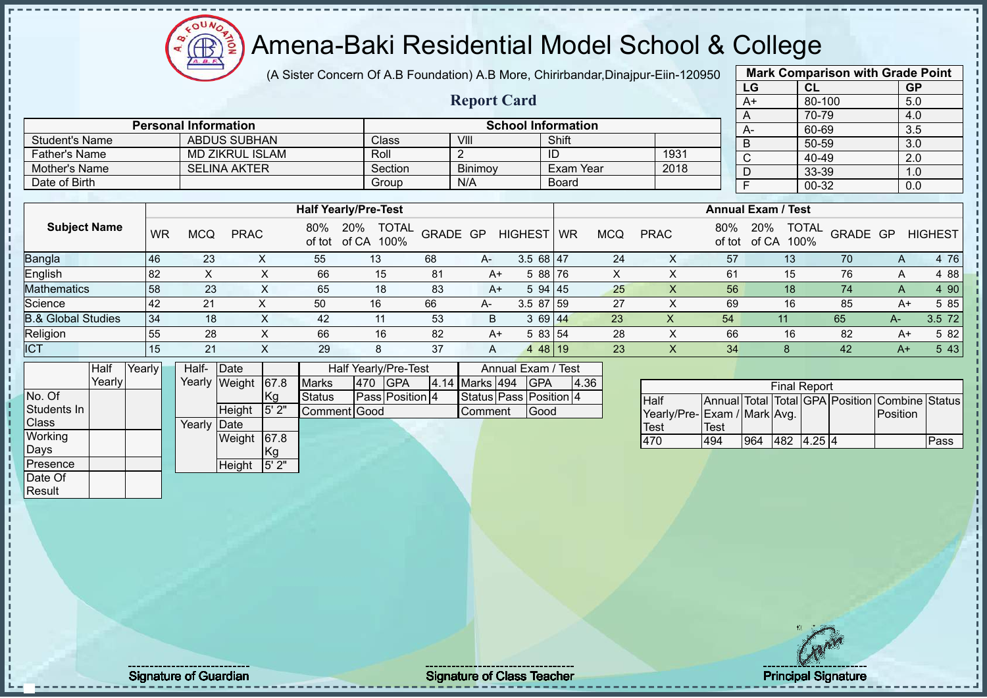$12\mu\text{V}$ **AB** 

# Amena-Baki Residential Model School & College

(A Sister Concern Of A.B Foundation) A.B More, Chirirbandar,Dinajpur-Eiin-120950

**Report Card**

| <b>Mark Comparison with Grade Point</b> |        |           |  |  |  |  |  |  |  |
|-----------------------------------------|--------|-----------|--|--|--|--|--|--|--|
| LG                                      | CL     | <b>GP</b> |  |  |  |  |  |  |  |
| $A+$                                    | 80-100 | 5.0       |  |  |  |  |  |  |  |
| A                                       | 70-79  | 4.0       |  |  |  |  |  |  |  |
| А-                                      | 60-69  | 3.5       |  |  |  |  |  |  |  |
| B                                       | 50-59  | 3.0       |  |  |  |  |  |  |  |
| C                                       | 40-49  | 2.0       |  |  |  |  |  |  |  |
| D                                       | 33-39  | 1.0       |  |  |  |  |  |  |  |
| F<br>00-32<br>0.0                       |        |           |  |  |  |  |  |  |  |
|                                         |        |           |  |  |  |  |  |  |  |

|                      | <b>Personal Information</b> |                    | <b>School Information</b> |                  |      |  |  |  |  |  |  |  |
|----------------------|-----------------------------|--------------------|---------------------------|------------------|------|--|--|--|--|--|--|--|
| Student's Name       | ABDUS SUBHAN                | Class <sup>®</sup> | VIII                      | Shift            |      |  |  |  |  |  |  |  |
| <b>Father's Name</b> | MD ZIKRUL ISLAM             | Roll               |                           | ID               | 1931 |  |  |  |  |  |  |  |
| Mother's Name        | <b>SELINA AKTER</b>         | Section            | <b>Binimov</b>            | <b>Exam Year</b> | 2018 |  |  |  |  |  |  |  |
| Date of Birth        |                             | Group              | N/A                       | <b>Board</b>     |      |  |  |  |  |  |  |  |

|                               |    |            |             |     | <b>Half Yearly/Pre-Test</b>              |          |      |                |           |     |             |               | <b>Annual Exam / Test</b> |                          |      |                |
|-------------------------------|----|------------|-------------|-----|------------------------------------------|----------|------|----------------|-----------|-----|-------------|---------------|---------------------------|--------------------------|------|----------------|
| <b>Subject Name</b>           | WR | <b>MCQ</b> | <b>PRAC</b> | 80% | <b>TOTAL</b><br>20%<br>of tot of CA 100% | GRADE GP |      | <b>HIGHEST</b> | <b>WR</b> | MCQ | <b>PRAC</b> | 80%<br>of tot | 20%<br>of CA<br>100%      | <b>TOTAL</b><br>GRADE GP |      | <b>HIGHEST</b> |
| <b>Bangla</b>                 | 46 | 23         |             | 55  | 13                                       | 68       | $A-$ | $3.568$   47   |           | 24  |             | 57            | 13                        | 70                       | A    | 4 76           |
| English                       | 82 |            |             | 66  | 15                                       | -81      | $A+$ | 5 88 76        |           | X   |             | 61            | 15                        | 76                       | A    | 4 8 8          |
| <b>Mathematics</b>            | 58 | 23         | $\sim$      | 65  | 18                                       | 83       | A+   | 594 45         |           | 25  |             | 56            | 18 <sup>°</sup>           | 74                       | A    | 4 90           |
| Science                       | 42 | 21         |             | 50  | 16                                       | 66       | A-   | $3.587$ 59     |           | 27  |             | 69            | 16                        | 85                       | A+   | 5 85           |
| <b>B.&amp; Global Studies</b> | 34 | 18         |             | 42  | 11                                       | 53       | B    | 3 69 44        |           | 23  | X           | 54            | 11                        | 65                       | $A-$ | 3.5 72         |
| Religion                      | 55 | 28         |             | 66  | 16                                       | 82       | $A+$ | 5 83 54        |           | 28  |             | 66            | 16                        | 82                       | A+   | 5 82           |
| <b>ICT</b>                    | 15 | 21         |             | 29  | 8                                        | 37       | A    | 4 48 19        |           | 23  | ∧           | 34            |                           | 42                       | $A+$ | 5 4 3          |

|                  | Half   | Yearly | $\vert$ Date<br>Half-<br>Half Yearly/Pre-Test |        |                    |      |               |     |                 |                | Annual Exam / Test     |      |
|------------------|--------|--------|-----------------------------------------------|--------|--------------------|------|---------------|-----|-----------------|----------------|------------------------|------|
|                  | Yearly |        |                                               |        | Yearly Weight 67.8 |      | <b>Marks</b>  | 470 | <b>IGPA</b>     | 4.14 Marks 494 | <b>IGPA</b>            | 4.36 |
| No. Of           |        |        |                                               |        |                    | Kg   | <b>Status</b> |     | Pass Position 4 |                | Status Pass Position 4 |      |
| Students In      |        |        |                                               |        | Height             | 5'2" | Comment Good  |     |                 | Comment        | Good                   |      |
| <b>Class</b>     |        |        |                                               | Yearlv | <b>IDate</b>       |      |               |     |                 |                |                        |      |
| <b>Working</b>   |        |        |                                               |        | Weight             | 67.8 |               |     |                 |                |                        |      |
| Days             |        |        |                                               |        |                    | Kg   |               |     |                 |                |                        |      |
| <b>IPresence</b> |        |        |                                               |        | Height             | 5'2" |               |     |                 |                |                        |      |
| Date Of          |        |        |                                               |        |                    |      |               |     |                 |                |                        |      |

| <b>Final Report</b>         |      |     |            |  |  |                                                |      |  |  |  |  |  |  |
|-----------------------------|------|-----|------------|--|--|------------------------------------------------|------|--|--|--|--|--|--|
| <b>I</b> Half               |      |     |            |  |  | Annual Total Total GPA Position Combine Status |      |  |  |  |  |  |  |
| Yearly/Pre-Exam / Mark Avg. |      |     |            |  |  | <b>IPosition</b>                               |      |  |  |  |  |  |  |
| <b>Test</b>                 | Test |     |            |  |  |                                                |      |  |  |  |  |  |  |
| 470                         | 494  | 964 | 482 4.25 4 |  |  |                                                | Pass |  |  |  |  |  |  |

**Result** 

Signature of Guardian Number of Class Teacher Signature of Class Teacher Principal Signature of Guardian Signature 26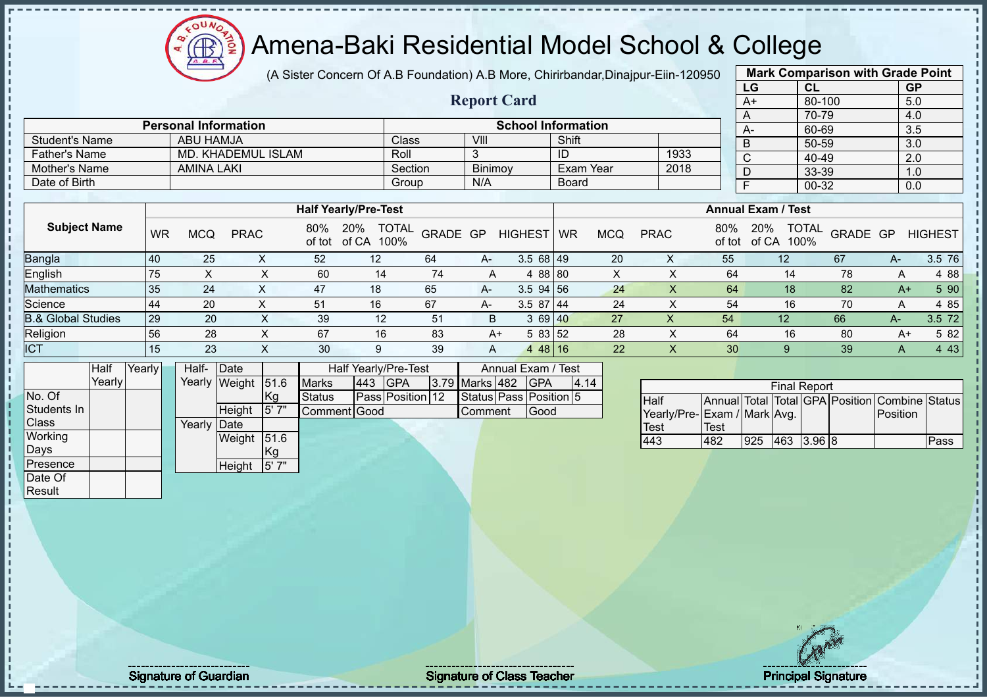$12\mu\text{V}$ Amena-Baki Residential Model School & College **AB** 

(A Sister Concern Of A.B Foundation) A.B More, Chirirbandar,Dinajpur-Eiin-120950

|                               |        |        |           |                   |                             |      |               |                             |              |          |                    |                           |              |                           |                |                                            | LG             |            | CL                  |          | <b>GP</b>                                      |                |
|-------------------------------|--------|--------|-----------|-------------------|-----------------------------|------|---------------|-----------------------------|--------------|----------|--------------------|---------------------------|--------------|---------------------------|----------------|--------------------------------------------|----------------|------------|---------------------|----------|------------------------------------------------|----------------|
|                               |        |        |           |                   |                             |      |               |                             |              |          | <b>Report Card</b> |                           |              |                           |                |                                            | $A+$           |            | 80-100              |          | 5.0                                            |                |
|                               |        |        |           |                   |                             |      |               |                             |              |          |                    |                           |              |                           |                |                                            | A              |            | 70-79               |          | 4.0                                            |                |
|                               |        |        |           |                   | <b>Personal Information</b> |      |               |                             |              |          |                    | <b>School Information</b> |              |                           |                |                                            | $A -$          |            | 60-69               |          | 3.5                                            |                |
| <b>Student's Name</b>         |        |        |           | <b>ABU HAMJA</b>  |                             |      |               |                             | Class        |          | VIII               |                           | Shift        |                           |                |                                            | $\overline{B}$ |            | 50-59               |          | $\overline{3.0}$                               |                |
| <b>Father's Name</b>          |        |        |           |                   | <b>MD. KHADEMUL ISLAM</b>   |      |               |                             | Roll         |          | 3                  |                           | ID           |                           | 1933           |                                            | C              |            | 40-49               |          | 2.0                                            |                |
| Mother's Name                 |        |        |           | <b>AMINA LAKI</b> |                             |      |               |                             | Section      |          | Binimoy            |                           |              | Exam Year                 | 2018           |                                            | D              |            | 33-39               |          | 1.0                                            |                |
| Date of Birth                 |        |        |           |                   |                             |      |               |                             | Group        |          | N/A                |                           | <b>Board</b> |                           |                |                                            | F              |            | 00-32               |          | 0.0                                            |                |
|                               |        |        |           |                   |                             |      |               |                             |              |          |                    |                           |              |                           |                |                                            |                |            |                     |          |                                                |                |
|                               |        |        |           |                   |                             |      |               | <b>Half Yearly/Pre-Test</b> |              |          |                    |                           |              |                           |                | <b>Annual Exam / Test</b>                  |                |            |                     |          |                                                |                |
| <b>Subject Name</b>           |        |        | <b>WR</b> | <b>MCQ</b>        | <b>PRAC</b>                 |      | 80%<br>of tot | 20%<br>of CA 100%           | <b>TOTAL</b> | GRADE GP |                    | <b>HIGHEST</b>            | <b>WR</b>    | <b>MCQ</b>                | <b>PRAC</b>    | 80%<br>of tot                              | 20%            | of CA 100% | <b>TOTAL</b>        | GRADE GP |                                                | <b>HIGHEST</b> |
| Bangla                        |        | 40     |           | 25                |                             | X    | 52            | 12                          |              | 64       | A-                 | $3.568$ 49                |              | 20                        | X              | 55                                         |                | 12         |                     | 67       | A-                                             | 3.5 76         |
| English                       |        | 75     |           | X                 |                             | X    | 60            | 14                          |              | 74       | A                  | 4 88 80                   |              | $\boldsymbol{\mathsf{X}}$ | $\times$       | 64                                         |                | 14         |                     | 78       | Α                                              | 4 8 8          |
| <b>Mathematics</b>            |        | 35     |           | 24                |                             | X    | 47            | 18                          |              | 65       | A-                 | $3.5$ 94 56               |              | 24                        | X              | 64                                         |                | 18         |                     | 82       | $A+$                                           | 5 90           |
| Science                       |        | 44     |           | 20                |                             | X    | 51            | 16                          |              | 67       | A-                 | $3.587$ 44                |              | 24                        | $\pmb{\times}$ | 54                                         |                | 16         |                     | 70       | Α                                              | 4 8 5          |
| <b>B.&amp; Global Studies</b> |        | 29     |           | 20                |                             | X    | 39            | 12                          |              | 51       | B                  | 3 69 40                   |              | 27                        | X              | 54                                         |                | 12         |                     | 66       | A-                                             | 3.5 72         |
| Religion                      |        | 56     |           | 28                |                             | X    | 67            | 16                          |              | 83       | $A+$               | 5 83 52                   |              | 28                        | X              | 64                                         |                | 16         |                     | 80       | $A+$                                           | 5 82           |
| <b>ICT</b>                    |        |        | 15        | 23                |                             | X    | 30            | 9                           |              | 39       | A                  | $448$ 16                  |              | 22                        | $\times$       | 30                                         |                | 9          |                     | 39       | A                                              | 4 4 3          |
|                               | Half   | Yearly |           | Half-             | Date                        |      |               | Half Yearly/Pre-Test        |              |          |                    | Annual Exam / Test        |              |                           |                |                                            |                |            |                     |          |                                                |                |
|                               | Yearly |        |           |                   | Yearly Weight               | 51.6 | <b>Marks</b>  | 443                         | GPA          | 3.79     | Marks 482          | <b>GPA</b>                |              | 4.14                      |                |                                            |                |            |                     |          |                                                |                |
| No. Of                        |        |        |           |                   |                             | Kg   | <b>Status</b> | Pass Position 12            |              |          |                    | Status Pass Position 5    |              |                           | Half           |                                            |                |            | <b>Final Report</b> |          | Annual Total Total GPA Position Combine Status |                |
| Students In                   |        |        |           |                   | Height                      | 5'7" |               | Comment Good                |              |          | Comment            | Good                      |              |                           |                |                                            |                |            |                     |          | Position                                       |                |
| Class                         |        |        |           | Yearly            | Date                        |      |               |                             |              |          |                    |                           |              |                           | <b>Test</b>    | Yearly/Pre-Exam / Mark Avg.<br><b>Test</b> |                |            |                     |          |                                                |                |
| Working                       |        |        |           |                   | Weight 51.6                 |      |               |                             |              |          |                    |                           |              |                           | 443            | 482                                        | 925            |            | 463 3.96 8          |          |                                                | Pass           |
| Days                          |        |        |           |                   |                             | Kg   |               |                             |              |          |                    |                           |              |                           |                |                                            |                |            |                     |          |                                                |                |
| Presence                      |        |        |           |                   | Height                      | 5'7" |               |                             |              |          |                    |                           |              |                           |                |                                            |                |            |                     |          |                                                |                |
| Date Of                       |        |        |           |                   |                             |      |               |                             |              |          |                    |                           |              |                           |                |                                            |                |            |                     |          |                                                |                |
| Result                        |        |        |           |                   |                             |      |               |                             |              |          |                    |                           |              |                           |                |                                            |                |            |                     |          |                                                |                |
|                               |        |        |           |                   |                             |      |               |                             |              |          |                    |                           |              |                           |                |                                            |                |            |                     |          |                                                |                |

**Mark Comparison with Grade Point**

j. J.  $\mathbf I$  $\mathbf{I}$ j

Signature of Guardian Signature of Class T Teacher Principal Signature 27/51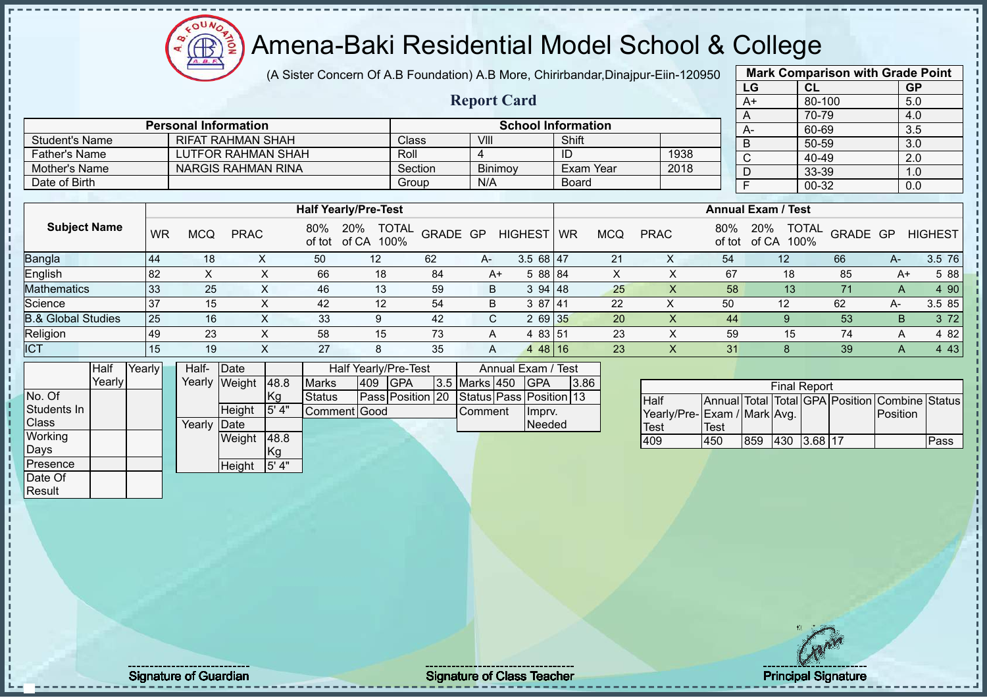(A Sister Concern Of A.B Foundation) A.B More, Chirirbandar,Dinajpur-Eiin-120950

**Report Card**

| <b>Mark Comparison with Grade Point</b><br>LG<br>CL |           |  |  |  |  |  |  |  |  |  |  |  |
|-----------------------------------------------------|-----------|--|--|--|--|--|--|--|--|--|--|--|
|                                                     | <b>GP</b> |  |  |  |  |  |  |  |  |  |  |  |
| 80-100                                              | 5.0       |  |  |  |  |  |  |  |  |  |  |  |
| 70-79                                               | 4.0       |  |  |  |  |  |  |  |  |  |  |  |
| 60-69                                               | 3.5       |  |  |  |  |  |  |  |  |  |  |  |
| 50-59                                               | 3.0       |  |  |  |  |  |  |  |  |  |  |  |
| 40-49                                               | 2.0       |  |  |  |  |  |  |  |  |  |  |  |
| 33-39                                               | 1.0       |  |  |  |  |  |  |  |  |  |  |  |
| 00-32                                               | 0.0       |  |  |  |  |  |  |  |  |  |  |  |
|                                                     |           |  |  |  |  |  |  |  |  |  |  |  |

|                      | <b>Personal Information</b> |         |                | <b>School Information</b> |      |
|----------------------|-----------------------------|---------|----------------|---------------------------|------|
| Student's Name       | RIFAT RAHMAN SHAH           | Class   | VIII           | Shift                     |      |
| <b>Father's Name</b> | LUTFOR RAHMAN SHAH          | Roll    |                | ID                        | 1938 |
| Mother's Name        | NARGIS RAHMAN RINA          | Section | <b>Binimov</b> | Exam Year                 | 2018 |
| Date of Birth        |                             | Group   | N/A            | Board                     |      |

|                               |    |     |             |               | <b>Half Yearly/Pre-Test</b>          |          |    |                |           |            |             |               | <b>Annual Exam / Test</b>            |          |      |                |
|-------------------------------|----|-----|-------------|---------------|--------------------------------------|----------|----|----------------|-----------|------------|-------------|---------------|--------------------------------------|----------|------|----------------|
| <b>Subject Name</b>           | WR | MCQ | <b>PRAC</b> | 80%<br>of tot | <b>TOTAL</b><br>20%<br>of CA<br>100% | GRADE GP |    | <b>HIGHEST</b> | <b>WR</b> | <b>MCQ</b> | <b>PRAC</b> | 80%<br>of tot | <b>TOTAL</b><br>20%<br>of CA<br>100% | GRADE GP |      | <b>HIGHEST</b> |
| <b>Bangla</b>                 | 44 | 18  |             | 50            | 12                                   | 62       | A- | 3.568147       |           | 21         |             | 54            | 12                                   | 66       | $A-$ | 3.5 76         |
| English                       | 82 |     |             | 66            | 18                                   | 84       | A+ | 5 88 84        |           |            |             | 67            | 18                                   | 85       | A+   | 5 88           |
| <b>Mathematics</b>            | 33 | 25  | ⌒           | 46            | 13                                   | 59       | B  | 394148         |           | 25         | $\lambda$   | 58            | 13                                   | 71       | A    | 4 90           |
| Science                       | 37 | 15  | ∧           | 42            | 12                                   | 54       | B  | 3 87 41        |           | 22         |             | 50            | 12                                   | 62       | A-   | 3.5 85         |
| <b>B.&amp; Global Studies</b> | 25 | 16  |             | 33            | 9                                    | 42       | C. | 2 69 35        |           | <b>20</b>  |             | 44            |                                      | 53       | B    | 3 7 2          |
| Religion                      | 49 | 23  |             | 58            | 15                                   | 73       |    | 83 51          |           | 23         |             | 59            | 15                                   | 74       | A    | 4 8 2          |
| <b>ICT</b>                    | 15 | 19  | ∧           | 27            | 8                                    | 35       | A  | 4 48 16        |           | 23         |             | 31            |                                      | 39       | A    | 4 4 3          |

|              | Half    | Yearly | Half-  | Date   |      |               |     | Half Yearly/Pre-Test |               | Annual Exam / Test      |      |
|--------------|---------|--------|--------|--------|------|---------------|-----|----------------------|---------------|-------------------------|------|
|              | Yearlvl |        | Yearly | Weight | 48.8 | <b>Marks</b>  | 409 | <b>GPA</b>           | 3.5 Marks 450 | <b>GPA</b>              | 3.86 |
| No. Of       |         |        |        |        | Kg   | <b>Status</b> |     | Pass Position 20     |               | Status Pass Position 13 |      |
| Students In  |         |        |        | Height | 5'4" | Comment Good  |     |                      | Comment       | Impry.                  |      |
| <b>Class</b> |         |        | Yearly | Date   |      |               |     |                      |               | <b>Needed</b>           |      |
| Working      |         |        |        | Weight | 48.8 |               |     |                      |               |                         |      |
| Days         |         |        |        |        | Kg   |               |     |                      |               |                         |      |
| Presence     |         |        |        | Height | 5'4" |               |     |                      |               |                         |      |
| Date Of      |         |        |        |        |      |               |     |                      |               |                         |      |
| Result       |         |        |        |        |      |               |     |                      |               |                         |      |

 $12\mu\text{V}$ 

| <b>Final Report</b>         |      |     |             |  |  |                                                |      |  |  |  |  |  |
|-----------------------------|------|-----|-------------|--|--|------------------------------------------------|------|--|--|--|--|--|
| <b>Half</b>                 |      |     |             |  |  | Annual Total Total GPA Position Combine Status |      |  |  |  |  |  |
| Yearly/Pre-Exam / Mark Avg. |      |     |             |  |  | <b>IPosition</b>                               |      |  |  |  |  |  |
| <b>Test</b>                 | Test |     |             |  |  |                                                |      |  |  |  |  |  |
| 409                         | 450  | 859 | 430 3.68 17 |  |  |                                                | Pass |  |  |  |  |  |

Signature of Guardian Signature of Class Teacher Principal Signature of Class Teacher Principal Signature 28/5<br>
28/51 Signature 28/51 Signature 28/51 Signature 28/51 Signature 28/51 Signature 28/51 Signature 28/51 Signatu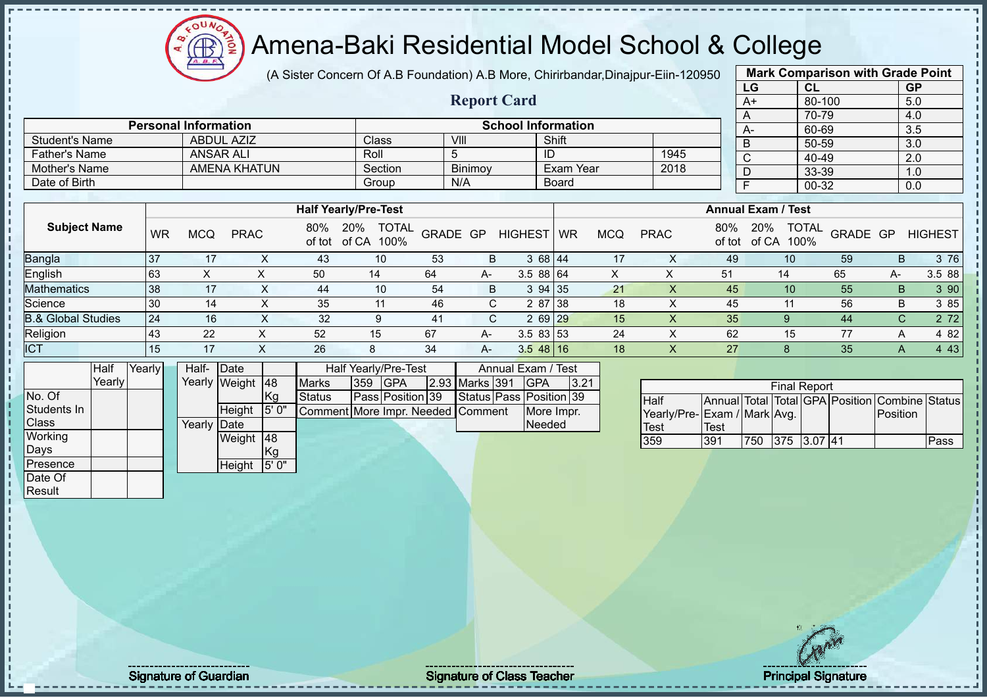

(A Sister Concern Of A.B Foundation) A.B More, Chirirbandar,Dinajpur-Eiin-120950

**Report Card**

|    | <b>Mark Comparison with Grade Point</b> |           |
|----|-----------------------------------------|-----------|
| LG | CL                                      | <b>GP</b> |
| A+ | 80-100                                  | 5.0       |
| A  | 70-79                                   | 4.0       |
| A- | 60-69                                   | 3.5       |
| B  | 50-59                                   | 3.0       |
| C  | 40-49                                   | 2.0       |
| D  | 33-39                                   | 1.0       |
| F  | 00-32                                   | 0.0       |
|    |                                         |           |

|                               |           |            |             |     | <b>Half Yearly/Pre-Test</b>              |          |      |                |           |     |             |     | <b>Annual Exam / Test</b>                   |          |    |                |
|-------------------------------|-----------|------------|-------------|-----|------------------------------------------|----------|------|----------------|-----------|-----|-------------|-----|---------------------------------------------|----------|----|----------------|
| <b>Subject Name</b>           | <b>WR</b> | <b>MCQ</b> | <b>PRAC</b> | 80% | <b>TOTAL</b><br>20%<br>of tot of CA 100% | GRADE GP |      | <b>HIGHEST</b> | <b>WR</b> | MCQ | <b>PRAC</b> | 80% | <b>TOTAL</b><br>20%<br>of tot of CA<br>100% | GRADE GP |    | <b>HIGHEST</b> |
| Bangla                        | -37       | 17         |             | 43  | 10                                       | 53       | B    | 3 68 44        |           | 17  |             | 49  | 10                                          | 59       | B  | 3 76           |
| English                       | 63        | ∧          |             | 50  | 14                                       | 64       | A-   | 3.58864        |           |     |             | 51  | 14                                          | 65       | А- | 3.5 88         |
| <b>Mathematics</b>            | 38        | 17         |             | 44  | 10                                       | 54       | B.   | 3 94 35        |           | 21  |             | 45  | 10 <sup>°</sup>                             | 55       | B  | 3 9 0          |
| Science                       | 30        | 14         |             | 35  | 11                                       | 46       |      | 2 87 38        |           | 18  |             | 45  |                                             | 56       | B  | 3 85           |
| <b>B.&amp; Global Studies</b> | 24        | 16         |             | 32  |                                          | 41       |      | 2 69 29        |           | 15  |             | 35  |                                             | 44       | C. | 2 7 2          |
| Religion                      | 43        | 22         |             | 52  | 15                                       | 67       | $A-$ | $3.583$ 53     |           | 24  |             | 62  | 15                                          | 77       |    | 4 82           |
| <b>ICT</b>                    |           | 17         |             | 26  |                                          | 34       | $A-$ | $3.548$ 16     |           | 18  |             | 27  |                                             | 35       |    | 4 4 3          |

|              | Half   | Yearly | Half-       | Date          |            |                                   |     | Half Yearly/Pre-Test |                | Annual Exam / Test      |      |
|--------------|--------|--------|-------------|---------------|------------|-----------------------------------|-----|----------------------|----------------|-------------------------|------|
|              | Yearly |        |             | Yearly Weight | <b>148</b> | <b>Marks</b>                      | 359 | <b>IGPA</b>          | 2.93 Marks 391 | <b>IGPA</b>             | 3.21 |
| No. Of       |        |        |             |               | Kg         | <b>Status</b>                     |     | Pass Position 39     |                | Status Pass Position 39 |      |
| Students In  |        |        |             | Height        | 5'0"       | Comment More Impr. Needed Comment |     |                      |                | More Impr.              |      |
| <b>Class</b> |        |        | Yearly Date |               |            |                                   |     |                      |                | Needed                  |      |
| Working      |        |        |             | Weight        | <b>148</b> |                                   |     |                      |                |                         |      |
| Days         |        |        |             |               | Kg         |                                   |     |                      |                |                         |      |
| Presence     |        |        |             | Height        | 5'0"       |                                   |     |                      |                |                         |      |
| Date Of      |        |        |             |               |            |                                   |     |                      |                |                         |      |
| Result       |        |        |             |               |            |                                   |     |                      |                |                         |      |

**Personal Information**<br>
ABDUL AZIZ Class VIII Shift Shift

Father's Name ANSAR ALI Roll 5 ID 1945

Student's Name ABDUL AZIZ Class VIII Shift<br>
Father's Name ANSAR ALI Roll 5 ID

Mother's Name AMENA KHATUN Section Binimoy Exam Year<br>
Date of Birth Board Date of Birth Board Group N/A Board

|                             |      |     | <b>Final Report</b> |  |                                                |      |
|-----------------------------|------|-----|---------------------|--|------------------------------------------------|------|
| <b>I</b> Half               |      |     |                     |  | Annual Total Total GPA Position Combine Status |      |
| Yearly/Pre-Exam / Mark Avg. |      |     |                     |  | Position                                       |      |
| <b>Test</b>                 | Test |     |                     |  |                                                |      |
| 359                         | 391  | 750 | 375 3.07 41         |  |                                                | Pass |

j.  $\mathbf{I}$ - II

Signature of Guardian Signature Signature of Class Teacher Principal Signature 2015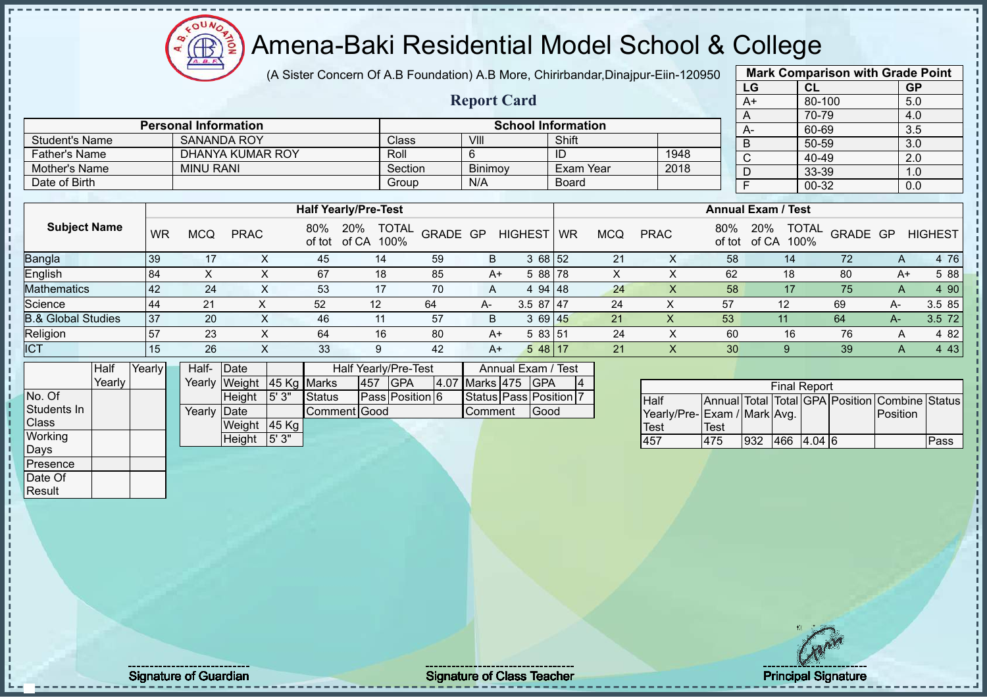# Amena-Baki Residential Model School & College

(A Sister Concern Of A.B Foundation) A.B More, Chirirbandar,Dinajpur-Eiin-120950

|      | <b>Mark Comparison with Grade Point</b> |           |
|------|-----------------------------------------|-----------|
| LG   | <b>CL</b>                               | <b>GP</b> |
| $A+$ | 80-100                                  | 5.0       |
| Α    | 70-79                                   | 4.0       |
| A-   | 60-69                                   | 3.5       |
| B    | 50-59                                   | 3.0       |
| C    | 40-49                                   | 2.0       |
| D    | 33-39                                   | 1.0       |
|      | 00-32                                   | 0.0       |
|      |                                         |           |

|                      |                             |                    | <b>Report Card</b> |                           |      | A+ |
|----------------------|-----------------------------|--------------------|--------------------|---------------------------|------|----|
|                      | <b>Personal Information</b> |                    |                    | <b>School Information</b> |      | A- |
| Student's Name       | <b>SANANDA ROY</b>          | Class <sup>1</sup> | VIII               | Shift                     |      |    |
| <b>Father's Name</b> | DHANYA KUMAR ROY            | Roll               |                    | ID                        | 1948 |    |
| Mother's Name        | <b>MINU RANI</b>            | Section            | Binimoy            | Exam Year                 | 2018 |    |
| Date of Birth        |                             | Group              | N/A                | Board                     |      |    |

|                               |    |            |             |     | <b>Half Yearly/Pre-Test</b>                 |          |      |                |           |     |              |               | <b>Annual Exam / Test</b> |                                  |      |                |
|-------------------------------|----|------------|-------------|-----|---------------------------------------------|----------|------|----------------|-----------|-----|--------------|---------------|---------------------------|----------------------------------|------|----------------|
| <b>Subject Name</b>           | WR | <b>MCQ</b> | <b>PRAC</b> | 80% | <b>TOTAL</b><br>20%<br>of tot of CA<br>100% | GRADE GP |      | <b>HIGHEST</b> | <b>WR</b> | MCQ | <b>PRAC</b>  | 80%<br>of tot | 20%<br>of CA              | <b>TOTAL</b><br>GRADE GP<br>100% |      | <b>HIGHEST</b> |
| <b>Bangla</b>                 | 39 |            |             | 45  | 14                                          | 59       | B    | 3 68 52        |           | 21  |              | 58            | 14.                       | 72                               | A    | 4 76           |
| English                       | 84 |            |             | 67  | 18                                          | 85       | $A+$ | 5 88 78        |           |     |              | 62            | 18                        | 80                               | A+   | 5 88           |
| <b>Mathematics</b>            | 42 | 24         | $\lambda$   | 53  | 17                                          | 70       | A    | 4 94 48        |           | 24  |              | 58            | 17                        | 75                               | A    | 4 90           |
| Science                       | 44 | 21         |             | 52  | 12                                          | 64       | A-   | $3.587$   47   |           | 24  | ∧            | 57            | 12                        | 69                               | A-   | 3.5 85         |
| <b>B.&amp; Global Studies</b> | 37 | 20         |             | 46  | 11                                          | 57       | B    | 3 69 45        |           | 21  | Χ            | 53            | 11                        | 64                               | $A-$ | 3.5 72         |
| Religion                      | 57 | 23         |             | 64  | 16                                          | 80       | $A+$ | 5 83 51        |           | 24  | $\checkmark$ | 60            | 16                        | 76                               | A    | 4 8 2          |
| <b>ICT</b>                    | 15 | 26         |             | 33  | 9                                           | 42       | $A+$ | $548$  17      |           | 21  |              | 30            |                           | 39                               | A    | 4 4 3          |

|                | Half     | Yearly | Half-       | <b>IDate</b>              |        |               |     | Half Yearly/Pre-Test   |                  | Annual Exam / Test           |    |
|----------------|----------|--------|-------------|---------------------------|--------|---------------|-----|------------------------|------------------|------------------------------|----|
|                | Yearlv l |        |             | Yearly Weight 45 Kg Marks |        |               | 457 | <b>IGPA</b>            | 4.07 Marks 475   | <b>IGPA</b>                  | 14 |
| No. Of         |          |        |             | <b>Height</b>             | 15'3'' | <b>Status</b> |     | <b>Pass Position 6</b> |                  | Status   Pass   Position   7 |    |
| Students In    |          |        | Yearly Date |                           |        | Comment Good  |     |                        | <b>I</b> Comment | Good                         |    |
| <b>Class</b>   |          |        |             | Weight                    | 45 Kg  |               |     |                        |                  |                              |    |
| <b>Working</b> |          |        |             | Height                    | 5'3"   |               |     |                        |                  |                              |    |
| Days           |          |        |             |                           |        |               |     |                        |                  |                              |    |
| Presence       |          |        |             |                           |        |               |     |                        |                  |                              |    |

|                             |      |     | <b>Final Report</b> |        |                                                |      |
|-----------------------------|------|-----|---------------------|--------|------------------------------------------------|------|
| <b>Half</b>                 |      |     |                     |        | Annual Total Total GPA Position Combine Status |      |
| Yearly/Pre-Exam / Mark Avg. |      |     |                     |        | <b>IPosition</b>                               |      |
| <b>Test</b>                 | Test |     |                     |        |                                                |      |
| 457                         | 475  | 932 | 466                 | 4.04 6 |                                                | Pass |

Date Of **Result** 

Signature of Guardian Signature of Class T Teacher Principal Signature 30/51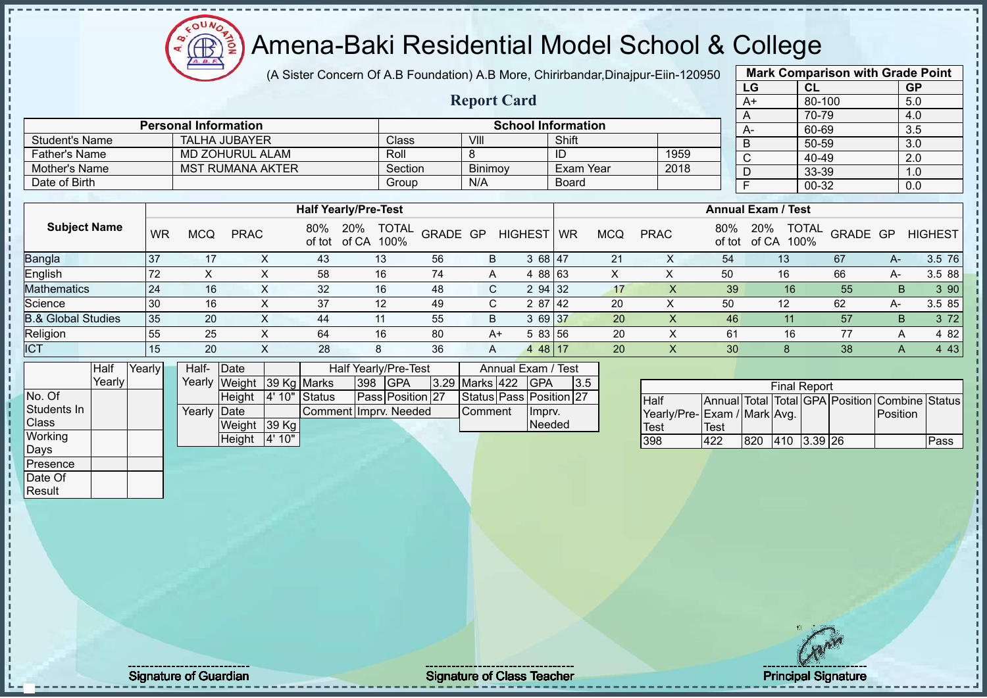# Amena-Baki Residential Model School & College

(A Sister Concern Of A.B Foundation) A.B More, Chirirbandar,Dinajpur-Eiin-120950

**Report Card**

| <b>Mark Comparison with Grade Point</b><br>LG<br><b>CL</b><br><b>GP</b><br>$A+$<br>80-100<br>5.0<br>70-79<br>4.0<br>A<br>3.5<br>60-69<br>$A-$<br>50-59<br>3.0<br>B |           |     |  |  |  |  |  |  |  |  |  |  |
|--------------------------------------------------------------------------------------------------------------------------------------------------------------------|-----------|-----|--|--|--|--|--|--|--|--|--|--|
|                                                                                                                                                                    |           |     |  |  |  |  |  |  |  |  |  |  |
|                                                                                                                                                                    |           |     |  |  |  |  |  |  |  |  |  |  |
|                                                                                                                                                                    |           |     |  |  |  |  |  |  |  |  |  |  |
|                                                                                                                                                                    |           |     |  |  |  |  |  |  |  |  |  |  |
|                                                                                                                                                                    |           |     |  |  |  |  |  |  |  |  |  |  |
| C                                                                                                                                                                  | $40 - 49$ | 2.0 |  |  |  |  |  |  |  |  |  |  |
| D                                                                                                                                                                  | 33-39     | 1.0 |  |  |  |  |  |  |  |  |  |  |
| F                                                                                                                                                                  | 00-32     | 0.0 |  |  |  |  |  |  |  |  |  |  |
|                                                                                                                                                                    |           |     |  |  |  |  |  |  |  |  |  |  |

|                       | <b>Personal Information</b> |         |                | <b>School Information</b> |      | $A-$ |
|-----------------------|-----------------------------|---------|----------------|---------------------------|------|------|
| <b>Student's Name</b> | <b>TALHA JUBAYER</b>        | Class   | VIII           | Shift                     |      |      |
| <b>Father's Name</b>  | MD ZOHURUL ALAM             | Roll    |                | ID                        | 1959 |      |
| Mother's Name         | MST RUMANA AKTER            | Section | <b>Binimov</b> | Exam Year                 | 2018 |      |
| Date of Birth         |                             | Group   | N/A            | Board                     |      |      |

|                               |    |            |             |               | <b>Half Yearly/Pre-Test</b> |                      |          |                 |    |     |             |               | <b>Annual Exam / Test</b>            |          |    |                |
|-------------------------------|----|------------|-------------|---------------|-----------------------------|----------------------|----------|-----------------|----|-----|-------------|---------------|--------------------------------------|----------|----|----------------|
| <b>Subject Name</b>           | WR | <b>MCQ</b> | <b>PRAC</b> | 80%<br>of tot | 20%<br>of CA                | <b>TOTAL</b><br>100% | GRADE GP | <b>HIGHEST</b>  | WR | MCQ | <b>PRAC</b> | 80%<br>of tot | <b>TOTAL</b><br>20%<br>100%<br>of CA | GRADE GP |    | <b>HIGHEST</b> |
| <b>Bangla</b>                 | 37 |            |             | 43            | 13                          | 56                   |          | 3 68 47<br>B    |    | 21  | ↗           | 54            | 13                                   | 67       | A- | 3.5 76         |
| English                       | 72 |            |             | 58            | 16                          | 74                   |          | 4 88 63<br>A    |    |     |             | 50            | 16                                   | 66       | A- | 3.5 88         |
| <b>Mathematics</b>            | 24 | 16         |             | 32            | 16                          | 48                   |          | 2 94 32<br>C.   |    | 17  |             | 39            | 16 <sup>1</sup>                      | 55       | B  | 3 90           |
| Science                       | 30 | 16         |             | 37            | 12                          | -49                  |          | 2 87 42         |    | 20  | ∧           | 50            | 12                                   | 62       | A- | 3.5 85         |
| <b>B.&amp; Global Studies</b> | 35 | 20         |             | 44            | 11                          | 55                   |          | 3 69 37<br>B    |    | 20  |             | 46            |                                      | 57       | B  | 3 7 2          |
| Religion                      | 55 | 25         |             | 64            | 16                          | 80                   |          | 5 83 56<br>$A+$ |    | 20  |             | 61            | 16                                   | 77       |    | 4 82           |
| <b>ICT</b>                    | 15 | 20         |             | 28            | 8                           | 36                   |          | 4 48 17<br>A    |    | 20  |             | 30            |                                      | 38       | A  | 4 4 3          |

|                 | Half    | Yearly | Half-  | <b>IDate</b>              |         |                       |     | Half Yearly/Pre-Test |                | Annual Exam / Test      |      |  |
|-----------------|---------|--------|--------|---------------------------|---------|-----------------------|-----|----------------------|----------------|-------------------------|------|--|
|                 | Yearlvl |        |        | Yearly Weight 39 Kg Marks |         |                       | 398 | <b>IGPA</b>          | 3.29 Marks 422 | <b>IGPA</b>             | 13.5 |  |
| No. Of          |         |        |        | Height                    |         | 4' 10" Status         |     | Pass Position 27     |                | Status Pass Position 27 |      |  |
| Students In     |         |        | Yearlv | <b>IDate</b>              |         | Comment Imprv. Needed |     |                      | Comment        | Ilmprv.                 |      |  |
| <b>Class</b>    |         |        |        | Weight                    | $39$ Kg |                       |     |                      |                | Needed                  |      |  |
| Working         |         |        |        | Height                    | 4' 10"  |                       |     |                      |                |                         |      |  |
| Days            |         |        |        |                           |         |                       |     |                      |                |                         |      |  |
| <b>Presence</b> |         |        |        |                           |         |                       |     |                      |                |                         |      |  |

|                              |      |     | <b>Final Report</b> |  |                                                |      |
|------------------------------|------|-----|---------------------|--|------------------------------------------------|------|
| Half                         |      |     |                     |  | Annual Total Total GPA Position Combine Status |      |
| Yearly/Pre- Exam / Mark Avg. |      |     |                     |  | <b>IPosition</b>                               |      |
| <b>Test</b>                  | Test |     |                     |  |                                                |      |
| 398                          | 422  | 820 | 410 3.39 26         |  |                                                | Pass |

Date Of **Result** 

Signature of Guardian Signature of Class T Teacher Principal Signature 31/51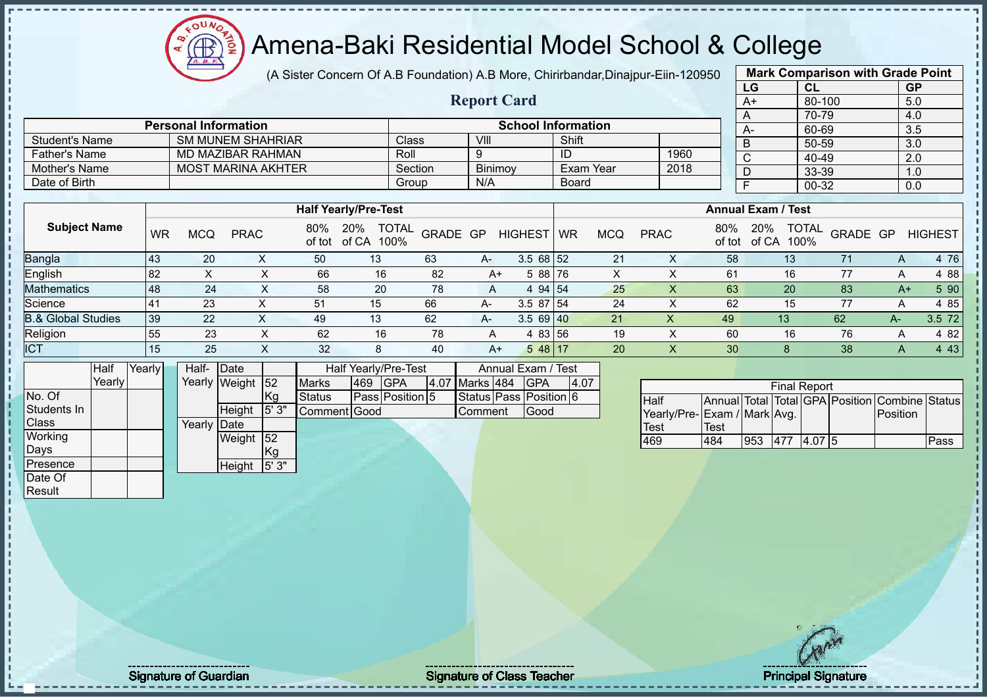$12\mu\text{V}$  $A, B$ **B TION** 

# Amena-Baki Residential Model School & College

|                                                                                |              |        |  |             |                             |              |                             |                      |                      | (A Sister Concern Of A.B Foundation) A.B More, Chirirbandar, Dinajpur-Eiin-120950 |                                   |          |                           |              |            |             |             |                                     |                |       |                      |          |          | <b>Mark Comparison with Grade Point</b>        |
|--------------------------------------------------------------------------------|--------------|--------|--|-------------|-----------------------------|--------------|-----------------------------|----------------------|----------------------|-----------------------------------------------------------------------------------|-----------------------------------|----------|---------------------------|--------------|------------|-------------|-------------|-------------------------------------|----------------|-------|----------------------|----------|----------|------------------------------------------------|
|                                                                                |              |        |  |             |                             |              |                             |                      |                      |                                                                                   |                                   |          |                           |              |            |             |             |                                     | LG             |       | CL                   |          |          | <b>GP</b>                                      |
|                                                                                |              |        |  |             |                             |              |                             |                      |                      |                                                                                   | <b>Report Card</b>                |          |                           |              |            |             |             |                                     | $A+$           |       | 80-100               |          |          | 5.0                                            |
|                                                                                |              |        |  |             |                             |              |                             |                      |                      |                                                                                   |                                   |          |                           |              |            |             |             |                                     | A              |       | 70-79                |          |          | 4.0                                            |
|                                                                                |              |        |  |             | <b>Personal Information</b> |              |                             |                      |                      |                                                                                   |                                   |          | <b>School Information</b> |              |            |             |             |                                     | $A -$          |       | 60-69                |          |          | 3.5                                            |
| <b>Student's Name</b>                                                          |              |        |  |             | <b>SM MUNEM SHAHRIAR</b>    |              |                             |                      | Class                |                                                                                   | VIII                              |          |                           | Shift        |            |             |             |                                     | B              |       | 50-59                |          |          | 3.0                                            |
| <b>Father's Name</b>                                                           |              |        |  |             | <b>MD MAZIBAR RAHMAN</b>    |              |                             |                      | Roll                 |                                                                                   | 9                                 |          |                           | ID           |            |             | 1960        |                                     | $\overline{C}$ |       | 40-49                |          |          | 2.0                                            |
| Mother's Name                                                                  |              |        |  |             | <b>MOST MARINA AKHTER</b>   |              |                             |                      | Section              |                                                                                   | Binimoy                           |          |                           |              | Exam Year  |             | 2018        |                                     | D              | 33-39 |                      |          | 1.0      |                                                |
| Date of Birth                                                                  |              |        |  |             |                             |              |                             |                      | Group                |                                                                                   | N/A                               |          |                           | <b>Board</b> |            |             |             |                                     | $\overline{F}$ |       | $00 - 32$            |          |          | 0.0                                            |
|                                                                                |              |        |  |             |                             |              |                             |                      |                      |                                                                                   |                                   |          |                           |              |            |             |             |                                     |                |       |                      |          |          |                                                |
|                                                                                |              |        |  |             |                             |              | <b>Half Yearly/Pre-Test</b> |                      |                      |                                                                                   |                                   |          |                           |              |            |             |             | <b>Annual Exam / Test</b>           |                |       |                      |          |          |                                                |
| <b>Subject Name</b><br>80%<br><b>WR</b><br><b>MCQ</b><br><b>PRAC</b><br>of tot |              |        |  |             |                             |              |                             | 20%<br>of CA         | <b>TOTAL</b><br>100% | GRADE GP                                                                          |                                   |          | <b>HIGHEST</b>            | <b>WR</b>    | <b>MCQ</b> | <b>PRAC</b> |             | 80%<br>of tot                       | 20%<br>of CA   |       | <b>TOTAL</b><br>100% | GRADE GP |          | <b>HIGHEST</b>                                 |
| Bangla<br>43<br>20<br>X<br>50                                                  |              |        |  |             |                             | 13           |                             | 63                   | A-                   |                                                                                   | $3.568$ 52                        |          | 21                        |              | X          | 58          |             | 13                                  |                | 71    | A                    | 4 76     |          |                                                |
| 82<br>X<br>English<br>X<br>66                                                  |              |        |  |             |                             | 16           | 82                          | $A+$                 |                      | 5 88 76                                                                           |                                   | $\times$ |                           | X            | 61         |             | 16          |                                     | 77             | Α     | 4 8 8                |          |          |                                                |
| <b>Mathematics</b>                                                             |              | 48     |  | 24          |                             | $\times$     | 58                          |                      | 20                   | 78                                                                                | A                                 |          | 4 94 54                   |              | 25         |             | $\times$    | 63                                  | 20             |       |                      | 83       | $A+$     | 5 90                                           |
| Science                                                                        |              | 41     |  | 23          |                             | X            | 51                          | 15                   |                      | 66                                                                                | A-                                |          | 3.5 87 54                 |              | 24         |             | X           | 62                                  |                | 15    |                      | 77       | Α        | 4 8 5                                          |
| <b>B.&amp; Global Studies</b>                                                  |              | 39     |  | 22          |                             | $\mathsf{X}$ | 49                          | 13                   |                      | 62                                                                                |                                   |          | 3.5 69 40                 |              | 21         |             | $\mathsf X$ | 49                                  |                | 13    |                      | 62       | $A-$     | 3.5 72                                         |
| Religion                                                                       |              | 55     |  | 23          |                             | X            | 62                          |                      | 16                   | 78                                                                                | $\overline{A}$                    |          | 4 83 56                   |              | 19         |             | X           | 60                                  |                | 16    |                      | 76       | A        | 4 8 2                                          |
| <b>ICT</b>                                                                     |              | 15     |  | 25          |                             | X            | 32                          |                      | 8                    | 40                                                                                | $A+$                              |          | $548$ 17                  |              | 20         |             | X           | 30                                  |                | 8     |                      | 38       | A        | 4 4 3                                          |
|                                                                                | Half         | Yearly |  | Half-Date   |                             |              |                             | Half Yearly/Pre-Test |                      |                                                                                   |                                   |          | Annual Exam / Test        |              |            |             |             |                                     |                |       |                      |          |          |                                                |
|                                                                                | Yearly       |        |  |             | Yearly Weight               | $\sqrt{52}$  | <b>Marks</b>                | 469                  | <b>GPA</b>           | 4.07 Marks 484                                                                    |                                   |          | <b>GPA</b>                | 4.07         |            |             |             |                                     |                |       | <b>Final Report</b>  |          |          |                                                |
| No. Of<br>Students In<br>Class                                                 |              |        |  | Yearly Date | Height                      | Kg<br> 5'3"  | <b>Status</b>               | Comment Good         | Pass Position 5      |                                                                                   | Status Pass Position 6<br>Comment |          | Good                      |              |            | Half        |             | Yearly/Pre-Exam / Mark Avg.<br>Test |                |       |                      |          | Position | Annual Total Total GPA Position Combine Status |
| Working                                                                        | 52<br>Weight |        |  |             |                             |              |                             |                      |                      |                                                                                   |                                   |          | Test<br>469               |              | 484        | 953         |             | 477 4.07 5                          |                |       | Pass                 |          |          |                                                |
|                                                                                | Days<br>Kg   |        |  |             |                             |              |                             |                      |                      |                                                                                   |                                   |          |                           |              |            |             |             |                                     |                |       |                      |          |          |                                                |
| Presence<br>5'3''<br>Height                                                    |              |        |  |             |                             |              |                             |                      |                      |                                                                                   |                                   |          |                           |              |            |             |             |                                     |                |       |                      |          |          |                                                |
| Date Of                                                                        |              |        |  |             |                             |              |                             |                      |                      |                                                                                   |                                   |          |                           |              |            |             |             |                                     |                |       |                      |          |          |                                                |
| Result                                                                         |              |        |  |             |                             |              |                             |                      |                      |                                                                                   |                                   |          |                           |              |            |             |             |                                     |                |       |                      |          |          |                                                |

experiment to the contract of Class Teacher and the Class Teacher and the Class Teacher Principal Signature 32<br>Signature 32/511 Signature 32/51 Signature 32/51 Signature 32/51 Signature 32/51 Signature 32/51 Signature 32/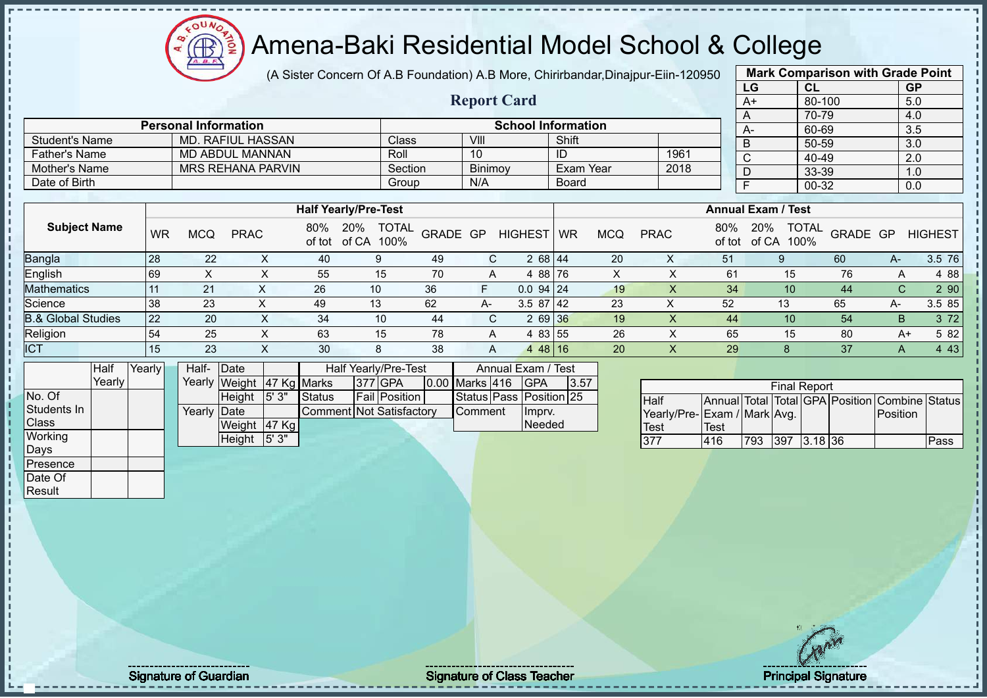(A Sister Concern Of A.B Foundation) A.B More, Chirirbandar,Dinajpur-Eiin-120950

**Report Card**

|                       | <b>Mark Comparison with Grade Point</b> |           |
|-----------------------|-----------------------------------------|-----------|
| LG                    | CL                                      | <b>GP</b> |
| $\overline{A+}$       | 80-100                                  | 5.0       |
| A                     | 70-79                                   | 4.0       |
| A-                    | 60-69                                   | 3.5       |
| B                     | 50-59                                   | 3.0       |
| $\overline{\text{c}}$ | 40-49                                   | 2.0       |
| D                     | 33-39                                   | 1.0       |
| F                     | $00 - 32$                               | 0.0       |
|                       |                                         |           |

|                       | <b>Personal Information</b> |         |                | <b>School Information</b> |      | A- |
|-----------------------|-----------------------------|---------|----------------|---------------------------|------|----|
| <b>Student's Name</b> | MD, RAFIUL HASSAN           | Class   | VIII           | Shift                     |      | B  |
| <b>Father's Name</b>  | MD ABDUL MANNAN             | Roll    | 10             | ID                        | 1961 | ◡  |
| Mother's Name         | <b>MRS REHANA PARVIN</b>    | Section | <b>Binimov</b> | Exam Year                 | 2018 | D  |
| Date of Birth         |                             | Group   | N/A            | Board                     |      |    |

|                               |           |     |             |     | <b>Half Yearly/Pre-Test</b>              |          |      |                |    |            |             |               | <b>Annual Exam / Test</b>            |          |    |                |
|-------------------------------|-----------|-----|-------------|-----|------------------------------------------|----------|------|----------------|----|------------|-------------|---------------|--------------------------------------|----------|----|----------------|
| <b>Subject Name</b>           | <b>WR</b> | MCQ | <b>PRAC</b> | 80% | <b>TOTAL</b><br>20%<br>of tot of CA 100% | GRADE GP |      | <b>HIGHEST</b> | WR | <b>MCQ</b> | <b>PRAC</b> | 80%<br>of tot | <b>TOTAL</b><br>20%<br>100%<br>of CA | GRADE GP |    | <b>HIGHEST</b> |
| Bangla                        | 28        | 22  | $\sim$      | 40  | 9                                        | -49      |      | $268$ 44       |    | 20         | ∧           | 51            |                                      | 60       | A- | 3.5 76         |
| English                       | 69        |     | $\sim$      | 55  | 15                                       | 70       | A    | 4 88 76        |    | X          |             | 61            | 15                                   | 76       | A  | 4 88           |
| <b>Mathematics</b>            |           | 21  |             | 26  | 10                                       | 36       |      | $0.0$ 94 24    |    | 19         | X           | 34            | 10 <sup>1</sup>                      | 44       | С  | 2 90           |
| Science                       | 38        | 23  |             | 49  | 13                                       | 62       | $A-$ | $3.587$   42   |    | 23         | ↗           | 52            | 13                                   | 65       | А- | 3.5 85         |
| <b>B.&amp; Global Studies</b> | 22        | 20  | ∧           | -34 | 10                                       | 44       | C.   | 2 69 36        |    | 19         |             | 44            | 10                                   | 54       | B  | 3 7 2          |
| Religion                      | 54        | 25  |             | 63  | 15                                       | 78       | А    | 4 83 55        |    | 26         |             | 65            | 15                                   | 80       | A+ | 5 82           |
| <b>ICT</b>                    | 15        | 23  | ∧           | 30  | 8                                        | 38       | A    | 4 48 16        |    | 20         | ∧           | 29            |                                      | 37       | A  | 4 4 3          |

|              | Half     | Yearlvl | Half-        | <b>IDate</b>              |        |                          | Half Yearly/Pre-Test |                  | Annual Exam / Test      |      |
|--------------|----------|---------|--------------|---------------------------|--------|--------------------------|----------------------|------------------|-------------------------|------|
|              | Yearlv l |         |              | Yearly Weight 47 Kg Marks |        |                          | <b>377 GPA</b>       | 0.00 Marks 416   | <b>IGPA</b>             | 3.57 |
| No. Of       |          |         |              | <b>Height</b>             | 15'3'' | <b>Status</b>            | <b>Fail Position</b> |                  | Status Pass Position 25 |      |
| Students In  |          |         | Yearly  Date |                           |        | Comment Not Satisfactory |                      | <b>I</b> Comment | Impry.                  |      |
| <b>Class</b> |          |         |              | Weight 47 Kg              |        |                          |                      |                  | Needed                  |      |
| Working      |          |         |              | Height                    | 15'3'' |                          |                      |                  |                         |      |
| Days         |          |         |              |                           |        |                          |                      |                  |                         |      |

 $12\mu\text{V}$ 

**AR** 

|                             |      |     | <b>Final Report</b> |  |                                                |      |
|-----------------------------|------|-----|---------------------|--|------------------------------------------------|------|
| <b>Half</b>                 |      |     |                     |  | Annual Total Total GPA Position Combine Status |      |
| Yearly/Pre-Exam / Mark Avg. |      |     |                     |  | Position                                       |      |
| <b>Test</b>                 | Test |     |                     |  |                                                |      |
| 377                         | 416  | 793 | 397 3.18 36         |  |                                                | Pass |

Presence Date Of Result

Signature of Guardian Signature of Class Teacher Principal Signature of Class Teacher Principal Signature 33/5<br>Signature 33/511/511 Signature 33/511/511 Signature 33/511/51 Signature 33/511/51 Signature 33/511/51 Signature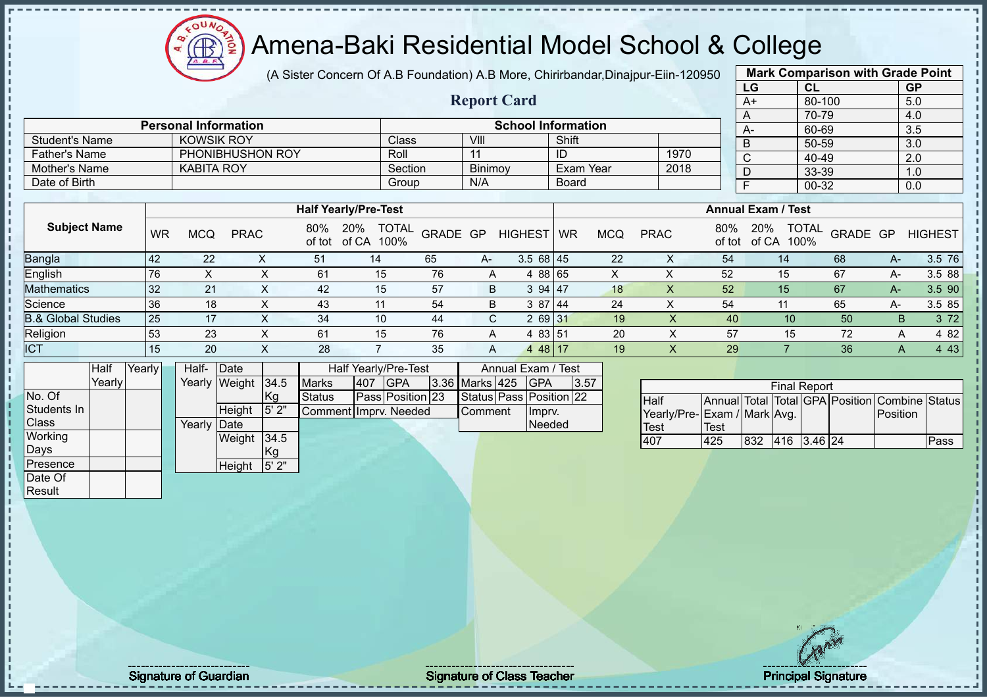Amena-Baki Residential Model School & College  $\circledR$ ğ

 $12\mu\text{V}$ 

(A Sister Concern Of A.B Foundation) A.B More, Chirirbandar,Dinajpur-Eiin-120950 **Mark Comparison with Grade Point**

|                               |        |        |           |                   |                             |           |                             |              |                      |          |                    |                    |            |                           |            |             |          |                             | LG           |            | CL                  |          | GP               |                                                |
|-------------------------------|--------|--------|-----------|-------------------|-----------------------------|-----------|-----------------------------|--------------|----------------------|----------|--------------------|--------------------|------------|---------------------------|------------|-------------|----------|-----------------------------|--------------|------------|---------------------|----------|------------------|------------------------------------------------|
|                               |        |        |           |                   |                             |           |                             |              |                      |          | <b>Report Card</b> |                    |            |                           |            |             |          |                             | A+           |            | 80-100              |          | 5.0              |                                                |
|                               |        |        |           |                   |                             |           |                             |              |                      |          |                    |                    |            |                           |            |             |          |                             | Α            |            | 70-79               |          | 4.0              |                                                |
|                               |        |        |           |                   | <b>Personal Information</b> |           |                             |              |                      |          |                    |                    |            | <b>School Information</b> |            |             |          |                             | $A-$         |            | 60-69               |          | 3.5              |                                                |
| <b>Student's Name</b>         |        |        |           |                   | <b>KOWSIK ROY</b>           |           |                             |              | Class                |          | VIII               |                    |            | Shift                     |            |             |          |                             | B            |            | 50-59               |          | 3.0              |                                                |
| <b>Father's Name</b>          |        |        |           |                   | PHONIBHUSHON ROY            |           |                             |              | Roll                 |          | 11                 |                    |            | ID                        |            |             | 1970     |                             | $\mathsf{C}$ |            | 40-49               |          | $\overline{2.0}$ |                                                |
| Mother's Name                 |        |        |           | <b>KABITA ROY</b> |                             |           |                             |              | Section              |          | Binimoy            |                    |            | <b>Exam Year</b>          |            |             | 2018     |                             | D            |            | 33-39               |          | 1.0              |                                                |
| Date of Birth                 |        |        |           |                   |                             |           |                             |              | Group                |          | N/A                |                    |            | <b>Board</b>              |            |             |          |                             | F            |            | $00 - 32$           |          | 0.0              |                                                |
|                               |        |        |           |                   |                             |           |                             |              |                      |          |                    |                    |            |                           |            |             |          |                             |              |            |                     |          |                  |                                                |
|                               |        |        |           |                   |                             |           | <b>Half Yearly/Pre-Test</b> |              |                      |          |                    |                    |            |                           |            |             |          | <b>Annual Exam / Test</b>   |              |            |                     |          |                  |                                                |
| <b>Subject Name</b>           |        |        | <b>WR</b> | <b>MCQ</b>        | <b>PRAC</b>                 |           | 80%<br>of tot               | 20%<br>of CA | <b>TOTAL</b><br>100% | GRADE GP |                    | <b>HIGHEST</b>     |            | <b>WR</b>                 | <b>MCQ</b> | <b>PRAC</b> |          | 80%<br>of tot               | 20%          | of CA 100% | <b>TOTAL</b>        | GRADE GP |                  | <b>HIGHEST</b>                                 |
| Bangla                        |        | 42     |           | 22                |                             | X         | 51                          | 14           |                      | 65       | A-                 |                    | $3.568$ 45 |                           | 22         |             | X        | 54                          |              | 14         |                     | 68       | $A-$             | 3.5 76                                         |
| English                       |        | 76     |           | X                 |                             | X         | 61                          |              | 15                   | 76       | A                  |                    | 4 88 65    |                           | X          |             | X        | 52                          |              | 15         |                     | 67       | $A -$            | 3.5 88                                         |
| Mathematics                   |        | 32     |           | 21                |                             | X         | 42                          |              | 15                   | 57       | B                  |                    | 3 94 47    |                           | 18         |             | X        | 52                          |              | 15         |                     | 67       | $A-$             | 3.5 90                                         |
| Science                       |        | 36     |           | 18                |                             | X         | 43                          |              | 11                   | 54       | B                  |                    | 3 87 44    |                           | 24         |             | X        | 54                          |              | 11         |                     | 65       | $A -$            | 3.5 85                                         |
| <b>B.&amp; Global Studies</b> |        | 25     |           | 17                |                             | X         | 34                          |              | 10                   | 44       | C.                 |                    | 2 69 31    |                           | 19         |             | $\times$ | 40                          |              | 10         |                     | 50       | B.               | 3 7 2                                          |
| Religion                      |        | 53     |           | 23                |                             | X         | 61                          |              | 15                   | 76       | A                  |                    | 4 83 51    |                           | 20         |             | X        | 57                          |              | 15         |                     | 72       | A                | 4 8 2                                          |
| <b>ICT</b>                    |        | 15     |           | 20                |                             | X         | 28                          |              | $\overline{7}$       | 35       | Α                  |                    | 4 48 17    |                           | 19         |             | X        | 29                          |              |            |                     | 36       | A                | 4 4 3                                          |
|                               | Half   | Yearly |           | Half-             | Date                        |           |                             |              | Half Yearly/Pre-Test |          |                    | Annual Exam / Test |            |                           |            |             |          |                             |              |            |                     |          |                  |                                                |
|                               | Yearly |        |           | Yearly            | Weight                      | 34.5      | <b>Marks</b>                | 407          | <b>GPA</b>           | 3.36     | Marks 425          |                    | <b>GPA</b> | 3.57                      |            |             |          |                             |              |            | <b>Final Report</b> |          |                  |                                                |
| No. Of                        |        |        |           |                   |                             | <b>Kg</b> | <b>Status</b>               |              | Pass Position 23     |          |                    |                    |            | Status Pass Position 22   |            | Half        |          |                             |              |            |                     |          |                  | Annual Total Total GPA Position Combine Status |
| Students In                   |        |        |           |                   | Height                      | 5' 2"     | Comment Imprv. Needed       |              |                      |          | Comment            |                    | Imprv.     |                           |            |             |          | Yearly/Pre-Exam / Mark Avg. |              |            |                     |          | Position         |                                                |
| Class                         |        |        |           | Yearly            | Date                        |           |                             |              |                      |          |                    |                    | Needed     |                           |            | <b>Test</b> |          | Test                        |              |            |                     |          |                  |                                                |
| Working                       |        |        |           |                   | Weight                      | 34.5      |                             |              |                      |          |                    |                    |            |                           |            | 407         |          | 425                         | 832          |            | 416 3.46 24         |          |                  | Pass                                           |
| Days                          |        |        |           |                   |                             | Kg        |                             |              |                      |          |                    |                    |            |                           |            |             |          |                             |              |            |                     |          |                  |                                                |
| Presence                      |        |        |           |                   | Height                      | 5'2"      |                             |              |                      |          |                    |                    |            |                           |            |             |          |                             |              |            |                     |          |                  |                                                |
| Date Of                       |        |        |           |                   |                             |           |                             |              |                      |          |                    |                    |            |                           |            |             |          |                             |              |            |                     |          |                  |                                                |
| Result                        |        |        |           |                   |                             |           |                             |              |                      |          |                    |                    |            |                           |            |             |          |                             |              |            |                     |          |                  |                                                |

Signature of Guardian Signature of Class T Teacher Principal Signature 34/51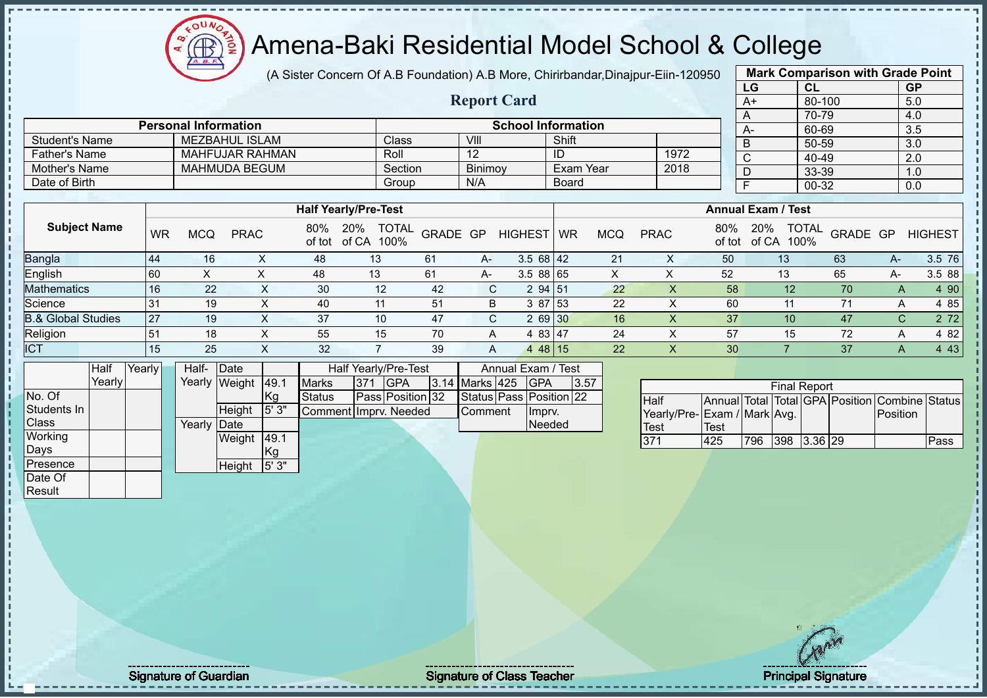$12\mu\text{V}$ **AR** 

### Amena-Baki Residential Model School & College

(A Sister Concern Of A.B Foundation) A.B More, Chirirbandar,Dinajpur-Eiin-120950

**Report Card**

|              | <b>Mark Comparison with Grade Point</b> |           |
|--------------|-----------------------------------------|-----------|
| LG           | CL                                      | <b>GP</b> |
| $A+$         | $80 - 100$                              | 5.0       |
| A            | 70-79                                   | 4.0       |
| A-           | 60-69                                   | 3.5       |
| B            | 50-59                                   | 3.0       |
| $\mathsf{C}$ | 40-49                                   | 2.0       |
| D            | 33-39                                   | 1.0       |
| F            | $00 - 32$                               | 0.0       |
|              |                                         |           |

|                       |                 | <b>Half Yearly/Pre-Test</b> |         |           |      | <b>Annual Exam / Test</b> |        |
|-----------------------|-----------------|-----------------------------|---------|-----------|------|---------------------------|--------|
|                       |                 |                             |         |           |      |                           |        |
| Date of Birth         |                 | Group                       | N/A     | Board     |      |                           | 00-32  |
|                       |                 |                             |         |           |      | D                         | 33-39  |
| Mother's Name         | MAHMUDA BEGUM   | Section                     | Binimoy | Exam Year | 2018 |                           |        |
| Father's Name         | MAHFUJAR RAHMAN | Roll                        |         | ID        | 1972 |                           | 40-49  |
| <b>Student's Name</b> | MEZBAHUL ISLAM  | Class                       | VIII    | Shift     |      |                           | 50-59  |
|                       |                 |                             |         |           |      | $\Gamma$                  | ັບບ-ບວ |

**Personal Information School Information** 

| <b>Subject Name</b>           | <b>WR</b> | MCQ | <b>PRAC</b> | 80%<br>of tot | 20%<br><b>TOTAL</b><br>of CA<br>100% | GRADE GP |    | <b>HIGHEST</b>            | WR | MCQ | <b>PRAC</b> | 80%<br>of tot | 20%<br>of CA<br>100% | <b>TOTAL</b><br>GRADE GP |    | <b>HIGHEST</b> |
|-------------------------------|-----------|-----|-------------|---------------|--------------------------------------|----------|----|---------------------------|----|-----|-------------|---------------|----------------------|--------------------------|----|----------------|
| <b>Bangla</b>                 | l 44      | 16  |             | 48            | 13                                   | 61       | A- | $3.568$   42              |    | 21  | ∧           | 50            | 13                   | 63                       | A- | 3.5 76         |
| English                       | l 60      |     |             | 48            | 13                                   | 61       | A- | 3.5 88 65                 |    |     |             | 52            | 13                   | 65                       | A- | 3.5 88         |
| <b>Mathematics</b>            | 16        | 22  |             | 30            | 12                                   | 42       |    | 2 94 51                   |    | 22  |             | 58            | 12                   | 70                       |    | 4 90           |
| Science                       | 31        | 19  |             | 40            |                                      | 51       | B  | 3 87 53                   |    | 22  |             | 60            |                      |                          |    | 4 85           |
| <b>B.&amp; Global Studies</b> | <b>27</b> | 19  |             | 37            | 10 <sup>°</sup>                      | 47       |    | 2 69 30                   |    | 16  |             | 37            | 10                   | 47                       | r  | 2 72           |
| Religion                      | 51        | 18  |             | 55            | 15                                   | 70       | A  | 4 83 47                   |    | 24  |             | 57            | 15                   | 72                       |    | 4 82           |
| ICT                           | 15        | 25  |             | 32            |                                      | 39       | A  | 48   15<br>$\overline{4}$ |    | 22  |             | 30            |                      | 37                       |    | 4 4 3          |

|                 | Half   | Yearly | Half-  | <b>IDate</b>  |       |                       |      | Half Yearly/Pre-Test |                | Annual Exam / Test      |      |
|-----------------|--------|--------|--------|---------------|-------|-----------------------|------|----------------------|----------------|-------------------------|------|
|                 | Yearly |        | Yearly | Weight        | 49.1  | <b>Marks</b>          | 1371 | <b>IGPA</b>          | 3.14 Marks 425 | <b>IGPA</b>             | 3.57 |
| No. Of          |        |        |        |               | Kg    | <b>Status</b>         |      | Pass Position 32     |                | Status Pass Position 22 |      |
| Students In     |        |        |        | <b>Height</b> | 5' 3" | Comment Imprv. Needed |      |                      | Comment        | Impry.                  |      |
| <b>Class</b>    |        |        | Yearly | <b>IDate</b>  |       |                       |      |                      |                | <b>Needed</b>           |      |
| Working         |        |        |        | Weight        | 49.1  |                       |      |                      |                |                         |      |
| Days            |        |        |        |               | Kg    |                       |      |                      |                |                         |      |
| <b>Presence</b> |        |        |        | Height        | 5'3"  |                       |      |                      |                |                         |      |
| Date Of         |        |        |        |               |       |                       |      |                      |                |                         |      |

|                             |      |     | <b>Final Report</b> |  |                                                |      |
|-----------------------------|------|-----|---------------------|--|------------------------------------------------|------|
| <b>I</b> Half               |      |     |                     |  | Annual Total Total GPA Position Combine Status |      |
| Yearly/Pre-Exam / Mark Avg. |      |     |                     |  | <b>Position</b>                                |      |
| Test                        | Test |     |                     |  |                                                |      |
| 371                         | 425  | 796 | 398 3.36 29         |  |                                                | Pass |

Result

Signature of Guardian Signature of Class T Teacher Principal Signature 35/51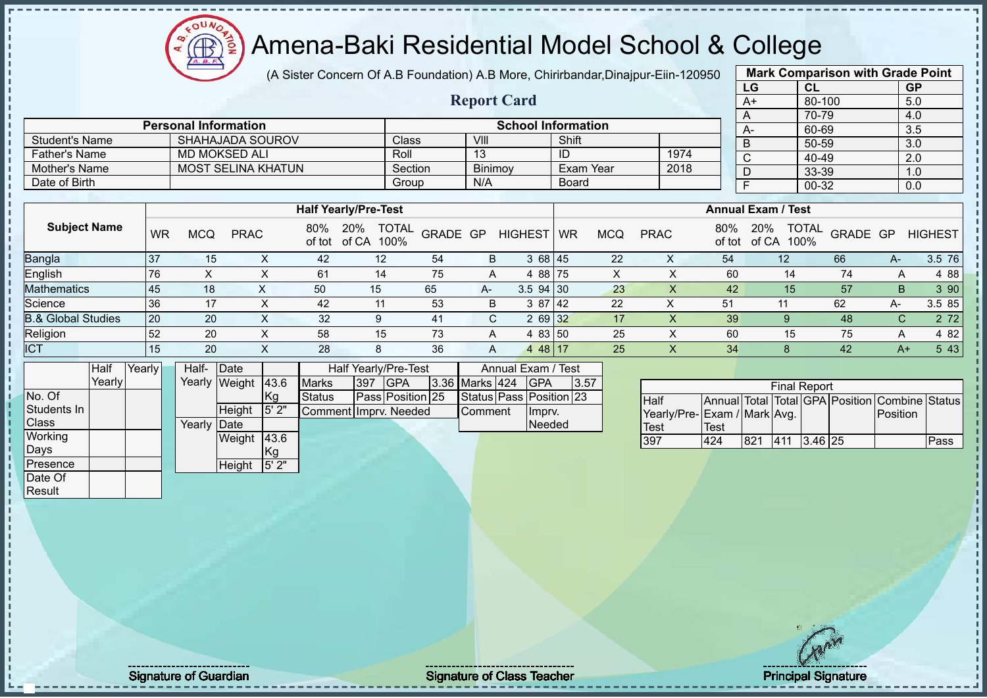$12\mu\text{V}$ **AR** 

# Amena-Baki Residential Model School & College

(A Sister Concern Of A.B Foundation) A.B More, Chirirbandar,Dinajpur-Eiin-120950

**Report Card**

|      | <b>Mark Comparison with Grade Point</b> |           |  |  |  |  |  |  |  |  |
|------|-----------------------------------------|-----------|--|--|--|--|--|--|--|--|
| LG   | CL                                      | <b>GP</b> |  |  |  |  |  |  |  |  |
| $A+$ | 80-100                                  | 5.0       |  |  |  |  |  |  |  |  |
| A    | 70-79                                   | 4.0       |  |  |  |  |  |  |  |  |
| A-   | 60-69                                   | 3.5       |  |  |  |  |  |  |  |  |
| B    | 50-59                                   | 3.0       |  |  |  |  |  |  |  |  |
| C    | 40-49                                   | 2.0       |  |  |  |  |  |  |  |  |
| D    | 33-39                                   | 1.0       |  |  |  |  |  |  |  |  |
| F    | 00-32                                   | 0.0       |  |  |  |  |  |  |  |  |
|      |                                         |           |  |  |  |  |  |  |  |  |

|                      | <b>Personal Information</b> |              |                | <b>School Information</b> |      |
|----------------------|-----------------------------|--------------|----------------|---------------------------|------|
| Student's Name       | SHAHAJADA SOUROV            | <b>Class</b> | VIII           | Shift                     |      |
| <b>Father's Name</b> | MD MOKSED ALI               | Roll         | 13             | ID                        | 1974 |
| Mother's Name        | <b>MOST SELINA KHATUN</b>   | Section      | <b>Binimov</b> | Exam Year                 | 2018 |
| Date of Birth        |                             | Group        | N/A            | <b>Board</b>              |      |

|                               |     |            |             |               | <b>Half Yearly/Pre-Test</b>       |          |      |                |           |            |             |               | <b>Annual Exam / Test</b>            |          |      |                |
|-------------------------------|-----|------------|-------------|---------------|-----------------------------------|----------|------|----------------|-----------|------------|-------------|---------------|--------------------------------------|----------|------|----------------|
| <b>Subject Name</b>           | WR  | <b>MCQ</b> | <b>PRAC</b> | 80%<br>of tot | <b>TOTAL</b><br>20%<br>of CA 100% | GRADE GP |      | <b>HIGHEST</b> | <b>WR</b> | <b>MCQ</b> | <b>PRAC</b> | 80%<br>of tot | <b>TOTAL</b><br>20%<br>of CA<br>100% | GRADE GP |      | <b>HIGHEST</b> |
| <b>Bangla</b>                 | -37 | 15         |             | 42            | 12                                | 54       | В    | 3 68 45        |           | 22         |             | 54            | 12                                   | 66       | $A-$ | 3.5 76         |
| English                       | 76  |            |             | 61            | 14                                | 75       |      | 4 88 75        |           |            |             | 60            | 14                                   | 74       | A    | 4 8 8          |
| <b>Mathematics</b>            | 45  | 18         | ∧           | 50            | 15                                | 65       | $A-$ | 3.594 30       |           | 23         | X           | 42            | 15                                   | 57       | B    | 3 90           |
| Science                       | 36  | 17         |             | 42            | 11                                | 53       | B    | 3 87 42        |           | 22         |             | 51            | 11                                   | 62       | А-   | 3.5 85         |
| <b>B.&amp; Global Studies</b> | 20  | 20         |             | 32            | 9                                 | 41       | C.   | 2 69 32        |           | 17         |             | 39            |                                      | 48       |      | 2 7 2          |
| Religion                      | 52  | 20         |             | 58            | 15                                | 73       | A    | 4 83 50        |           | 25         |             | 60            | 15                                   | 75       | A    | 4 8 2          |
| <b>ICT</b>                    | 15  | 20         | $\sim$      | 28            | 8                                 | 36       | A    | 4 48 17        |           | 25         |             | 34            |                                      | 42       | $A+$ | 5 4 3          |

|              | Half   | Yearly | Half-  | Date          |               |                         |     | <b>Half Yearly/Pre-Test</b> |                | Annual Exam / Test      |      |
|--------------|--------|--------|--------|---------------|---------------|-------------------------|-----|-----------------------------|----------------|-------------------------|------|
|              | Yearly |        |        | Yearly Weight | 43.6          | <b>Marks</b>            | 397 | <b>GPA</b>                  | 3.36 Marks 424 | <b>IGPA</b>             | 3.57 |
| No. Of       |        |        |        |               | Kg            | <b>Status</b>           |     | Pass Position 25            |                | Status Pass Position 23 |      |
| Students In  |        |        |        | <b>Height</b> | 5'2"          | Comment I Impry. Needed |     |                             | Comment        | Imprv.                  |      |
| <b>Class</b> |        |        | Yearly | <b>IDate</b>  |               |                         |     |                             |                | <b>Needed</b>           |      |
| Working      |        |        |        | Weight        | 43.6          |                         |     |                             |                |                         |      |
| Days         |        |        |        |               | <sub>Kg</sub> |                         |     |                             |                |                         |      |
| Presence     |        |        |        | Height        | 5'2"          |                         |     |                             |                |                         |      |
| Date Of      |        |        |        |               |               |                         |     |                             |                |                         |      |

| <b>Final Report</b>          |             |     |     |           |  |                                                |      |  |  |  |  |  |  |
|------------------------------|-------------|-----|-----|-----------|--|------------------------------------------------|------|--|--|--|--|--|--|
| Half                         |             |     |     |           |  | Annual Total Total GPA Position Combine Status |      |  |  |  |  |  |  |
| Yearly/Pre- Exam / Mark Avg. |             |     |     |           |  | Position                                       |      |  |  |  |  |  |  |
| <b>Test</b>                  | <b>Test</b> |     |     |           |  |                                                |      |  |  |  |  |  |  |
| 397                          | 424         | 821 | 411 | $3.46$ 25 |  |                                                | Pass |  |  |  |  |  |  |

Result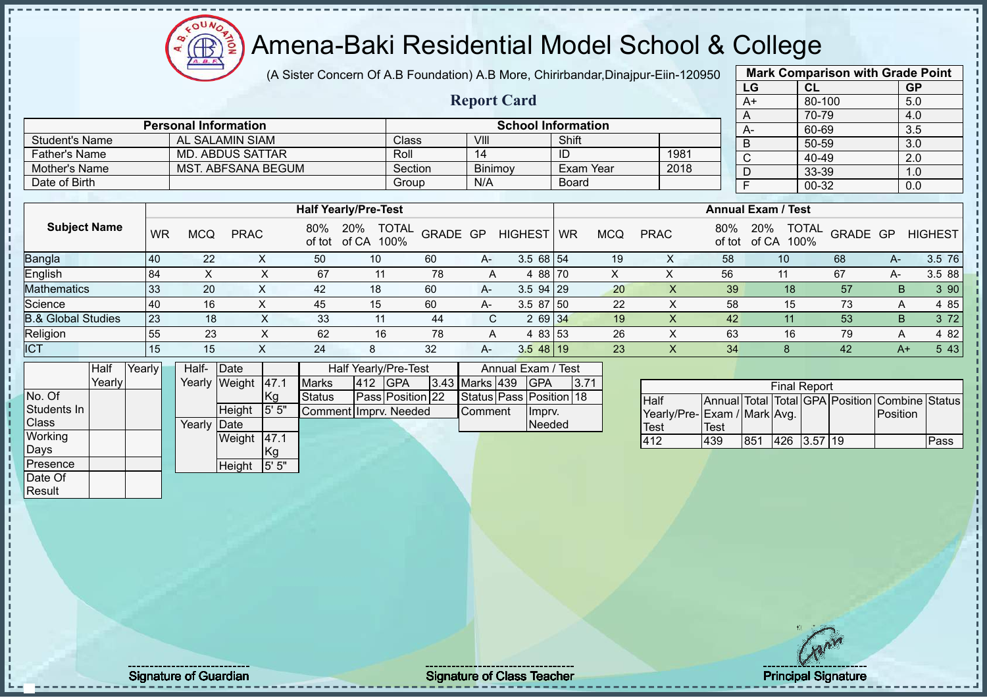### Amena-Baki Residential Model School & College

(A Sister Concern Of A.B Foundation) A.B More, Chirirbandar, Dinajpur-Eiin-120

**Report Card**

| 950 |                           | <b>Mark Comparison with Grade Point</b> |                  |
|-----|---------------------------|-----------------------------------------|------------------|
|     | LG                        | <b>CL</b>                               | <b>GP</b>        |
|     | A+                        | 80-100                                  | 5.0              |
|     | A                         | 70-79                                   | 4.0              |
|     | А-                        | 60-69                                   | $\overline{3.5}$ |
|     | в                         | 50-59                                   | 3.0              |
|     | C                         | 40-49                                   | 2.0              |
|     | D                         | 33-39                                   | 1.0              |
|     | F                         | 00-32                                   | 0.0              |
|     |                           |                                         |                  |
|     | <b>Annual Exam / Test</b> |                                         |                  |

| Date of Birth                 |           |     |             |               |                                      | Group    | N/A |              | <b>Board</b> |            |             |               |                                      | 00-32    |       | 0.0         |
|-------------------------------|-----------|-----|-------------|---------------|--------------------------------------|----------|-----|--------------|--------------|------------|-------------|---------------|--------------------------------------|----------|-------|-------------|
|                               |           |     |             |               |                                      |          |     |              |              |            |             |               |                                      |          |       |             |
|                               |           |     |             |               | <b>Half Yearly/Pre-Test</b>          |          |     |              |              |            |             |               | <b>Annual Exam / Test</b>            |          |       |             |
| <b>Subject Name</b>           | WR        | MCQ | <b>PRAC</b> | 80%<br>of tot | <b>TOTAL</b><br>20%<br>100%<br>of CA | GRADE GP |     | HIGHEST      | WR           | <b>MCQ</b> | <b>PRAC</b> | 80%<br>of tot | <b>TOTAL</b><br>20%<br>100%<br>of CA | GRADE GP |       | HIGHEST     |
| <b>Bangla</b>                 | <b>40</b> | 22  |             | 50            | 10 <sup>°</sup>                      | 60       | A-  | 3.568154     |              | 19         | ⋏           | 58            | 10                                   | 68       | $A -$ | 3.5 76      |
| <b>English</b>                | 84        | X   |             | 67            | 11                                   | 78       | A   | 4 88 70      |              |            | X           | 56            | 11                                   | 67       | А-    | 3.5 88      |
| Mathematics                   | 33        | 20  |             | 42            | 18                                   | 60       | A-  | $3.594$   29 |              | 20         | X           | 39            | 18                                   | 57       | B.    | 390         |
| Science                       | 40        | 16  |             | 45            | 15                                   | 60       | A-  | 3.58750      |              | 22         | Χ           | 58            | 15                                   | 73       | A     | 4 85        |
| <b>B.&amp; Global Studies</b> | 23        | 18  |             | 33            | 11                                   | 44       | C.  | 2 69 34      |              | 19         |             | 42            | 11                                   | 53       | B.    | 372         |
| Religion                      | 55        | 23  | ∧           | 62            | 16                                   | 78       | A   | 4 83 53      |              | 26         | X           | 63            | 16                                   | 79       | A     | 4 82        |
| <b>ICT</b>                    | 15        | 15  |             | 24            | 8                                    | 32       | A-  | $3.548$ 19   |              | 23         |             | 34            |                                      | 42       |       | 543<br>$A+$ |

|              | Half   | Yearly | Half-  | Date        |       |                        |     | Half Yearly/Pre-Test |                | Annual Exam / Test      |      |
|--------------|--------|--------|--------|-------------|-------|------------------------|-----|----------------------|----------------|-------------------------|------|
|              | Yearly |        | Yearly | Weight      | 47.1  | <b>Marks</b>           | 412 | <b>IGPA</b>          | 3.43 Marks 439 | <b>IGPA</b>             | 3.71 |
| No. Of       |        |        |        |             | .Kg   | <b>Status</b>          |     | Pass Position 22     |                | Status Pass Position 18 |      |
| Students In  |        |        |        | Height      | 5' 5" | Comment IImprv. Needed |     |                      | <b>Comment</b> | Impry.                  |      |
| <b>Class</b> |        |        | Yearlv | <b>Date</b> |       |                        |     |                      |                | Needed                  |      |
| Working      |        |        |        | Weight      | 47.1  |                        |     |                      |                |                         |      |
| Days         |        |        |        |             | Kg    |                        |     |                      |                |                         |      |
| Presence     |        |        |        | Height      | 5' 5" |                        |     |                      |                |                         |      |
| Date Of      |        |        |        |             |       |                        |     |                      |                |                         |      |

Student's Name AL SALAMIN SIAM Class VIII Shift<br>
Father's Name MD. ABDUS SATTAR Roll 14 ID

Mother's Name MST. ABFSANA BEGUM Section Binimoy Exam Year

**Personal Information School Information** 

Father's Name MD. ABDUS SATTAR Roll 14 ID 1981<br>
Mother's Name MST. ABFSANA BEGUM Section Binimoy Exam Year 2018

| <b>Final Report</b><br>Annual Total Total GPA Position Combine Status |      |     |             |  |  |          |      |  |  |  |  |  |  |
|-----------------------------------------------------------------------|------|-----|-------------|--|--|----------|------|--|--|--|--|--|--|
| <b>I</b> Half                                                         |      |     |             |  |  |          |      |  |  |  |  |  |  |
| Yearly/Pre-Exam / Mark Avg.                                           |      |     |             |  |  | Position |      |  |  |  |  |  |  |
| <b>Test</b>                                                           | Test |     |             |  |  |          |      |  |  |  |  |  |  |
| 412                                                                   | 439  | 851 | 426 3.57 19 |  |  |          | Pass |  |  |  |  |  |  |

Result

Signature of Guardian Signature Signature of Class Teacher Number of Class Teacher Principal Signature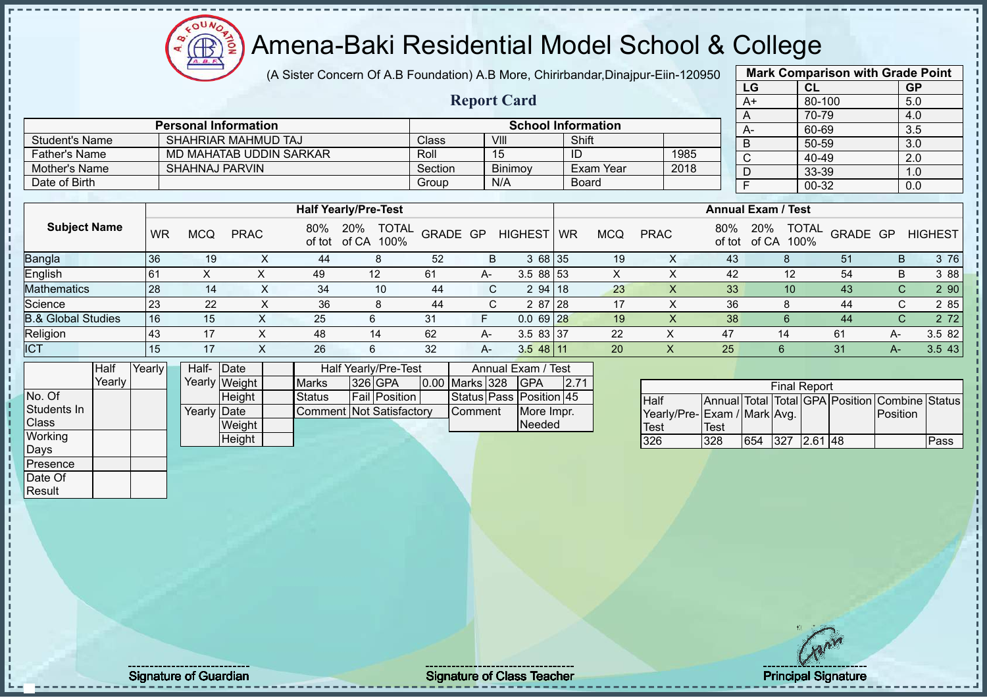(A Sister Concern Of A.B Foundation) A.B More, Chirirbandar,Dinajpur-Eiin-120950

 $12\mu\text{V}$ 

Æ

|                               |        |           |                             |                |                         |                                      |              |                    |                           |              |            |                             |               | LG                        | CL                   |                                                | <b>GP</b>   |                |
|-------------------------------|--------|-----------|-----------------------------|----------------|-------------------------|--------------------------------------|--------------|--------------------|---------------------------|--------------|------------|-----------------------------|---------------|---------------------------|----------------------|------------------------------------------------|-------------|----------------|
|                               |        |           |                             |                |                         |                                      |              | <b>Report Card</b> |                           |              |            |                             |               | $A+$                      |                      | 80-100                                         | 5.0         |                |
|                               |        |           |                             |                |                         |                                      |              |                    |                           |              |            |                             |               | A                         | 70-79                |                                                | 4.0         |                |
|                               |        |           | <b>Personal Information</b> |                |                         |                                      |              |                    | <b>School Information</b> |              |            |                             |               | A-                        | 60-69                |                                                | 3.5         |                |
| <b>Student's Name</b>         |        |           | SHAHRIAR MAHMUD TAJ         |                |                         |                                      | <b>Class</b> | VIII               |                           | Shift        |            |                             |               | B                         |                      | 50-59                                          | 3.0         |                |
| <b>Father's Name</b>          |        |           |                             |                | MD MAHATAB UDDIN SARKAR |                                      | Roll         | 15                 |                           | ID           |            | 1985                        |               | $\mathsf{C}$              |                      | 40-49                                          | 2.0         |                |
| <b>Mother's Name</b>          |        |           | <b>SHAHNAJ PARVIN</b>       |                |                         |                                      | Section      |                    | Binimoy                   |              | Exam Year  | 2018                        |               | D                         |                      | 33-39                                          | 1.0         |                |
| Date of Birth                 |        |           |                             |                |                         |                                      | Group        | N/A                |                           | <b>Board</b> |            |                             |               | $\mathsf{F}$              | 00-32                |                                                | 0.0         |                |
|                               |        |           |                             |                |                         |                                      |              |                    |                           |              |            |                             |               |                           |                      |                                                |             |                |
|                               |        |           |                             |                |                         | <b>Half Yearly/Pre-Test</b>          |              |                    |                           |              |            |                             |               | <b>Annual Exam / Test</b> |                      |                                                |             |                |
| <b>Subject Name</b>           |        | <b>WR</b> | <b>MCQ</b>                  | <b>PRAC</b>    | 80%<br>of tot           | <b>TOTAL</b><br>20%<br>of CA<br>100% |              | GRADE GP           | <b>HIGHEST</b>            | <b>WR</b>    | <b>MCQ</b> | <b>PRAC</b>                 | 80%<br>of tot | 20%<br>of CA              | <b>TOTAL</b><br>100% | GRADE GP                                       |             | <b>HIGHEST</b> |
| Bangla                        |        | 36        | 19                          | X              | 44                      | 8                                    | 52           | B                  | 3 68                      | 35           | 19         | $\times$                    | 43            |                           | 8                    | 51                                             | B           | 3 76           |
| English                       |        | 61        | $\boldsymbol{\mathsf{X}}$   | X              | 49                      | 12                                   | 61           | A-                 | 3.5 88 53                 |              | X          | X                           | 42            |                           | 12                   | 54                                             | B           | 3 8 8          |
| Mathematics                   |        | 28        | 14                          | $\mathsf X$    | 34                      | 10                                   | 44           | C                  | 294 18                    |              | 23         | $\overline{\mathsf{X}}$     | 33            |                           | 10                   | 43                                             | $\mathbf C$ | 2 90           |
| Science                       |        | 23        | 22                          | X              | 36                      | 8                                    | 44           | C                  | 2 87                      | 28           | 17         | X                           | 36            |                           | 8                    | 44                                             | C           | 2 85           |
| <b>B.&amp; Global Studies</b> |        | 16        | 15                          | X              | 25                      | 6                                    | 31           | F                  | $0.069$ 28                |              | 19         | X                           | 38            |                           | 6                    | 44                                             | С           | 2 7 2          |
| Religion                      |        | 43        | 17                          | $\pmb{\times}$ | 48                      | 14                                   | 62           | A-                 | 3.5 83 37                 |              | 22         | $\pmb{\times}$              | 47            |                           | 14                   | 61                                             | $A -$       | 3.5 82         |
| <b>ICT</b>                    |        | 15        | 17                          | X              | 26                      | 6                                    | 32           | $A-$               | $3.548$ 11                |              | 20         | X                           | 25            |                           | $6\phantom{1}$       | 31                                             | $A-$        | 3.5 43         |
|                               | Half   | Yearly    |                             | Half- Date     |                         | Half Yearly/Pre-Test                 |              |                    | Annual Exam / Test        |              |            |                             |               |                           |                      |                                                |             |                |
|                               | Yearly |           |                             | Yearly Weight  | <b>Marks</b>            | 326 GPA                              |              | 0.00 Marks 328     | <b>GPA</b>                | 2.71         |            |                             |               |                           | <b>Final Report</b>  |                                                |             |                |
| No. Of                        |        |           |                             | Height         | <b>Status</b>           | Fail Position                        |              |                    | Status Pass Position 45   |              |            | Half                        |               |                           |                      | Annual Total Total GPA Position Combine Status |             |                |
| Students In                   |        |           | Yearly Date                 |                |                         | <b>Comment Not Satisfactory</b>      |              | Comment            | More Impr.                |              |            | Yearly/Pre-Exam / Mark Avg. |               |                           |                      |                                                | Position    |                |
| Class                         |        |           |                             | Weight         |                         |                                      |              |                    | Needed                    |              |            | Test                        | <b>Test</b>   |                           |                      |                                                |             |                |
| Working                       |        |           |                             | Height         |                         |                                      |              |                    |                           |              |            | 326                         | 328           | 654                       | 327                  | $2.61$ 48                                      |             | Pass           |
| Days                          |        |           |                             |                |                         |                                      |              |                    |                           |              |            |                             |               |                           |                      |                                                |             |                |
| Presence                      |        |           |                             |                |                         |                                      |              |                    |                           |              |            |                             |               |                           |                      |                                                |             |                |
| Date Of                       |        |           |                             |                |                         |                                      |              |                    |                           |              |            |                             |               |                           |                      |                                                |             |                |
| Result                        |        |           |                             |                |                         |                                      |              |                    |                           |              |            |                             |               |                           |                      |                                                |             |                |

**Mark Comparison with Grade Point**

Signature of Guardian Signature of Class T Teacher Principal Signature 38/51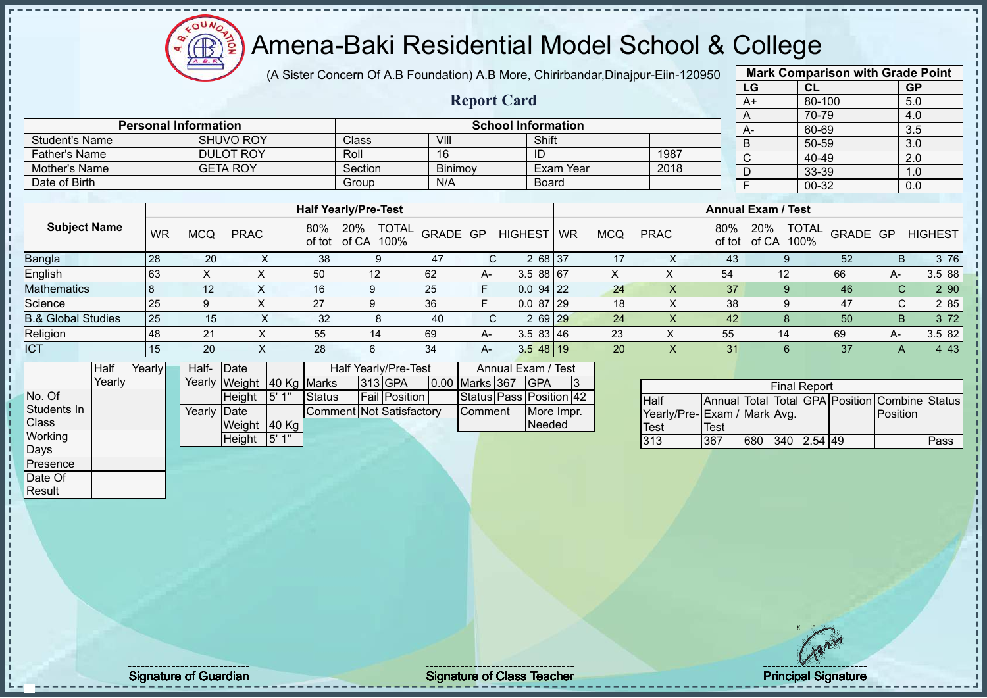

(A Sister Concern Of A.B Foundation) A.B More, Chirirbandar,Dinajpur-Eiin-120950

**Report Card**

|                       | <b>Mark Comparison with Grade Point</b> |           |
|-----------------------|-----------------------------------------|-----------|
| LG                    | <b>CL</b>                               | <b>GP</b> |
| $A+$                  | 80-100                                  | 5.0       |
| Α                     | 70-79                                   | 4.0       |
| A-                    | 60-69                                   | 3.5       |
| B                     | 50-59                                   | 3.0       |
| $\overline{\text{c}}$ | 40-49                                   | 2.0       |
| D                     | 33-39                                   | 1.0       |
| F                     | $00 - 32$                               | 0.0       |
|                       |                                         |           |

|                               |    |                  |             |               | <b>Half Yearly/Pre-Test</b> |                                  |      |                |           |            |             |               | <b>Annual Exam / Test</b> |                                         |    |                |
|-------------------------------|----|------------------|-------------|---------------|-----------------------------|----------------------------------|------|----------------|-----------|------------|-------------|---------------|---------------------------|-----------------------------------------|----|----------------|
| <b>Subject Name</b>           | WR | <b>MCQ</b>       | <b>PRAC</b> | 80%<br>of tot | 20%<br>of CA                | <b>TOTAL</b><br>GRADE GP<br>100% |      | <b>HIGHEST</b> | <b>WR</b> | <b>MCQ</b> | <b>PRAC</b> | 80%<br>of tot | 20%<br>of CA              | <b>TOTAL</b><br><b>GRADE GP</b><br>100% |    | <b>HIGHEST</b> |
| <b>Bangla</b>                 | 28 | 20               | ㅅ           | 38            | 9                           | -47                              | C.   | 2 68 37        |           | 17         |             | 43            |                           | 52                                      | B. | 3 76           |
| English                       | 63 | $\check{ }$<br>∧ |             | 50            | 12                          | 62                               | $A-$ | 3.5 88 67      |           |            |             | 54            | 12                        | 66                                      | A- | 3.5 88         |
| <b>Mathematics</b>            |    | 12 <sup>°</sup>  |             | 16            |                             | 25                               | E    | $0.094$ 22     |           | 24         |             | 37            |                           | 46                                      | C. | 2 90           |
| Science                       | 25 | 9                |             | 27            |                             | 36                               | F    | $0.087$ 29     |           | 18         | ㅅ           | 38            | 9                         | 47                                      | C. | 2 8 5          |
| <b>B.&amp; Global Studies</b> | 25 | 15               | $\sim$      | 32            | O                           | 40                               | C.   | $269$ $29$     |           | 24         |             | 42            |                           | 50                                      | B  | 3 7 2          |
| Religion                      | 48 | 21               |             | 55            | 14                          | 69                               | A-   | 3.583 46       |           | 23         | ∧           | 55            | 14                        | 69                                      | А- | 3.5 82         |
| <b>ICT</b>                    | 15 | 20               | $\sim$      | 28            | 6                           | 34                               | A-   | $3.548$ 19     |           | 20         |             | 31            | 6                         | 37                                      | A  | 4 4 3          |
|                               |    |                  |             |               |                             |                                  |      |                |           |            |             |               |                           |                                         |    |                |

|                 | Half   | Yearly | Half-               | <b>IDate</b>  |             |                          | Half Yearly/Pre-Test |                | Annual Exam / Test            |  |
|-----------------|--------|--------|---------------------|---------------|-------------|--------------------------|----------------------|----------------|-------------------------------|--|
|                 | Yearlv |        |                     | Yearly Weight | 40 Kg Marks |                          | $ 313 $ GPA          | 0.00 Marks 367 | IGPA                          |  |
| No. Of          |        |        |                     | <b>Height</b> | 5'1"        | <b>Status</b>            | <b>Fail Position</b> |                | Status   Pass   Position   42 |  |
| Students In     |        |        | Yearly <b>IDate</b> |               |             | Comment Not Satisfactory |                      | <b>Comment</b> | More Impr.                    |  |
| Class           |        |        |                     | <b>Weight</b> | $ 40$ Kg    |                          |                      |                | Needed                        |  |
| Working<br>Days |        |        |                     | Height        | 5' 1"       |                          |                      |                |                               |  |

**Personal Information**<br>
SHUVO ROY Class VIII Shift Shift

Father's Name **DULOT ROY** Roll 16 ID 1987<br>
Mother's Name GETA ROY Section Binimoy Exam Year 2018

Student's Name SHUVO ROY Class VIII Shift<br>
Father's Name DULOT ROY Roll 16 ID

Mother's Name GETA ROY Section Binimoy Exam Year Date of Birth Board Group N/A Board

|                              | <b>Final Report</b> |     |             |  |  |                                                |      |  |  |  |  |  |  |  |
|------------------------------|---------------------|-----|-------------|--|--|------------------------------------------------|------|--|--|--|--|--|--|--|
| <b>Half</b>                  |                     |     |             |  |  | Annual Total Total GPA Position Combine Status |      |  |  |  |  |  |  |  |
| Yearly/Pre- Exam / Mark Avg. |                     |     |             |  |  | <b>IPosition</b>                               |      |  |  |  |  |  |  |  |
| Test                         | Test                |     |             |  |  |                                                |      |  |  |  |  |  |  |  |
| 313                          | 367                 | 680 | 340 2.54 49 |  |  |                                                | Pass |  |  |  |  |  |  |  |

Presence Date Of **Result** 

Signature of Guardian Signature Signature of Class Teacher Number of Class Teacher Principal Signature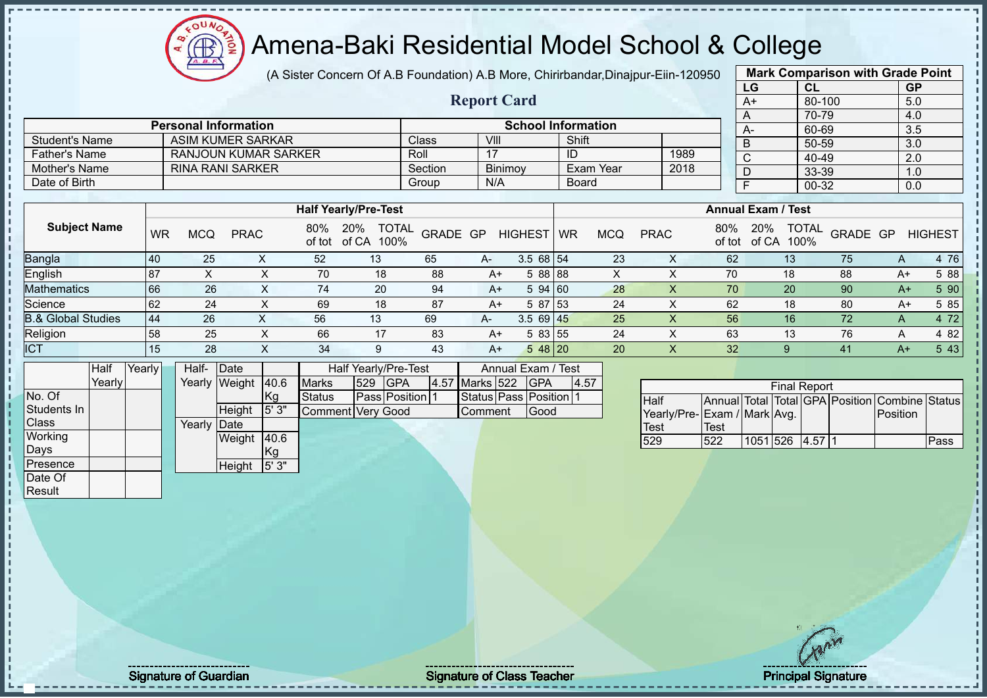(A Sister Concern Of A.B Foundation) A.B More, Chirirbandar,Dinajpur-Eiin-120950

 $12\mu\text{V}$ 

|                               |           |                             |                       |            |               |                                           |              |                        |                                  |              |                  |                             |                           | LG           | CL                   |                                                | <b>GP</b>    |                |
|-------------------------------|-----------|-----------------------------|-----------------------|------------|---------------|-------------------------------------------|--------------|------------------------|----------------------------------|--------------|------------------|-----------------------------|---------------------------|--------------|----------------------|------------------------------------------------|--------------|----------------|
|                               |           |                             |                       |            |               |                                           |              | <b>Report Card</b>     |                                  |              |                  |                             |                           | A+           |                      | 80-100                                         | 5.0          |                |
|                               |           | <b>Personal Information</b> |                       |            |               |                                           |              |                        | <b>School Information</b>        |              |                  |                             |                           | Α            | 70-79                |                                                | 4.0          |                |
| <b>Student's Name</b>         |           | <b>ASIM KUMER SARKAR</b>    |                       |            |               |                                           | <b>Class</b> | VIII                   |                                  | Shift        |                  |                             |                           | A-           | 60-69                |                                                | 3.5          |                |
| <b>Father's Name</b>          |           | <b>RANJOUN KUMAR SARKER</b> |                       |            |               |                                           | Roll         | 17                     |                                  | ID           |                  | 1989                        |                           | B            | $50 - 59$            |                                                | 3.0          |                |
| <b>Mother's Name</b>          |           | <b>RINA RANI SARKER</b>     |                       |            |               |                                           | Section      | Binimoy                |                                  |              | <b>Exam Year</b> | 2018                        |                           | C            | 40-49                |                                                | 2.0          |                |
| Date of Birth                 |           |                             |                       |            |               |                                           | Group        | N/A                    |                                  | <b>Board</b> |                  |                             |                           | D            | 33-39                |                                                | 1.0          |                |
|                               |           |                             |                       |            |               |                                           |              |                        |                                  |              |                  |                             |                           | F.           | 00-32                |                                                | 0.0          |                |
|                               |           |                             |                       |            |               | <b>Half Yearly/Pre-Test</b>               |              |                        |                                  |              |                  |                             | <b>Annual Exam / Test</b> |              |                      |                                                |              |                |
| <b>Subject Name</b>           | <b>WR</b> | <b>MCQ</b>                  | <b>PRAC</b>           |            | 80%<br>of tot | 20%<br><b>TOTAL</b><br>of CA<br>100%      | GRADE GP     |                        | HIGHEST WR                       |              | <b>MCQ</b>       | <b>PRAC</b>                 | 80%<br>of tot             | 20%<br>of CA | <b>TOTAL</b><br>100% | GRADE GP                                       |              | <b>HIGHEST</b> |
| <b>Bangla</b>                 | 40        | 25                          |                       | X          | 52            | 13                                        | 65           | A-                     | $3.568$ 54                       |              | 23               | X                           | 62                        |              | 13                   | 75                                             | $\mathsf{A}$ | 4 76           |
| English                       | 87        | X                           |                       | X          | 70            | 18                                        | 88           | $A+$                   | 5 88 88                          |              | X                | X                           | 70                        |              | 18                   | 88                                             | $A+$         | 5 88           |
| <b>Mathematics</b>            | 66        | 26                          |                       | X          | 74            | 20                                        | 94           | $A+$                   | 5 94 60                          |              | 28               | $\mathsf X$                 | 70                        |              | 20                   | 90                                             | $A+$         | 5 90           |
| Science                       | 62        | 24                          |                       | X          | 69            | 18                                        | 87           | $A+$                   | 5 87 53                          |              | 24               | X                           | 62                        |              | 18                   | 80                                             | $A+$         | 5 8 5          |
| <b>B.&amp; Global Studies</b> | 44        | 26                          |                       | X          | 56            | 13                                        | 69           | А-                     | $3.569$ 45                       |              | 25               | X                           | 56                        |              | 16                   | 72                                             | A            | 4 72           |
| Religion                      | 58        | 25                          |                       | X          | 66            | 17                                        | 83           | $A+$                   | 583 55                           |              | 24               | $\sf X$                     | 63                        |              | 13                   | 76                                             | A            | 4 8 2          |
| <b>ICT</b>                    | 15        | 28                          |                       | X          | 34            | 9                                         | 43           | $A+$                   | $548$ 20                         |              | 20               | $\times$                    | 32                        |              | 9                    | 41                                             | $A+$         | 5 4 3          |
| Half<br>Yearly<br>Yearly      |           | Half-                       | Date<br>Yearly Weight | 40.6       | <b>Marks</b>  | Half Yearly/Pre-Test<br>529<br><b>GPA</b> |              | 4.57 Marks 522         | Annual Exam / Test<br><b>GPA</b> | 4.57         |                  |                             |                           |              |                      |                                                |              |                |
| No. Of                        |           |                             |                       | Kg         | <b>Status</b> | Pass Position 1                           |              | Status Pass Position 1 |                                  |              |                  | <b>Half</b>                 |                           |              | <b>Final Report</b>  | Annual Total Total GPA Position Combine Status |              |                |
| Students In                   |           |                             | Height                | 5'3"       |               | Comment Very Good                         |              | Comment                | Good                             |              |                  | Yearly/Pre-Exam / Mark Avg. |                           |              |                      |                                                | Position     |                |
| Class                         |           | Yearly                      | Date                  |            |               |                                           |              |                        |                                  |              |                  | <b>Test</b>                 | <b>Test</b>               |              |                      |                                                |              |                |
| Working<br>Days               |           |                             | Weight                | 40.6<br>Kg |               |                                           |              |                        |                                  |              |                  | 529                         | 522                       | 1051 526     | 4.57 1               |                                                |              | Pass           |
| Presence<br>Date Of           |           |                             | Height                | 5'3"       |               |                                           |              |                        |                                  |              |                  |                             |                           |              |                      |                                                |              |                |
| Result                        |           |                             |                       |            |               |                                           |              |                        |                                  |              |                  |                             |                           |              |                      |                                                |              |                |
|                               |           |                             |                       |            |               |                                           |              |                        |                                  |              |                  |                             |                           |              |                      |                                                |              |                |

**Mark Comparison with Grade Point**

 $\mathbf{I}$ J.  $\frac{1}{4}$ j.

Signature of Guardian and Signature of Class Teacher All and Signature of Class Teacher Principal Signature 40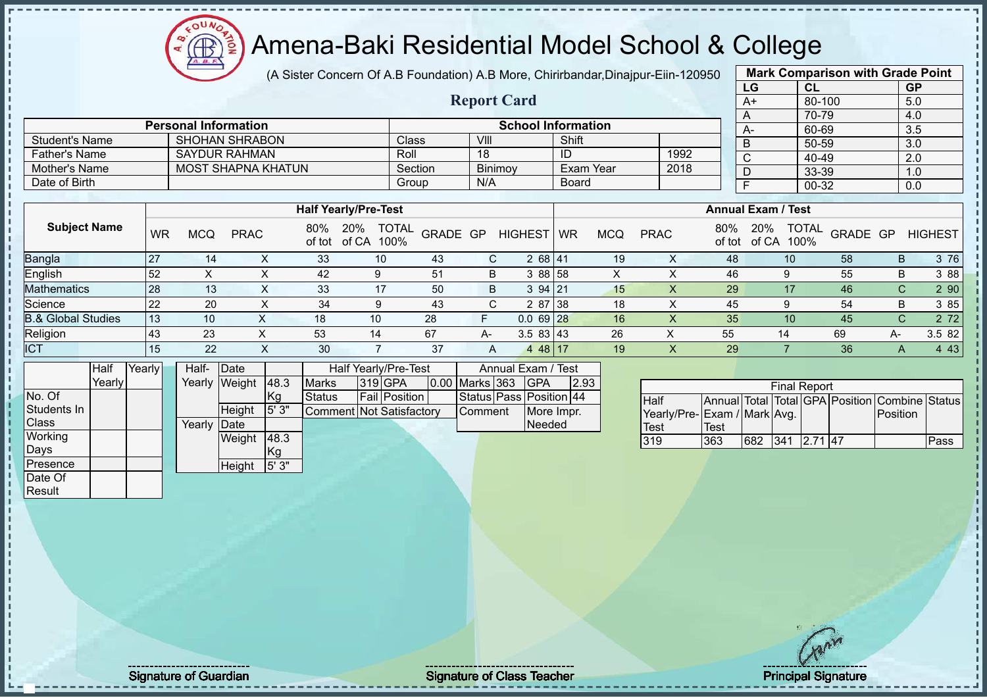$12\mu\text{V}$ Amena-Baki Residential Model School & College

(A Sister Concern Of A.B Foundation) A.B More, Chirirbandar,Dinajpur-Eiin-120950

**Report Card**

|                       | <b>Mark Comparison with Grade Point</b> |           |
|-----------------------|-----------------------------------------|-----------|
| LG                    | <b>CL</b>                               | <b>GP</b> |
| $A+$                  | 80-100                                  | 5.0       |
| Α                     | 70-79                                   | 4.0       |
| A-                    | 60-69                                   | 3.5       |
| B                     | 50-59                                   | 3.0       |
| $\overline{\text{c}}$ | 40-49                                   | 2.0       |
| D                     | 33-39                                   | 1.0       |
| F                     | 00-32                                   | 0.0       |
|                       |                                         |           |

|                | <b>Personal Information</b> |         | <b>School Information</b> |           |      |  |  |  |  |  |
|----------------|-----------------------------|---------|---------------------------|-----------|------|--|--|--|--|--|
| Student's Name | <b>SHOHAN SHRABON</b>       | Class   | VIII                      | Shift     |      |  |  |  |  |  |
| Father's Name  | <b>SAYDUR RAHMAN</b>        | Roll    | 18                        | ID        | 1992 |  |  |  |  |  |
| Mother's Name  | <b>MOST SHAPNA KHATUN</b>   | Section | <b>Binimov</b>            | Exam Year | 2018 |  |  |  |  |  |
| Date of Birth  |                             | Group   | N/A                       | Board     |      |  |  |  |  |  |

|                               |           |            |             |               | <b>Half Yearly/Pre-Test</b> |                      |          |      |                       |           |            |             |               | <b>Annual Exam / Test</b> |                      |          |      |                |
|-------------------------------|-----------|------------|-------------|---------------|-----------------------------|----------------------|----------|------|-----------------------|-----------|------------|-------------|---------------|---------------------------|----------------------|----------|------|----------------|
| <b>Subject Name</b>           | <b>WR</b> | <b>MCQ</b> | <b>PRAC</b> | 80%<br>of tot | 20%<br>of CA                | <b>TOTAL</b><br>100% | GRADE GP |      | <b>HIGHEST</b>        | <b>WR</b> | <b>MCQ</b> | <b>PRAC</b> | 80%<br>of tot | 20%<br>of CA              | <b>TOTAL</b><br>100% | GRADE GP |      | <b>HIGHEST</b> |
| <b>Bangla</b>                 | -27       | 14         | ∧           | 33            | 10 <sup>°</sup>             |                      | 43       | С    | 2 68 41               |           | 19         |             | 48            |                           | 10                   | 58       | B    | 3 76           |
| English                       | 52        |            |             | 42            | 9                           |                      | 51       | B    | 3 88 58               |           | X          |             | 46            |                           |                      | 55       | B    | 3 8 8          |
| <b>Mathematics</b>            | 28        | 13         |             | 33            | 17                          |                      | 50       | B    | $394$   21            |           | 15         |             | 29            |                           | 17                   | 46       | C    | 2 9 0          |
| Science                       |           | 20         |             | 34            |                             |                      | 43       | C.   | 2 87 38               |           | 18         |             | 45            |                           |                      | 54       | B    | 3 85           |
| <b>B.&amp; Global Studies</b> | 13        | 10         |             | 18            | 10                          |                      | 28       |      | $0.069$ <sub>28</sub> |           | 16         |             | 35            |                           | 10                   | 45       | C    | 2 7 2          |
| Religion                      | 43        | 23         |             | 53            | 14                          | 67                   |          | $A-$ | $3.583$ 43            |           | 26         |             | 55            |                           | 14                   | 69       | $A-$ | 3.5 82         |
| ICT                           | 15        | 22         | х           | 30            |                             |                      | 37       | A    | 48   17<br>$\Delta$   |           | 19         | ∧.          | 29            |                           |                      | 36       | A    | 4 4 3          |

|                | Half   | Yearly | Half-  | Date   |        |                          | Half Yearly/Pre-Test | Annual Exam / Test |  |                         |      |
|----------------|--------|--------|--------|--------|--------|--------------------------|----------------------|--------------------|--|-------------------------|------|
|                | Yearly |        | Yearly | Weight | 48.3   | <b>Marks</b>             | 319 GPA              | 0.00 Marks 363     |  | <b>IGPA</b>             | 2.93 |
| No. Of         |        |        |        |        | Kg     | <b>Status</b>            | Fail Position        |                    |  | Status Pass Position 44 |      |
| Students In    |        |        |        | Height | 15'3'' | Comment Not Satisfactory |                      | Comment            |  | More Impr.              |      |
| <b>Class</b>   |        |        | Yearly | Date   |        |                          |                      |                    |  | Needed                  |      |
| <b>Working</b> |        |        |        | Weight | 48.3   |                          |                      |                    |  |                         |      |
| Days           |        |        |        |        | Kg     |                          |                      |                    |  |                         |      |
| Presence       |        |        |        | Height | 5'3"   |                          |                      |                    |  |                         |      |
| Date Of        |        |        |        |        |        |                          |                      |                    |  |                         |      |
| Result         |        |        |        |        |        |                          |                      |                    |  |                         |      |

|                              |      |     | <b>Final Report</b> |  |                                                |      |
|------------------------------|------|-----|---------------------|--|------------------------------------------------|------|
| <b>Half</b>                  |      |     |                     |  | Annual Total Total GPA Position Combine Status |      |
| Yearly/Pre- Exam / Mark Avg. |      |     |                     |  | Position                                       |      |
| <b>Test</b>                  | Test |     |                     |  |                                                |      |
| 319                          | 363  | 682 | 341 2.71 47         |  |                                                | Pass |

Signature of Guardian and Signature of Class Teacher All the Class Teacher All the Class Teacher Principal Signature 41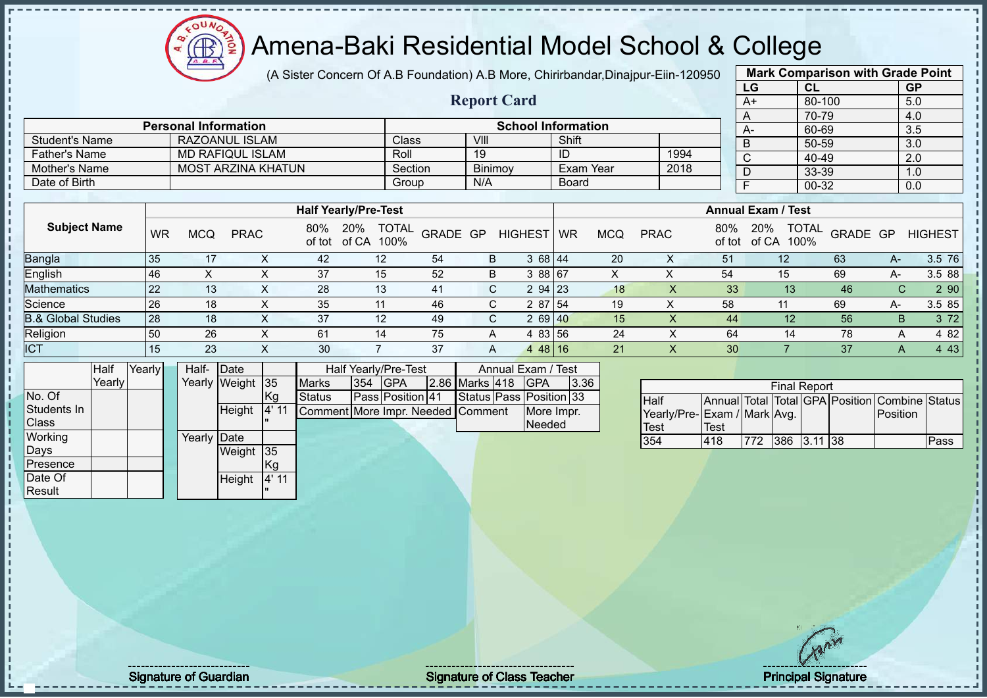$12\mu\text{V}$ Æ ion

### Amena-Baki Residential Model School & College

(A Sister Concern Of A.B Foundation) A.B More, Chirirbandar,Dinajpur-Eiin-120950 **Mark Comparison with Grade Point**

|                               |        |           |                             |                           |              |                             |                      |                      |                                   |                         |                    |                           |              | (A Sister Concern Of A.D Foundation) A.D More, Chimbangan,Dinapul-Ellii-T20950 |                           |     |                     |        |          | <b>Mark Companson with Craus I Olin</b>        |                |
|-------------------------------|--------|-----------|-----------------------------|---------------------------|--------------|-----------------------------|----------------------|----------------------|-----------------------------------|-------------------------|--------------------|---------------------------|--------------|--------------------------------------------------------------------------------|---------------------------|-----|---------------------|--------|----------|------------------------------------------------|----------------|
|                               |        |           |                             |                           |              |                             |                      |                      |                                   |                         |                    |                           |              |                                                                                |                           | LG  |                     | CL     |          | <b>GP</b>                                      |                |
|                               |        |           |                             |                           |              |                             |                      |                      |                                   | <b>Report Card</b>      |                    |                           |              |                                                                                |                           | A+  |                     | 80-100 |          | 5.0                                            |                |
|                               |        |           |                             |                           |              |                             |                      |                      |                                   |                         |                    |                           |              |                                                                                |                           | A   |                     | 70-79  |          | 4.0                                            |                |
|                               |        |           | <b>Personal Information</b> |                           |              |                             |                      |                      |                                   |                         |                    | <b>School Information</b> |              |                                                                                |                           | A-  |                     | 60-69  |          | 3.5                                            |                |
| <b>Student's Name</b>         |        |           |                             | RAZOANUL ISLAM            |              |                             |                      | Class                |                                   | VIII                    |                    | Shift                     |              |                                                                                |                           | B   |                     | 50-59  |          | 3.0                                            |                |
| <b>Father's Name</b>          |        |           |                             | <b>MD RAFIQUL ISLAM</b>   |              |                             |                      | Roll                 |                                   | 19                      |                    | ID                        |              | 1994                                                                           |                           | C   |                     | 40-49  |          | 2.0                                            |                |
| <b>Mother's Name</b>          |        |           |                             | <b>MOST ARZINA KHATUN</b> |              |                             |                      | Section              |                                   | Binimoy                 |                    | Exam Year                 |              | 2018                                                                           |                           | D   |                     | 33-39  |          | 1.0                                            |                |
| Date of Birth                 |        |           |                             |                           |              |                             |                      | Group                |                                   | N/A                     |                    | <b>Board</b>              |              |                                                                                |                           | F   |                     | 00-32  |          | 0.0                                            |                |
|                               |        |           |                             |                           |              |                             |                      |                      |                                   |                         |                    |                           |              |                                                                                |                           |     |                     |        |          |                                                |                |
|                               |        |           |                             |                           |              | <b>Half Yearly/Pre-Test</b> |                      |                      |                                   |                         |                    |                           |              |                                                                                | <b>Annual Exam / Test</b> |     |                     |        |          |                                                |                |
| <b>Subject Name</b>           |        | <b>WR</b> | <b>MCQ</b>                  | <b>PRAC</b>               |              | 80%<br>of tot               | 20%<br>of CA         | <b>TOTAL</b><br>100% | GRADE GP                          |                         | <b>HIGHEST</b>     | <b>WR</b>                 | <b>MCQ</b>   | <b>PRAC</b>                                                                    | 80%<br>of tot             | 20% | of CA 100%          | TOTAL  | GRADE GP |                                                | <b>HIGHEST</b> |
| Bangla                        |        | 35        | 17                          |                           | X            | 42                          |                      | 12                   | 54                                | B                       | 3 68 44            |                           | 20           | X                                                                              | 51                        |     | 12                  |        | 63       | A-                                             | 3.5 76         |
| English                       |        | 46        | $\times$                    |                           | $\times$     | 37                          |                      | 15                   | 52                                | B                       | 3 88 67            |                           | $\mathsf{X}$ | X                                                                              | 54                        |     | 15                  |        | 69       | A-                                             | 3.5 88         |
| Mathematics                   |        | 22        | 13                          |                           | $\mathsf{X}$ | 28                          |                      | 13                   | 41                                | $\mathsf{C}$            | 2 94               | 23                        | 18           | X                                                                              | 33                        |     | 13                  |        | 46       | $\mathsf{C}$                                   | 290            |
| Science                       |        | 26        |                             | 18                        | X            | 35                          |                      | 11                   | 46                                | C                       | 2 87               | 54                        | 19           | X                                                                              | 58                        |     | 11                  |        | 69       | A-                                             | 3.5 85         |
| <b>B.&amp; Global Studies</b> |        | 28        |                             | 18                        | X            | 37                          |                      | 12                   | 49                                | C                       | 2 69 40            |                           | 15           | X                                                                              | 44                        |     | 12                  |        | 56       | B.                                             | 3 7 2          |
| Religion                      |        | 50        | 26                          |                           | X            | 61                          |                      | 14                   | 75                                | A                       | 4 83 56            |                           | 24           | Χ                                                                              | 64                        |     | 14                  |        | 78       | A                                              | 4 8 2          |
| <b>ICT</b>                    |        | 15        |                             | 23                        | X            | 30                          | $\overline{7}$       |                      | 37                                | A                       | 4 48 16            |                           | 21           | $\overline{\mathsf{x}}$                                                        | 30                        |     | $\overline{7}$      |        | 37       | A                                              | 4 4 3          |
|                               | Half   | Yearly    | Half-                       | Date                      |              |                             | Half Yearly/Pre-Test |                      |                                   |                         | Annual Exam / Test |                           |              |                                                                                |                           |     |                     |        |          |                                                |                |
|                               | Yearly |           |                             | Yearly Weight             | $\vert$ 35   | <b>Marks</b>                | 354                  | <b>GPA</b>           |                                   | 2.86 Marks 418          | <b>GPA</b>         | 3.36                      |              |                                                                                |                           |     | <b>Final Report</b> |        |          |                                                |                |
| No. Of                        |        |           |                             |                           | Kg           | <b>Status</b>               |                      | Pass Position 41     |                                   | Status Pass Position 33 |                    |                           |              | Half                                                                           |                           |     |                     |        |          | Annual Total Total GPA Position Combine Status |                |
| Students In                   |        |           |                             | Height                    | 4' 11        |                             |                      |                      | Comment More Impr. Needed Comment |                         | More Impr.         |                           |              | Yearly/Pre-Exam / Mark Avg.                                                    |                           |     |                     |        |          | Position                                       |                |
| Class                         |        |           |                             |                           |              |                             |                      |                      |                                   |                         | <b>Needed</b>      |                           |              | <b>Test</b>                                                                    | Test                      |     |                     |        |          |                                                |                |
| Working                       |        |           |                             | Yearly Date               |              |                             |                      |                      |                                   |                         |                    |                           |              | 354                                                                            | 418                       | 772 | 386 3.11 38         |        |          |                                                | Pass           |
| Days                          |        |           |                             | Weight                    | 35           |                             |                      |                      |                                   |                         |                    |                           |              |                                                                                |                           |     |                     |        |          |                                                |                |
| Presence                      |        |           |                             |                           | Kq           |                             |                      |                      |                                   |                         |                    |                           |              |                                                                                |                           |     |                     |        |          |                                                |                |

Height 4' 11 "

No. Of Students In **Class Working** Days Presence Date Of **Result** 

Signature of Guardian Signature of Class Teacher Principal Signature of Class Teacher Principal Signature of Class Teacher Principal Signature of Class Teacher Principal Signature of Class Teacher Principal Signature of Cl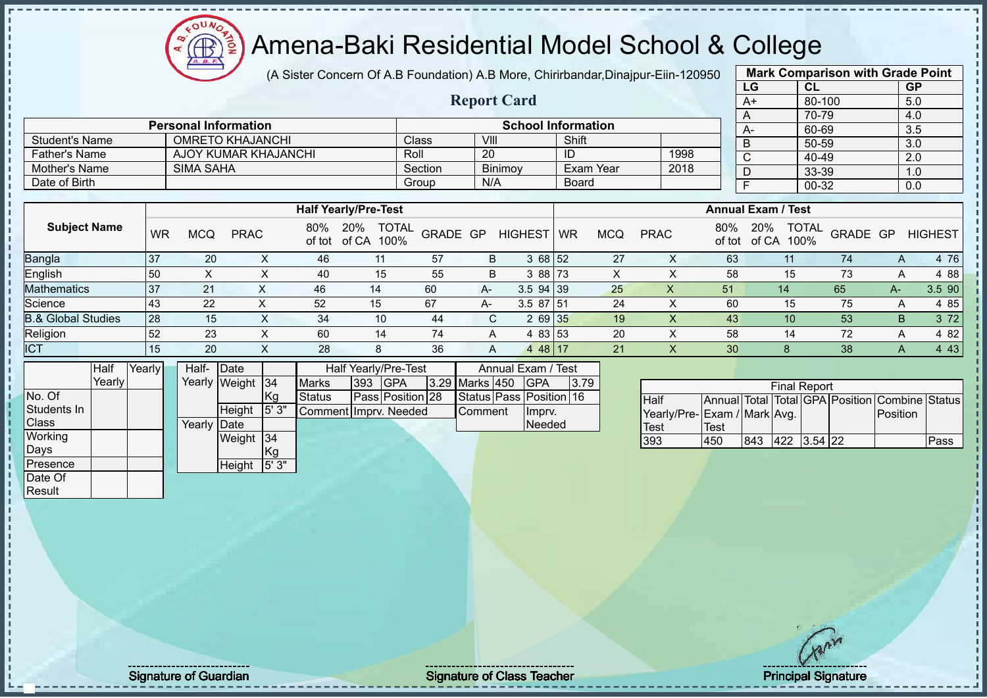(A Sister Concern Of A.B Foundation) A.B More, Chirirbandar,Dinajpur-Eiin-120950

**Report Card**

| <b>Mark Comparison with Grade Point</b> |        |           |  |  |  |  |  |  |  |  |  |  |
|-----------------------------------------|--------|-----------|--|--|--|--|--|--|--|--|--|--|
| LG                                      | CL     | <b>GP</b> |  |  |  |  |  |  |  |  |  |  |
| $A+$                                    | 80-100 | 5.0       |  |  |  |  |  |  |  |  |  |  |
| A                                       | 70-79  | 4.0       |  |  |  |  |  |  |  |  |  |  |
| A-                                      | 60-69  | 3.5       |  |  |  |  |  |  |  |  |  |  |
| B                                       | 50-59  | 3.0       |  |  |  |  |  |  |  |  |  |  |
| C                                       | 40-49  | 2.0       |  |  |  |  |  |  |  |  |  |  |
| D                                       | 33-39  | 1.0       |  |  |  |  |  |  |  |  |  |  |
| F                                       | 00-32  | 0.0       |  |  |  |  |  |  |  |  |  |  |
|                                         |        |           |  |  |  |  |  |  |  |  |  |  |

|                | <b>Personal Information</b> |         |                | <b>School Information</b> |      |
|----------------|-----------------------------|---------|----------------|---------------------------|------|
| Student's Name | <b>OMRETO KHAJANCHI</b>     | Class   | VIII           | Shift                     |      |
| Father's Name  | AJOY KUMAR KHAJANCHI        | Roll    | 20             | HD                        | 1998 |
| Mother's Name  | <b>SIMA SAHA</b>            | Section | <b>Binimov</b> | Exam Year                 | 2018 |
| Date of Birth  |                             | Group   | N/A            | Board                     |      |

|                               |     |            |                  |               | <b>Half Yearly/Pre-Test</b>          |          |      |                |           |     |             |               | <b>Annual Exam / Test</b>            |                 |    |                |
|-------------------------------|-----|------------|------------------|---------------|--------------------------------------|----------|------|----------------|-----------|-----|-------------|---------------|--------------------------------------|-----------------|----|----------------|
| <b>Subject Name</b>           | WR  | <b>MCQ</b> | <b>PRAC</b>      | 80%<br>of tot | <b>TOTAL</b><br>20%<br>of CA<br>100% | GRADE GP |      | <b>HIGHEST</b> | <b>WR</b> | MCQ | <b>PRAC</b> | 80%<br>of tot | <b>TOTAL</b><br>20%<br>100%<br>of CA | <b>GRADE GP</b> |    | <b>HIGHEST</b> |
| Bangla                        | 137 | 20         | ∧                | 46            | 11                                   | 57       | B    | 3 68 52        |           | 27  |             | 63            |                                      | 74              |    | 4 76           |
| English                       | 150 |            |                  | 40            | 15                                   | 55       | B    | 3 88 73        |           | х   |             | 58            | 15                                   | 73              |    | 4 88           |
| <b>Mathematics</b>            | 37  | 21         |                  | 46            | 14                                   | 60       | $A-$ | $3.5$ 94 39    |           | 25  |             | 51            | 14                                   | 65              | A- | 3.5 90         |
| Science                       | 43  | 22         | $\check{ }$<br>⌒ | 52            | 15                                   | 67       | $A-$ | $3.587$ 51     |           | 24  |             | 60            | 15                                   | 75              |    | 4 85           |
| <b>B.&amp; Global Studies</b> | 128 | 15         | X                | 34            | 10                                   | 44       | C.   | 2 69 35        |           | 19  |             | 43            | 10                                   | 53              | B. | 3 7 2          |
| Religion                      | 52  | 23         | ⋏                | 60            | 14                                   | 74       | А    | 4 83 53        |           | 20  |             | 58            | 14                                   | 72              |    | 482            |
| ICT                           | 15  | 20         | Ā                | 28            | 8                                    | 36       |      | $\overline{4}$ | 48   17   | 21  |             | 30            |                                      | 38              |    | 4 4 3          |

|              | Half   | Yearly | Half-       | Date          |       |                         |     | Half Yearly/Pre-Test |                | Annual Exam / Test      |      |  |
|--------------|--------|--------|-------------|---------------|-------|-------------------------|-----|----------------------|----------------|-------------------------|------|--|
|              | Yearly |        |             | Yearly Weight | 34    | <b>Marks</b>            | 393 | <b>IGPA</b>          | 3.29 Marks 450 | <b>IGPA</b>             | 3.79 |  |
| No. Of       |        |        |             |               | Kg    | <b>Status</b>           |     | Pass Position 28     |                | Status Pass Position 16 |      |  |
| Students In  |        |        |             | Height        | 5'3"  | Comment I Impry, Needed |     |                      | Comment        | Imprv.                  |      |  |
| <b>Class</b> |        |        | Yearly Date |               |       |                         |     |                      |                | Needed                  |      |  |
| Working      |        |        |             | Weight        | 34    |                         |     |                      |                |                         |      |  |
| Days         |        |        |             |               | Kg    |                         |     |                      |                |                         |      |  |
| Presence     |        |        |             | Height        | 5' 3" |                         |     |                      |                |                         |      |  |
| Date Of      |        |        |             |               |       |                         |     |                      |                |                         |      |  |

 $12\mu\text{V}$ 

**AR** 

| <b>Final Report</b>          |      |     |             |  |  |                                                |      |  |  |  |
|------------------------------|------|-----|-------------|--|--|------------------------------------------------|------|--|--|--|
| <b>I</b> Half                |      |     |             |  |  | Annual Total Total GPA Position Combine Status |      |  |  |  |
| Yearly/Pre- Exam / Mark Avg. |      |     |             |  |  | Position                                       |      |  |  |  |
| Test                         | Test |     |             |  |  |                                                |      |  |  |  |
| 393                          | 450  | 843 | 422 3.54 22 |  |  |                                                | Pass |  |  |  |

Signature of Guardian Signature of Class Teacher Principal Signature Principal Signature 43/511/612.

Result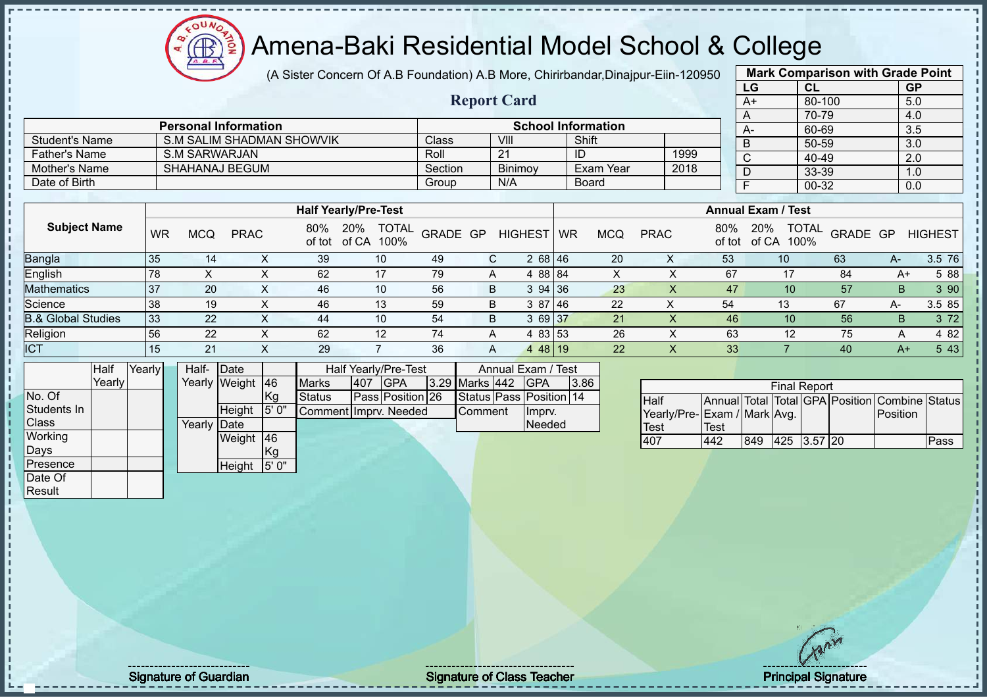(A Sister Concern Of A.B Foundation) A.B More, Chirirbandar,Dinajpur-Eiin-120950

**Report Card**

|    | <b>Mark Comparison with Grade Point</b> |           |
|----|-----------------------------------------|-----------|
| LG | <b>CL</b>                               | <b>GP</b> |
| A+ | 80-100                                  | 5.0       |
| A  | 70-79                                   | 4.0       |
| А- | 60-69                                   | 3.5       |
| B  | 50-59                                   | 3.0       |
| C  | 40-49                                   | 2.0       |
| D  | 33-39                                   | 1.0       |
| F  | 00-32                                   | 0.0       |
|    |                                         |           |

|                       | <b>Personal Information</b> |         | <b>School Information</b> |              |      |  |  |  |
|-----------------------|-----------------------------|---------|---------------------------|--------------|------|--|--|--|
| <b>Student's Name</b> | S.M SALIM SHADMAN SHOWVIK   | Class   | VIII                      | Shift        |      |  |  |  |
| <b>Father's Name</b>  | S.M SARWARJAN               | Roll    | 21                        | ID           | 1999 |  |  |  |
| Mother's Name         | SHAHANAJ BEGUM              | Section | <b>Binimov</b>            | Exam Year    | 2018 |  |  |  |
| Date of Birth         |                             | Group   | N/A                       | <b>Board</b> |      |  |  |  |

|                               |    |     |             |     | <b>Half Yearly/Pre-Test</b>              |          |   |                           |            |             |     | <b>Annual Exam / Test</b>   |                  |      |                |
|-------------------------------|----|-----|-------------|-----|------------------------------------------|----------|---|---------------------------|------------|-------------|-----|-----------------------------|------------------|------|----------------|
| <b>Subject Name</b>           | WR | MCQ | <b>PRAC</b> | 80% | <b>TOTAL</b><br>20%<br>of tot of CA 100% | GRADE GP |   | HIGHEST WR                | <b>MCQ</b> | <b>PRAC</b> | 80% | 20%<br>of tot of CA<br>100% | J TOTAL GRADE GP |      | <b>HIGHEST</b> |
| Bangla                        | 35 |     | $\sim$      | 39  | 10                                       | 49       | С | 2 68 46                   | 20         | ∧           | 53  | 10                          | 63               | $A-$ | 3.5 76         |
| English                       | 78 |     | ⌒           | 62  | 17                                       | 79       |   | 4 88 84                   | X.         |             | 67  | 17                          | 84               | A+   | 5 88           |
| Mathematics                   | 37 | 20  | $\lambda$   | 46  | 10                                       | 56       | B | 394136                    | 23         |             | 47  | 10 <sup>°</sup>             | 57               | B.   | 3 90           |
| Science                       | 38 | 19  |             | 46  | 13                                       | 59       | B | 3 87 46                   | 22         | ↗           | 54  | 13                          | 67               | А-   | 3.585          |
| <b>B.&amp; Global Studies</b> | 33 | 22  |             | 44  | 10                                       | 54       | B | 3 69 37                   | 21         |             | 46  | 10                          | 56               | B.   | 3 7 2          |
| Religion                      | 56 | 22  | ⌒           | 62  | 12                                       | 74       | A | 4 83 53                   | 26         |             | 63  | 12                          | 75               | А    | 4 8 2          |
| <b>ICT</b>                    | 15 | 21  |             | 29  |                                          | 36       | A | 48   19<br>$\overline{4}$ | 22         |             | 33  |                             | 40               | $A+$ | 5 4 3          |

|              | Half   | Yearly | Half-  | Date          |           |                       |      | Half Yearly/Pre-Test |                | Annual Exam / Test      |      |
|--------------|--------|--------|--------|---------------|-----------|-----------------------|------|----------------------|----------------|-------------------------|------|
|              | Yearly |        |        | Yearly Weight | <b>46</b> | <b>Marks</b>          | 1407 | <b>IGPA</b>          | 3.29 Marks 442 | <b>IGPA</b>             | 3.86 |
| No. Of       |        |        |        |               | Kg        | <b>Status</b>         |      | Pass Position 26     |                | Status Pass Position 14 |      |
| Students In  |        |        |        | Height        | 5' 0"     | Comment Imprv. Needed |      |                      | <b>Comment</b> | Impry.                  |      |
| <b>Class</b> |        |        | Yearly | <b>IDate</b>  |           |                       |      |                      |                | Needed                  |      |
| Working      |        |        |        | Weight        | 46        |                       |      |                      |                |                         |      |
| Days         |        |        |        |               | Kg        |                       |      |                      |                |                         |      |
| Presence     |        |        |        | Height        | 5'0"      |                       |      |                      |                |                         |      |
| Date Of      |        |        |        |               |           |                       |      |                      |                |                         |      |
| Result       |        |        |        |               |           |                       |      |                      |                |                         |      |

 $12\mu\text{V}$ 

|                              | <b>Final Report</b> |     |             |  |  |                                                |      |  |  |  |  |
|------------------------------|---------------------|-----|-------------|--|--|------------------------------------------------|------|--|--|--|--|
| Half                         |                     |     |             |  |  | Annual Total Total GPA Position Combine Status |      |  |  |  |  |
| Yearly/Pre- Exam / Mark Avg. |                     |     |             |  |  | <b>IPosition</b>                               |      |  |  |  |  |
| <b>Test</b>                  | Test                |     |             |  |  |                                                |      |  |  |  |  |
| 407                          | 442                 | 849 | 425 3.57 20 |  |  |                                                | Pass |  |  |  |  |

Signature of Guardian Signature of Class T Teacher Principal Signature 44/51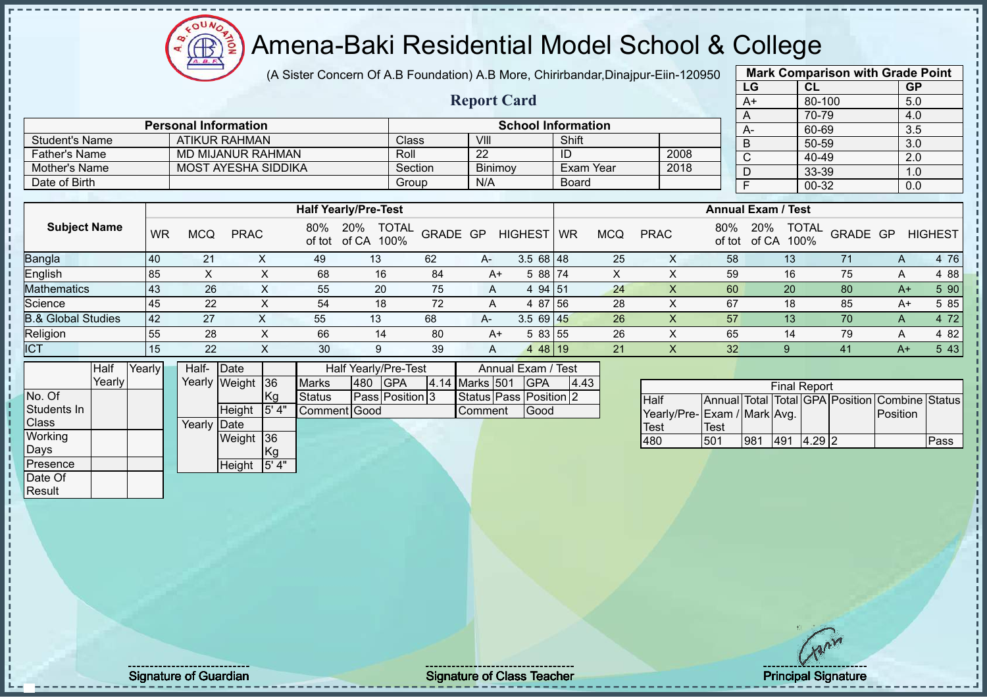(A Sister Concern Of A.B Foundation) A.B More, Chirirbandar,Dinajpur-Eiin-120950

**Report Card**

| <b>Mark Comparison with Grade Point</b> |           |           |  |  |  |  |  |  |
|-----------------------------------------|-----------|-----------|--|--|--|--|--|--|
| LG                                      | <b>CL</b> | <b>GP</b> |  |  |  |  |  |  |
| $A+$                                    | 80-100    | 5.0       |  |  |  |  |  |  |
| A                                       | 70-79     | 4.0       |  |  |  |  |  |  |
| $A -$                                   | 60-69     | 3.5       |  |  |  |  |  |  |
| B                                       | 50-59     | 3.0       |  |  |  |  |  |  |
| C                                       | 40-49     | 2.0       |  |  |  |  |  |  |
| D                                       | 33-39     | 1.0       |  |  |  |  |  |  |
| F                                       | 00-32     | 0.0       |  |  |  |  |  |  |
|                                         |           |           |  |  |  |  |  |  |

|                       | <b>Personal Information</b> |         |         | <b>School Information</b> |      |
|-----------------------|-----------------------------|---------|---------|---------------------------|------|
| <b>Student's Name</b> | ATIKUR RAHMAN               | Classi  | VIII    | Shift                     |      |
| Father's Name         | MD MIJANUR RAHMAN           | Roll    | 22      |                           | 2008 |
| Mother's Name         | MOST AYESHA SIDDIKA         | Section | Binimov | Exam Year                 | 2018 |
| Date of Birth         |                             | Group   | N/A     | <b>Board</b>              |      |

|                               |    |     |             |               | <b>Half Yearly/Pre-Test</b>       |          |                |                |    |            |             |               | <b>Annual Exam / Test</b> |                      |          |   |                |       |
|-------------------------------|----|-----|-------------|---------------|-----------------------------------|----------|----------------|----------------|----|------------|-------------|---------------|---------------------------|----------------------|----------|---|----------------|-------|
| <b>Subject Name</b>           | WR | MCQ | <b>PRAC</b> | 80%<br>of tot | <b>TOTAL</b><br>20%<br>of CA 100% | GRADE GP |                | <b>HIGHEST</b> | WR | <b>MCQ</b> | <b>PRAC</b> | 80%<br>of tot | 20%<br>of CA              | <b>TOTAL</b><br>100% | GRADE GP |   | <b>HIGHEST</b> |       |
| Bangla                        | 40 | 21  |             | 49            | 13                                | 62       | $A-$           | $3.568$   48   |    | 25         |             | 58            |                           | 13 <sup>°</sup>      |          | A |                | 4 76  |
| English                       | 85 |     | ^           | 68            | 16                                | 84       | A+             | 5 88 74        |    | ⋏          |             | 59            |                           | 16                   | 75       |   |                | 4 88  |
| Mathematics                   | 43 | 26  | $\lambda$   | 55            | 20                                | 75       | A              | 4 94 51        |    | 24         | $\lambda$   | 60            |                           | 20                   | 80       |   | $A+$           | 5 90  |
| Science                       | 45 | 22  |             | 54            | 18                                | 72       | А              | 4 87 56        |    | 28         |             | 67            |                           | 18                   | 85       |   | A+             | 5 85  |
| <b>B.&amp; Global Studies</b> | 42 | 27  |             | 55            | 13                                | 68       | $A-$           | $3.569$ 45     |    | 26         |             | 57            |                           | 13                   | 70       | А |                | 4 7 2 |
| Religion                      | 55 | 28  | $\sim$      | 66            | 14                                | -80      | A+             | 5 83 55        |    | 26         |             | 65            |                           | 14                   | 79       | A |                | 4 8 2 |
| <b>ICT</b>                    | 15 | 22  | $\lambda$   | 30            | 9                                 | 39       | $\overline{A}$ | 4 48 19        |    | 21         | $\lambda$   | 32            |                           |                      | 41       |   | $A+$           | 5 4 3 |

|              | Half    | Yearly | Half-  | Date             |         |               |     | Half Yearly/Pre-Test |                | Annual Exam / Test     |      |
|--------------|---------|--------|--------|------------------|---------|---------------|-----|----------------------|----------------|------------------------|------|
|              | Yearlvl |        |        | Yearly Weight 36 |         | <b>Marks</b>  | 480 | <b>GPA</b>           | 4.14 Marks 501 | <b>IGPA</b>            | 4.43 |
| No. Of       |         |        |        |                  | Kg      | <b>Status</b> |     | Pass Position 3      |                | Status Pass Position 2 |      |
| Students In  |         |        |        | Height           | 15' 4'' | Comment Good  |     |                      | Comment        | Good                   |      |
| <b>Class</b> |         |        | Yearlv | <b>IDate</b>     |         |               |     |                      |                |                        |      |
| Working      |         |        |        | Weight           | 36      |               |     |                      |                |                        |      |
| Days         |         |        |        |                  | Kg      |               |     |                      |                |                        |      |
| Presence     |         |        |        | Height           | 5'4"    |               |     |                      |                |                        |      |
| Date Of      |         |        |        |                  |         |               |     |                      |                |                        |      |

 $12\mu\text{V}$ 

| <b>Final Report</b>         |      |     |     |           |  |                                                |      |  |  |  |
|-----------------------------|------|-----|-----|-----------|--|------------------------------------------------|------|--|--|--|
| <b>Half</b>                 |      |     |     |           |  | Annual Total Total GPA Position Combine Status |      |  |  |  |
| Yearly/Pre-Exam / Mark Avg. |      |     |     |           |  | <b>IPosition</b>                               |      |  |  |  |
| <b>Test</b>                 | Test |     |     |           |  |                                                |      |  |  |  |
| 480                         | 501  | 981 | 491 | $14.29$ 2 |  |                                                | Pass |  |  |  |

Result

Signature of Guardian Signature of Class T Teacher Principal Signature 45/51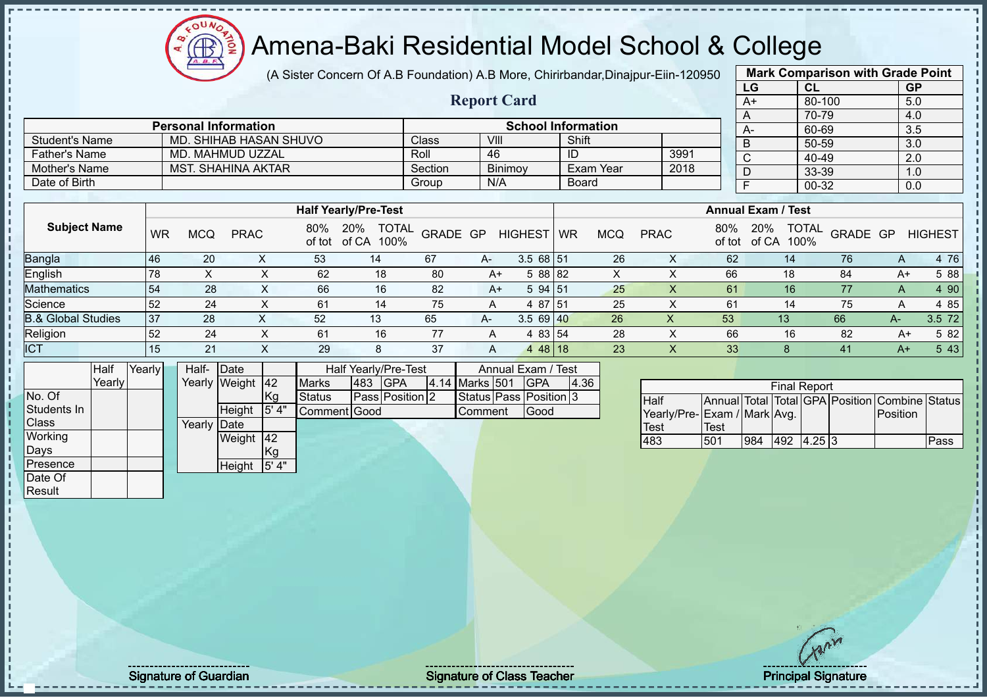# Amena-Baki Residential Model School & College

(A Sister Concern Of A.B Foundation) A.B More, Chirirbandar,Dinajpur-Eiin-120950

| <b>Mark Comparison with Grade Point</b> |           |           |  |  |  |  |  |  |
|-----------------------------------------|-----------|-----------|--|--|--|--|--|--|
| LG                                      | <b>CL</b> | <b>GP</b> |  |  |  |  |  |  |
| $A+$                                    | 80-100    | 5.0       |  |  |  |  |  |  |
| A                                       | 70-79     | 4.0       |  |  |  |  |  |  |
| A-                                      | 60-69     | 3.5       |  |  |  |  |  |  |
| B                                       | 50-59     | 3.0       |  |  |  |  |  |  |
| C                                       | 40-49     | 2.0       |  |  |  |  |  |  |
| D                                       | 33-39     | 1.0       |  |  |  |  |  |  |
| F                                       | 00-32     | 0.0       |  |  |  |  |  |  |
|                                         |           |           |  |  |  |  |  |  |

|                      |                             |         | <b>Report Card</b> |                           |      |
|----------------------|-----------------------------|---------|--------------------|---------------------------|------|
|                      | <b>Personal Information</b> |         |                    | <b>School Information</b> |      |
| Student's Name       | MD. SHIHAB HASAN SHUVO      | Class   | VIII               | Shift                     |      |
| <b>Father's Name</b> | MD. MAHMUD UZZAL            | Roll    | 46                 | ID                        | 3991 |
| Mother's Name        | <b>MST. SHAHINA AKTAR</b>   | Section | <b>Binimov</b>     | Exam Year                 | 2018 |
| Date of Birth        |                             | Group   | N/A                | <b>Board</b>              |      |

|                               |           |            |             |               | <b>Half Yearly/Pre-Test</b>          |          |      |                | <b>Annual Exam / Test</b> |            |             |               |              |                      |          |       |                |
|-------------------------------|-----------|------------|-------------|---------------|--------------------------------------|----------|------|----------------|---------------------------|------------|-------------|---------------|--------------|----------------------|----------|-------|----------------|
| <b>Subject Name</b>           | <b>WR</b> | <b>MCQ</b> | <b>PRAC</b> | 80%<br>of tot | <b>TOTAL</b><br>20%<br>of CA<br>100% | GRADE GP |      | <b>HIGHEST</b> | <b>WR</b>                 | <b>MCQ</b> | <b>PRAC</b> | 80%<br>of tot | 20%<br>of CA | <b>TOTAL</b><br>100% | GRADE GP |       | <b>HIGHEST</b> |
| <b>Bangla</b>                 | 46        | 20         |             | 53            | 14                                   | 67       | $A-$ | $3.568$ 51     |                           | 26         |             | 62            |              | 14                   | 76       | A     | 4 76           |
| English                       | 78        |            |             | 62            | 18                                   | 80       | A+   | 5 88 82        |                           | X          |             | 66            |              | 18                   | 84       | A+    | 5 88           |
| <b>Mathematics</b>            | 54        | 28         | $\sim$      | 66            | 16                                   | 82       | A+   | 5 94 51        |                           | 25         |             | 61            |              | 16                   | 77       | A     | 4 90           |
| Science                       | 52        | 24         | ⋏           | 61            | 14                                   | 75       | А    | 4 87 51        |                           | 25         |             | 61            |              | 14                   | 75       | A     | 4 85           |
| <b>B.&amp; Global Studies</b> | 37        | 28         | ⌒           | 52            | 13                                   | 65       | $A-$ | $3.569$ 40     |                           | 26         | v<br>∧      | 53            | 13           |                      | 66       | $A -$ | 3.5 72         |
| Religion                      | 52        | 24         |             | 61            | 16                                   | 77       | A    | 4 83 54        |                           | 28         |             | 66            |              | 16                   | 82       | A+    | 5 82           |
| <b>ICT</b>                    | 15        | 21         | $\sim$      | 29            | 8                                    | 37       | A    | 4 48 18        |                           | 23         | $\lambda$   | 33            |              |                      | 41       | $A+$  | 5 4 3          |

|              | Half   | Yearlv∐ | Half-       | Date             |           |               | Half Yearly/Pre-Test |                 | Annual Exam / Test |                        |      |
|--------------|--------|---------|-------------|------------------|-----------|---------------|----------------------|-----------------|--------------------|------------------------|------|
|              | Yearly |         |             | Yearly Weight 42 |           | <b>Marks</b>  | 483                  | <b>IGPA</b>     | 4.14 Marks 501     | <b>IGPA</b>            | 4.36 |
| No. Of       |        |         |             |                  | Kg        | <b>Status</b> |                      | Pass Position 2 |                    | Status Pass Position 3 |      |
| Students In  |        |         |             | <b>Height</b>    | 5'4"      | Comment Good  |                      |                 | Comment            | Good                   |      |
| <b>Class</b> |        |         | Yearly Date |                  |           |               |                      |                 |                    |                        |      |
| Working      |        |         |             | Weight           | <b>42</b> |               |                      |                 |                    |                        |      |
| Days         |        |         |             |                  | Kg        |               |                      |                 |                    |                        |      |
| Presence     |        |         |             | Height           | 5' 4"     |               |                      |                 |                    |                        |      |
| Date Of      |        |         |             |                  |           |               |                      |                 |                    |                        |      |

|                              |      |     | <b>Final Report</b> |  |                                                |             |
|------------------------------|------|-----|---------------------|--|------------------------------------------------|-------------|
| <b>Half</b>                  |      |     |                     |  | Annual Total Total GPA Position Combine Status |             |
| Yearly/Pre- Exam / Mark Avg. |      |     |                     |  | <b>IPosition</b>                               |             |
| <b>Test</b>                  | Test |     |                     |  |                                                |             |
| 483                          | 501  | 984 | 492 4.25 3          |  |                                                | <b>Pass</b> |

**Result** 

Signature of Guardian Signature of Class Teacher All the Signature of Class Teacher Principal Signature 46/511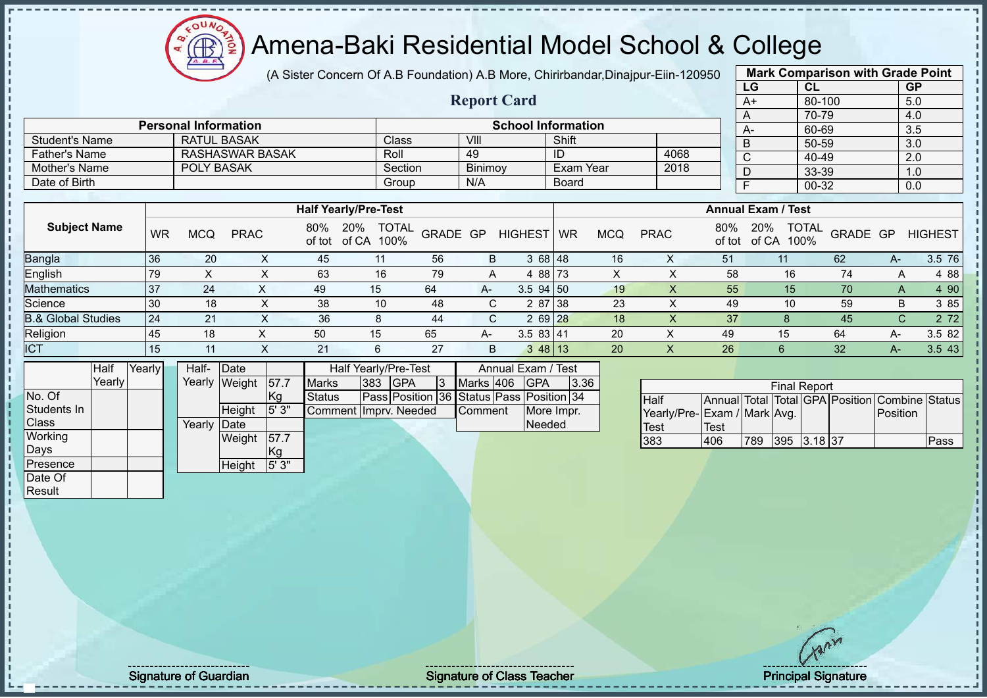# Amena-Baki Residential Model School & College

(A Sister Concern Of A.B Foundation) A.B More, Chirirbandar,Dinajpur-Eiin-120950

**Report Card**

| <b>Mark Comparison with Grade Point</b> |           |           |  |  |  |  |  |  |  |  |  |
|-----------------------------------------|-----------|-----------|--|--|--|--|--|--|--|--|--|
| LG                                      | <b>CL</b> | <b>GP</b> |  |  |  |  |  |  |  |  |  |
| $A+$                                    | 80-100    | 5.0       |  |  |  |  |  |  |  |  |  |
| A                                       | 70-79     | 4.0       |  |  |  |  |  |  |  |  |  |
| A-                                      | 60-69     | 3.5       |  |  |  |  |  |  |  |  |  |
| B                                       | 50-59     | 3.0       |  |  |  |  |  |  |  |  |  |
| C                                       | 40-49     | 2.0       |  |  |  |  |  |  |  |  |  |
| D                                       | 33-39     | 1.0       |  |  |  |  |  |  |  |  |  |
| F                                       | $00 - 32$ | 0.0       |  |  |  |  |  |  |  |  |  |
|                                         |           |           |  |  |  |  |  |  |  |  |  |

| Father's Name                 |    |            | <b>RASHASWAR BASAK</b> |               |                             | Roll                 |          | 49      |                | ID        |            |             | 4068 |               | C                         | 40-49                |          |              | 2.0            |
|-------------------------------|----|------------|------------------------|---------------|-----------------------------|----------------------|----------|---------|----------------|-----------|------------|-------------|------|---------------|---------------------------|----------------------|----------|--------------|----------------|
| Mother's Name                 |    | POLY BASAK |                        |               |                             | Section              |          | Binimoy |                | Exam Year |            |             | 2018 |               |                           | 33-39                |          |              | 1.0            |
| Date of Birth                 |    |            |                        |               |                             | Group                |          | N/A     |                | Board     |            |             |      |               |                           | 00-32                |          |              | 0.0            |
|                               |    |            |                        |               |                             |                      |          |         |                |           |            |             |      |               |                           |                      |          |              |                |
|                               |    |            |                        |               | <b>Half Yearly/Pre-Test</b> |                      |          |         |                |           |            |             |      |               | <b>Annual Exam / Test</b> |                      |          |              |                |
| <b>Subject Name</b>           | WR | MCQ        | <b>PRAC</b>            | 80%<br>of tot | 20%<br>of CA                | <b>TOTAL</b><br>100% | GRADE GP |         | <b>HIGHEST</b> | <b>WR</b> | <b>MCQ</b> | <b>PRAC</b> |      | 80%<br>of tot | 20%<br>of CA              | <b>TOTAL</b><br>100% | GRADE GP |              | <b>HIGHEST</b> |
| Bangla                        | 36 | 20         | X.                     | 45            | 11                          |                      | 56       | B       | 3 68 48        |           | 16         |             | Χ    | 51            | 11                        |                      | 62       | $A-$         | 3.5 76         |
| English                       | 79 |            |                        | 63            | 16                          |                      | 79       | A       | 4 88 73        |           |            |             |      | 58            |                           | 16                   | 74       | A            | 4 88           |
| <b>Mathematics</b>            | 37 | 24         |                        | 49            | 15                          | 64                   |          | A-      | $3.5$ 94 50    |           | 19         |             |      | 55            |                           | 15                   | 70       | A            | 4 90           |
| Science                       | 30 | 18         | X.                     | 38            | 10                          |                      | 48       | C       | 2 87 38        |           | 23         |             |      | 49            |                           | 10                   | 59       | B            | 3 85           |
| <b>B.&amp; Global Studies</b> | 24 | 21         | X                      | 36            | 8                           |                      | 44       | C       | 2 69 28        |           | 18         |             | X    | 37            |                           |                      | 45       | $\mathsf{C}$ | 2 7 2          |
| Religion                      | 45 | 18         |                        | 50            | 15                          | 65                   |          | A-      | 3.583 41       |           | 20         |             |      | 49            |                           | 15                   | 64       | A-           | 3.5 82         |

ICT 15 11 X 21 6 27 B 3 48 13 20 X 26 6 32 A- 3.5 43

|              | Half   | Yearly |  | Half-  | Date          |       |                       | <b>Half Yearly/Pre-Test</b> |                                          |         |           | Annual Exam / Test |             |      |
|--------------|--------|--------|--|--------|---------------|-------|-----------------------|-----------------------------|------------------------------------------|---------|-----------|--------------------|-------------|------|
|              | Yearly |        |  |        | Yearly Weight | 57.7  | <b>Marks</b>          | 383                         | <b>GPA</b>                               | 3       | Marks 406 |                    | <b>IGPA</b> | 3.36 |
| No. Of       |        |        |  |        |               | Кg    | <b>Status</b>         |                             | Pass Position 36 Status Pass Position 34 |         |           |                    |             |      |
| Students In  |        |        |  |        | Height        | 5'3"  | Comment Imprv. Needed |                             |                                          | Comment |           | More Impr.         |             |      |
| <b>Class</b> |        |        |  | Yearly | Date          |       |                       |                             |                                          |         |           |                    | Needed      |      |
| Working      |        |        |  |        | Weight        | 57.7  |                       |                             |                                          |         |           |                    |             |      |
| Days         |        |        |  |        |               | Kg    |                       |                             |                                          |         |           |                    |             |      |
| Presence     |        |        |  |        | Height        | 5'3'' |                       |                             |                                          |         |           |                    |             |      |
| Date Of      |        |        |  |        |               |       |                       |                             |                                          |         |           |                    |             |      |
| Result       |        |        |  |        |               |       |                       |                             |                                          |         |           |                    |             |      |

Student's Name RATUL BASAK Class VIII Shift

**Personal Information School Information** 

| <b>Final Report</b>          |      |     |             |  |  |                                                          |      |  |  |  |  |  |  |
|------------------------------|------|-----|-------------|--|--|----------------------------------------------------------|------|--|--|--|--|--|--|
| <b>Half</b>                  |      |     |             |  |  | Annual Total   Total   GPA   Position   Combine   Status |      |  |  |  |  |  |  |
| Yearly/Pre- Exam / Mark Avg. |      |     |             |  |  | Position                                                 |      |  |  |  |  |  |  |
| <b>Test</b>                  | Test |     |             |  |  |                                                          |      |  |  |  |  |  |  |
| 383                          | 406  | 789 | 395 3.18 37 |  |  |                                                          | Pass |  |  |  |  |  |  |

Signature of Guardian Signature of Class Teacher Principal Signature 47 Principal Signature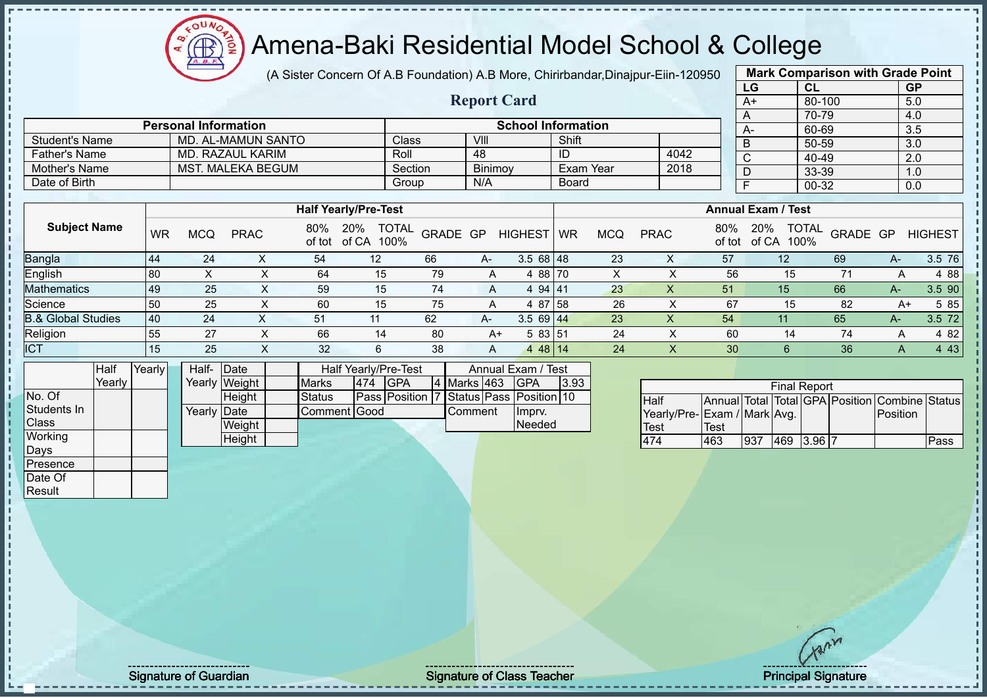# Amena-Baki Residential Model School & College

(A Sister Concern Of A.B Foundation) A.B More, Chirirbandar,Dinajpur-Eiin-120950

|       | <b>Mark Comparison with Grade Point</b> |           |           |  |  |  |  |  |  |  |  |  |
|-------|-----------------------------------------|-----------|-----------|--|--|--|--|--|--|--|--|--|
|       | LG                                      | <b>CL</b> | <b>GP</b> |  |  |  |  |  |  |  |  |  |
|       | $A+$                                    | 80-100    | 5.0       |  |  |  |  |  |  |  |  |  |
| A     |                                         | 70-79     | 4.0       |  |  |  |  |  |  |  |  |  |
|       | А-                                      | 60-69     | 3.5       |  |  |  |  |  |  |  |  |  |
| B     |                                         | 50-59     | 3.0       |  |  |  |  |  |  |  |  |  |
| C     |                                         | 40-49     | 2.0       |  |  |  |  |  |  |  |  |  |
| D     |                                         | 33-39     | 1.0       |  |  |  |  |  |  |  |  |  |
| F     |                                         | 0.0       |           |  |  |  |  |  |  |  |  |  |
| 00-32 |                                         |           |           |  |  |  |  |  |  |  |  |  |

|                       |                             |         |                    |                           |      | --   |
|-----------------------|-----------------------------|---------|--------------------|---------------------------|------|------|
|                       |                             |         | <b>Report Card</b> |                           |      | A+   |
|                       |                             |         |                    |                           |      |      |
|                       | <b>Personal Information</b> |         |                    | <b>School Information</b> |      | $A-$ |
| <b>Student's Name</b> | MD. AL-MAMUN SANTO          | Class   | VIII               | Shift                     |      | D    |
| Father's Name         | MD. RAZAUL KARIM            | Roll    | 48                 | ID                        | 4042 |      |
| Mother's Name         | <b>MST. MALEKA BEGUM</b>    | Section | <b>Binimov</b>     | Exam Year                 | 2018 |      |
| Date of Birth         |                             | Group   | N/A                | <b>Board</b>              |      |      |

|                               |           |            |             |               | <b>Half Yearly/Pre-Test</b>          |          |    | <b>Annual Exam / Test</b> |           |            |             |               |                                      |          |      |                |
|-------------------------------|-----------|------------|-------------|---------------|--------------------------------------|----------|----|---------------------------|-----------|------------|-------------|---------------|--------------------------------------|----------|------|----------------|
| <b>Subject Name</b>           | <b>WR</b> | <b>MCQ</b> | <b>PRAC</b> | 80%<br>of tot | <b>TOTAL</b><br>20%<br>of CA<br>100% | GRADE GP |    | <b>HIGHEST</b>            | <b>WR</b> | <b>MCQ</b> | <b>PRAC</b> | 80%<br>of tot | <b>TOTAL</b><br>20%<br>of CA<br>100% | GRADE GP |      | <b>HIGHEST</b> |
| Bangla                        | 44        | 24         |             | 54            | 12                                   | 66       | A- | $3.568$   48              |           | 23         | ∧           | 57            | 12                                   | 69       | $A-$ | 3.5 76         |
| English                       | 80        |            |             | 64            | 15                                   | 79       | A  | 4 88 70                   |           | X          |             | 56            | 15                                   |          | A    | 4 88           |
| <b>Mathematics</b>            | 49        | 25         |             | 59            | 15                                   | 74       | A  | 4 94 41                   |           | 23         |             | 51            | 15 <sup>°</sup>                      | 66       | А-   | 3.5 90         |
| Science                       | 50        | 25         |             | 60            | 15                                   | 75       | Α  | 4 87 58                   |           | 26         |             | 67            | 15                                   | 82       | A+   | 5 85           |
| <b>B.&amp; Global Studies</b> | 40        | 24         |             | 51            | 11                                   | 62       | A- | $3.569$ 44                |           | 23         | X           | 54            | 11                                   | 65       | $A-$ | 3.5 72         |
| Religion                      | 55        | 27         |             | 66            | 14                                   | -80      | A+ | 5 83 51                   |           | 24         |             | 60            | 14                                   | 74       | A    | 4 8 2          |
| <b>ICT</b>                    | 15        | 25         | $\lambda$   | 32            | 6                                    | -38      | A  | 4 48 14                   |           | 24         | $\lambda$   | 30            |                                      | 36       | A    | 4 4 3          |

|              | Half   | Yearly | Half- Date  |               |                                    | Half Yearly/Pre-Test |                                         |  | Annual Exam / Test |        |      |
|--------------|--------|--------|-------------|---------------|------------------------------------|----------------------|-----------------------------------------|--|--------------------|--------|------|
|              | Yearly |        |             | Yearly Weight | <b>Marks</b><br>474<br><b>IGPA</b> |                      |                                         |  | 4 Marks 463        | IGPA   | 3.93 |
| No. Of       |        |        |             | Height        | Status                             |                      | Pass Position 7 Status Pass Position 10 |  |                    |        |      |
| Students In  |        |        | Yearly Date |               | Comment Good                       |                      |                                         |  | Comment            | Imprv. |      |
| <b>Class</b> |        |        |             | Weight        |                                    |                      |                                         |  |                    | Needed |      |
| Working      |        |        |             | Height        |                                    |                      |                                         |  |                    |        |      |
| Days         |        |        |             |               |                                    |                      |                                         |  |                    |        |      |
| Presence     |        |        |             |               |                                    |                      |                                         |  |                    |        |      |

| <b>Final Report</b>         |             |     |            |  |  |                                                |      |  |  |  |  |  |
|-----------------------------|-------------|-----|------------|--|--|------------------------------------------------|------|--|--|--|--|--|
| <b>I</b> Half               |             |     |            |  |  | Annual Total Total GPA Position Combine Status |      |  |  |  |  |  |
| Yearly/Pre-Exam / Mark Avg. |             |     |            |  |  | Position                                       |      |  |  |  |  |  |
| <b>ITest</b>                | <b>Test</b> |     |            |  |  |                                                |      |  |  |  |  |  |
| 474                         | 463         | 937 | 469 3.96 7 |  |  |                                                | Pass |  |  |  |  |  |

Date Of Result

Signature of Guardian Signature of Class Teacher Number of Class Teacher Principal Signature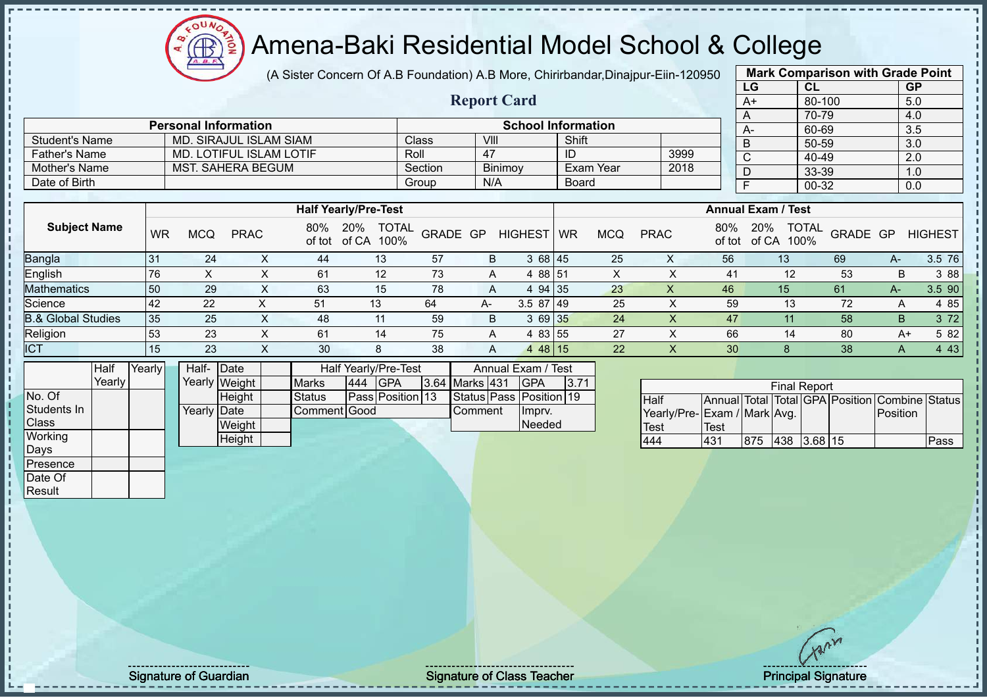Student's Name MD. SIRAJUL ISLAM SIAM Class VIII VIII Shift

**Personal Information School Information**

Father's Name MD. LOTIFUL ISLAM LOTIF Roll 47 ID 3999 Mother's Name MST. SAHERA BEGUM Section Binimoy Exam Year 2018

## Amena-Baki Residential Model School & College

(A Sister Concern Of A.B Foundation) A.B More, Chirirbandar,Dinajpur-Eiin-120950

**Report Card**

| <b>Mark Comparison with Grade Point</b> |        |           |  |  |  |  |  |  |  |  |
|-----------------------------------------|--------|-----------|--|--|--|--|--|--|--|--|
| LG                                      | CL     | <b>GP</b> |  |  |  |  |  |  |  |  |
| $A+$                                    | 80-100 | 5.0       |  |  |  |  |  |  |  |  |
| A                                       | 70-79  | 4.0       |  |  |  |  |  |  |  |  |
| A-                                      | 60-69  | 3.5       |  |  |  |  |  |  |  |  |
| B                                       | 50-59  | 3.0       |  |  |  |  |  |  |  |  |
| C                                       | 40-49  | 2.0       |  |  |  |  |  |  |  |  |
| D                                       | 33-39  | 1.0       |  |  |  |  |  |  |  |  |
| F                                       | 00-32  | 0.0       |  |  |  |  |  |  |  |  |
|                                         |        |           |  |  |  |  |  |  |  |  |

| Date of Birth                 |    |     |             |               |                             | Group                | N/A      |                | <b>Board</b> |            |             |     |        | 00-32                                |          |       | 0.0            |
|-------------------------------|----|-----|-------------|---------------|-----------------------------|----------------------|----------|----------------|--------------|------------|-------------|-----|--------|--------------------------------------|----------|-------|----------------|
|                               |    |     |             |               |                             |                      |          |                |              |            |             |     |        |                                      |          |       |                |
|                               |    |     |             |               | <b>Half Yearly/Pre-Test</b> |                      |          |                |              |            |             |     |        | <b>Annual Exam / Test</b>            |          |       |                |
| <b>Subject Name</b>           | WR | MCQ | <b>PRAC</b> | 80%<br>of tot | 20%<br>of CA                | <b>TOTAL</b><br>100% | GRADE GP | <b>HIGHEST</b> | <b>WR</b>    | <b>MCQ</b> | <b>PRAC</b> | 80% | of tot | <b>TOTAL</b><br>20%<br>of CA<br>100% | GRADE GP |       | <b>HIGHEST</b> |
| Bangla                        | 31 | 24  |             | 44            | 13                          | 57                   | в        | 3 68 45        |              | 25         |             | 56  |        | 13                                   | 69       | A-    | 3.5 76         |
| English                       | 76 |     | ∧           | 61            | 12                          | 73                   |          | 4 88 51<br>A   |              |            |             |     | 41     | 12                                   | 53       | B     | 3 8 8          |
| <b>Mathematics</b>            | 50 | 29  | X.          | 63            | 15                          | 78                   |          | A              | 94 35        | 23         |             | 46  |        | 15                                   | 61       | $A -$ | 3.5 90         |
| Science                       | 42 | 22  | ⋏           | 51            | 13                          | 64                   | А-       | $3.587$   49   |              | 25         |             |     | 59     | 13                                   | 72       | A     | 4 85           |
| <b>B.&amp; Global Studies</b> | 35 | 25  | x           | 48            | 11                          | 59                   |          | 3 69 35<br>B   |              | 24         |             |     | 47     |                                      | 58       | B     | 3 7 2          |
| Religion                      | 53 | 23  | x           | 61            | 14                          | 75                   |          | 4 83 55<br>A   |              | 27         |             |     | 66     | 14                                   | 80       |       | 5 82<br>A+     |
| <b>ICT</b>                    | 15 | 23  |             | 30            | 8                           | 38                   |          | 4 48 15<br>A   |              | 22         |             |     | 30     |                                      | 38       | A     | 4 4 3          |

|                 | Half     | Yearly I | Half- Date  |               |                     |         | <b>Half Yearly/Pre-Test</b> | Annual Exam / Test    |  |                         |      |  |
|-----------------|----------|----------|-------------|---------------|---------------------|---------|-----------------------------|-----------------------|--|-------------------------|------|--|
|                 | Yearlv l |          |             | Yearly Weight | <b>Marks</b>        | 444 GPA |                             | <b>3.64 Marks 431</b> |  | <b>IGPA</b>             | 3.71 |  |
| No. Of          |          |          |             | <b>Height</b> | Status              |         | Pass Position 13            |                       |  | Status Pass Position 19 |      |  |
| Students In     |          |          | Yearly Date |               | <b>Comment Good</b> |         |                             | <b>I</b> Comment      |  | Impry.                  |      |  |
| <b>Class</b>    |          |          |             | Weight        |                     |         |                             |                       |  | Needed                  |      |  |
| <b>Working</b>  |          |          |             | Height        |                     |         |                             |                       |  |                         |      |  |
| Days            |          |          |             |               |                     |         |                             |                       |  |                         |      |  |
| <b>Presence</b> |          |          |             |               |                     |         |                             |                       |  |                         |      |  |

| <b>Final Report</b>          |             |      |             |  |  |                                                |      |  |  |  |  |  |
|------------------------------|-------------|------|-------------|--|--|------------------------------------------------|------|--|--|--|--|--|
| <b>Half</b>                  |             |      |             |  |  | Annual Total Total GPA Position Combine Status |      |  |  |  |  |  |
| Yearly/Pre- Exam / Mark Avg. |             |      |             |  |  | Position                                       |      |  |  |  |  |  |
| <b>Test</b>                  | <b>Test</b> |      |             |  |  |                                                |      |  |  |  |  |  |
| 444                          | 431         | 1875 | 438 3.68 15 |  |  |                                                | Pass |  |  |  |  |  |

Date Of **Result** 

Signature of Guardian Signature Signature of Class Teacher Number of Class Teacher Principal Signature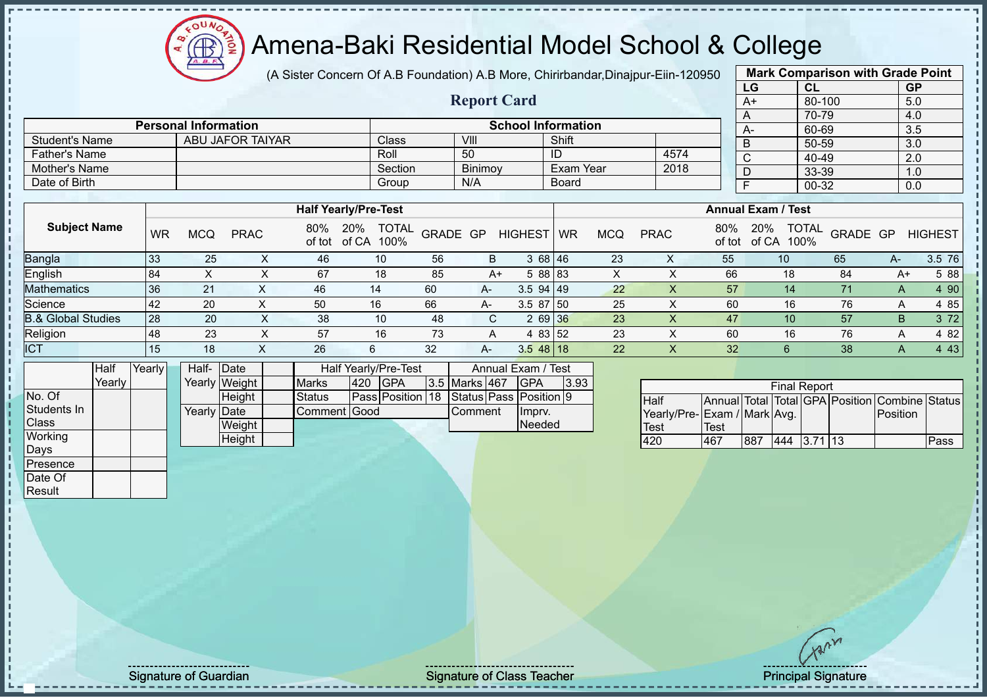# Amena-Baki Residential Model School & College

(A Sister Concern Of A.B Foundation) A.B More, Chirirbandar,Dinajpur-Eiin-120950

**Report Card**

| <b>Mark Comparison with Grade Point</b> |           |           |  |  |  |  |  |  |  |  |
|-----------------------------------------|-----------|-----------|--|--|--|--|--|--|--|--|
| LG                                      | <b>CL</b> | <b>GP</b> |  |  |  |  |  |  |  |  |
| $A+$                                    | 80-100    | 5.0       |  |  |  |  |  |  |  |  |
| A                                       | 70-79     | 4.0       |  |  |  |  |  |  |  |  |
| A-                                      | 60-69     | 3.5       |  |  |  |  |  |  |  |  |
| B                                       | 50-59     | 3.0       |  |  |  |  |  |  |  |  |
| $\overline{\text{c}}$                   | 40-49     | 2.0       |  |  |  |  |  |  |  |  |
| D                                       | 33-39     | 1.0       |  |  |  |  |  |  |  |  |
| F                                       | 00-32     | 0.0       |  |  |  |  |  |  |  |  |
|                                         |           |           |  |  |  |  |  |  |  |  |

|                      |                             |                    |                           |              |      |  | A                 |  |  |  |  |
|----------------------|-----------------------------|--------------------|---------------------------|--------------|------|--|-------------------|--|--|--|--|
|                      | <b>Personal Information</b> |                    | <b>School Information</b> |              |      |  |                   |  |  |  |  |
| Student's Name       | ABU JAFOR TAIYAR            | Class <sup>1</sup> | VIII                      | Shift        |      |  | $\mathsf{A}$<br>B |  |  |  |  |
| <b>Father's Name</b> |                             | Roll               | 50                        | -ID          | 4574 |  |                   |  |  |  |  |
| Mother's Name        |                             | Section            | <b>Binimov</b>            | Exam Year    | 2018 |  |                   |  |  |  |  |
| Date of Birth        |                             | Group              | N/A                       | <b>Board</b> |      |  |                   |  |  |  |  |

|                               |           |            |             |               | <b>Half Yearly/Pre-Test</b>          |          |      |                | <b>Annual Exam / Test</b> |            |             |               |                                      |          |      |                |
|-------------------------------|-----------|------------|-------------|---------------|--------------------------------------|----------|------|----------------|---------------------------|------------|-------------|---------------|--------------------------------------|----------|------|----------------|
| <b>Subject Name</b>           | <b>WR</b> | <b>MCQ</b> | <b>PRAC</b> | 80%<br>of tot | <b>TOTAL</b><br>20%<br>of CA<br>100% | GRADE GP |      | <b>HIGHEST</b> | <b>WR</b>                 | <b>MCQ</b> | <b>PRAC</b> | 80%<br>of tot | <b>TOTAL</b><br>20%<br>100%<br>of CA | GRADE GP |      | <b>HIGHEST</b> |
| <b>Bangla</b>                 | 33        | 25         |             | 46            | 10                                   | 56       | B    | 3 68 46        |                           | 23         | ∧           | 55            | 10                                   | 65       | $A-$ | 3.5 76         |
| English                       | 84        |            |             | 67            | 18                                   | 85       | $A+$ | 5 88 83        |                           | $\lambda$  |             | 66            | 18                                   | 84       | A+   | 5 88           |
| <b>Mathematics</b>            | 36        | 21         |             | 46            | 14                                   | 60       | A-   | $3.5$ 94 49    |                           | 22         | X           | 57            | 14                                   | 71       | A    | 4 90           |
| Science                       | 42        | 20         |             | 50            | 16                                   | 66       | A-   | $3.587$ 50     |                           | 25         |             | 60            | 16                                   | 76       | А    | 4 85           |
| <b>B.&amp; Global Studies</b> | 28        | 20         |             | 38            | 10                                   | 48       | C.   | 2 69 36        |                           | 23         |             | 47            | 10                                   | 57       | B.   | 3 7 2          |
| Religion                      | 48        | 23         |             | 57            | 16                                   | 73       | A    | 4 83 52        |                           | 23         |             | 60            | 16                                   | 76       | A    | 4 8 2          |
| <b>ICT</b>                    | 15        | 18         |             | 26            | 6                                    | 32       | $A-$ | $3.548$ 18     |                           | 22         | $\lambda$   | 32            |                                      | 38       | Α    | 4 4 3          |

|              | <b>Half</b> | Yearly | Half- Date  |               |               |              | <b>Half Yearly/Pre-Test</b>             | Annual Exam / Test |               |          |         |      |
|--------------|-------------|--------|-------------|---------------|---------------|--------------|-----------------------------------------|--------------------|---------------|----------|---------|------|
|              | Yearly      |        |             | Yearly Weight | <b>Marks</b>  | 1420         | <b>IGPA</b>                             |                    | 3.5 Marks 467 |          | IGPA    | 3.93 |
| No. Of       |             |        |             | <b>Height</b> | <b>Status</b> |              | Pass Position 18 Status Pass Position 9 |                    |               |          |         |      |
| Students In  |             |        | Yearly Date |               |               | Comment Good |                                         |                    |               | lComment | Ilmprv. |      |
| <b>Class</b> |             |        |             | Weight        |               |              |                                         |                    |               |          | Needed  |      |
| Working      |             |        |             | Height        |               |              |                                         |                    |               |          |         |      |
| Days         |             |        |             |               |               |              |                                         |                    |               |          |         |      |

| <b>Final Report</b>          |             |     |     |          |  |                                                |      |  |  |  |  |  |  |
|------------------------------|-------------|-----|-----|----------|--|------------------------------------------------|------|--|--|--|--|--|--|
| <b>Half</b>                  |             |     |     |          |  | Annual Total Total GPA Position Combine Status |      |  |  |  |  |  |  |
| Yearly/Pre- Exam / Mark Avg. |             |     |     |          |  | <b>IPosition</b>                               |      |  |  |  |  |  |  |
| <b>Test</b>                  | <b>Test</b> |     |     |          |  |                                                |      |  |  |  |  |  |  |
| 420                          | 467         | 887 | 444 | 13.71113 |  |                                                | Pass |  |  |  |  |  |  |

**Presence** Date Of **Result** 

Signature of Guardian Signature of Class Teacher **Signature of Class Teacher** Principal Signature